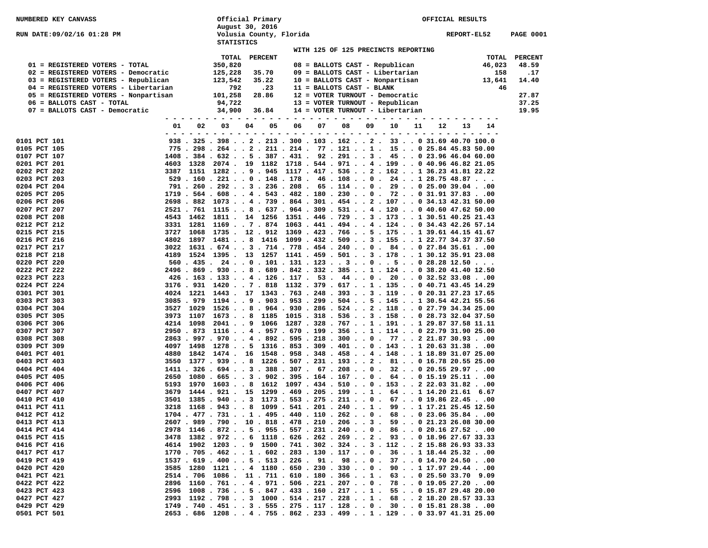| <b>NUMBERED KEY CANVASS</b>                                                 |             |           |                   | Official Primary                                                                                                                           |    | OFFICIAL RESULTS |                                                                    |    |             |             |             |             |              |                  |
|-----------------------------------------------------------------------------|-------------|-----------|-------------------|--------------------------------------------------------------------------------------------------------------------------------------------|----|------------------|--------------------------------------------------------------------|----|-------------|-------------|-------------|-------------|--------------|------------------|
| RUN DATE:09/02/16 01:28 PM                                                  |             |           | <b>STATISTICS</b> | August 30, 2016<br>Volusia County, Florida                                                                                                 |    |                  |                                                                    |    |             |             |             | REPORT-EL52 |              | <b>PAGE 0001</b> |
|                                                                             |             |           |                   |                                                                                                                                            |    |                  | WITH 125 OF 125 PRECINCTS REPORTING                                |    |             |             |             |             |              |                  |
|                                                                             |             |           | TOTAL             | PERCENT                                                                                                                                    |    |                  |                                                                    |    |             |             |             |             | TOTAL        | <b>PERCENT</b>   |
| 01 = REGISTERED VOTERS - TOTAL                                              |             |           | 350,820           |                                                                                                                                            |    |                  | 08 = BALLOTS CAST - Republican                                     |    |             |             |             |             | 46,023       | 48.59            |
| 02 = REGISTERED VOTERS - Democratic                                         |             |           | 125,228           | 35.70<br>35.22                                                                                                                             |    |                  | 09 = BALLOTS CAST - Libertarian<br>10 = BALLOTS CAST - Nonpartisan |    |             |             |             |             | 158          | .17              |
| 03 = REGISTERED VOTERS - Republican<br>04 = REGISTERED VOTERS - Libertarian |             |           | 123,542<br>792    | .23                                                                                                                                        |    |                  | 11 = BALLOTS CAST - BLANK                                          |    |             |             |             |             | 13,641<br>46 | 14.40            |
| 05 = REGISTERED VOTERS - Nonpartisan                                        |             |           | 101,258           | 28.86                                                                                                                                      |    |                  | 12 = VOTER TURNOUT - Democratic                                    |    |             |             |             |             |              | 27.87            |
| 06 = BALLOTS CAST - TOTAL                                                   |             |           | 94,722            |                                                                                                                                            |    |                  | 13 = VOTER TURNOUT - Republican                                    |    |             |             |             |             |              | 37.25            |
| 07 = BALLOTS CAST - Democratic                                              |             |           | 34,900            | 36.84                                                                                                                                      |    |                  | 14 = VOTER TURNOUT - Libertarian                                   |    |             |             |             |             |              | 19.95            |
|                                                                             | 01<br>- - - | 02        | 03                | 04<br>05<br>- - - - - - - -                                                                                                                | 06 |                  | 07<br>08<br>- - - - - - - - - - - - -                              | 09 | 10<br>$  -$ | 11<br>$  -$ | 12<br>$  -$ | 13          | 14           |                  |
| 0101 PCT 101                                                                |             |           |                   | $938$ . $325$ . $398$ 2 . 213 . 300 . 103 . 162 2 . 33 0 31.69 40.70 100.0                                                                 |    |                  |                                                                    |    |             |             |             |             |              |                  |
| 0105 PCT 105                                                                |             |           |                   | 775 . 298 . 264 2 . 211 . 214 . 77 . 121 1 . 15 0 25.84 45.83 50.00                                                                        |    |                  |                                                                    |    |             |             |             |             |              |                  |
| 0107 PCT 107                                                                |             |           |                   | 1408 . 384 . 632 5 . 387 . 431 . 92 . 291 3 . 45 0 23.96 46.04 60.00                                                                       |    |                  |                                                                    |    |             |             |             |             |              |                  |
| 0201 PCT 201                                                                |             |           |                   | 4603 1328 2074. 19 1182 1718. 544. 971 4. 199 0 40.96 46.82 21.05                                                                          |    |                  |                                                                    |    |             |             |             |             |              |                  |
| 0202 PCT 202<br>0203 PCT 203                                                |             |           |                   | 3387 1151 1282 9 . 945 1117 . 417 . 536 2 . 162 1 36.23 41.81 22.22<br>529 . 160 . 221 0 . 148 . 178 . 46 . 108 0 . 24 1 28.75 48.87       |    |                  |                                                                    |    |             |             |             |             |              |                  |
| 0204 PCT 204                                                                |             |           |                   | 791 . 260 . 292 3 . 236 . 208 . 65 . 114 0 . 29 0 25.00 39.0400                                                                            |    |                  |                                                                    |    |             |             |             |             |              |                  |
| 0205 PCT 205                                                                |             |           |                   | $1719$ , 564 , 608 , , 4 , 543 , 482 , 180 , 230 , , 0 , 72 , , 0 31.91 37.83 , .00                                                        |    |                  |                                                                    |    |             |             |             |             |              |                  |
| 0206 PCT 206                                                                |             |           |                   | 2698 . 882 1073 4 . 739 . 864 . 301 . 454 2 . 107 0 34.13 42.31 50.00                                                                      |    |                  |                                                                    |    |             |             |             |             |              |                  |
| 0207 PCT 207                                                                |             |           |                   | 2521 . 761 1115 8 . 637 . 964 . 309 . 531 4 . 120 0 40.60 47.62 50.00                                                                      |    |                  |                                                                    |    |             |             |             |             |              |                  |
| 0208 PCT 208                                                                | 4543        |           |                   | 1462 1811 . 14 1256 1351 . 446 . 729 3 . 173 1 30.51 40.25 21.43                                                                           |    |                  |                                                                    |    |             |             |             |             |              |                  |
| 0212 PCT 212                                                                |             |           |                   | 3331 1281 1169 7 . 874 1063 . 441 . 494 4 . 124 0 34.43 42.26 57.14                                                                        |    |                  |                                                                    |    |             |             |             |             |              |                  |
| 0215 PCT 215                                                                |             |           |                   | 3727 1068 1735 . 12 . 912 1369 . 423 . 766 5 . 175 1 39.61 44.15 41.67                                                                     |    |                  |                                                                    |    |             |             |             |             |              |                  |
| 0216 PCT 216                                                                | 4802        |           |                   | 1897 1481 8 1416 1099 . 432 . 509 3 . 155 1 22.77 34.37 37.50<br>$3022$ 1631 . 674 3 . 714 . 778 . 454 . 240 0 . 84 0 27.84 35.6100        |    |                  |                                                                    |    |             |             |             |             |              |                  |
| 0217 PCT 217<br>0218 PCT 218                                                |             |           |                   | 4189 1524 1395 . 13 1257 1141 . 459 . 501 3 . 178 1 30.12 35.91 23.08                                                                      |    |                  |                                                                    |    |             |             |             |             |              |                  |
| 0220 PCT 220                                                                |             |           |                   | $560$ . $435$ . $24$ 0 . 101 . 131 . 123 3 0 5 0 28.28 12.50                                                                               |    |                  |                                                                    |    |             |             |             |             |              |                  |
| 0222 PCT 222                                                                |             |           |                   | 2496 . 869 . 930 8 . 689 . 842 . 332 . 385 1 . 124 0 38.20 41.40 12.50                                                                     |    |                  |                                                                    |    |             |             |             |             |              |                  |
| 0223 PCT 223                                                                |             |           |                   | 426 . 163 . 133 4 . 126 . 117 . 53 . 44 0 . 20 0 32.52 33.0800                                                                             |    |                  |                                                                    |    |             |             |             |             |              |                  |
| 0224 PCT 224                                                                |             |           |                   | 3176 . 931 1420 7 . 818 1132 . 379 . 617 1 . 135 0 40.71 43.45 14.29                                                                       |    |                  |                                                                    |    |             |             |             |             |              |                  |
| 0301 PCT 301                                                                |             |           |                   | 4024 1221 1443 . 17 1343 . 763 . 248 . 393 3 . 119 0 20.31 27.23 17.65                                                                     |    |                  |                                                                    |    |             |             |             |             |              |                  |
| 0303 PCT 303                                                                |             |           |                   | 3085 . 979 1194 9 . 903 . 953 . 299 . 504 5 . 145 1 30.54 42.21 55.56                                                                      |    |                  |                                                                    |    |             |             |             |             |              |                  |
| 0304 PCT 304<br>0305 PCT 305                                                |             |           |                   | 3527 1029 1526 8 . 964 . 930 . 286 . 524 2 . 118 0 27.79 34.34 25.00<br>3973 1107 1673 8 1185 1015 . 318 . 536 3 . 158 0 28.73 32.04 37.50 |    |                  |                                                                    |    |             |             |             |             |              |                  |
| 0306 PCT 306                                                                |             | 4214 1098 |                   | 2041 9 1066 1287 . 328 . 767 1 . 191 1 29.87 37.58 11.11                                                                                   |    |                  |                                                                    |    |             |             |             |             |              |                  |
| 0307 PCT 307                                                                |             |           |                   | 2950 . 873 1116 4 . 957 . 670 . 199 . 356 1 . 114 0 22.79 31.90 25.00                                                                      |    |                  |                                                                    |    |             |             |             |             |              |                  |
| 0308 PCT 308                                                                |             |           |                   | 2863 . 997 . 970 4 . 892 . 595 . 218 . 300 0 . 77 2 21.87 30.9300                                                                          |    |                  |                                                                    |    |             |             |             |             |              |                  |
| 0309 PCT 309                                                                |             |           |                   | 4097 1498 1278 5 1316 . 853 . 309 . 401 0 . 143 1 20.63 31.3800                                                                            |    |                  |                                                                    |    |             |             |             |             |              |                  |
| 0401 PCT 401                                                                | 4880        |           |                   | 1842 1474 . 16 1548 . 958 . 348 . 458 4 . 148 1 18.89 31.07 25.00                                                                          |    |                  |                                                                    |    |             |             |             |             |              |                  |
| 0403 PCT 403                                                                |             |           |                   | 3550 1377 . 939 8 1226 . 507 . 231 . 193 2 . 81 0 16.78 20.55 25.00                                                                        |    |                  |                                                                    |    |             |             |             |             |              |                  |
| 0404 PCT 404                                                                |             |           |                   | $1411$ , 326 , 694 , , 3 , 388 , 307 , 67 , 208 , , 0 , 32 , , 0 20.55 29.97 , .00                                                         |    |                  |                                                                    |    |             |             |             |             |              |                  |
| 0405 PCT 405<br>0406 PCT 406                                                |             |           |                   | 2650 1080 . 665 3 . 902 . 395 . 164 . 167 0 . 64 0 15.19 25.1100<br>$5193$ 1970 16038 1612 1097.434.5100.153222.0331.8200                  |    |                  |                                                                    |    |             |             |             |             |              |                  |
| 0407 PCT 407                                                                | 3679        |           |                   | 1444 . 921 . 15 1299 . 469 . 205 . 199 1 . 64 1 14.20 21.61 6.67                                                                           |    |                  |                                                                    |    |             |             |             |             |              |                  |
| 0410 PCT 410                                                                | 3501        |           |                   | 1385 . 940 3 1173 . 553 . 275 . 211 0 . 67 0 19.86 22.4500                                                                                 |    |                  |                                                                    |    |             |             |             |             |              |                  |
| 0411 PCT 411                                                                |             |           |                   | 3218 1168 . 943 8 1099 . 541 . 201 . 240 1 . 99 1 17.21 25.45 12.50                                                                        |    |                  |                                                                    |    |             |             |             |             |              |                  |
| 0412 PCT 412                                                                |             |           |                   | $1704$ , $477$ , $731$ , , $1$ , $495$ , $440$ , $110$ , $262$ , , 0 , 68 , , 0 23,06 35,84 , ,00                                          |    |                  |                                                                    |    |             |             |             |             |              |                  |
| 0413 PCT 413                                                                |             |           |                   | 2607 . 989 . 790 . 10 . 818 . 478 . 210 . 206 3 . 59 0 21.23 26.08 30.00                                                                   |    |                  |                                                                    |    |             |             |             |             |              |                  |
| 0414 PCT 414                                                                |             |           |                   | 2978 1146 . 872 5 . 955 . 557 . 231 . 240 0 . 86 0 20.16 27.5200                                                                           |    |                  |                                                                    |    |             |             |             |             |              |                  |
| 0415 PCT 415                                                                |             |           |                   | 3478 1382 . 972 6 1118 . 626 . 262 . 269 2 . 93 0 18.96 27.67 33.33                                                                        |    |                  |                                                                    |    |             |             |             |             |              |                  |
| 0416 PCT 416                                                                |             |           |                   | 4614 1902 1203 9 1500 . 741 . 302 . 324 3 . 112 2 15.88 26.93 33.33<br>1770 . 705 . 462 1 . 602 . 283 . 130 . 117 0 . 36 1 18.44 25.3200   |    |                  |                                                                    |    |             |             |             |             |              |                  |
| 0417 PCT 417<br>0419 PCT 419                                                |             |           |                   | 1537 . 619 . 400 5 . 513 . 226 . 91 . 98 0 . 37 0 14.70 24.5000                                                                            |    |                  |                                                                    |    |             |             |             |             |              |                  |
| 0420 PCT 420                                                                |             |           |                   | 3585 1280 1121 4 1180 . 650 . 230 . 330 0 . 90 1 17.97 29.4400                                                                             |    |                  |                                                                    |    |             |             |             |             |              |                  |
| 0421 PCT 421                                                                |             |           |                   | 2514 . 706 1086 . 11 . 711 . 610 . 180 . 366 1 . 63 0 25.50 33.70 9.09                                                                     |    |                  |                                                                    |    |             |             |             |             |              |                  |
| 0422 PCT 422                                                                |             |           |                   | 2896 1160 . 761 4 . 971 . 506 . 221 . 207 0 . 78 0 19.05 27.2000                                                                           |    |                  |                                                                    |    |             |             |             |             |              |                  |
| 0423 PCT 423                                                                |             |           |                   | 2596 1008 . 736 5 . 847 . 433 . 160 . 217 1 . 55 0 15.87 29.48 20.00                                                                       |    |                  |                                                                    |    |             |             |             |             |              |                  |
| 0427 PCT 427                                                                |             |           |                   | 2993 1192 . 798 3 1000 . 514 . 217 . 228 1 . 68 2 18.20 28.57 33.33                                                                        |    |                  |                                                                    |    |             |             |             |             |              |                  |
| 0429 PCT 429                                                                |             |           |                   | 1749 . 740 . 451 3 . 555 . 275 . 117 . 128 0 . 30 0 15.81 28.3800                                                                          |    |                  |                                                                    |    |             |             |             |             |              |                  |
| 0501 PCT 501                                                                |             |           |                   | 2653 . 686 1208 4 . 755 . 862 . 233 . 499 1 . 129 0 33.97 41.31 25.00                                                                      |    |                  |                                                                    |    |             |             |             |             |              |                  |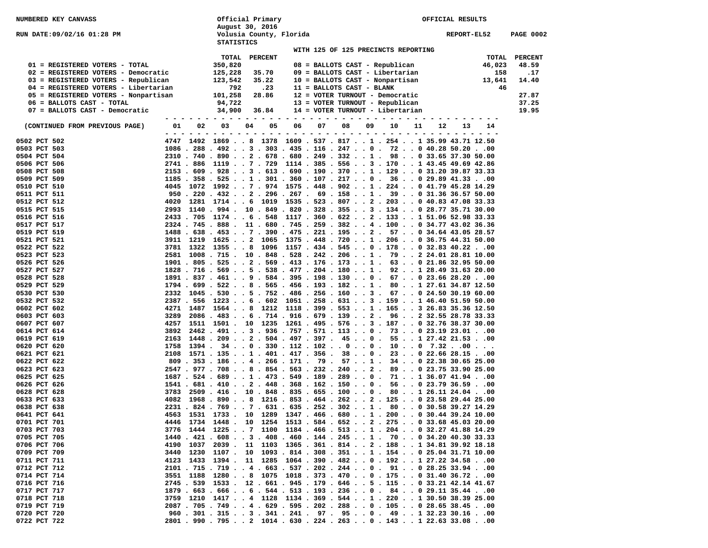| <b>NUMBERED KEY CANVASS</b>                                           |                                                                                                                                                                        |                    | Official Primary<br>August 30, 2016                              |                                                                                                                                 | OFFICIAL RESULTS |                                                                   |    |                                     |    |             |               |                  |
|-----------------------------------------------------------------------|------------------------------------------------------------------------------------------------------------------------------------------------------------------------|--------------------|------------------------------------------------------------------|---------------------------------------------------------------------------------------------------------------------------------|------------------|-------------------------------------------------------------------|----|-------------------------------------|----|-------------|---------------|------------------|
| <b>RUN DATE:09/02/16 01:28 PM</b>                                     |                                                                                                                                                                        | <b>STATISTICS</b>  | Volusia County, Florida                                          |                                                                                                                                 |                  |                                                                   |    |                                     |    | REPORT-EL52 |               | <b>PAGE 0002</b> |
|                                                                       |                                                                                                                                                                        |                    |                                                                  |                                                                                                                                 |                  |                                                                   |    | WITH 125 OF 125 PRECINCTS REPORTING |    |             |               |                  |
|                                                                       |                                                                                                                                                                        | TOTAL              | <b>PERCENT</b>                                                   |                                                                                                                                 |                  |                                                                   |    |                                     |    |             | TOTAL         | <b>PERCENT</b>   |
| 01 = REGISTERED VOTERS - TOTAL<br>02 = REGISTERED VOTERS - Democratic |                                                                                                                                                                        | 350,820<br>125,228 | 35.70                                                            |                                                                                                                                 |                  | 08 = BALLOTS CAST - Republican<br>09 = BALLOTS CAST - Libertarian |    |                                     |    |             | 46,023<br>158 | 48.59<br>.17     |
| 03 = REGISTERED VOTERS - Republican                                   |                                                                                                                                                                        | 123,542            | 35.22                                                            |                                                                                                                                 |                  | 10 = BALLOTS CAST - Nonpartisan                                   |    |                                     |    |             | 13,641        | 14.40            |
| 04 = REGISTERED VOTERS - Libertarian                                  |                                                                                                                                                                        | 792                | .23                                                              |                                                                                                                                 |                  | 11 = BALLOTS CAST - BLANK                                         |    |                                     |    |             | 46            |                  |
| 05 = REGISTERED VOTERS - Nonpartisan                                  |                                                                                                                                                                        | 101,258            | 28.86                                                            |                                                                                                                                 |                  | 12 = VOTER TURNOUT - Democratic                                   |    |                                     |    |             |               | 27.87            |
| 06 = BALLOTS CAST - TOTAL                                             |                                                                                                                                                                        | 94,722             |                                                                  |                                                                                                                                 |                  | 13 = VOTER TURNOUT - Republican                                   |    |                                     |    |             |               | 37.25            |
| 07 = BALLOTS CAST - Democratic                                        |                                                                                                                                                                        | 34,900             | 36.84                                                            |                                                                                                                                 |                  |                                                                   |    | 14 = VOTER TURNOUT - Libertarian    |    |             |               | 19.95            |
|                                                                       | - - -                                                                                                                                                                  |                    |                                                                  |                                                                                                                                 |                  |                                                                   |    |                                     |    |             |               |                  |
| (CONTINUED FROM PREVIOUS PAGE)                                        | 01<br>02                                                                                                                                                               | 03<br>$ -$         | 05<br>04.                                                        | 06<br>$\frac{1}{2} \left( \frac{1}{2} \right) \left( \frac{1}{2} \right) \left( \frac{1}{2} \right) \left( \frac{1}{2} \right)$ | 07               | 08                                                                | 09 | 10<br>11<br>$ -$                    | 12 | 13          | 14            |                  |
| 0502 PCT 502                                                          | 4747 1492 1869 8 1378 1609 . 537 . 817 1 . 254 1 35.99 43.71 12.50                                                                                                     |                    |                                                                  |                                                                                                                                 |                  |                                                                   |    |                                     |    |             |               |                  |
| 0503 PCT 503                                                          | $1086$ , 288 , 492 , , 3 , 303 , 435 , 116 , 247 , , 0 , 72 , , 0 40.28 50.20 , .00                                                                                    |                    |                                                                  |                                                                                                                                 |                  |                                                                   |    |                                     |    |             |               |                  |
| 0504 PCT 504                                                          | 2310 . 740 . 890 2 . 678 . 680 . 249 . 332 1 . 98 0 33.65 37.30 50.00                                                                                                  |                    |                                                                  |                                                                                                                                 |                  |                                                                   |    |                                     |    |             |               |                  |
| 0506 PCT 506                                                          | 2741 . 886 1119 7 . 729 1114 . 385 . 556 3 . 170 1 43.45 49.69 42.86                                                                                                   |                    |                                                                  |                                                                                                                                 |                  |                                                                   |    |                                     |    |             |               |                  |
| 0508 PCT 508                                                          | 2153 . 609 . 928 3 . 613 . 690 . 190 . 370 1 . 129 0 31.20 39.87 33.33                                                                                                 |                    |                                                                  |                                                                                                                                 |                  |                                                                   |    |                                     |    |             |               |                  |
| 0509 PCT 509                                                          | $1185$ . 358 . 525 1 . 301 . 360 . 107 . 217 0 . 36 0 29.89 41.3300                                                                                                    |                    |                                                                  |                                                                                                                                 |                  |                                                                   |    |                                     |    |             |               |                  |
| 0510 PCT 510                                                          | 4045 1072 1992 7 . 974 1575 . 448 . 902 1 . 224 0 41.79 45.28 14.29                                                                                                    |                    |                                                                  |                                                                                                                                 |                  |                                                                   |    |                                     |    |             |               |                  |
| 0511 PCT 511                                                          | $950$ . 220 . $432$ 2 . 296 . 267 . 69 . 158 1 . 39 0 31.36 36.57 50.00                                                                                                |                    |                                                                  |                                                                                                                                 |                  |                                                                   |    |                                     |    |             |               |                  |
| 0512 PCT 512                                                          | 4020 1281 1714 6 1019 1535 . 523 . 807 2 . 203 0 40.83 47.08 33.33                                                                                                     |                    |                                                                  |                                                                                                                                 |                  |                                                                   |    |                                     |    |             |               |                  |
| 0515 PCT 515                                                          | 2993 1140 . 994 . 10 . 849 . 820 . 328 . 355 3 . 134 0 28.77 35.71 30.00                                                                                               |                    |                                                                  |                                                                                                                                 |                  |                                                                   |    |                                     |    |             |               |                  |
| 0516 PCT 516                                                          | 2433 . 705 1174 6 . 548 1117 . 360 . 622 2 . 133 1 51.06 52.98 33.33                                                                                                   |                    |                                                                  |                                                                                                                                 |                  |                                                                   |    |                                     |    |             |               |                  |
| 0517 PCT 517                                                          | 2324 . 745 . 888 . 11 . 680 . 745 . 259 . 382 4 . 100 0 34.77 43.02 36.36                                                                                              |                    |                                                                  |                                                                                                                                 |                  |                                                                   |    |                                     |    |             |               |                  |
| 0519 PCT 519                                                          | 1488 . 638 . 453 7 . 390 . 475 . 221 . 195 2 . 57 0 34.64 43.05 28.57                                                                                                  |                    |                                                                  |                                                                                                                                 |                  |                                                                   |    |                                     |    |             |               |                  |
| 0521 PCT 521                                                          | 3911 1219 1625 2 1065 1375 . 448 . 720 1 . 206 0 36.75 44.31 50.00                                                                                                     |                    |                                                                  |                                                                                                                                 |                  |                                                                   |    |                                     |    |             |               |                  |
| 0522 PCT 522                                                          | 3781 1322 1355 8 1096 1157 . 434 . 545 0 . 178 0 32.83 40.2200<br>2581 1008 . 715 . 10 . 848 . 528 . 242 . 206 1 . 79 2 24.01 28.81 10.00                              |                    |                                                                  |                                                                                                                                 |                  |                                                                   |    |                                     |    |             |               |                  |
| 0523 PCT 523<br>0526 PCT 526                                          | 1901 . 805 . 525 2 . 569 . 413 . 176 . 173 1 . 63 0 21.86 32.95 50.00                                                                                                  |                    |                                                                  |                                                                                                                                 |                  |                                                                   |    |                                     |    |             |               |                  |
| 0527 PCT 527                                                          | 1828 . 716 . 569 5 . 538 . 477 . 204 . 180 1 . 92 1 28.49 31.63 20.00                                                                                                  |                    |                                                                  |                                                                                                                                 |                  |                                                                   |    |                                     |    |             |               |                  |
| 0528 PCT 528                                                          | 1891 . 837 . 461 9 . 584 . 395 . 198 . 130 0 . 67 0 23.66 28.2000                                                                                                      |                    |                                                                  |                                                                                                                                 |                  |                                                                   |    |                                     |    |             |               |                  |
| 0529 PCT 529                                                          | $1794$ . 699 . 522 8 . 565 . 456 . 193 . 182 1 . 80 1 27.61 34.87 12.50                                                                                                |                    |                                                                  |                                                                                                                                 |                  |                                                                   |    |                                     |    |             |               |                  |
| 0530 PCT 530                                                          | 2332 1045 . 530 5 . 752 . 486 . 256 . 160 3 . 67 0 24.50 30.19 60.00                                                                                                   |                    |                                                                  |                                                                                                                                 |                  |                                                                   |    |                                     |    |             |               |                  |
| 0532 PCT 532                                                          | 2387 . 556 1223 6 . 602 1051 . 258 . 631 3 . 159 1 46.40 51.59 50.00                                                                                                   |                    |                                                                  |                                                                                                                                 |                  |                                                                   |    |                                     |    |             |               |                  |
| 0602 PCT 602                                                          | 4271 1487 1564 8 1212 1118 . 399 . 553 1 . 165 3 26.83 35.36 12.50                                                                                                     |                    |                                                                  |                                                                                                                                 |                  |                                                                   |    |                                     |    |             |               |                  |
| 0603 PCT 603                                                          | 3289                                                                                                                                                                   |                    | 2086 . 483 6 . 714 . 916 . 679 . 139 2 . 96 2 32.55 28.78 33.33  |                                                                                                                                 |                  |                                                                   |    |                                     |    |             |               |                  |
| 0607 PCT 607                                                          | 4257                                                                                                                                                                   |                    | 1511 1501 . 10 1235 1261 . 495 . 576 3 . 187 0 32.76 38.37 30.00 |                                                                                                                                 |                  |                                                                   |    |                                     |    |             |               |                  |
| 0614 PCT 614                                                          | 3892 2462 . 491 3 . 936 . 757 . 571 . 113 0 . 73 0 23.19 23.0100                                                                                                       |                    |                                                                  |                                                                                                                                 |                  |                                                                   |    |                                     |    |             |               |                  |
| 0619 PCT 619                                                          | $2163$ 1448.2092.504.497.397.450.55127.4221.5300                                                                                                                       |                    |                                                                  |                                                                                                                                 |                  |                                                                   |    |                                     |    |             |               |                  |
| 0620 PCT 620                                                          | 1758                                                                                                                                                                   |                    | $1394$ . $34$ 0 . 330 . 112 . 102 0 0 . 10 0 7.3200              |                                                                                                                                 |                  |                                                                   |    |                                     |    |             |               |                  |
| 0621 PCT 621                                                          | $2108$ 1571 . 135 1 . 401 . 417 . 356 . 38 0 . 23 0 22.66 28.1500                                                                                                      |                    |                                                                  |                                                                                                                                 |                  |                                                                   |    |                                     |    |             |               |                  |
| 0622 PCT 622                                                          | 809 . 353 . 186 4 . 266 . 171 . 79 . 57 1 . 34 0 22.38 30.65 25.00                                                                                                     |                    |                                                                  |                                                                                                                                 |                  |                                                                   |    |                                     |    |             |               |                  |
| 0623 PCT 623                                                          | 2547 . 977 . 708 8 . 854 . 563 . 232 . 240 2 . 89 0 23.75 33.90 25.00                                                                                                  |                    |                                                                  |                                                                                                                                 |                  |                                                                   |    |                                     |    |             |               |                  |
| 0625 PCT 625<br>0626 PCT 626                                          | $1687$ . 524 . 689 1 . 473 . 549 . 189 . 289 0 . 71 1 36.07 41.9400<br>$1541$ , $681$ , $410$ , , 2 , $448$ , $368$ , $162$ , $150$ , , 0 , 56 , , 0 23.79 36.59 , .00 |                    |                                                                  |                                                                                                                                 |                  |                                                                   |    |                                     |    |             |               |                  |
| 0628 PCT 628                                                          | 3783                                                                                                                                                                   |                    | 2509 . 416 . 10 . 848 . 835 . 655 . 100 0 . 80 1 26.11 24.0400   |                                                                                                                                 |                  |                                                                   |    |                                     |    |             |               |                  |
| 0633 PCT 633                                                          | 4082 1968 . 890 8 1216 . 853 . 464 . 262 2 . 125 0 23.58 29.44 25.00                                                                                                   |                    |                                                                  |                                                                                                                                 |                  |                                                                   |    |                                     |    |             |               |                  |
| 0638 PCT 638                                                          | 2231 . 824 . 769 7 . 631 . 635 . 252 . 302 1 . 80 0 30.58 39.27 14.29                                                                                                  |                    |                                                                  |                                                                                                                                 |                  |                                                                   |    |                                     |    |             |               |                  |
| 0641 PCT 641                                                          | 4563 1531 1733 . 10 1289 1347 . 466 . 680 1 . 200 0 30.44 39.24 10.00                                                                                                  |                    |                                                                  |                                                                                                                                 |                  |                                                                   |    |                                     |    |             |               |                  |
| 0701 PCT 701                                                          | 4446 1734 1448 . 10 1254 1513 . 584 . 652 2 . 275 0 33.68 45.03 20.00                                                                                                  |                    |                                                                  |                                                                                                                                 |                  |                                                                   |    |                                     |    |             |               |                  |
| 0703 PCT 703                                                          | 3776 1444 1225 7 1100 1184 . 466 . 513 1 . 204 0 32.27 41.88 14.29                                                                                                     |                    |                                                                  |                                                                                                                                 |                  |                                                                   |    |                                     |    |             |               |                  |
| 0705 PCT 705                                                          | 1440 . 421 . 608 3 . 408 . 460 . 144 . 245 1 . 70 0 34.20 40.30 33.33                                                                                                  |                    |                                                                  |                                                                                                                                 |                  |                                                                   |    |                                     |    |             |               |                  |
| 0706 PCT 706                                                          | 4190 1037 2039 . 11 1103 1365 . 361 . 814 2 . 188 1 34.81 39.92 18.18                                                                                                  |                    |                                                                  |                                                                                                                                 |                  |                                                                   |    |                                     |    |             |               |                  |
| 0709 PCT 709                                                          | 3440 1230 1107 . 10 1093 . 814 . 308 . 351 1 . 154 0 25.04 31.71 10.00                                                                                                 |                    |                                                                  |                                                                                                                                 |                  |                                                                   |    |                                     |    |             |               |                  |
| 0711 PCT 711                                                          | 4123 1433 1394 . 11 1285 1064 . 390 . 482 0 . 192 1 27.22 34.5800                                                                                                      |                    |                                                                  |                                                                                                                                 |                  |                                                                   |    |                                     |    |             |               |                  |
| 0712 PCT 712                                                          | 2101 . 715 . 719 4 . 663 . 537 . 202 . 244 0 . 91 0 28.25 33.9400                                                                                                      |                    |                                                                  |                                                                                                                                 |                  |                                                                   |    |                                     |    |             |               |                  |
| 0714 PCT 714                                                          | 3551 1188 1280 8 1075 1018 . 373 . 470 0 . 175 0 31.40 36.7200                                                                                                         |                    |                                                                  |                                                                                                                                 |                  |                                                                   |    |                                     |    |             |               |                  |
| 0716 PCT 716                                                          | 2745 . 539 1533 . 12 . 661 . 945 . 179 . 646 5 . 115 0 33.21 42.14 41.67                                                                                               |                    |                                                                  |                                                                                                                                 |                  |                                                                   |    |                                     |    |             |               |                  |
| 0717 PCT 717                                                          | 1879 . 663 . 666 6 . 544 . 513 . 193 . 236 0 . 84 0 29.11 35.4400                                                                                                      |                    |                                                                  |                                                                                                                                 |                  |                                                                   |    |                                     |    |             |               |                  |
| 0718 PCT 718                                                          | 3759 1210 1417 4 1128 1134 . 369 . 544 1 . 220 1 30.50 38.39 25.00                                                                                                     |                    |                                                                  |                                                                                                                                 |                  |                                                                   |    |                                     |    |             |               |                  |
| 0719 PCT 719                                                          | 2087 . 705 . 749 4 . 629 . 595 . 202 . 288 0 . 105 0 28.65 38.4500<br>$960$ . $301$ . $315$ $3$ . $341$ . $241$ . $97$ . $95$ 0 . 49 1 32.23 30.1600                   |                    |                                                                  |                                                                                                                                 |                  |                                                                   |    |                                     |    |             |               |                  |
| 0720 PCT 720<br>0722 PCT 722                                          | 2801 . 990 . 795 2 1014 . 630 . 224 . 263 0 . 143 1 22.63 33.0800                                                                                                      |                    |                                                                  |                                                                                                                                 |                  |                                                                   |    |                                     |    |             |               |                  |
|                                                                       |                                                                                                                                                                        |                    |                                                                  |                                                                                                                                 |                  |                                                                   |    |                                     |    |             |               |                  |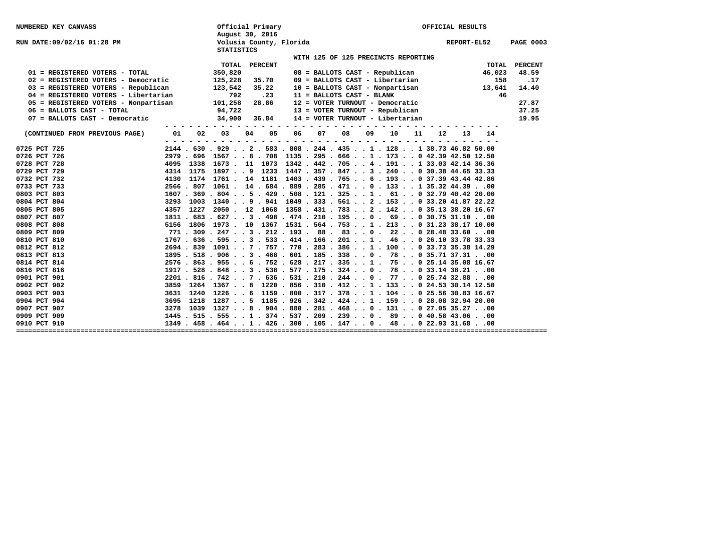| <b>NUMBERED KEY CANVASS</b>                                  |      |                                                                                                          | Official Primary |                                            |                                     |  |  |  | OFFICIAL RESULTS                                             |             |                                                                                                                               |                  |
|--------------------------------------------------------------|------|----------------------------------------------------------------------------------------------------------|------------------|--------------------------------------------|-------------------------------------|--|--|--|--------------------------------------------------------------|-------------|-------------------------------------------------------------------------------------------------------------------------------|------------------|
| RUN DATE:09/02/16 01:28 PM                                   |      | <b>STATISTICS</b>                                                                                        | August 30, 2016  | Volusia County, Florida                    |                                     |  |  |  |                                                              | REPORT-EL52 |                                                                                                                               | <b>PAGE 0003</b> |
|                                                              |      |                                                                                                          |                  |                                            | WITH 125 OF 125 PRECINCTS REPORTING |  |  |  |                                                              |             |                                                                                                                               |                  |
|                                                              |      |                                                                                                          | TOTAL PERCENT    |                                            |                                     |  |  |  |                                                              |             |                                                                                                                               | TOTAL PERCENT    |
| 01 = REGISTERED VOTERS - TOTAL                               |      | 350,820                                                                                                  |                  |                                            |                                     |  |  |  |                                                              |             | $08 = BALLOTS CAST - Republican$ 46,023                                                                                       | 48.59            |
| 02 = REGISTERED VOTERS - Democratic                          |      | 125,228                                                                                                  | 35.70            |                                            |                                     |  |  |  |                                                              |             | $09 = \texttt{BALUOTS CAST - Libertarian} \qquad \qquad 158 \\ 10 = \texttt{BALUOTS CAST - Nonpartisan} \qquad \qquad 13,641$ | .17              |
| $03 = REGISTERED VOTERS - Republican$ 123,542                |      |                                                                                                          | 35.22            |                                            |                                     |  |  |  |                                                              |             |                                                                                                                               | 14.40            |
| 04 = REGISTERED VOTERS - Libertarian                         |      | 792                                                                                                      | $\ldots$ . 23    |                                            |                                     |  |  |  | 11 = BALLOTS CAST - BLANK<br>12 = VOTER TURNOUT - Democratic |             | 46                                                                                                                            |                  |
| $05 = \text{REGISTERED VOTERS} - \text{Nonpartisan}$ 101,258 |      |                                                                                                          | 28.86            |                                            |                                     |  |  |  |                                                              |             |                                                                                                                               | 27.87            |
| 06 = BALLOTS CAST - TOTAL                                    |      | 94,722                                                                                                   |                  |                                            |                                     |  |  |  | 13 = VOTER TURNOUT - Republican                              |             |                                                                                                                               | 37.25            |
| 07 = BALLOTS CAST - Democratic                               |      | $34,900$ $36.84$ $14$ = VOTER TURNOUT - Libertarian                                                      |                  |                                            |                                     |  |  |  |                                                              |             |                                                                                                                               | 19.95            |
|                                                              |      |                                                                                                          |                  |                                            |                                     |  |  |  |                                                              |             |                                                                                                                               |                  |
| (CONTINUED FROM PREVIOUS PAGE)                               |      | 01 02 03                                                                                                 |                  | 04  05  06  07  08  09  10  11  12  13  14 |                                     |  |  |  |                                                              |             |                                                                                                                               |                  |
| 0725 PCT 725                                                 |      | $2144$ , $630$ , $929$ , , $2$ , $583$ , $808$ , $244$ , $435$ , , $1$ , $128$ , , $1$ 38,73 46,82 50,00 |                  |                                            |                                     |  |  |  |                                                              |             |                                                                                                                               |                  |
| 0726 PCT 726                                                 |      | 2979 . 696 1567 8 . 708 1135 . 295 . 666 1 . 173 0 42.39 42.50 12.50                                     |                  |                                            |                                     |  |  |  |                                                              |             |                                                                                                                               |                  |
| 0728 PCT 728                                                 |      | 4095 1338 1673 . 11 1073 1342 . 442 . 705 4 . 191 1 33.03 42.14 36.36                                    |                  |                                            |                                     |  |  |  |                                                              |             |                                                                                                                               |                  |
| 0729 PCT 729                                                 |      | 4314 1175 1897 9 1233 1447 . 357 . 847 3 . 240 0 30.38 44.65 33.33                                       |                  |                                            |                                     |  |  |  |                                                              |             |                                                                                                                               |                  |
| 0732 PCT 732                                                 |      | 4130 1174 1761 . 14 1181 1403 . 439 . 765 6 . 193 0 37.39 43.44 42.86                                    |                  |                                            |                                     |  |  |  |                                                              |             |                                                                                                                               |                  |
| 0733 PCT 733                                                 |      | 2566 . 807 1061 . 14 . 684 . 889 . 285 . 471 0 . 133 1 35.32 44.3900                                     |                  |                                            |                                     |  |  |  |                                                              |             |                                                                                                                               |                  |
| 0803 PCT 803                                                 |      | $1607$ , $369$ , $804$ , , 5 , $429$ , $508$ , $121$ , $325$ , , 1 , 61 , , 0 32,79 40, 42 20,00         |                  |                                            |                                     |  |  |  |                                                              |             |                                                                                                                               |                  |
| 0804 PCT 804                                                 |      | 3293 1003 1340 9 . 941 1049 . 333 . 561 2 . 153 0 33.20 41.87 22.22                                      |                  |                                            |                                     |  |  |  |                                                              |             |                                                                                                                               |                  |
| 0805 PCT 805                                                 |      | 4357 1227 2050 . 12 1068 1358 . 431 . 783 2 . 142 0 35.13 38.20 16.67                                    |                  |                                            |                                     |  |  |  |                                                              |             |                                                                                                                               |                  |
| 0807 PCT 807                                                 |      | $1811$ , $683$ , $627$ , , 3 , $498$ , $474$ , $210$ , $195$ , , 0 , $69$ , , 0 30, 75 31, 10 , ,00      |                  |                                            |                                     |  |  |  |                                                              |             |                                                                                                                               |                  |
| 0808 PCT 808                                                 |      | 5156 1806 1973 . 10 1367 1531 . 564 . 753 1 . 213 0 31.23 38.17 10.00                                    |                  |                                            |                                     |  |  |  |                                                              |             |                                                                                                                               |                  |
| 0809 PCT 809                                                 |      | $771$ , $309$ , $247$ , , $3$ , $212$ , $193$ , $88$ , $83$ , , $0$ , $22$ , , $0$ 28,48 33,60 , ,00     |                  |                                            |                                     |  |  |  |                                                              |             |                                                                                                                               |                  |
| 0810 PCT 810                                                 |      | 1767 . 636 . 595 3 . 533 . 414 . 166 . 201 1 . 46 0 26.10 33.78 33.33                                    |                  |                                            |                                     |  |  |  |                                                              |             |                                                                                                                               |                  |
| 0812 PCT 812                                                 |      | 2694 . 839 1091 7 . 757 . 770 . 283 . 386 1 . 100 0 33.73 35.38 14.29                                    |                  |                                            |                                     |  |  |  |                                                              |             |                                                                                                                               |                  |
| 0813 PCT 813                                                 |      | 1895 . 518 . 906 3 . 468 . 601 . 185 . 338 0 . 78 0 35.71 37.3100                                        |                  |                                            |                                     |  |  |  |                                                              |             |                                                                                                                               |                  |
| 0814 PCT 814                                                 |      | 2576 . 863 . 955 6 . 752 . 628 . 217 . 335 1 . 75 0 25.14 35.08 16.67                                    |                  |                                            |                                     |  |  |  |                                                              |             |                                                                                                                               |                  |
| 0816 PCT 816                                                 |      | 1917 . 528 . 848 3 . 538 . 577 . 175 . 324 0 . 78 0 33.14 38.2100                                        |                  |                                            |                                     |  |  |  |                                                              |             |                                                                                                                               |                  |
| 0901 PCT 901                                                 |      | 2201 . 816 . 742 7 . 636 . 531 . 210 . 244 0 . 77 0 25.74 32.8800                                        |                  |                                            |                                     |  |  |  |                                                              |             |                                                                                                                               |                  |
| 0902 PCT 902                                                 |      | 3859 1264 1367 8 1220 . 856 . 310 . 412 1 . 133 0 24.53 30.14 12.50                                      |                  |                                            |                                     |  |  |  |                                                              |             |                                                                                                                               |                  |
| 0903 PCT 903                                                 |      | 3631 1240 1226 6 1159 . 800 . 317 . 378 1 . 104 0 25.56 30.83 16.67                                      |                  |                                            |                                     |  |  |  |                                                              |             |                                                                                                                               |                  |
| 0904 PCT 904                                                 | 3695 | 1218 1287 5 1185 . 926 . 342 . 424 1 . 159 0 28.08 32.94 20.00                                           |                  |                                            |                                     |  |  |  |                                                              |             |                                                                                                                               |                  |
| 0907 PCT 907                                                 |      | 3278 1039 1327 8 . 904 . 880 . 281 . 468 0 . 131 0 27.05 35.2700                                         |                  |                                            |                                     |  |  |  |                                                              |             |                                                                                                                               |                  |
| 0909 PCT 909                                                 |      | 1445 . 515 . 555 1 . 374 . 537 . 209 . 239 0 . 89 0 40.58 43.0600                                        |                  |                                            |                                     |  |  |  |                                                              |             |                                                                                                                               |                  |
| 0910 PCT 910                                                 |      | 1349 . 458 . 464 1 . 426 . 300 . 105 . 147 0 . 48 0 22.93 31.6800                                        |                  |                                            |                                     |  |  |  |                                                              |             |                                                                                                                               |                  |
|                                                              |      |                                                                                                          |                  |                                            |                                     |  |  |  |                                                              |             |                                                                                                                               |                  |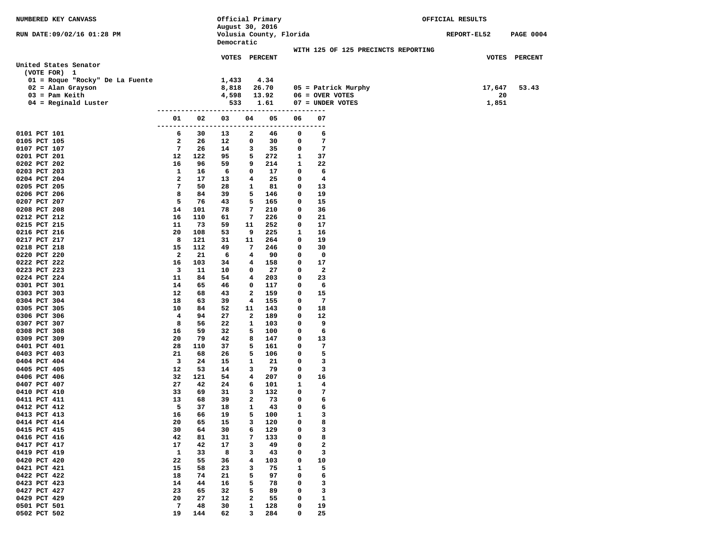| NUMBERED KEY CANVASS                  |                    |           | Official Primary |        |                         |                  |                                     | OFFICIAL RESULTS |                  |
|---------------------------------------|--------------------|-----------|------------------|--------|-------------------------|------------------|-------------------------------------|------------------|------------------|
| RUN DATE:09/02/16 01:28 PM            |                    |           | August 30, 2016  |        | Volusia County, Florida |                  |                                     | REPORT-EL52      | <b>PAGE 0004</b> |
|                                       |                    |           | Democratic       |        |                         |                  |                                     |                  |                  |
|                                       |                    |           |                  |        |                         |                  | WITH 125 OF 125 PRECINCTS REPORTING |                  |                  |
|                                       |                    |           | VOTES PERCENT    |        |                         |                  |                                     |                  | VOTES PERCENT    |
| United States Senator<br>(VOTE FOR) 1 |                    |           |                  |        |                         |                  |                                     |                  |                  |
| 01 = Roque "Rocky" De La Fuente       |                    |           | 1,433            |        | 4.34                    |                  |                                     |                  |                  |
| $02$ = Alan Grayson                   |                    |           | 8,818            |        | 26.70                   |                  | 05 = Patrick Murphy                 | 17,647           | 53.43            |
| $03 =$ Pam Keith                      |                    |           | 4,598            |        | 13.92                   |                  | $06 =$ OVER VOTES                   | 20               |                  |
| $04$ = Reginald Luster                |                    |           | 533              |        | 1.61                    |                  | 07 = UNDER VOTES                    | 1,851            |                  |
|                                       |                    |           |                  |        |                         | ---------------  |                                     |                  |                  |
|                                       | 01<br>-------      | 02        | 03               | 04     | 05                      | 06               | 07<br>----                          |                  |                  |
| 0101 PCT 101                          | 6                  | 30        | 13               | 2      | 46                      | 0                | 6                                   |                  |                  |
| 0105 PCT 105                          | 2                  | 26        | 12               | 0      | 30                      | 0                | 7                                   |                  |                  |
| 0107 PCT 107                          | 7                  | 26        | 14               | 3      | 35                      | 0                | 7                                   |                  |                  |
| 0201 PCT 201                          | 12                 | 122       | 95               | 5      | 272                     | 1                | 37                                  |                  |                  |
| 0202 PCT 202                          | 16                 | 96        | 59               | 9      | 214                     | 1                | 22                                  |                  |                  |
| 0203 PCT 203                          | 1                  | 16        | 6                | 0      | 17                      | 0                | 6                                   |                  |                  |
| 0204 PCT 204                          | $\mathbf{2}$<br>7  | 17<br>50  | 13<br>28         | 4      | 25<br>81                | 0<br>0           | 4<br>13                             |                  |                  |
| 0205 PCT 205<br>0206 PCT 206          | 8                  | 84        | 39               | 1<br>5 | 146                     | 0                | 19                                  |                  |                  |
| 0207 PCT 207                          | 5                  | 76        | 43               | 5      | 165                     | 0                | 15                                  |                  |                  |
| 0208 PCT 208                          | 14                 | 101       | 78               | 7      | 210                     | 0                | 36                                  |                  |                  |
| 0212 PCT 212                          | 16                 | 110       | 61               | 7      | 226                     | 0                | 21                                  |                  |                  |
| 0215 PCT 215                          | 11                 | 73        | 59               | 11     | 252                     | 0                | 17                                  |                  |                  |
| 0216 PCT 216                          | 20                 | 108       | 53               | 9      | 225                     | 1                | 16                                  |                  |                  |
| 0217 PCT 217                          | 8                  | 121       | 31               | 11     | 264                     | 0                | 19                                  |                  |                  |
| 0218 PCT 218<br>0220 PCT 220          | 15<br>2            | 112<br>21 | 49<br>6          | 7<br>4 | 246<br>90               | 0<br>0           | 30<br>0                             |                  |                  |
| 0222 PCT 222                          | 16                 | 103       | 34               | 4      | 158                     | 0                | 17                                  |                  |                  |
| 0223 PCT 223                          | 3                  | 11        | 10               | 0      | 27                      | 0                | $\mathbf{2}$                        |                  |                  |
| 0224 PCT 224                          | 11                 | 84        | 54               | 4      | 203                     | 0                | 23                                  |                  |                  |
| 0301 PCT 301                          | 14                 | 65        | 46               | 0      | 117                     | 0                | 6                                   |                  |                  |
| 0303 PCT 303                          | 12                 | 68        | 43               | 2      | 159                     | 0                | 15                                  |                  |                  |
| 0304 PCT 304                          | 18                 | 63        | 39               | 4      | 155                     | 0                | 7                                   |                  |                  |
| 0305 PCT 305                          | 10                 | 84        | 52               | 11     | 143                     | 0                | 18                                  |                  |                  |
| 0306 PCT 306<br>0307 PCT 307          | 4<br>8             | 94<br>56  | 27<br>22         | 2<br>1 | 189<br>103              | 0<br>0           | 12<br>9                             |                  |                  |
| 0308 PCT 308                          | 16                 | 59        | 32               | 5      | 100                     | 0                | 6                                   |                  |                  |
| 0309 PCT 309                          | 20                 | 79        | 42               | 8      | 147                     | 0                | 13                                  |                  |                  |
| 0401 PCT 401                          | 28                 | 110       | 37               | 5      | 161                     | 0                | 7                                   |                  |                  |
| 0403 PCT 403                          | 21                 | 68        | 26               | 5      | 106                     | 0                | 5                                   |                  |                  |
| 0404 PCT 404                          | 3                  | 24        | 15               | 1      | 21                      | 0                | 3                                   |                  |                  |
| 0405 PCT 405                          | 12                 | 53        | 14               | 3      | 79                      | 0                | 3                                   |                  |                  |
| 0406 PCT 406<br>0407 PCT 407          | 32<br>27           | 121<br>42 | 54<br>24         | 4<br>6 | 207<br>101              | 0<br>1           | 16<br>$\overline{\mathbf{4}}$       |                  |                  |
| 0410 PCT 410                          | 33                 | 69        | 31               | 3      | 132                     | 0                | 7                                   |                  |                  |
| 0411 PCT 411                          | 13                 | 68        | 39               | 2      | 73                      | 0                | 6                                   |                  |                  |
| 0412 PCT 412                          | 5                  | 37        | 18               | 1      | 43                      | 0                | 6                                   |                  |                  |
| 0413 PCT 413                          | 16                 | 66        | 19               | 5      | 100                     | 1                | з                                   |                  |                  |
| 0414 PCT 414                          | 20                 | 65        | 15               | 3      | 120                     | 0                | 8                                   |                  |                  |
| 0415 PCT 415                          | 30                 | 64        | 30               | 6      | 129                     | 0                | 3                                   |                  |                  |
| 0416 PCT 416                          | 42                 | 81        | 31               | 7      | 133                     | 0                | 8                                   |                  |                  |
| 0417 PCT 417<br>0419 PCT 419          | 17<br>$\mathbf{1}$ | 42<br>33  | 17<br>8          | 3<br>3 | 49<br>43                | 0<br>0           | $\mathbf{2}$<br>3                   |                  |                  |
| 0420 PCT 420                          | 22                 | 55        | 36               | 4      | 103                     | 0                | 10                                  |                  |                  |
| 0421 PCT 421                          | 15                 | 58        | 23               | 3      | 75                      | 1                | 5                                   |                  |                  |
| 0422 PCT 422                          | 18                 | 74        | 21               | 5      | 97                      | 0                | 6                                   |                  |                  |
| 0423 PCT 423                          | 14                 | 44        | 16               | 5      | 78                      | 0                | 3                                   |                  |                  |
| 0427 PCT 427                          | 23                 | 65        | 32               | 5      | 89                      | 0                | 3                                   |                  |                  |
| 0429 PCT 429                          | 20                 | 27        | 12               | 2      | 55                      | 0                | $\mathbf{1}$                        |                  |                  |
| 0501 PCT 501                          | 7<br>19            | 48<br>144 | 30<br>62         | 1<br>3 | 128<br>284              | 0<br>$\mathbf 0$ | 19<br>25                            |                  |                  |
| 0502 PCT 502                          |                    |           |                  |        |                         |                  |                                     |                  |                  |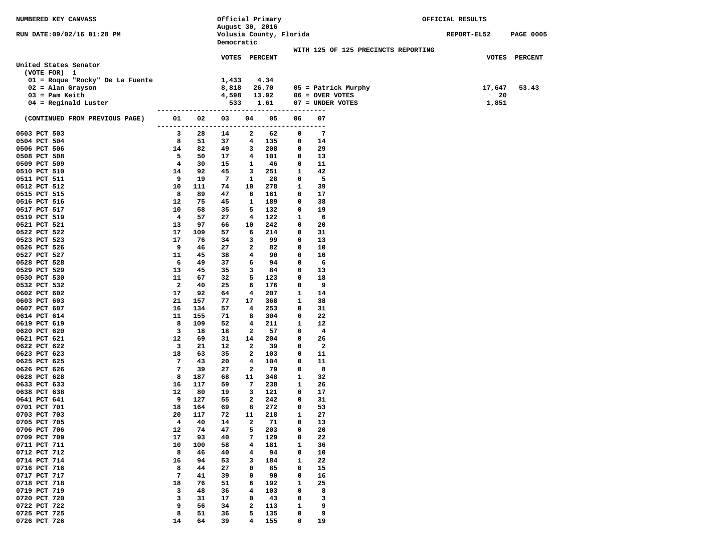| NUMBERED KEY CANVASS            |               |                      | Official Primary                      |                |            |              |                                     | OFFICIAL RESULTS |                    |                  |
|---------------------------------|---------------|----------------------|---------------------------------------|----------------|------------|--------------|-------------------------------------|------------------|--------------------|------------------|
|                                 |               |                      | August 30, 2016                       |                |            |              |                                     |                  |                    |                  |
| RUN DATE:09/02/16 01:28 PM      |               |                      | Volusia County, Florida<br>Democratic |                |            |              |                                     |                  | <b>REPORT-EL52</b> | <b>PAGE 0005</b> |
|                                 |               |                      |                                       |                |            |              | WITH 125 OF 125 PRECINCTS REPORTING |                  |                    |                  |
|                                 |               |                      | VOTES PERCENT                         |                |            |              |                                     |                  |                    | VOTES PERCENT    |
| United States Senator           |               |                      |                                       |                |            |              |                                     |                  |                    |                  |
| (VOTE FOR) 1                    |               |                      |                                       |                |            |              |                                     |                  |                    |                  |
| 01 = Roque "Rocky" De La Fuente |               |                      | 1,433                                 |                | 4.34       |              |                                     |                  |                    |                  |
| $02$ = Alan Grayson             |               |                      | 8,818                                 |                | 26.70      |              | $05 =$ Patrick Murphy               |                  | 17,647             | 53.43            |
| $03 =$ Pam Keith                |               |                      | 4,598                                 |                | 13.92      |              | $06 =$ OVER VOTES                   |                  | 20                 |                  |
| $04$ = Reginald Luster          |               |                      | 533                                   |                | 1.61       |              | 07 = UNDER VOTES                    |                  | 1,851              |                  |
| (CONTINUED FROM PREVIOUS PAGE)  | 01            | --------------<br>02 | 03                                    | 04             | 05         | 06           | ----<br>07                          |                  |                    |                  |
| 0503 PCT 503                    | --------<br>3 | 28                   | -----------<br>14                     | 2              | 62         | 0            | ----<br>$7\phantom{.0}$             |                  |                    |                  |
| 0504 PCT 504                    | 8             | 51                   | 37                                    | 4              | 135        | 0            | 14                                  |                  |                    |                  |
| 0506 PCT 506                    | 14            | 82                   | 49                                    | 3              | 208        | 0            | 29                                  |                  |                    |                  |
| 0508 PCT 508                    | 5             | 50                   | 17                                    | 4              | 101        | 0            | 13                                  |                  |                    |                  |
| 0509 PCT 509                    | 4             | 30                   | 15                                    | 1              | 46         | 0            | 11                                  |                  |                    |                  |
| 0510 PCT 510                    | 14            | 92                   | 45                                    | 3              | 251        | 1            | 42                                  |                  |                    |                  |
| 0511 PCT 511                    | 9             | 19                   | -7                                    | 1              | 28         | 0            | 5                                   |                  |                    |                  |
| 0512 PCT 512                    | 10            | 111                  | 74                                    | 10             | 278        | 1            | 39                                  |                  |                    |                  |
| 0515 PCT 515                    | 8             | 89                   | 47                                    | 6              | 161        | 0            | 17                                  |                  |                    |                  |
| 0516 PCT 516                    | 12            | 75                   | 45                                    | 1              | 189        | 0            | 38                                  |                  |                    |                  |
| 0517 PCT 517                    | 10            | 58                   | 35                                    | 5              | 132        | 0            | 19                                  |                  |                    |                  |
| 0519 PCT 519<br>0521 PCT 521    | 4<br>13       | 57<br>97             | 27<br>66                              | 4<br>10        | 122<br>242 | 1<br>0       | 6<br>20                             |                  |                    |                  |
| 0522 PCT 522                    | 17            | 109                  | 57                                    | 6              | 214        | 0            | 31                                  |                  |                    |                  |
| 0523 PCT 523                    | 17            | 76                   | 34                                    | 3              | 99         | 0            | 13                                  |                  |                    |                  |
| 0526 PCT 526                    | 9             | 46                   | 27                                    | 2              | 82         | 0            | 10                                  |                  |                    |                  |
| 0527 PCT 527                    | 11            | 45                   | 38                                    | 4              | 90         | $\mathbf 0$  | 16                                  |                  |                    |                  |
| 0528 PCT 528                    | 6             | 49                   | 37                                    | 6              | 94         | 0            | 6                                   |                  |                    |                  |
| 0529 PCT 529                    | 13            | 45                   | 35                                    | 3              | 84         | 0            | 13                                  |                  |                    |                  |
| 0530 PCT 530                    | 11            | 67                   | 32                                    | 5              | 123        | 0            | 18                                  |                  |                    |                  |
| 0532 PCT 532                    | 2             | 40                   | 25                                    | 6              | 176        | 0            | 9                                   |                  |                    |                  |
| 0602 PCT 602                    | 17            | 92                   | 64                                    | 4              | 207        | 1            | 14                                  |                  |                    |                  |
| 0603 PCT 603                    | 21            | 157                  | 77                                    | 17             | 368        | 1            | 38                                  |                  |                    |                  |
| 0607 PCT 607                    | 16<br>11      | 134<br>155           | 57<br>71                              | 4<br>8         | 253<br>304 | 0<br>0       | 31<br>22                            |                  |                    |                  |
| 0614 PCT 614<br>0619 PCT 619    | 8             | 109                  | 52                                    | 4              | 211        | 1            | 12                                  |                  |                    |                  |
| 0620 PCT 620                    | 3             | 18                   | 18                                    | 2              | 57         | 0            | 4                                   |                  |                    |                  |
| 0621 PCT 621                    | 12            | 69                   | 31                                    | 14             | 204        | 0            | 26                                  |                  |                    |                  |
| 0622 PCT 622                    | 3             | 21                   | 12                                    | 2              | 39         | 0            | $\overline{\mathbf{2}}$             |                  |                    |                  |
| 0623 PCT 623                    | 18            | 63                   | 35                                    | 2              | 103        | 0            | 11                                  |                  |                    |                  |
| 0625 PCT 625                    | 7             | 43                   | 20                                    | 4              | 104        | 0            | 11                                  |                  |                    |                  |
| 0626 PCT 626                    | 7             | 39                   | 27                                    | $\overline{2}$ | 79         | 0            | 8                                   |                  |                    |                  |
| 0628 PCT 628                    | 8             | 187                  | 68                                    | 11             | 348        | 1            | 32                                  |                  |                    |                  |
| 0633 PCT 633                    | 16            | 117                  | 59                                    | 7              | 238        | 1            | 26                                  |                  |                    |                  |
| 0638 PCT 638<br>0641 PCT 641    | 12<br>9       | 80<br>127            | 19<br>55                              | 3<br>2         | 121<br>242 | 0<br>0       | 17<br>31                            |                  |                    |                  |
| 0701 PCT 701                    | 18            | 164                  | 69                                    | 8              | 272        | 0            | 53                                  |                  |                    |                  |
| 0703 PCT 703                    | 20            | 117                  | 72                                    | 11             | 218        | 1            | 27                                  |                  |                    |                  |
| 0705 PCT 705                    | 4             | 40                   | 14                                    | 2              | 71         | 0            | 13                                  |                  |                    |                  |
| 0706 PCT 706                    | 12            | 74                   | 47                                    | 5              | 203        | 0            | 20                                  |                  |                    |                  |
| 0709 PCT 709                    | 17            | 93                   | 40                                    | 7              | 129        | 0            | 22                                  |                  |                    |                  |
| 0711 PCT 711                    | 10            | 100                  | 58                                    | 4              | 181        | 1            | 36                                  |                  |                    |                  |
| 0712 PCT 712                    | 8             | 46                   | 40                                    | 4              | 94         | 0            | 10                                  |                  |                    |                  |
| 0714 PCT 714                    | 16            | 94                   | 53                                    | 3              | 184        | $\mathbf{1}$ | 22                                  |                  |                    |                  |
| 0716 PCT 716                    | 8             | 44                   | 27                                    | 0              | 85         | 0            | 15                                  |                  |                    |                  |
| 0717 PCT 717                    | 7             | 41                   | 39                                    | 0              | 90         | 0            | 16                                  |                  |                    |                  |
| 0718 PCT 718<br>0719 PCT 719    | 18<br>3       | 76<br>48             | 51<br>36                              | 6              | 192<br>103 | 1<br>0       | 25<br>8                             |                  |                    |                  |
| 0720 PCT 720                    | 3             | 31                   | 17                                    | 4<br>0         | 43         | 0            | 3                                   |                  |                    |                  |
| 0722 PCT 722                    | 9             | 56                   | 34                                    | $\mathbf{2}$   | 113        | 1            | 9                                   |                  |                    |                  |
| 0725 PCT 725                    | 8             | 51                   | 36                                    | 5              | 135        | 0            | 9                                   |                  |                    |                  |
| 0726 PCT 726                    | 14            | 64                   | 39                                    | 4              | 155        | 0            | 19                                  |                  |                    |                  |
|                                 |               |                      |                                       |                |            |              |                                     |                  |                    |                  |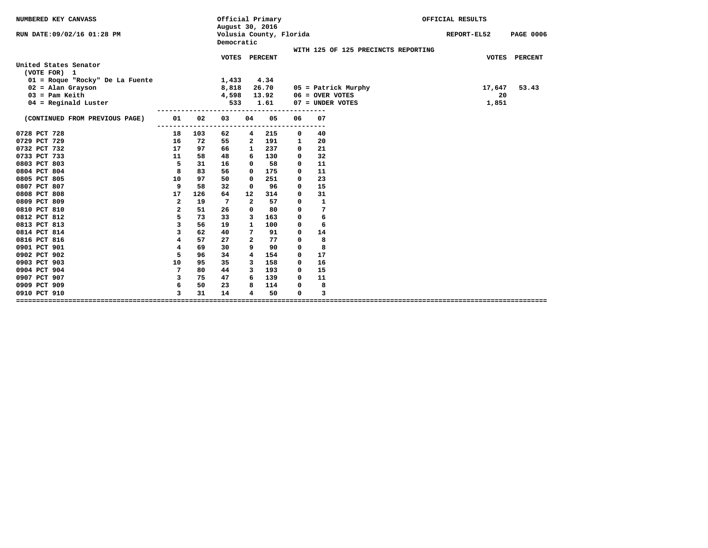| NUMBERED KEY CANVASS                  |                |     | Official Primary<br>August 30, 2016   |                |       |             |                   |                                     | OFFICIAL RESULTS |                  |
|---------------------------------------|----------------|-----|---------------------------------------|----------------|-------|-------------|-------------------|-------------------------------------|------------------|------------------|
| RUN DATE:09/02/16 01:28 PM            |                |     | Volusia County, Florida<br>Democratic |                |       |             |                   |                                     | REPORT-EL52      | <b>PAGE 0006</b> |
|                                       |                |     | VOTES PERCENT                         |                |       |             |                   | WITH 125 OF 125 PRECINCTS REPORTING |                  | VOTES PERCENT    |
| United States Senator<br>(VOTE FOR) 1 |                |     |                                       |                |       |             |                   |                                     |                  |                  |
| 01 = Roque "Rocky" De La Fuente       |                |     | 1,433                                 |                | 4.34  |             |                   |                                     |                  |                  |
| $02$ = Alan Grayson                   |                |     | 8,818                                 |                | 26.70 |             |                   | 05 = Patrick Murphy                 | 17,647           | 53.43            |
| $03 =$ Pam Keith                      |                |     | 4,598                                 |                | 13.92 |             | $06 =$ OVER VOTES |                                     | 20               |                  |
| $04$ = Reginald Luster                |                |     | 533                                   |                | 1.61  |             |                   | 07 = UNDER VOTES                    | 1,851            |                  |
| (CONTINUED FROM PREVIOUS PAGE)        | 01             | 02  | 03                                    | 04             | 05    | 06          | 07                |                                     |                  |                  |
| 0728 PCT 728                          | $- - -$<br>18  | 103 | 62                                    | 4              | 215   | 0           | 40                |                                     |                  |                  |
| 0729 PCT 729                          | 16             | 72  | 55                                    | $\mathbf{2}$   | 191   | 1           | 20                |                                     |                  |                  |
| 0732 PCT 732                          | 17             | 97  | 66                                    | 1              | 237   | 0           | 21                |                                     |                  |                  |
| 0733 PCT 733                          | 11             | 58  | 48                                    | 6              | 130   | 0           | 32                |                                     |                  |                  |
| 0803 PCT 803                          | 5              | 31  | 16                                    | 0              | 58    | 0           | 11                |                                     |                  |                  |
| 0804 PCT 804                          | 8              | 83  | 56                                    | 0              | 175   | 0           | 11                |                                     |                  |                  |
| 0805 PCT 805                          | 10             | 97  | 50                                    | 0              | 251   | 0           | 23                |                                     |                  |                  |
| 0807 PCT 807                          | 9              | 58  | 32                                    | 0              | 96    | 0           | 15                |                                     |                  |                  |
| 0808 PCT 808                          | 17             | 126 | 64                                    | 12             | 314   | $\mathbf 0$ | 31                |                                     |                  |                  |
| 0809 PCT 809                          | $\overline{a}$ | 19  | 7                                     | $\overline{a}$ | 57    | $\mathbf 0$ | $\mathbf{1}$      |                                     |                  |                  |
| 0810 PCT 810                          | $\overline{a}$ | 51  | 26                                    | 0              | 80    | 0           | 7                 |                                     |                  |                  |
| 0812 PCT 812                          | 5              | 73  | 33                                    | 3              | 163   | 0           | 6                 |                                     |                  |                  |
| 0813 PCT 813                          | 3              | 56  | 19                                    | $\mathbf{1}$   | 100   | 0           | 6                 |                                     |                  |                  |
| 0814 PCT 814                          | 3              | 62  | 40                                    | 7              | 91    | 0           | 14                |                                     |                  |                  |
| 0816 PCT 816                          | 4              | 57  | 27                                    | $\mathbf{2}$   | 77    | 0           | 8                 |                                     |                  |                  |
| 0901 PCT 901                          | 4              | 69  | 30                                    | 9              | 90    | 0           | 8                 |                                     |                  |                  |
| 0902 PCT 902                          | 5              | 96  | 34                                    | 4              | 154   | 0           | 17                |                                     |                  |                  |
| 0903 PCT 903                          | 10             | 95  | 35                                    | 3              | 158   | 0           | 16                |                                     |                  |                  |
| 0904 PCT 904                          | 7              | 80  | 44                                    | 3              | 193   | 0           | 15                |                                     |                  |                  |
| 0907 PCT 907                          | 3              | 75  | 47                                    | 6              | 139   | 0           | 11                |                                     |                  |                  |
| 0909 PCT 909                          | 6              | 50  | 23                                    | 8              | 114   | 0           | 8                 |                                     |                  |                  |
| 0910 PCT 910                          | 3              | 31  | 14                                    | 4              | 50    | 0           | 3                 |                                     |                  |                  |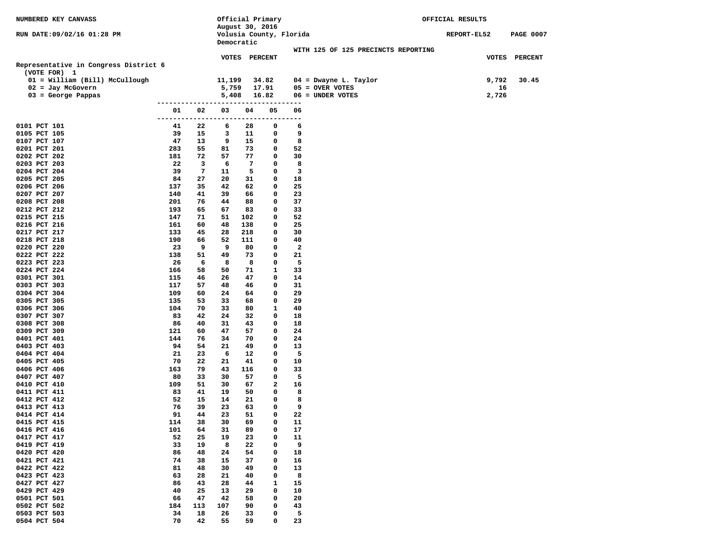| <b>NUMBERED KEY CANVASS</b>                    |            |                         | Official Primary<br>August 30, 2016 |               |                         |                    |                                     | OFFICIAL RESULTS |                  |
|------------------------------------------------|------------|-------------------------|-------------------------------------|---------------|-------------------------|--------------------|-------------------------------------|------------------|------------------|
| RUN DATE:09/02/16 01:28 PM                     |            |                         |                                     |               | Volusia County, Florida |                    |                                     | REPORT-EL52      | <b>PAGE 0007</b> |
|                                                |            |                         | Democratic                          |               |                         |                    |                                     |                  |                  |
|                                                |            |                         |                                     |               |                         |                    | WITH 125 OF 125 PRECINCTS REPORTING |                  |                  |
|                                                |            |                         |                                     | VOTES PERCENT |                         |                    |                                     |                  | VOTES PERCENT    |
| Representative in Congress District 6          |            |                         |                                     |               |                         |                    |                                     |                  |                  |
| (VOTE FOR) 1<br>01 = William (Bill) McCullough |            |                         | 11,199                              |               | 34.82                   |                    | $04$ = Dwayne L. Taylor             | 9,792            | 30.45            |
| $02 = Jay McGovern$                            |            |                         | 5,759                               |               | 17.91                   |                    | $05 =$ OVER VOTES                   |                  | 16               |
| $03 = George$ Pappas                           |            |                         | 5,408                               |               | 16.82                   |                    | $06 =$ UNDER VOTES                  | 2,726            |                  |
|                                                | ---------  |                         |                                     |               | ---------------------   |                    |                                     |                  |                  |
|                                                | 01         | 02                      | 03                                  | 04            | 05                      | 06                 |                                     |                  |                  |
| 0101 PCT 101                                   | --------   | 22                      | ------------------                  |               | ---------<br>0          | 6                  |                                     |                  |                  |
| 0105 PCT 105                                   | 41<br>39   | 15                      | 6<br>3                              | 28<br>11      | 0                       | 9                  |                                     |                  |                  |
| 0107 PCT 107                                   | 47         | 13                      | 9                                   | 15            | 0                       | 8                  |                                     |                  |                  |
| 0201 PCT 201                                   | 283        | 55                      | 81                                  | 73            | 0                       | 52                 |                                     |                  |                  |
| 0202 PCT 202                                   | 181        | 72                      | 57                                  | 77            | 0                       | 30                 |                                     |                  |                  |
| 0203 PCT 203                                   | 22         | $\overline{\mathbf{3}}$ | 6                                   | 7             | 0                       | 8                  |                                     |                  |                  |
| 0204 PCT 204                                   | 39         | 7                       | 11                                  | 5             | 0                       | 3                  |                                     |                  |                  |
| 0205 PCT 205<br>0206 PCT 206                   | 84<br>137  | 27<br>35                | 20<br>42                            | 31<br>62      | 0<br>0                  | 18<br>25           |                                     |                  |                  |
| 0207 PCT 207                                   | 140        | 41                      | 39                                  | 66            | 0                       | 23                 |                                     |                  |                  |
| 0208 PCT 208                                   | 201        | 76                      | 44                                  | 88            | 0                       | 37                 |                                     |                  |                  |
| 0212 PCT 212                                   | 193        | 65                      | 67                                  | 83            | 0                       | 33                 |                                     |                  |                  |
| 0215 PCT 215                                   | 147        | 71                      | 51                                  | 102           | 0                       | 52                 |                                     |                  |                  |
| 0216 PCT 216                                   | 161        | 60                      | 48                                  | 138           | 0                       | 25                 |                                     |                  |                  |
| 0217 PCT 217                                   | 133        | 45                      | 28                                  | 218           | 0<br>0                  | 30                 |                                     |                  |                  |
| 0218 PCT 218<br>0220 PCT 220                   | 190<br>23  | 66<br>9                 | 52<br>9                             | 111<br>80     | 0                       | 40<br>$\mathbf{2}$ |                                     |                  |                  |
| 0222 PCT 222                                   | 138        | 51                      | 49                                  | 73            | 0                       | 21                 |                                     |                  |                  |
| 0223 PCT 223                                   | 26         | 6                       | 8                                   | 8             | 0                       | 5                  |                                     |                  |                  |
| 0224 PCT 224                                   | 166        | 58                      | 50                                  | 71            | $\mathbf{1}$            | 33                 |                                     |                  |                  |
| 0301 PCT 301                                   | 115        | 46                      | 26                                  | 47            | 0                       | 14                 |                                     |                  |                  |
| 0303 PCT 303                                   | 117        | 57                      | 48                                  | 46            | 0                       | 31                 |                                     |                  |                  |
| 0304 PCT 304<br>0305 PCT 305                   | 109<br>135 | 60<br>53                | 24<br>33                            | 64            | 0<br>0                  | 29<br>29           |                                     |                  |                  |
| 0306 PCT 306                                   | 104        | 70                      | 33                                  | 68<br>80      | $\mathbf{1}$            | 40                 |                                     |                  |                  |
| 0307 PCT 307                                   | 83         | 42                      | 24                                  | 32            | 0                       | 18                 |                                     |                  |                  |
| 0308 PCT 308                                   | 86         | 40                      | 31                                  | 43            | 0                       | 18                 |                                     |                  |                  |
| 0309 PCT 309                                   | 121        | 60                      | 47                                  | 57            | 0                       | 24                 |                                     |                  |                  |
| 0401 PCT 401                                   | 144        | 76                      | 34                                  | 70            | 0                       | 24                 |                                     |                  |                  |
| 0403 PCT 403<br>0404 PCT 404                   | 94<br>21   | 54<br>23                | 21<br>6                             | 49<br>12      | 0<br>0                  | 13<br>5            |                                     |                  |                  |
| 0405 PCT 405                                   | 70         | 22                      | 21                                  | 41            | 0                       | 10                 |                                     |                  |                  |
| 0406 PCT 406                                   | 163        | 79                      | 43                                  | 116           | 0                       | 33                 |                                     |                  |                  |
| 0407 PCT 407                                   | 80         | 33                      | 30                                  | 57            | 0                       | 5                  |                                     |                  |                  |
| 0410 PCT 410                                   | 109        | 51                      | 30                                  | 67            | 2                       | 16                 |                                     |                  |                  |
| 0411 PCT 411                                   | 83         | 41                      | 19                                  | 50            | 0                       | 8                  |                                     |                  |                  |
| 0412 PCT 412                                   | 52         | 15                      | 14                                  | 21            | 0<br>0                  | 8                  |                                     |                  |                  |
| 0413 PCT 413<br>0414 PCT 414                   | 76<br>91   | 39<br>44                | 23<br>23                            | 63<br>51      | 0                       | 9<br>22            |                                     |                  |                  |
| 0415 PCT 415                                   | 114        | 38                      | 30                                  | 69            | 0                       | 11                 |                                     |                  |                  |
| 0416 PCT 416                                   | 101        | 64                      | 31                                  | 89            | 0                       | 17                 |                                     |                  |                  |
| 0417 PCT 417                                   | 52         | 25                      | 19                                  | 23            | 0                       | 11                 |                                     |                  |                  |
| 0419 PCT 419                                   | 33         | 19                      | 8                                   | 22            | 0                       | 9                  |                                     |                  |                  |
| 0420 PCT 420                                   | 86         | 48                      | 24                                  | 54            | 0                       | 18                 |                                     |                  |                  |
| 0421 PCT 421<br>0422 PCT 422                   | 74<br>81   | 38<br>48                | 15<br>30                            | 37<br>49      | 0<br>0                  | 16<br>13           |                                     |                  |                  |
| 0423 PCT 423                                   | 63         | 28                      | 21                                  | 40            | 0                       | 8                  |                                     |                  |                  |
| 0427 PCT 427                                   | 86         | 43                      | 28                                  | 44            | $\mathbf{1}$            | 15                 |                                     |                  |                  |
| 0429 PCT 429                                   | 40         | 25                      | 13                                  | 29            | 0                       | 10                 |                                     |                  |                  |
| 0501 PCT 501                                   | 66         | 47                      | 42                                  | 58            | 0                       | 20                 |                                     |                  |                  |
| 0502 PCT 502                                   | 184        | 113                     | 107                                 | 90            | 0                       | 43                 |                                     |                  |                  |
| 0503 PCT 503                                   | 34         | 18                      | 26                                  | 33            | 0                       | 5                  |                                     |                  |                  |
| 0504 PCT 504                                   | 70         | 42                      | 55                                  | 59            | 0                       | 23                 |                                     |                  |                  |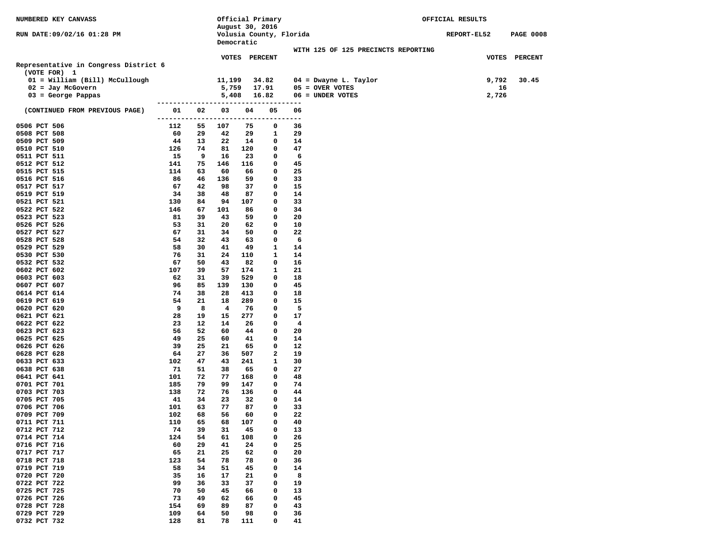| NUMBERED KEY CANVASS                        |                             |          |                    | Official Primary |                         |          |                                       | OFFICIAL RESULTS |                  |
|---------------------------------------------|-----------------------------|----------|--------------------|------------------|-------------------------|----------|---------------------------------------|------------------|------------------|
|                                             |                             |          |                    | August 30, 2016  |                         |          |                                       |                  |                  |
| RUN DATE:09/02/16 01:28 PM                  |                             |          |                    | Democratic       | Volusia County, Florida |          |                                       | REPORT-EL52      | <b>PAGE 0008</b> |
|                                             |                             |          |                    |                  |                         |          | WITH 125 OF 125 PRECINCTS REPORTING   |                  |                  |
|                                             |                             |          |                    | VOTES PERCENT    |                         |          |                                       |                  | VOTES PERCENT    |
| Representative in Congress District 6       |                             |          |                    |                  |                         |          |                                       |                  |                  |
| (VOTE FOR) 1                                |                             |          |                    |                  |                         |          |                                       |                  |                  |
| 01 = William (Bill) McCullough              |                             |          | 11,199             |                  | 34.82                   |          | $04$ = Dwayne L. Taylor               | 9,792            | 30.45            |
| $02 =$ Jay McGovern<br>$03 = George Pappas$ |                             |          | 5,759<br>5,408     |                  | 17.91<br>16.82          |          | $05 =$ OVER VOTES<br>06 = UNDER VOTES | 16<br>2,726      |                  |
|                                             | --------------------------- |          |                    |                  | ---------               |          |                                       |                  |                  |
| (CONTINUED FROM PREVIOUS PAGE)              | 01                          | 02       | 03                 | 04               | 05                      | 06       |                                       |                  |                  |
|                                             | ---------                   |          | ------------------ |                  | ------                  | $---$    |                                       |                  |                  |
| 0506 PCT 506                                | 112                         | 55       | 107                | 75               | 0                       | 36       |                                       |                  |                  |
| 0508 PCT 508                                | 60                          | 29       | 42                 | 29               | 1                       | 29       |                                       |                  |                  |
| 0509 PCT 509<br>0510 PCT 510                | 44<br>126                   | 13<br>74 | 22<br>81           | 14<br>120        | 0<br>0                  | 14<br>47 |                                       |                  |                  |
| 0511 PCT 511                                | 15                          | 9        | 16                 | 23               | 0                       | 6        |                                       |                  |                  |
| 0512 PCT 512                                | 141                         | 75       | 146                | 116              | 0                       | 45       |                                       |                  |                  |
| 0515 PCT 515                                | 114                         | 63       | 60                 | 66               | 0                       | 25       |                                       |                  |                  |
| 0516 PCT 516                                | 86                          | 46       | 136                | 59               | 0                       | 33       |                                       |                  |                  |
| 0517 PCT 517                                | 67                          | 42       | 98                 | 37               | 0                       | 15       |                                       |                  |                  |
| 0519 PCT 519                                | 34                          | 38       | 48                 | 87               | 0                       | 14       |                                       |                  |                  |
| 0521 PCT 521                                | 130<br>146                  | 84<br>67 | 94                 | 107              | 0<br>0                  | 33<br>34 |                                       |                  |                  |
| 0522 PCT 522<br>0523 PCT 523                | 81                          | 39       | 101<br>43          | 86<br>59         | 0                       | 20       |                                       |                  |                  |
| 0526 PCT 526                                | 53                          | 31       | 20                 | 62               | 0                       | 10       |                                       |                  |                  |
| 0527 PCT 527                                | 67                          | 31       | 34                 | 50               | 0                       | 22       |                                       |                  |                  |
| 0528 PCT 528                                | 54                          | 32       | 43                 | 63               | 0                       | 6        |                                       |                  |                  |
| 0529 PCT 529                                | 58                          | 30       | 41                 | 49               | 1                       | 14       |                                       |                  |                  |
| 0530 PCT 530                                | 76                          | 31       | 24                 | 110              | 1                       | 14       |                                       |                  |                  |
| 0532 PCT 532                                | 67                          | 50       | 43                 | 82               | 0                       | 16       |                                       |                  |                  |
| 0602 PCT 602<br>0603 PCT 603                | 107<br>62                   | 39<br>31 | 57<br>39           | 174<br>529       | 1<br>0                  | 21<br>18 |                                       |                  |                  |
| 0607 PCT 607                                | 96                          | 85       | 139                | 130              | 0                       | 45       |                                       |                  |                  |
| 0614 PCT 614                                | 74                          | 38       | 28                 | 413              | $\mathbf{o}$            | 18       |                                       |                  |                  |
| 0619 PCT 619                                | 54                          | 21       | 18                 | 289              | $\mathbf{o}$            | 15       |                                       |                  |                  |
| 0620 PCT 620                                | 9                           | 8        | 4                  | 76               | 0                       | 5        |                                       |                  |                  |
| 0621 PCT 621                                | 28                          | 19       | 15                 | 277              | 0                       | 17       |                                       |                  |                  |
| 0622 PCT 622                                | 23                          | 12       | 14                 | 26               | 0<br>0                  | 4        |                                       |                  |                  |
| 0623 PCT 623<br>0625 PCT 625                | 56<br>49                    | 52<br>25 | 60<br>60           | 44<br>41         | 0                       | 20<br>14 |                                       |                  |                  |
| 0626 PCT 626                                | 39                          | 25       | 21                 | 65               | $\mathbf{o}$            | 12       |                                       |                  |                  |
| 0628 PCT 628                                | 64                          | 27       | 36                 | 507              | 2                       | 19       |                                       |                  |                  |
| 0633 PCT 633                                | 102                         | 47       | 43                 | 241              | 1                       | 30       |                                       |                  |                  |
| 0638 PCT 638                                | 71                          | 51       | 38                 | 65               | 0                       | 27       |                                       |                  |                  |
| 0641 PCT 641                                | 101                         | 72       | 77                 | 168              | 0                       | 48       |                                       |                  |                  |
| 0701 PCT 701                                | 185<br>138                  | 79<br>72 | 99<br>76           | 147<br>136       | 0<br>$\mathbf{o}$       | 74<br>44 |                                       |                  |                  |
| 0703 PCT 703<br>0705 PCT 705                | 41                          | 34       | 23                 | 32               | 0                       | 14       |                                       |                  |                  |
| 0706 PCT 706                                | 101                         | 63       | 77                 | 87               | 0                       | 33       |                                       |                  |                  |
| 0709 PCT 709                                | 102                         | 68       | 56                 | 60               | 0                       | 22       |                                       |                  |                  |
| 0711 PCT 711                                | 110                         | 65       | 68                 | 107              | 0                       | 40       |                                       |                  |                  |
| 0712 PCT 712                                | 74                          | 39       | 31                 | 45               | 0                       | 13       |                                       |                  |                  |
| 0714 PCT 714                                | 124                         | 54       | 61                 | 108              | 0                       | 26       |                                       |                  |                  |
| 0716 PCT 716<br>0717 PCT 717                | 60<br>65                    | 29<br>21 | 41<br>25           | 24<br>62         | 0<br>0                  | 25<br>20 |                                       |                  |                  |
| 0718 PCT 718                                | 123                         | 54       | 78                 | 78               | 0                       | 36       |                                       |                  |                  |
| 0719 PCT 719                                | 58                          | 34       | 51                 | 45               | 0                       | 14       |                                       |                  |                  |
| 0720 PCT 720                                | 35                          | 16       | 17                 | 21               | 0                       | 8        |                                       |                  |                  |
| 0722 PCT 722                                | 99                          | 36       | 33                 | 37               | 0                       | 19       |                                       |                  |                  |
| 0725 PCT 725                                | 70                          | 50       | 45                 | 66               | 0                       | 13       |                                       |                  |                  |
| 0726 PCT 726                                | 73                          | 49       | 62                 | 66               | 0                       | 45       |                                       |                  |                  |
| 0728 PCT 728<br>0729 PCT 729                | 154<br>109                  | 69<br>64 | 89<br>50           | 87<br>98         | 0<br>0                  | 43<br>36 |                                       |                  |                  |
| 0732 PCT 732                                | 128                         | 81       | 78                 | 111              | 0                       | 41       |                                       |                  |                  |
|                                             |                             |          |                    |                  |                         |          |                                       |                  |                  |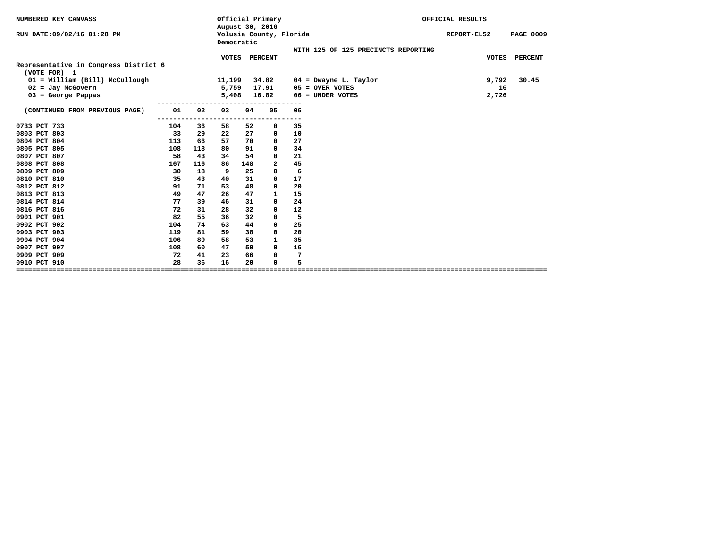| NUMBERED KEY CANVASS                                  |     |     |              |            | Official Primary<br>August 30, 2016 |           |                                     | OFFICIAL RESULTS |                  |
|-------------------------------------------------------|-----|-----|--------------|------------|-------------------------------------|-----------|-------------------------------------|------------------|------------------|
| RUN DATE: 09/02/16 01:28 PM                           |     |     |              | Democratic | Volusia County, Florida             |           |                                     | REPORT-EL52      | <b>PAGE 0009</b> |
|                                                       |     |     |              |            |                                     |           | WITH 125 OF 125 PRECINCTS REPORTING |                  |                  |
| Representative in Congress District 6<br>(VOTE FOR) 1 |     |     | <b>VOTES</b> |            | <b>PERCENT</b>                      |           |                                     | <b>VOTES</b>     | <b>PERCENT</b>   |
| 01 = William (Bill) McCullough                        |     |     | 11,199       |            | 34.82                               |           | $04$ = Dwayne L. Taylor             | 9,792            | 30.45            |
| $02 =$ Jay McGovern                                   |     |     | 5,759        |            | 17.91                               |           | $05 =$ OVER VOTES                   | 16               |                  |
| $03 = George$ Pappas                                  |     |     | 5,408        |            | 16.82                               |           | $06 =$ UNDER VOTES                  | 2,726            |                  |
| (CONTINUED FROM PREVIOUS PAGE)                        | 01  | 02  | 03           | 04         | 05                                  | 06        |                                     |                  |                  |
| 0733 PCT 733                                          | 104 | 36  | 58           | 52         | ----<br>0                           | ---<br>35 |                                     |                  |                  |
| 0803 PCT 803                                          | 33  | 29  | 22           | 27         | 0                                   | 10        |                                     |                  |                  |
| 0804 PCT 804                                          | 113 | 66  | 57           | 70         | 0                                   | 27        |                                     |                  |                  |
| 0805 PCT 805                                          | 108 | 118 | 80           | 91         | 0                                   | 34        |                                     |                  |                  |
| 0807 PCT 807                                          | 58  | 43  | 34           | 54         | 0                                   | 21        |                                     |                  |                  |
| 0808 PCT 808                                          | 167 | 116 | 86           | 148        | $\mathbf{2}$                        | 45        |                                     |                  |                  |
| 0809 PCT 809                                          | 30  | 18  | 9            | 25         | 0                                   | 6         |                                     |                  |                  |
| 0810 PCT 810                                          | 35  | 43  | 40           | 31         | $\mathbf 0$                         | 17        |                                     |                  |                  |
| 0812 PCT 812                                          | 91  | 71  | 53           | 48         | 0                                   | 20        |                                     |                  |                  |
| 0813 PCT 813                                          | 49  | 47  | 26           | 47         | 1                                   | 15        |                                     |                  |                  |
| 0814 PCT 814                                          | 77  | 39  | 46           | 31         | 0                                   | 24        |                                     |                  |                  |
| 0816 PCT 816                                          | 72  | 31  | 28           | 32         | 0                                   | 12        |                                     |                  |                  |
| 0901 PCT 901                                          | 82  | 55  | 36           | 32         | $\mathbf 0$                         | 5         |                                     |                  |                  |
| 0902 PCT 902                                          | 104 | 74  | 63           | 44         | 0                                   | 25        |                                     |                  |                  |
| 0903 PCT 903                                          | 119 | 81  | 59           | 38         | 0                                   | 20        |                                     |                  |                  |
| 0904 PCT 904                                          | 106 | 89  | 58           | 53         | $\mathbf{1}$                        | 35        |                                     |                  |                  |
| 0907 PCT 907                                          | 108 | 60  | 47           | 50         | $\Omega$                            | 16        |                                     |                  |                  |
| 0909 PCT 909                                          | 72  | 41  | 23           | 66         | 0                                   | 7         |                                     |                  |                  |
| 0910 PCT 910                                          | 28  | 36  | 16           | 20         | 0                                   | 5         |                                     |                  |                  |
|                                                       |     |     |              |            |                                     |           |                                     |                  |                  |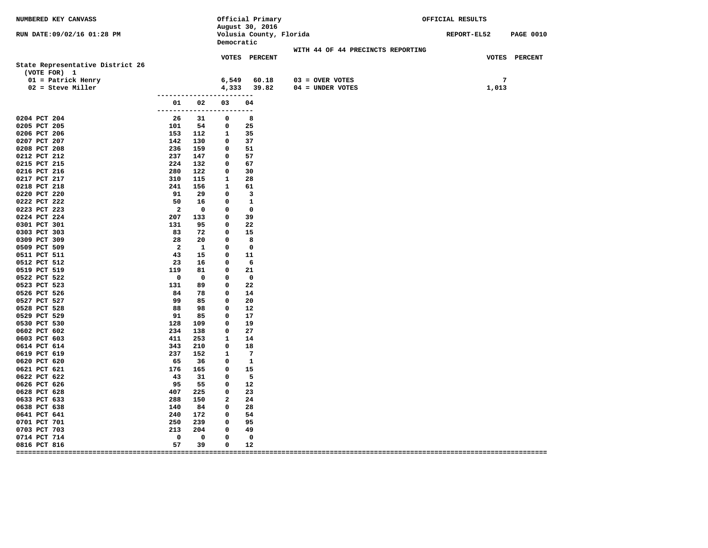| Volusia County, Florida<br><b>PAGE 0010</b><br>RUN DATE: 09/02/16 01:28 PM<br>REPORT-EL52<br>Democratic<br>WITH 44 OF 44 PRECINCTS REPORTING<br>VOTES PERCENT<br>VOTES PERCENT<br>State Representative District 26<br>(VOTE FOR) 1<br>7<br>$01$ = Patrick Henry<br>6,549<br>60.18<br>$03 =$ OVER VOTES<br>$04 =$ UNDER VOTES<br>$02 =$ Steve Miller<br>4,333 39.82<br>1,013<br>-------------------------<br>02<br>03<br>04<br>01<br>------------------------<br>0204 PCT 204<br>-26<br>31<br>$\overline{\mathbf{0}}$<br>- 8<br>101 54 0<br>0205 PCT 205<br>25<br>0206 PCT 206<br>153 112<br>1 35<br>0207 PCT 207<br>142 130<br>37<br>$\mathbf 0$<br>0208 PCT 208<br>236<br>159<br>$\mathbf 0$<br>51<br>0212 PCT 212<br>237<br>147<br>57<br>$\mathbf 0$<br>0215 PCT 215<br>224<br>132<br>$\mathbf 0$<br>67<br>0216 PCT 216<br>280<br>122<br>$\mathbf 0$<br>30<br>0217 PCT 217<br>310<br>115<br>$\mathbf{1}$<br>-28<br>241<br>156<br>0218 PCT 218<br>$\mathbf{1}$<br>61<br>0220 PCT 220<br>91<br>29<br>$\overline{\phantom{a}}$<br>$\mathbf 0$<br>0222 PCT 222<br>50<br>16<br>$\mathbf 0$<br>$\overline{\phantom{0}}$<br>0223 PCT 223<br>$\overline{\mathbf{2}}$<br>$\mathbf 0$<br>$\overline{\phantom{0}}$<br>$\overline{\phantom{0}}$<br>0224 PCT 224<br>$\mathbf 0$<br>39<br>207<br>133<br>131<br>22<br>0301 PCT 301<br>95<br>$\mathbf 0$<br>0303 PCT 303<br>83<br>72<br>$\mathbf 0$<br>15<br>0309 PCT 309<br>28<br>20<br>$\mathbf 0$<br>$\overline{\phantom{0}}$ 8<br>0509 PCT 509<br>2 1<br>$\mathbf 0$<br>$\overline{\phantom{0}}$<br>43 15<br>11<br>0511 PCT 511<br>$\mathbf 0$<br>23<br>0512 PCT 512<br>16 —<br>$\mathbf 0$<br>$6^{\circ}$<br>119<br>$\mathbf 0$<br>21<br>0519 PCT 519<br>81<br>$\overline{\phantom{0}}$<br>$\overline{\mathbf{0}}$<br>0522 PCT 522<br>$\mathbf 0$<br>$\mathbf{o}$<br>0523 PCT 523<br>131<br>89 —<br>$\mathbf 0$<br>-22<br>0526 PCT 526<br>84 78<br>$^{\circ}$<br>14<br>0527 PCT 527<br>99<br>85<br>$\mathbf 0$<br>20<br>0528 PCT 528<br>88<br>98<br>$\mathbf 0$<br>12<br>91<br>17<br>0529 PCT 529<br>85<br>$\mathbf 0$<br>0530 PCT 530<br>128<br>109<br>$\mathbf 0$<br>19<br>0602 PCT 602<br>234<br>138<br>27<br>$\mathbf 0$<br>0603 PCT 603<br>411<br>253<br>$\overline{\mathbf{1}}$<br>14<br>343<br>210<br>18<br>0614 PCT 614<br>$^{\circ}$<br>237<br>0619 PCT 619<br>152<br>$\mathbf{1}$<br>$\overline{7}$<br>0620 PCT 620<br>65<br>$\overline{\phantom{a}}$<br>36<br>$\mathbf{o}$<br>0621 PCT 621<br>176<br>165<br>$\mathbf 0$<br>15<br>43<br>$-5$<br>0622 PCT 622<br>31<br>$\mathbf 0$<br>0626 PCT 626<br>95<br>55<br>12<br>$\mathbf 0$<br>0628 PCT 628<br>407 225<br>$\mathbf 0$<br>23<br>0633 PCT 633<br>288<br>150<br>$\overline{a}$<br>24<br>0638 PCT 638<br>140<br>84<br>$\mathbf 0$<br>28<br>240<br>0641 PCT 641<br>172<br>$\mathbf 0$<br>54<br>250<br>239<br>95<br>0701 PCT 701<br>$\mathbf 0$<br>0703 PCT 703<br>213<br>204<br>$\mathbf 0$<br>49<br>$\overline{\mathbf{0}}$<br>$\mathbf 0$<br>0714 PCT 714<br>$\mathbf{o}$<br>0 | NUMBERED KEY CANVASS |    |    |             | Official Primary<br>August 30, 2016 |  |  | OFFICIAL RESULTS |  |
|-------------------------------------------------------------------------------------------------------------------------------------------------------------------------------------------------------------------------------------------------------------------------------------------------------------------------------------------------------------------------------------------------------------------------------------------------------------------------------------------------------------------------------------------------------------------------------------------------------------------------------------------------------------------------------------------------------------------------------------------------------------------------------------------------------------------------------------------------------------------------------------------------------------------------------------------------------------------------------------------------------------------------------------------------------------------------------------------------------------------------------------------------------------------------------------------------------------------------------------------------------------------------------------------------------------------------------------------------------------------------------------------------------------------------------------------------------------------------------------------------------------------------------------------------------------------------------------------------------------------------------------------------------------------------------------------------------------------------------------------------------------------------------------------------------------------------------------------------------------------------------------------------------------------------------------------------------------------------------------------------------------------------------------------------------------------------------------------------------------------------------------------------------------------------------------------------------------------------------------------------------------------------------------------------------------------------------------------------------------------------------------------------------------------------------------------------------------------------------------------------------------------------------------------------------------------------------------------------------------------------------------------------------------------------------------------------------------------------------------------------------------------------------------------------------------------------------------------------------------------------------------------------------------------------------------------------------------------------------------|----------------------|----|----|-------------|-------------------------------------|--|--|------------------|--|
|                                                                                                                                                                                                                                                                                                                                                                                                                                                                                                                                                                                                                                                                                                                                                                                                                                                                                                                                                                                                                                                                                                                                                                                                                                                                                                                                                                                                                                                                                                                                                                                                                                                                                                                                                                                                                                                                                                                                                                                                                                                                                                                                                                                                                                                                                                                                                                                                                                                                                                                                                                                                                                                                                                                                                                                                                                                                                                                                                                                     |                      |    |    |             |                                     |  |  |                  |  |
|                                                                                                                                                                                                                                                                                                                                                                                                                                                                                                                                                                                                                                                                                                                                                                                                                                                                                                                                                                                                                                                                                                                                                                                                                                                                                                                                                                                                                                                                                                                                                                                                                                                                                                                                                                                                                                                                                                                                                                                                                                                                                                                                                                                                                                                                                                                                                                                                                                                                                                                                                                                                                                                                                                                                                                                                                                                                                                                                                                                     |                      |    |    |             |                                     |  |  |                  |  |
|                                                                                                                                                                                                                                                                                                                                                                                                                                                                                                                                                                                                                                                                                                                                                                                                                                                                                                                                                                                                                                                                                                                                                                                                                                                                                                                                                                                                                                                                                                                                                                                                                                                                                                                                                                                                                                                                                                                                                                                                                                                                                                                                                                                                                                                                                                                                                                                                                                                                                                                                                                                                                                                                                                                                                                                                                                                                                                                                                                                     |                      |    |    |             |                                     |  |  |                  |  |
|                                                                                                                                                                                                                                                                                                                                                                                                                                                                                                                                                                                                                                                                                                                                                                                                                                                                                                                                                                                                                                                                                                                                                                                                                                                                                                                                                                                                                                                                                                                                                                                                                                                                                                                                                                                                                                                                                                                                                                                                                                                                                                                                                                                                                                                                                                                                                                                                                                                                                                                                                                                                                                                                                                                                                                                                                                                                                                                                                                                     |                      |    |    |             |                                     |  |  |                  |  |
|                                                                                                                                                                                                                                                                                                                                                                                                                                                                                                                                                                                                                                                                                                                                                                                                                                                                                                                                                                                                                                                                                                                                                                                                                                                                                                                                                                                                                                                                                                                                                                                                                                                                                                                                                                                                                                                                                                                                                                                                                                                                                                                                                                                                                                                                                                                                                                                                                                                                                                                                                                                                                                                                                                                                                                                                                                                                                                                                                                                     |                      |    |    |             |                                     |  |  |                  |  |
|                                                                                                                                                                                                                                                                                                                                                                                                                                                                                                                                                                                                                                                                                                                                                                                                                                                                                                                                                                                                                                                                                                                                                                                                                                                                                                                                                                                                                                                                                                                                                                                                                                                                                                                                                                                                                                                                                                                                                                                                                                                                                                                                                                                                                                                                                                                                                                                                                                                                                                                                                                                                                                                                                                                                                                                                                                                                                                                                                                                     |                      |    |    |             |                                     |  |  |                  |  |
|                                                                                                                                                                                                                                                                                                                                                                                                                                                                                                                                                                                                                                                                                                                                                                                                                                                                                                                                                                                                                                                                                                                                                                                                                                                                                                                                                                                                                                                                                                                                                                                                                                                                                                                                                                                                                                                                                                                                                                                                                                                                                                                                                                                                                                                                                                                                                                                                                                                                                                                                                                                                                                                                                                                                                                                                                                                                                                                                                                                     |                      |    |    |             |                                     |  |  |                  |  |
|                                                                                                                                                                                                                                                                                                                                                                                                                                                                                                                                                                                                                                                                                                                                                                                                                                                                                                                                                                                                                                                                                                                                                                                                                                                                                                                                                                                                                                                                                                                                                                                                                                                                                                                                                                                                                                                                                                                                                                                                                                                                                                                                                                                                                                                                                                                                                                                                                                                                                                                                                                                                                                                                                                                                                                                                                                                                                                                                                                                     |                      |    |    |             |                                     |  |  |                  |  |
|                                                                                                                                                                                                                                                                                                                                                                                                                                                                                                                                                                                                                                                                                                                                                                                                                                                                                                                                                                                                                                                                                                                                                                                                                                                                                                                                                                                                                                                                                                                                                                                                                                                                                                                                                                                                                                                                                                                                                                                                                                                                                                                                                                                                                                                                                                                                                                                                                                                                                                                                                                                                                                                                                                                                                                                                                                                                                                                                                                                     |                      |    |    |             |                                     |  |  |                  |  |
|                                                                                                                                                                                                                                                                                                                                                                                                                                                                                                                                                                                                                                                                                                                                                                                                                                                                                                                                                                                                                                                                                                                                                                                                                                                                                                                                                                                                                                                                                                                                                                                                                                                                                                                                                                                                                                                                                                                                                                                                                                                                                                                                                                                                                                                                                                                                                                                                                                                                                                                                                                                                                                                                                                                                                                                                                                                                                                                                                                                     |                      |    |    |             |                                     |  |  |                  |  |
|                                                                                                                                                                                                                                                                                                                                                                                                                                                                                                                                                                                                                                                                                                                                                                                                                                                                                                                                                                                                                                                                                                                                                                                                                                                                                                                                                                                                                                                                                                                                                                                                                                                                                                                                                                                                                                                                                                                                                                                                                                                                                                                                                                                                                                                                                                                                                                                                                                                                                                                                                                                                                                                                                                                                                                                                                                                                                                                                                                                     |                      |    |    |             |                                     |  |  |                  |  |
|                                                                                                                                                                                                                                                                                                                                                                                                                                                                                                                                                                                                                                                                                                                                                                                                                                                                                                                                                                                                                                                                                                                                                                                                                                                                                                                                                                                                                                                                                                                                                                                                                                                                                                                                                                                                                                                                                                                                                                                                                                                                                                                                                                                                                                                                                                                                                                                                                                                                                                                                                                                                                                                                                                                                                                                                                                                                                                                                                                                     |                      |    |    |             |                                     |  |  |                  |  |
|                                                                                                                                                                                                                                                                                                                                                                                                                                                                                                                                                                                                                                                                                                                                                                                                                                                                                                                                                                                                                                                                                                                                                                                                                                                                                                                                                                                                                                                                                                                                                                                                                                                                                                                                                                                                                                                                                                                                                                                                                                                                                                                                                                                                                                                                                                                                                                                                                                                                                                                                                                                                                                                                                                                                                                                                                                                                                                                                                                                     |                      |    |    |             |                                     |  |  |                  |  |
|                                                                                                                                                                                                                                                                                                                                                                                                                                                                                                                                                                                                                                                                                                                                                                                                                                                                                                                                                                                                                                                                                                                                                                                                                                                                                                                                                                                                                                                                                                                                                                                                                                                                                                                                                                                                                                                                                                                                                                                                                                                                                                                                                                                                                                                                                                                                                                                                                                                                                                                                                                                                                                                                                                                                                                                                                                                                                                                                                                                     |                      |    |    |             |                                     |  |  |                  |  |
|                                                                                                                                                                                                                                                                                                                                                                                                                                                                                                                                                                                                                                                                                                                                                                                                                                                                                                                                                                                                                                                                                                                                                                                                                                                                                                                                                                                                                                                                                                                                                                                                                                                                                                                                                                                                                                                                                                                                                                                                                                                                                                                                                                                                                                                                                                                                                                                                                                                                                                                                                                                                                                                                                                                                                                                                                                                                                                                                                                                     |                      |    |    |             |                                     |  |  |                  |  |
|                                                                                                                                                                                                                                                                                                                                                                                                                                                                                                                                                                                                                                                                                                                                                                                                                                                                                                                                                                                                                                                                                                                                                                                                                                                                                                                                                                                                                                                                                                                                                                                                                                                                                                                                                                                                                                                                                                                                                                                                                                                                                                                                                                                                                                                                                                                                                                                                                                                                                                                                                                                                                                                                                                                                                                                                                                                                                                                                                                                     |                      |    |    |             |                                     |  |  |                  |  |
|                                                                                                                                                                                                                                                                                                                                                                                                                                                                                                                                                                                                                                                                                                                                                                                                                                                                                                                                                                                                                                                                                                                                                                                                                                                                                                                                                                                                                                                                                                                                                                                                                                                                                                                                                                                                                                                                                                                                                                                                                                                                                                                                                                                                                                                                                                                                                                                                                                                                                                                                                                                                                                                                                                                                                                                                                                                                                                                                                                                     |                      |    |    |             |                                     |  |  |                  |  |
|                                                                                                                                                                                                                                                                                                                                                                                                                                                                                                                                                                                                                                                                                                                                                                                                                                                                                                                                                                                                                                                                                                                                                                                                                                                                                                                                                                                                                                                                                                                                                                                                                                                                                                                                                                                                                                                                                                                                                                                                                                                                                                                                                                                                                                                                                                                                                                                                                                                                                                                                                                                                                                                                                                                                                                                                                                                                                                                                                                                     |                      |    |    |             |                                     |  |  |                  |  |
|                                                                                                                                                                                                                                                                                                                                                                                                                                                                                                                                                                                                                                                                                                                                                                                                                                                                                                                                                                                                                                                                                                                                                                                                                                                                                                                                                                                                                                                                                                                                                                                                                                                                                                                                                                                                                                                                                                                                                                                                                                                                                                                                                                                                                                                                                                                                                                                                                                                                                                                                                                                                                                                                                                                                                                                                                                                                                                                                                                                     |                      |    |    |             |                                     |  |  |                  |  |
|                                                                                                                                                                                                                                                                                                                                                                                                                                                                                                                                                                                                                                                                                                                                                                                                                                                                                                                                                                                                                                                                                                                                                                                                                                                                                                                                                                                                                                                                                                                                                                                                                                                                                                                                                                                                                                                                                                                                                                                                                                                                                                                                                                                                                                                                                                                                                                                                                                                                                                                                                                                                                                                                                                                                                                                                                                                                                                                                                                                     |                      |    |    |             |                                     |  |  |                  |  |
|                                                                                                                                                                                                                                                                                                                                                                                                                                                                                                                                                                                                                                                                                                                                                                                                                                                                                                                                                                                                                                                                                                                                                                                                                                                                                                                                                                                                                                                                                                                                                                                                                                                                                                                                                                                                                                                                                                                                                                                                                                                                                                                                                                                                                                                                                                                                                                                                                                                                                                                                                                                                                                                                                                                                                                                                                                                                                                                                                                                     |                      |    |    |             |                                     |  |  |                  |  |
|                                                                                                                                                                                                                                                                                                                                                                                                                                                                                                                                                                                                                                                                                                                                                                                                                                                                                                                                                                                                                                                                                                                                                                                                                                                                                                                                                                                                                                                                                                                                                                                                                                                                                                                                                                                                                                                                                                                                                                                                                                                                                                                                                                                                                                                                                                                                                                                                                                                                                                                                                                                                                                                                                                                                                                                                                                                                                                                                                                                     |                      |    |    |             |                                     |  |  |                  |  |
|                                                                                                                                                                                                                                                                                                                                                                                                                                                                                                                                                                                                                                                                                                                                                                                                                                                                                                                                                                                                                                                                                                                                                                                                                                                                                                                                                                                                                                                                                                                                                                                                                                                                                                                                                                                                                                                                                                                                                                                                                                                                                                                                                                                                                                                                                                                                                                                                                                                                                                                                                                                                                                                                                                                                                                                                                                                                                                                                                                                     |                      |    |    |             |                                     |  |  |                  |  |
|                                                                                                                                                                                                                                                                                                                                                                                                                                                                                                                                                                                                                                                                                                                                                                                                                                                                                                                                                                                                                                                                                                                                                                                                                                                                                                                                                                                                                                                                                                                                                                                                                                                                                                                                                                                                                                                                                                                                                                                                                                                                                                                                                                                                                                                                                                                                                                                                                                                                                                                                                                                                                                                                                                                                                                                                                                                                                                                                                                                     |                      |    |    |             |                                     |  |  |                  |  |
|                                                                                                                                                                                                                                                                                                                                                                                                                                                                                                                                                                                                                                                                                                                                                                                                                                                                                                                                                                                                                                                                                                                                                                                                                                                                                                                                                                                                                                                                                                                                                                                                                                                                                                                                                                                                                                                                                                                                                                                                                                                                                                                                                                                                                                                                                                                                                                                                                                                                                                                                                                                                                                                                                                                                                                                                                                                                                                                                                                                     |                      |    |    |             |                                     |  |  |                  |  |
|                                                                                                                                                                                                                                                                                                                                                                                                                                                                                                                                                                                                                                                                                                                                                                                                                                                                                                                                                                                                                                                                                                                                                                                                                                                                                                                                                                                                                                                                                                                                                                                                                                                                                                                                                                                                                                                                                                                                                                                                                                                                                                                                                                                                                                                                                                                                                                                                                                                                                                                                                                                                                                                                                                                                                                                                                                                                                                                                                                                     |                      |    |    |             |                                     |  |  |                  |  |
|                                                                                                                                                                                                                                                                                                                                                                                                                                                                                                                                                                                                                                                                                                                                                                                                                                                                                                                                                                                                                                                                                                                                                                                                                                                                                                                                                                                                                                                                                                                                                                                                                                                                                                                                                                                                                                                                                                                                                                                                                                                                                                                                                                                                                                                                                                                                                                                                                                                                                                                                                                                                                                                                                                                                                                                                                                                                                                                                                                                     |                      |    |    |             |                                     |  |  |                  |  |
|                                                                                                                                                                                                                                                                                                                                                                                                                                                                                                                                                                                                                                                                                                                                                                                                                                                                                                                                                                                                                                                                                                                                                                                                                                                                                                                                                                                                                                                                                                                                                                                                                                                                                                                                                                                                                                                                                                                                                                                                                                                                                                                                                                                                                                                                                                                                                                                                                                                                                                                                                                                                                                                                                                                                                                                                                                                                                                                                                                                     |                      |    |    |             |                                     |  |  |                  |  |
|                                                                                                                                                                                                                                                                                                                                                                                                                                                                                                                                                                                                                                                                                                                                                                                                                                                                                                                                                                                                                                                                                                                                                                                                                                                                                                                                                                                                                                                                                                                                                                                                                                                                                                                                                                                                                                                                                                                                                                                                                                                                                                                                                                                                                                                                                                                                                                                                                                                                                                                                                                                                                                                                                                                                                                                                                                                                                                                                                                                     |                      |    |    |             |                                     |  |  |                  |  |
|                                                                                                                                                                                                                                                                                                                                                                                                                                                                                                                                                                                                                                                                                                                                                                                                                                                                                                                                                                                                                                                                                                                                                                                                                                                                                                                                                                                                                                                                                                                                                                                                                                                                                                                                                                                                                                                                                                                                                                                                                                                                                                                                                                                                                                                                                                                                                                                                                                                                                                                                                                                                                                                                                                                                                                                                                                                                                                                                                                                     |                      |    |    |             |                                     |  |  |                  |  |
|                                                                                                                                                                                                                                                                                                                                                                                                                                                                                                                                                                                                                                                                                                                                                                                                                                                                                                                                                                                                                                                                                                                                                                                                                                                                                                                                                                                                                                                                                                                                                                                                                                                                                                                                                                                                                                                                                                                                                                                                                                                                                                                                                                                                                                                                                                                                                                                                                                                                                                                                                                                                                                                                                                                                                                                                                                                                                                                                                                                     |                      |    |    |             |                                     |  |  |                  |  |
|                                                                                                                                                                                                                                                                                                                                                                                                                                                                                                                                                                                                                                                                                                                                                                                                                                                                                                                                                                                                                                                                                                                                                                                                                                                                                                                                                                                                                                                                                                                                                                                                                                                                                                                                                                                                                                                                                                                                                                                                                                                                                                                                                                                                                                                                                                                                                                                                                                                                                                                                                                                                                                                                                                                                                                                                                                                                                                                                                                                     |                      |    |    |             |                                     |  |  |                  |  |
|                                                                                                                                                                                                                                                                                                                                                                                                                                                                                                                                                                                                                                                                                                                                                                                                                                                                                                                                                                                                                                                                                                                                                                                                                                                                                                                                                                                                                                                                                                                                                                                                                                                                                                                                                                                                                                                                                                                                                                                                                                                                                                                                                                                                                                                                                                                                                                                                                                                                                                                                                                                                                                                                                                                                                                                                                                                                                                                                                                                     |                      |    |    |             |                                     |  |  |                  |  |
|                                                                                                                                                                                                                                                                                                                                                                                                                                                                                                                                                                                                                                                                                                                                                                                                                                                                                                                                                                                                                                                                                                                                                                                                                                                                                                                                                                                                                                                                                                                                                                                                                                                                                                                                                                                                                                                                                                                                                                                                                                                                                                                                                                                                                                                                                                                                                                                                                                                                                                                                                                                                                                                                                                                                                                                                                                                                                                                                                                                     |                      |    |    |             |                                     |  |  |                  |  |
|                                                                                                                                                                                                                                                                                                                                                                                                                                                                                                                                                                                                                                                                                                                                                                                                                                                                                                                                                                                                                                                                                                                                                                                                                                                                                                                                                                                                                                                                                                                                                                                                                                                                                                                                                                                                                                                                                                                                                                                                                                                                                                                                                                                                                                                                                                                                                                                                                                                                                                                                                                                                                                                                                                                                                                                                                                                                                                                                                                                     |                      |    |    |             |                                     |  |  |                  |  |
|                                                                                                                                                                                                                                                                                                                                                                                                                                                                                                                                                                                                                                                                                                                                                                                                                                                                                                                                                                                                                                                                                                                                                                                                                                                                                                                                                                                                                                                                                                                                                                                                                                                                                                                                                                                                                                                                                                                                                                                                                                                                                                                                                                                                                                                                                                                                                                                                                                                                                                                                                                                                                                                                                                                                                                                                                                                                                                                                                                                     |                      |    |    |             |                                     |  |  |                  |  |
|                                                                                                                                                                                                                                                                                                                                                                                                                                                                                                                                                                                                                                                                                                                                                                                                                                                                                                                                                                                                                                                                                                                                                                                                                                                                                                                                                                                                                                                                                                                                                                                                                                                                                                                                                                                                                                                                                                                                                                                                                                                                                                                                                                                                                                                                                                                                                                                                                                                                                                                                                                                                                                                                                                                                                                                                                                                                                                                                                                                     |                      |    |    |             |                                     |  |  |                  |  |
|                                                                                                                                                                                                                                                                                                                                                                                                                                                                                                                                                                                                                                                                                                                                                                                                                                                                                                                                                                                                                                                                                                                                                                                                                                                                                                                                                                                                                                                                                                                                                                                                                                                                                                                                                                                                                                                                                                                                                                                                                                                                                                                                                                                                                                                                                                                                                                                                                                                                                                                                                                                                                                                                                                                                                                                                                                                                                                                                                                                     |                      |    |    |             |                                     |  |  |                  |  |
|                                                                                                                                                                                                                                                                                                                                                                                                                                                                                                                                                                                                                                                                                                                                                                                                                                                                                                                                                                                                                                                                                                                                                                                                                                                                                                                                                                                                                                                                                                                                                                                                                                                                                                                                                                                                                                                                                                                                                                                                                                                                                                                                                                                                                                                                                                                                                                                                                                                                                                                                                                                                                                                                                                                                                                                                                                                                                                                                                                                     |                      |    |    |             |                                     |  |  |                  |  |
|                                                                                                                                                                                                                                                                                                                                                                                                                                                                                                                                                                                                                                                                                                                                                                                                                                                                                                                                                                                                                                                                                                                                                                                                                                                                                                                                                                                                                                                                                                                                                                                                                                                                                                                                                                                                                                                                                                                                                                                                                                                                                                                                                                                                                                                                                                                                                                                                                                                                                                                                                                                                                                                                                                                                                                                                                                                                                                                                                                                     |                      |    |    |             |                                     |  |  |                  |  |
|                                                                                                                                                                                                                                                                                                                                                                                                                                                                                                                                                                                                                                                                                                                                                                                                                                                                                                                                                                                                                                                                                                                                                                                                                                                                                                                                                                                                                                                                                                                                                                                                                                                                                                                                                                                                                                                                                                                                                                                                                                                                                                                                                                                                                                                                                                                                                                                                                                                                                                                                                                                                                                                                                                                                                                                                                                                                                                                                                                                     |                      |    |    |             |                                     |  |  |                  |  |
|                                                                                                                                                                                                                                                                                                                                                                                                                                                                                                                                                                                                                                                                                                                                                                                                                                                                                                                                                                                                                                                                                                                                                                                                                                                                                                                                                                                                                                                                                                                                                                                                                                                                                                                                                                                                                                                                                                                                                                                                                                                                                                                                                                                                                                                                                                                                                                                                                                                                                                                                                                                                                                                                                                                                                                                                                                                                                                                                                                                     |                      |    |    |             |                                     |  |  |                  |  |
|                                                                                                                                                                                                                                                                                                                                                                                                                                                                                                                                                                                                                                                                                                                                                                                                                                                                                                                                                                                                                                                                                                                                                                                                                                                                                                                                                                                                                                                                                                                                                                                                                                                                                                                                                                                                                                                                                                                                                                                                                                                                                                                                                                                                                                                                                                                                                                                                                                                                                                                                                                                                                                                                                                                                                                                                                                                                                                                                                                                     |                      |    |    |             |                                     |  |  |                  |  |
|                                                                                                                                                                                                                                                                                                                                                                                                                                                                                                                                                                                                                                                                                                                                                                                                                                                                                                                                                                                                                                                                                                                                                                                                                                                                                                                                                                                                                                                                                                                                                                                                                                                                                                                                                                                                                                                                                                                                                                                                                                                                                                                                                                                                                                                                                                                                                                                                                                                                                                                                                                                                                                                                                                                                                                                                                                                                                                                                                                                     |                      |    |    |             |                                     |  |  |                  |  |
|                                                                                                                                                                                                                                                                                                                                                                                                                                                                                                                                                                                                                                                                                                                                                                                                                                                                                                                                                                                                                                                                                                                                                                                                                                                                                                                                                                                                                                                                                                                                                                                                                                                                                                                                                                                                                                                                                                                                                                                                                                                                                                                                                                                                                                                                                                                                                                                                                                                                                                                                                                                                                                                                                                                                                                                                                                                                                                                                                                                     |                      |    |    |             |                                     |  |  |                  |  |
|                                                                                                                                                                                                                                                                                                                                                                                                                                                                                                                                                                                                                                                                                                                                                                                                                                                                                                                                                                                                                                                                                                                                                                                                                                                                                                                                                                                                                                                                                                                                                                                                                                                                                                                                                                                                                                                                                                                                                                                                                                                                                                                                                                                                                                                                                                                                                                                                                                                                                                                                                                                                                                                                                                                                                                                                                                                                                                                                                                                     |                      |    |    |             |                                     |  |  |                  |  |
|                                                                                                                                                                                                                                                                                                                                                                                                                                                                                                                                                                                                                                                                                                                                                                                                                                                                                                                                                                                                                                                                                                                                                                                                                                                                                                                                                                                                                                                                                                                                                                                                                                                                                                                                                                                                                                                                                                                                                                                                                                                                                                                                                                                                                                                                                                                                                                                                                                                                                                                                                                                                                                                                                                                                                                                                                                                                                                                                                                                     |                      |    |    |             |                                     |  |  |                  |  |
|                                                                                                                                                                                                                                                                                                                                                                                                                                                                                                                                                                                                                                                                                                                                                                                                                                                                                                                                                                                                                                                                                                                                                                                                                                                                                                                                                                                                                                                                                                                                                                                                                                                                                                                                                                                                                                                                                                                                                                                                                                                                                                                                                                                                                                                                                                                                                                                                                                                                                                                                                                                                                                                                                                                                                                                                                                                                                                                                                                                     |                      |    |    |             |                                     |  |  |                  |  |
|                                                                                                                                                                                                                                                                                                                                                                                                                                                                                                                                                                                                                                                                                                                                                                                                                                                                                                                                                                                                                                                                                                                                                                                                                                                                                                                                                                                                                                                                                                                                                                                                                                                                                                                                                                                                                                                                                                                                                                                                                                                                                                                                                                                                                                                                                                                                                                                                                                                                                                                                                                                                                                                                                                                                                                                                                                                                                                                                                                                     | 0816 PCT 816         | 57 | 39 | $\mathbf 0$ | 12                                  |  |  |                  |  |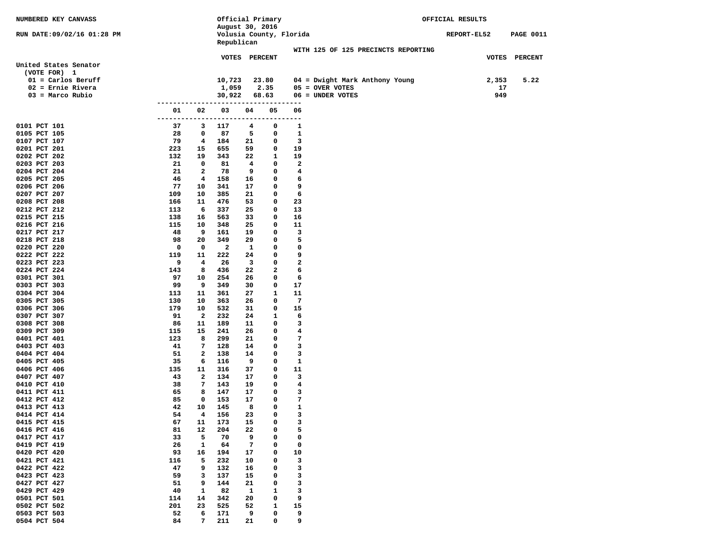| NUMBERED KEY CANVASS         |                 |                   | Official Primary                           |          |                    |             |                                     | OFFICIAL RESULTS |           |                  |
|------------------------------|-----------------|-------------------|--------------------------------------------|----------|--------------------|-------------|-------------------------------------|------------------|-----------|------------------|
| RUN DATE:09/02/16 01:28 PM   |                 |                   | August 30, 2016<br>Volusia County, Florida |          |                    |             |                                     | REPORT-EL52      |           | <b>PAGE 0011</b> |
|                              |                 |                   | Republican                                 |          |                    |             |                                     |                  |           |                  |
|                              |                 |                   | VOTES PERCENT                              |          |                    |             | WITH 125 OF 125 PRECINCTS REPORTING |                  |           | VOTES PERCENT    |
| United States Senator        |                 |                   |                                            |          |                    |             |                                     |                  |           |                  |
| (VOTE FOR) 1                 |                 |                   |                                            |          |                    |             |                                     |                  |           |                  |
| $01 =$ Carlos Beruff         |                 |                   | 10,723                                     |          | 23.80              |             | 04 = Dwight Mark Anthony Young      |                  | 2,353     | 5.22             |
| $02$ = Ernie Rivera          |                 |                   | 1,059                                      |          | 2.35               |             | $05 =$ OVER VOTES                   |                  | 17<br>949 |                  |
| $03$ = Marco Rubio           | --------        |                   | 30,922                                     |          | 68.63<br>--------- |             | 06 = UNDER VOTES                    |                  |           |                  |
|                              | 01              | 02                | 03                                         | 04       | 05                 | 06          |                                     |                  |           |                  |
| 0101 PCT 101                 | ---------<br>37 | 3                 | ------------------<br>117                  | 4        | ---------<br>0     | 1           |                                     |                  |           |                  |
| 0105 PCT 105                 | 28              | 0                 | 87                                         | 5        | 0                  | $\mathbf 1$ |                                     |                  |           |                  |
| 0107 PCT 107                 | 79              | 4                 | 184                                        | 21       | 0                  | 3           |                                     |                  |           |                  |
| 0201 PCT 201                 | 223             | 15                | 655                                        | 59       | 0                  | 19          |                                     |                  |           |                  |
| 0202 PCT 202                 | 132             | 19                | 343                                        | 22       | 1                  | 19          |                                     |                  |           |                  |
| 0203 PCT 203                 | 21              | 0                 | 81                                         | 4        | 0                  | 2           |                                     |                  |           |                  |
| 0204 PCT 204<br>0205 PCT 205 | 21<br>46        | 2<br>4            | 78<br>158                                  | 9<br>16  | 0<br>0             | 4<br>6      |                                     |                  |           |                  |
| 0206 PCT 206                 | 77              | 10                | 341                                        | 17       | 0                  | 9           |                                     |                  |           |                  |
| 0207 PCT 207                 | 109             | 10                | 385                                        | 21       | 0                  | 6           |                                     |                  |           |                  |
| 0208 PCT 208                 | 166             | 11                | 476                                        | 53       | 0                  | 23          |                                     |                  |           |                  |
| 0212 PCT 212                 | 113             | 6                 | 337                                        | 25       | 0                  | 13          |                                     |                  |           |                  |
| 0215 PCT 215                 | 138             | 16                | 563                                        | 33       | 0                  | 16          |                                     |                  |           |                  |
| 0216 PCT 216                 | 115<br>48       | 10<br>9           | 348                                        | 25<br>19 | 0<br>0             | 11<br>3     |                                     |                  |           |                  |
| 0217 PCT 217<br>0218 PCT 218 | 98              | 20                | 161<br>349                                 | 29       | 0                  | 5           |                                     |                  |           |                  |
| 0220 PCT 220                 | 0               | 0                 | 2                                          | 1        | 0                  | 0           |                                     |                  |           |                  |
| 0222 PCT 222                 | 119             | 11                | 222                                        | 24       | 0                  | 9           |                                     |                  |           |                  |
| 0223 PCT 223                 | 9               | 4                 | 26                                         | 3        | 0                  | 2           |                                     |                  |           |                  |
| 0224 PCT 224                 | 143             | 8                 | 436                                        | 22       | 2                  | 6           |                                     |                  |           |                  |
| 0301 PCT 301                 | 97              | 10                | 254                                        | 26       | 0                  | 6           |                                     |                  |           |                  |
| 0303 PCT 303                 | 99<br>113       | 9<br>11           | 349<br>361                                 | 30<br>27 | 0<br>1             | 17          |                                     |                  |           |                  |
| 0304 PCT 304<br>0305 PCT 305 | 130             | 10                | 363                                        | 26       | 0                  | 11<br>7     |                                     |                  |           |                  |
| 0306 PCT 306                 | 179             | 10                | 532                                        | 31       | 0                  | 15          |                                     |                  |           |                  |
| 0307 PCT 307                 | 91              | $\overline{a}$    | 232                                        | 24       | 1                  | 6           |                                     |                  |           |                  |
| 0308 PCT 308                 | 86              | 11                | 189                                        | 11       | 0                  | з           |                                     |                  |           |                  |
| 0309 PCT 309                 | 115             | 15                | 241                                        | 26       | 0                  | 4           |                                     |                  |           |                  |
| 0401 PCT 401                 | 123             | 8                 | 299                                        | 21       | 0                  | 7           |                                     |                  |           |                  |
| 0403 PCT 403<br>0404 PCT 404 | 41<br>51        | 7<br>$\mathbf{2}$ | 128<br>138                                 | 14<br>14 | 0<br>0             | 3<br>3      |                                     |                  |           |                  |
| 0405 PCT 405                 | 35              | 6                 | 116                                        | 9        | 0                  | $\mathbf 1$ |                                     |                  |           |                  |
| 0406 PCT 406                 | 135             | 11                | 316                                        | 37       | 0                  | 11          |                                     |                  |           |                  |
| 0407 PCT 407                 | 43              | $\mathbf{2}$      | 134                                        | 17       | 0                  | 3           |                                     |                  |           |                  |
| 0410 PCT 410                 | 38              | 7                 | 143                                        | 19       | 0                  | 4           |                                     |                  |           |                  |
| 0411 PCT 411                 | 65              | 8                 | 147                                        | 17       | 0                  | з           |                                     |                  |           |                  |
| 0412 PCT 412                 | 85              | 0                 | 153                                        | 17       | 0                  | 7           |                                     |                  |           |                  |
| 0413 PCT 413<br>0414 PCT 414 | 42<br>54        | 10<br>4           | 145<br>156                                 | 8<br>23  | 0<br>0             | 1<br>3      |                                     |                  |           |                  |
| 0415 PCT 415                 | 67              | 11                | 173                                        | 15       | 0                  | з           |                                     |                  |           |                  |
| 0416 PCT 416                 | 81              | 12                | 204                                        | 22       | 0                  | 5           |                                     |                  |           |                  |
| 0417 PCT 417                 | 33              | 5                 | 70                                         | 9        | 0                  | 0           |                                     |                  |           |                  |
| 0419 PCT 419                 | 26              | 1                 | 64                                         | 7        | 0                  | 0           |                                     |                  |           |                  |
| 0420 PCT 420                 | 93              | 16                | 194                                        | 17       | 0                  | 10          |                                     |                  |           |                  |
| 0421 PCT 421<br>0422 PCT 422 | 116<br>47       | 5<br>9            | 232<br>132                                 | 10<br>16 | 0<br>0             | 3<br>3      |                                     |                  |           |                  |
| 0423 PCT 423                 | 59              | 3                 | 137                                        | 15       | 0                  | 3           |                                     |                  |           |                  |
| 0427 PCT 427                 | 51              | 9                 | 144                                        | 21       | 0                  | 3           |                                     |                  |           |                  |
| 0429 PCT 429                 | 40              | $\mathbf{1}$      | 82                                         | 1        | 1                  | 3           |                                     |                  |           |                  |
| 0501 PCT 501                 | 114             | 14                | 342                                        | 20       | 0                  | 9           |                                     |                  |           |                  |
| 0502 PCT 502                 | 201             | 23                | 525                                        | 52       | 1                  | 15          |                                     |                  |           |                  |
| 0503 PCT 503                 | 52              | 6                 | 171                                        | 9        | 0                  | 9           |                                     |                  |           |                  |
| 0504 PCT 504                 | 84              | 7                 | 211                                        | 21       | 0                  | 9           |                                     |                  |           |                  |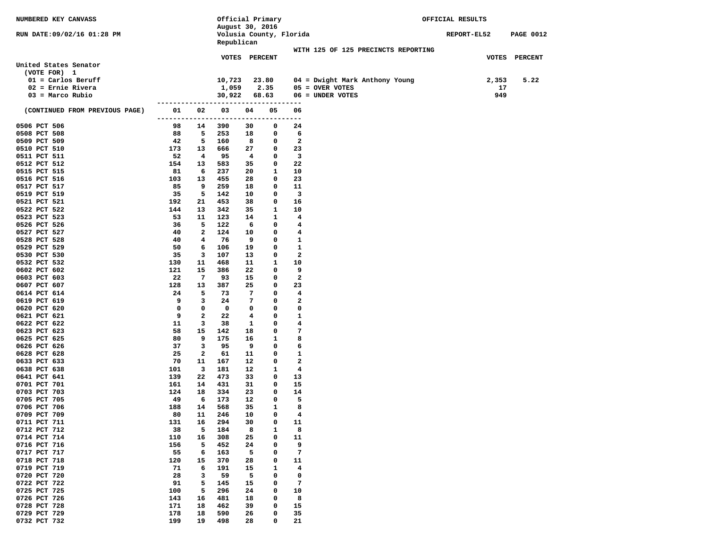| <b>NUMBERED KEY CANVASS</b>    |           |                | Official Primary                      |          |              |              |                                     | OFFICIAL RESULTS |                  |
|--------------------------------|-----------|----------------|---------------------------------------|----------|--------------|--------------|-------------------------------------|------------------|------------------|
|                                |           |                | August 30, 2016                       |          |              |              |                                     |                  |                  |
| RUN DATE:09/02/16 01:28 PM     |           |                | Volusia County, Florida<br>Republican |          |              |              |                                     | REPORT-EL52      | <b>PAGE 0012</b> |
|                                |           |                |                                       |          |              |              | WITH 125 OF 125 PRECINCTS REPORTING |                  |                  |
|                                |           |                | VOTES PERCENT                         |          |              |              |                                     |                  | VOTES PERCENT    |
| United States Senator          |           |                |                                       |          |              |              |                                     |                  |                  |
| (VOTE FOR) 1                   |           |                |                                       |          |              |              |                                     |                  |                  |
| $01 =$ Carlos Beruff           |           |                | 10,723                                |          | 23.80        |              | 04 = Dwight Mark Anthony Young      | 2,353            | 5.22             |
| $02$ = Ernie Rivera            |           |                | 1,059                                 |          | 2.35         |              | $05 =$ OVER VOTES                   | 17               |                  |
| $03$ = Marco Rubio             |           |                | 30,922                                |          | 68.63        |              | 06 = UNDER VOTES                    | 949              |                  |
|                                |           |                |                                       |          | . <u>.</u> . |              |                                     |                  |                  |
| (CONTINUED FROM PREVIOUS PAGE) | 01        | 02             | 03                                    | 04       | 05           | 06           |                                     |                  |                  |
|                                | --------- |                | ----------                            | -----    | -----        | ----         |                                     |                  |                  |
| 0506 PCT 506<br>0508 PCT 508   | 98<br>88  | 14<br>5        | 390<br>253                            | 30<br>18 | 0<br>0       | 24<br>6      |                                     |                  |                  |
| 0509 PCT 509                   | 42        | 5              | 160                                   | 8        | 0            | $\mathbf{2}$ |                                     |                  |                  |
| 0510 PCT 510                   | 173       | 13             | 666                                   | 27       | 0            | 23           |                                     |                  |                  |
| 0511 PCT 511                   | 52        | $\overline{4}$ | 95                                    | 4        | 0            | 3            |                                     |                  |                  |
| 0512 PCT 512                   | 154       | 13             | 583                                   | 35       | 0            | 22           |                                     |                  |                  |
| 0515 PCT 515                   | 81        | 6              | 237                                   | 20       | 1            | 10           |                                     |                  |                  |
| 0516 PCT 516                   | 103       | 13             | 455                                   | 28       | 0            | 23           |                                     |                  |                  |
| 0517 PCT 517                   | 85        | 9              | 259                                   | 18       | 0            | 11           |                                     |                  |                  |
| 0519 PCT 519                   | 35        | 5              | 142                                   | 10       | 0            | 3            |                                     |                  |                  |
| 0521 PCT 521                   | 192       | 21             | 453                                   | 38       | 0            | 16           |                                     |                  |                  |
| 0522 PCT 522                   | 144       | 13             | 342                                   | 35       | 1            | 10           |                                     |                  |                  |
| 0523 PCT 523                   | 53        | 11             | 123                                   | 14       | 1            | 4            |                                     |                  |                  |
| 0526 PCT 526                   | 36        | 5              | 122                                   | 6        | 0            | 4            |                                     |                  |                  |
| 0527 PCT 527                   | 40        | $\mathbf{2}$   | 124                                   | 10       | 0            | 4            |                                     |                  |                  |
| 0528 PCT 528<br>0529 PCT 529   | 40<br>50  | 4<br>6         | 76<br>106                             | 9<br>19  | 0<br>0       | 1<br>1       |                                     |                  |                  |
| 0530 PCT 530                   | 35        | 3              | 107                                   | 13       | 0            | 2            |                                     |                  |                  |
| 0532 PCT 532                   | 130       | 11             | 468                                   | 11       | 1            | 10           |                                     |                  |                  |
| 0602 PCT 602                   | 121       | 15             | 386                                   | 22       | 0            | 9            |                                     |                  |                  |
| 0603 PCT 603                   | 22        | $\overline{7}$ | 93                                    | 15       | 0            | 2            |                                     |                  |                  |
| 0607 PCT 607                   | 128       | 13             | 387                                   | 25       | 0            | 23           |                                     |                  |                  |
| 0614 PCT 614                   | 24        | 5              | 73                                    | 7        | 0            | 4            |                                     |                  |                  |
| 0619 PCT 619                   | 9         | 3              | 24                                    | 7        | 0            | 2            |                                     |                  |                  |
| 0620 PCT 620                   | 0         | 0              | 0                                     | 0        | 0            | 0            |                                     |                  |                  |
| 0621 PCT 621                   | 9         | $\mathbf{2}$   | 22                                    | 4        | 0            | 1            |                                     |                  |                  |
| 0622 PCT 622                   | 11        | 3              | 38                                    | 1        | 0            | 4            |                                     |                  |                  |
| 0623 PCT 623                   | 58        | 15             | 142                                   | 18       | 0            | 7            |                                     |                  |                  |
| 0625 PCT 625                   | 80        | 9              | 175                                   | 16       | 1            | 8            |                                     |                  |                  |
| 0626 PCT 626<br>0628 PCT 628   | 37<br>25  | 3<br>2         | 95<br>61                              | 9<br>11  | 0<br>0       | 6<br>1       |                                     |                  |                  |
| 0633 PCT 633                   | 70        | 11             | 167                                   | 12       | 0            | 2            |                                     |                  |                  |
| 0638 PCT 638                   | 101       | 3              | 181                                   | 12       | 1            | 4            |                                     |                  |                  |
| 0641 PCT 641                   | 139       | 22             | 473                                   | 33       | 0            | 13           |                                     |                  |                  |
| 0701 PCT 701                   | 161       | 14             | 431                                   | 31       | 0            | 15           |                                     |                  |                  |
| 0703 PCT 703                   | 124       | 18             | 334                                   | 23       | 0            | 14           |                                     |                  |                  |
| 0705 PCT 705                   | 49        | 6              | 173                                   | 12       | 0            | 5            |                                     |                  |                  |
| 0706 PCT 706                   | 188       | 14             | 568                                   | 35       | 1            | 8            |                                     |                  |                  |
| 0709 PCT 709                   | 80        | 11             | 246                                   | 10       | $\mathbf 0$  | 4            |                                     |                  |                  |
| 0711 PCT 711                   | 131       | 16             | 294                                   | 30       | 0            | 11           |                                     |                  |                  |
| 0712 PCT 712                   | 38        | 5              | 184                                   | 8        | 1            | 8            |                                     |                  |                  |
| 0714 PCT 714                   | 110       | 16             | 308                                   | 25       | 0            | 11           |                                     |                  |                  |
| 0716 PCT 716                   | 156       | 5              | 452                                   | 24       | 0            | 9            |                                     |                  |                  |
| 0717 PCT 717                   | 55        | 6              | 163                                   | 5        | 0            | 7            |                                     |                  |                  |
| 0718 PCT 718<br>0719 PCT 719   | 120<br>71 | 15<br>6        | 370<br>191                            | 28<br>15 | 0<br>1       | 11<br>4      |                                     |                  |                  |
| 0720 PCT 720                   | 28        | 3              | 59                                    | 5        | 0            | 0            |                                     |                  |                  |
| 0722 PCT 722                   | 91        | 5              | 145                                   | 15       | 0            | 7            |                                     |                  |                  |
| 0725 PCT 725                   | 100       | 5              | 296                                   | 24       | 0            | 10           |                                     |                  |                  |
| 0726 PCT 726                   | 143       | 16             | 481                                   | 18       | 0            | 8            |                                     |                  |                  |
| 0728 PCT 728                   | 171       | 18             | 462                                   | 39       | 0            | 15           |                                     |                  |                  |
| 0729 PCT 729                   | 178       | 18             | 590                                   | 26       | 0            | 35           |                                     |                  |                  |
| 0732 PCT 732                   | 199       | 19             | 498                                   | 28       | 0            | 21           |                                     |                  |                  |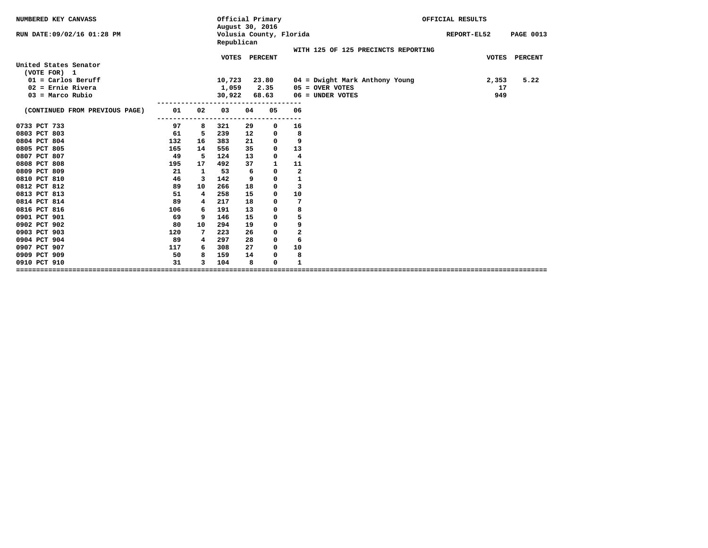| NUMBERED KEY CANVASS                  |     |              | Official Primary<br>August 30, 2016 |    |                         |                         |                                     | OFFICIAL RESULTS |                  |
|---------------------------------------|-----|--------------|-------------------------------------|----|-------------------------|-------------------------|-------------------------------------|------------------|------------------|
| RUN DATE: 09/02/16 01:28 PM           |     |              | Republican                          |    | Volusia County, Florida |                         |                                     | REPORT-EL52      | <b>PAGE 0013</b> |
|                                       |     |              |                                     |    |                         |                         | WITH 125 OF 125 PRECINCTS REPORTING |                  |                  |
| United States Senator<br>(VOTE FOR) 1 |     |              | <b>VOTES</b>                        |    | <b>PERCENT</b>          |                         |                                     | <b>VOTES</b>     | <b>PERCENT</b>   |
| $01 =$ Carlos Beruff                  |     |              | 10,723                              |    | 23.80                   |                         | $04$ = Dwight Mark Anthony Young    | 2,353            | 5.22             |
| $02$ = Ernie Rivera                   |     |              | 1,059                               |    | 2.35                    |                         | $05 =$ OVER VOTES                   | 17               |                  |
| $03$ = Marco Rubio                    |     |              | 30,922                              |    | 68.63                   |                         | $06 =$ UNDER VOTES                  | 949              |                  |
| (CONTINUED FROM PREVIOUS PAGE)        | 01  | 02           | 03                                  | 04 | 05                      | 06                      |                                     |                  |                  |
| 0733 PCT 733                          | 97  | 8            | 321                                 | 29 | 0                       | ---<br>16               |                                     |                  |                  |
| 0803 PCT 803                          | 61  | 5            | 239                                 | 12 | 0                       | 8                       |                                     |                  |                  |
| 0804 PCT 804                          | 132 | 16           | 383                                 | 21 | 0                       | 9                       |                                     |                  |                  |
| 0805 PCT 805                          | 165 | 14           | 556                                 | 35 | 0                       | 13                      |                                     |                  |                  |
| 0807 PCT 807                          | 49  | -5           | 124                                 | 13 | 0                       | 4                       |                                     |                  |                  |
| 0808 PCT 808                          | 195 | 17           | 492                                 | 37 | 1                       | 11                      |                                     |                  |                  |
| 0809 PCT 809                          | 21  | $\mathbf{1}$ | 53                                  | 6  | 0                       | $\overline{\mathbf{2}}$ |                                     |                  |                  |
| 0810 PCT 810                          | 46  | 3            | 142                                 | 9  | 0                       | $\mathbf 1$             |                                     |                  |                  |
| 0812 PCT 812                          | 89  | 10           | 266                                 | 18 | 0                       | 3                       |                                     |                  |                  |
| 0813 PCT 813                          | 51  | 4            | 258                                 | 15 | 0                       | 10                      |                                     |                  |                  |
| 0814 PCT 814                          | 89  | 4            | 217                                 | 18 | 0                       | 7                       |                                     |                  |                  |
| 0816 PCT 816                          | 106 | 6            | 191                                 | 13 | 0                       | 8                       |                                     |                  |                  |
| 0901 PCT 901                          | 69  | 9            | 146                                 | 15 | 0                       | 5                       |                                     |                  |                  |
| 0902 PCT 902                          | 80  | 10           | 294                                 | 19 | 0                       | 9                       |                                     |                  |                  |
| 0903 PCT 903                          | 120 | 7            | 223                                 | 26 | 0                       | $\overline{\mathbf{2}}$ |                                     |                  |                  |
| 0904 PCT 904                          | 89  | 4            | 297                                 | 28 | 0                       | 6                       |                                     |                  |                  |
| 0907 PCT 907                          | 117 | 6            | 308                                 | 27 | $^{\circ}$              | 10                      |                                     |                  |                  |
| 0909 PCT 909                          | 50  | 8            | 159                                 | 14 | 0                       | 8                       |                                     |                  |                  |
| 0910 PCT 910                          | 31  | 3            | 104                                 | 8  | 0                       | $\mathbf{1}$            |                                     |                  |                  |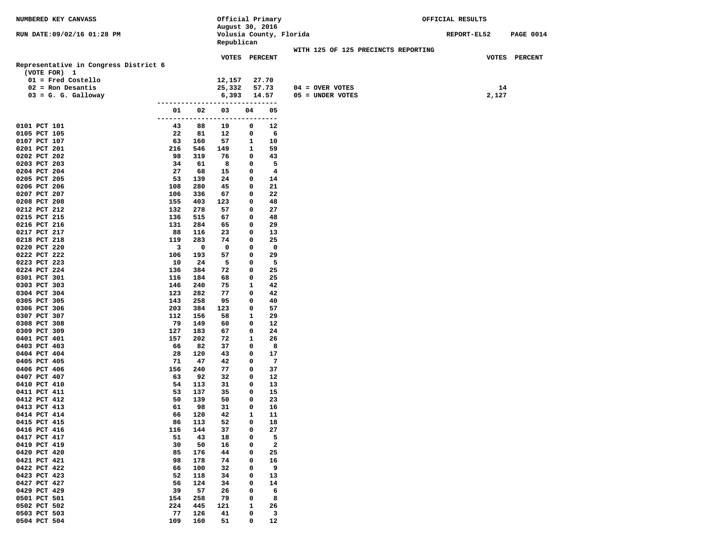| NUMBERED KEY CANVASS                  |           |            | Official Primary        |              |           |                                     | OFFICIAL RESULTS   |       |                  |  |
|---------------------------------------|-----------|------------|-------------------------|--------------|-----------|-------------------------------------|--------------------|-------|------------------|--|
|                                       |           |            | August 30, 2016         |              |           |                                     |                    |       |                  |  |
| RUN DATE:09/02/16 01:28 PM            |           |            | Volusia County, Florida |              |           |                                     | <b>REPORT-EL52</b> |       | <b>PAGE 0014</b> |  |
|                                       |           |            | Republican              |              |           |                                     |                    |       |                  |  |
|                                       |           |            |                         |              |           | WITH 125 OF 125 PRECINCTS REPORTING |                    |       |                  |  |
| Representative in Congress District 6 |           |            | VOTES PERCENT           |              |           |                                     |                    |       | VOTES PERCENT    |  |
| (VOTE FOR) 1                          |           |            |                         |              |           |                                     |                    |       |                  |  |
| $01$ = Fred Costello                  |           |            | 12,157                  |              | 27.70     |                                     |                    |       |                  |  |
| $02$ = Ron Desantis                   |           |            | 25,332                  |              | 57.73     | $04 =$ OVER VOTES                   |                    | 14    |                  |  |
| $03 = G. G.$ Galloway                 |           |            | 6,393                   |              | 14.57     | 05 = UNDER VOTES                    |                    | 2,127 |                  |  |
|                                       |           |            |                         |              |           |                                     |                    |       |                  |  |
|                                       | 01        | 02         | 03                      | 04           | 05        |                                     |                    |       |                  |  |
|                                       | --------  | .          | ----                    |              | --------- |                                     |                    |       |                  |  |
| 0101 PCT 101                          | 43        | 88         | 19                      | 0            | 12        |                                     |                    |       |                  |  |
| 0105 PCT 105                          | 22        | 81         | 12                      | 0            | 6         |                                     |                    |       |                  |  |
| 0107 PCT 107                          | 63        | 160        | 57                      | 1            | 10        |                                     |                    |       |                  |  |
| 0201 PCT 201                          | 216       | 546        | 149                     | 1            | 59        |                                     |                    |       |                  |  |
| 0202 PCT 202                          | 98        | 319<br>61  | 76                      | 0<br>0       | 43        |                                     |                    |       |                  |  |
| 0203 PCT 203<br>0204 PCT 204          | 34<br>27  | 68         | 8<br>15                 | 0            | 5<br>4    |                                     |                    |       |                  |  |
| 0205 PCT 205                          | 53        | 139        | 24                      | 0            | 14        |                                     |                    |       |                  |  |
| 0206 PCT 206                          | 108       | 280        | 45                      | 0            | 21        |                                     |                    |       |                  |  |
| 0207 PCT 207                          | 106       | 336        | 67                      | 0            | 22        |                                     |                    |       |                  |  |
| 0208 PCT 208                          | 155       | 403        | 123                     | 0            | 48        |                                     |                    |       |                  |  |
| 0212 PCT 212                          | 132       | 278        | 57                      | 0            | 27        |                                     |                    |       |                  |  |
| 0215 PCT 215                          | 136       | 515        | 67                      | 0            | 48        |                                     |                    |       |                  |  |
| 0216 PCT 216                          | 131       | 284        | 65                      | 0            | 29        |                                     |                    |       |                  |  |
| 0217 PCT 217                          | 88        | 116        | 23                      | 0            | 13        |                                     |                    |       |                  |  |
| 0218 PCT 218                          | 119       | 283        | 74                      | 0            | 25        |                                     |                    |       |                  |  |
| 0220 PCT 220                          | 3         | 0          | 0                       | 0            | 0         |                                     |                    |       |                  |  |
| 0222 PCT 222                          | 106       | 193        | 57<br>5                 | 0            | 29<br>5   |                                     |                    |       |                  |  |
| 0223 PCT 223<br>0224 PCT 224          | 10<br>136 | 24<br>384  | 72                      | 0<br>0       | 25        |                                     |                    |       |                  |  |
| 0301 PCT 301                          | 116       | 184        | 68                      | 0            | 25        |                                     |                    |       |                  |  |
| 0303 PCT 303                          | 146       | 240        | 75                      | 1            | 42        |                                     |                    |       |                  |  |
| 0304 PCT 304                          | 123       | 282        | 77                      | 0            | 42        |                                     |                    |       |                  |  |
| 0305 PCT 305                          | 143       | 258        | 95                      | 0            | 40        |                                     |                    |       |                  |  |
| 0306 PCT 306                          | 203       | 384        | 123                     | 0            | 57        |                                     |                    |       |                  |  |
| 0307 PCT 307                          | 112       | 156        | 58                      | 1            | 29        |                                     |                    |       |                  |  |
| 0308 PCT 308                          | 79        | 149        | 60                      | 0            | 12        |                                     |                    |       |                  |  |
| 0309 PCT 309                          | 127       | 183        | 67                      | 0            | 24        |                                     |                    |       |                  |  |
| 0401 PCT 401                          | 157       | 202        | 72                      | 1            | 26        |                                     |                    |       |                  |  |
| 0403 PCT 403                          | 66        | 82         | 37                      | 0            | 8         |                                     |                    |       |                  |  |
| 0404 PCT 404<br>0405 PCT 405          | 28<br>71  | 120<br>47  | 43<br>42                | 0<br>0       | 17<br>7   |                                     |                    |       |                  |  |
| 0406 PCT 406                          | 156       | 240        | 77                      | 0            | 37        |                                     |                    |       |                  |  |
| 0407 PCT 407                          | 63        | 92         | 32                      | 0            | 12        |                                     |                    |       |                  |  |
| 0410 PCT 410                          | 54        | 113        | 31                      | 0            | 13        |                                     |                    |       |                  |  |
| 0411 PCT 411                          | 53        | 137        | 35                      | 0            | 15        |                                     |                    |       |                  |  |
| 0412 PCT 412                          | 50        | 139        | 50                      | 0            | 23        |                                     |                    |       |                  |  |
| 0413 PCT 413                          | 61        | 98         | 31                      | 0            | 16        |                                     |                    |       |                  |  |
| 0414 PCT 414                          | 66        | 120        | 42                      | $\mathbf{1}$ | 11        |                                     |                    |       |                  |  |
| 0415 PCT 415                          | 86        | 113        | 52                      | 0            | 18        |                                     |                    |       |                  |  |
| 0416 PCT 416                          | 116       | 144        | 37                      | 0            | 27        |                                     |                    |       |                  |  |
| 0417 PCT 417                          | 51        | 43         | 18                      | 0            | 5         |                                     |                    |       |                  |  |
| 0419 PCT 419                          | 30        | 50         | 16                      | 0            | 2         |                                     |                    |       |                  |  |
| 0420 PCT 420<br>0421 PCT 421          | 85        | 176        | 44                      | 0<br>0       | 25        |                                     |                    |       |                  |  |
| 0422 PCT 422                          | 98<br>66  | 178<br>100 | 74<br>32                | 0            | 16<br>9   |                                     |                    |       |                  |  |
| 0423 PCT 423                          | 52        | 118        | 34                      | 0            | 13        |                                     |                    |       |                  |  |
| 0427 PCT 427                          | 56        | 124        | 34                      | 0            | 14        |                                     |                    |       |                  |  |
| 0429 PCT 429                          | 39        | 57         | 26                      | 0            | 6         |                                     |                    |       |                  |  |
| 0501 PCT 501                          | 154       | 258        | 79                      | 0            | 8         |                                     |                    |       |                  |  |
| 0502 PCT 502                          | 224       | 445        | 121                     | 1            | 26        |                                     |                    |       |                  |  |
| 0503 PCT 503                          | 77        | 126        | 41                      | 0            | 3         |                                     |                    |       |                  |  |
| 0504 PCT 504                          | 109       | 160        | 51                      | 0            | 12        |                                     |                    |       |                  |  |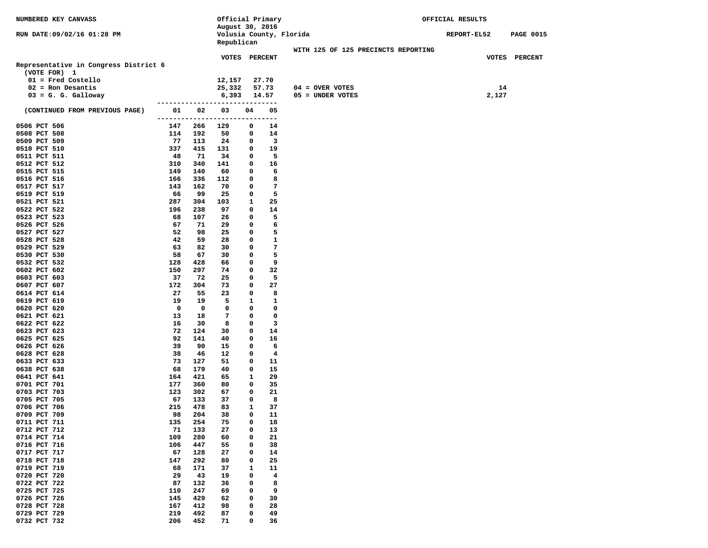| NUMBERED KEY CANVASS                  |               |            | Official Primary        |              |                         | OFFICIAL RESULTS                    |             |                  |  |
|---------------------------------------|---------------|------------|-------------------------|--------------|-------------------------|-------------------------------------|-------------|------------------|--|
|                                       |               |            | August 30, 2016         |              |                         |                                     |             |                  |  |
| RUN DATE:09/02/16 01:28 PM            |               |            | Volusia County, Florida |              |                         |                                     | REPORT-EL52 | <b>PAGE 0015</b> |  |
|                                       |               |            | Republican              |              |                         |                                     |             |                  |  |
|                                       |               |            | VOTES PERCENT           |              |                         | WITH 125 OF 125 PRECINCTS REPORTING |             | VOTES PERCENT    |  |
| Representative in Congress District 6 |               |            |                         |              |                         |                                     |             |                  |  |
| (VOTE FOR) 1                          |               |            |                         |              |                         |                                     |             |                  |  |
| $01$ = Fred Costello                  |               |            | 12,157                  |              | 27.70                   |                                     |             |                  |  |
| $02$ = Ron Desantis                   |               |            | 25,332                  |              | 57.73                   | $04 = OVER VOTES$                   |             | 14               |  |
| $03 = G. G. Galloway$                 |               |            | 6,393                   |              | 14.57                   | 05 = UNDER VOTES                    | 2,127       |                  |  |
|                                       |               |            |                         |              |                         |                                     |             |                  |  |
| (CONTINUED FROM PREVIOUS PAGE)        | 01            | 02         | 03                      | 04           | 05                      |                                     |             |                  |  |
|                                       | ------------- |            | -----                   | -----        | ---                     |                                     |             |                  |  |
| 0506 PCT 506                          | 147           | 266        | 129                     | 0<br>0       | 14<br>14                |                                     |             |                  |  |
| 0508 PCT 508<br>0509 PCT 509          | 114<br>77     | 192<br>113 | 50<br>24                | 0            | 3                       |                                     |             |                  |  |
| 0510 PCT 510                          | 337           | 415        | 131                     | 0            | 19                      |                                     |             |                  |  |
| 0511 PCT 511                          | 48            | 71         | 34                      | 0            | 5                       |                                     |             |                  |  |
| 0512 PCT 512                          | 310           | 340        | 141                     | 0            | 16                      |                                     |             |                  |  |
| 0515 PCT 515                          | 149           | 140        | 60                      | 0            | 6                       |                                     |             |                  |  |
| 0516 PCT 516                          | 166           | 336        | 112                     | 0            | 8                       |                                     |             |                  |  |
| 0517 PCT 517                          | 143           | 162        | 70                      | 0            | 7                       |                                     |             |                  |  |
| 0519 PCT 519                          | 66            | 99         | 25                      | 0            | 5                       |                                     |             |                  |  |
| 0521 PCT 521                          | 287           | 304        | 103                     | 1            | 25                      |                                     |             |                  |  |
| 0522 PCT 522                          | 196           | 238        | 97                      | 0            | 14                      |                                     |             |                  |  |
| 0523 PCT 523<br>0526 PCT 526          | 68<br>67      | 107<br>71  | 26<br>29                | 0<br>0       | 5<br>6                  |                                     |             |                  |  |
| 0527 PCT 527                          | 52            | 98         | 25                      | 0            | 5                       |                                     |             |                  |  |
| 0528 PCT 528                          | 42            | 59         | 28                      | 0            | 1                       |                                     |             |                  |  |
| 0529 PCT 529                          | 63            | 82         | 30                      | 0            | 7                       |                                     |             |                  |  |
| 0530 PCT 530                          | 58            | 67         | 30                      | 0            | 5                       |                                     |             |                  |  |
| 0532 PCT 532                          | 128           | 428        | 66                      | 0            | 9                       |                                     |             |                  |  |
| 0602 PCT 602                          | 150           | 297        | 74                      | 0            | 32                      |                                     |             |                  |  |
| 0603 PCT 603                          | 37            | 72         | 25                      | 0            | 5                       |                                     |             |                  |  |
| 0607 PCT 607                          | 172           | 304        | 73                      | 0            | 27                      |                                     |             |                  |  |
| 0614 PCT 614                          | 27            | 55         | 23                      | 0            | 8                       |                                     |             |                  |  |
| 0619 PCT 619                          | 19<br>0       | 19<br>0    | 5<br>0                  | 1<br>0       | 1<br>0                  |                                     |             |                  |  |
| 0620 PCT 620<br>0621 PCT 621          | 13            | 18         | 7                       | 0            | 0                       |                                     |             |                  |  |
| 0622 PCT 622                          | 16            | 30         | 8                       | 0            | 3                       |                                     |             |                  |  |
| 0623 PCT 623                          | 72            | 124        | 30                      | 0            | 14                      |                                     |             |                  |  |
| 0625 PCT 625                          | 92            | 141        | 40                      | 0            | 16                      |                                     |             |                  |  |
| 0626 PCT 626                          | 39            | 90         | 15                      | 0            | 6                       |                                     |             |                  |  |
| 0628 PCT 628                          | 38            | 46         | 12                      | 0            | 4                       |                                     |             |                  |  |
| 0633 PCT 633                          | 73            | 127        | 51                      | 0            | 11                      |                                     |             |                  |  |
| 0638 PCT 638                          | 68            | 179        | 40                      | 0            | 15                      |                                     |             |                  |  |
| 0641 PCT 641<br>0701 PCT 701          | 164<br>177    | 421<br>360 | 65<br>80                | 1<br>0       | 29<br>35                |                                     |             |                  |  |
| 0703 PCT 703                          | 123           | 302        | 67                      | 0            | 21                      |                                     |             |                  |  |
| 0705 PCT 705                          | 67            | 133        | 37                      | 0            | 8                       |                                     |             |                  |  |
| 0706 PCT 706                          | 215           | 478        | 83                      | $\mathbf{1}$ | 37                      |                                     |             |                  |  |
| 0709 PCT 709                          | 98            | 204        | 38                      | 0            | 11                      |                                     |             |                  |  |
| 0711 PCT 711                          | 135           | 254        | 75                      | 0            | 18                      |                                     |             |                  |  |
| 0712 PCT 712                          | 71            | 133        | 27                      | 0            | 13                      |                                     |             |                  |  |
| 0714 PCT 714                          | 109           | 280        | 60                      | 0            | 21                      |                                     |             |                  |  |
| 0716 PCT 716                          | 106           | 447        | 55                      | 0            | 38                      |                                     |             |                  |  |
| 0717 PCT 717                          | 67            | 128        | 27                      | 0            | 14                      |                                     |             |                  |  |
| 0718 PCT 718<br>0719 PCT 719          | 147<br>68     | 292<br>171 | 80                      | 0            | 25<br>11                |                                     |             |                  |  |
| 0720 PCT 720                          | 29            | 43         | 37<br>19                | 1<br>0       | $\overline{\mathbf{4}}$ |                                     |             |                  |  |
| 0722 PCT 722                          | 87            | 132        | 36                      | 0            | 8                       |                                     |             |                  |  |
| 0725 PCT 725                          | 110           | 247        | 69                      | 0            | 9                       |                                     |             |                  |  |
| 0726 PCT 726                          | 145           | 429        | 62                      | 0            | 30                      |                                     |             |                  |  |
| 0728 PCT 728                          | 167           | 412        | 98                      | 0            | 28                      |                                     |             |                  |  |
| 0729 PCT 729                          | 219           | 492        | 87                      | 0            | 49                      |                                     |             |                  |  |
| 0732 PCT 732                          | 206           | 452        | 71                      | 0            | 36                      |                                     |             |                  |  |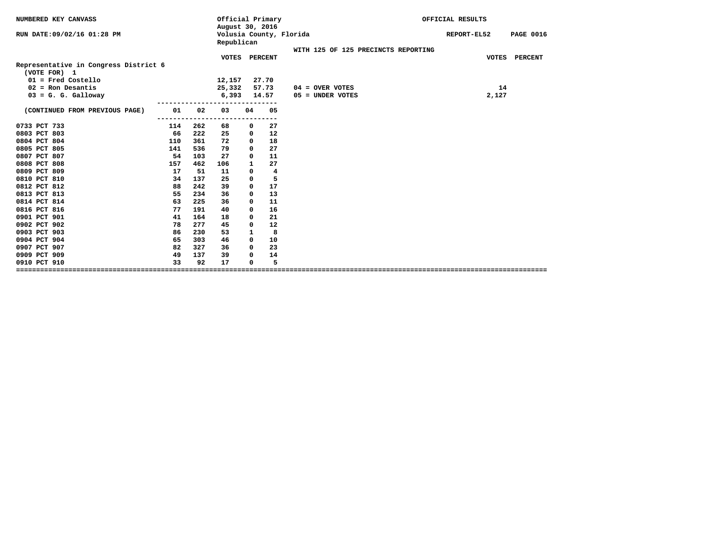| NUMBERED KEY CANVASS                                  |     |     | Official Primary<br>August 30, 2016 |                |                         |                                     | OFFICIAL RESULTS |                  |
|-------------------------------------------------------|-----|-----|-------------------------------------|----------------|-------------------------|-------------------------------------|------------------|------------------|
| RUN DATE: 09/02/16 01:28 PM                           |     |     | Republican                          |                | Volusia County, Florida |                                     | REPORT-EL52      | <b>PAGE 0016</b> |
|                                                       |     |     |                                     |                |                         | WITH 125 OF 125 PRECINCTS REPORTING |                  |                  |
| Representative in Congress District 6<br>(VOTE FOR) 1 |     |     | <b>VOTES</b>                        | <b>PERCENT</b> |                         |                                     | <b>VOTES</b>     | <b>PERCENT</b>   |
| $01$ = Fred Costello                                  |     |     | 12,157                              |                | 27.70                   |                                     |                  |                  |
| $02$ = Ron Desantis                                   |     |     | 25,332                              |                | 57.73                   | $04 =$ OVER VOTES                   | 14               |                  |
| $03 = G. G. Galloway$                                 |     |     | 6,393                               |                | 14.57                   | 05 = UNDER VOTES                    | 2,127            |                  |
| (CONTINUED FROM PREVIOUS PAGE)                        | 01  | 02  | 03                                  | 04             | 05                      |                                     |                  |                  |
| 0733 PCT 733                                          | 114 | 262 | -----<br>68                         | 0              | ---<br>27               |                                     |                  |                  |
| 0803 PCT 803                                          | 66  | 222 | 25                                  | 0              | 12                      |                                     |                  |                  |
| 0804 PCT 804                                          | 110 | 361 | 72                                  | 0              | 18                      |                                     |                  |                  |
| 0805 PCT 805                                          | 141 | 536 | 79                                  | $\mathbf 0$    | 27                      |                                     |                  |                  |
| 0807 PCT 807                                          | 54  | 103 | 27                                  | $\Omega$       | 11                      |                                     |                  |                  |
| 0808 PCT 808                                          | 157 | 462 | 106                                 | 1              | 27                      |                                     |                  |                  |
| 0809 PCT 809                                          | 17  | 51  | 11                                  | 0              | 4                       |                                     |                  |                  |
| 0810 PCT 810                                          | 34  | 137 | 25                                  | $\mathbf 0$    | 5                       |                                     |                  |                  |
| 0812 PCT 812                                          | 88  | 242 | 39                                  | 0              | 17                      |                                     |                  |                  |
| 0813 PCT 813                                          | 55  | 234 | 36                                  | 0              | 13                      |                                     |                  |                  |
| 0814 PCT 814                                          | 63  | 225 | 36                                  | $\mathbf 0$    | 11                      |                                     |                  |                  |
| 0816 PCT 816                                          | 77  | 191 | 40                                  | $\mathbf 0$    | 16                      |                                     |                  |                  |
| 0901 PCT 901                                          | 41  | 164 | 18                                  | 0              | 21                      |                                     |                  |                  |
| 0902 PCT 902                                          | 78  | 277 | 45                                  | 0              | 12                      |                                     |                  |                  |
| 0903 PCT 903                                          | 86  | 230 | 53                                  | 1              | 8                       |                                     |                  |                  |
| 0904 PCT 904                                          | 65  | 303 | 46                                  | $\mathbf{0}$   | 10                      |                                     |                  |                  |
| 0907 PCT 907                                          | 82  | 327 | 36                                  | $\mathbf 0$    | 23                      |                                     |                  |                  |
| 0909 PCT 909                                          | 49  | 137 | 39                                  | $\mathbf 0$    | 14                      |                                     |                  |                  |
| 0910 PCT 910                                          | 33  | 92  | 17                                  | 0              | 5                       |                                     |                  |                  |
|                                                       |     |     |                                     |                |                         |                                     |                  |                  |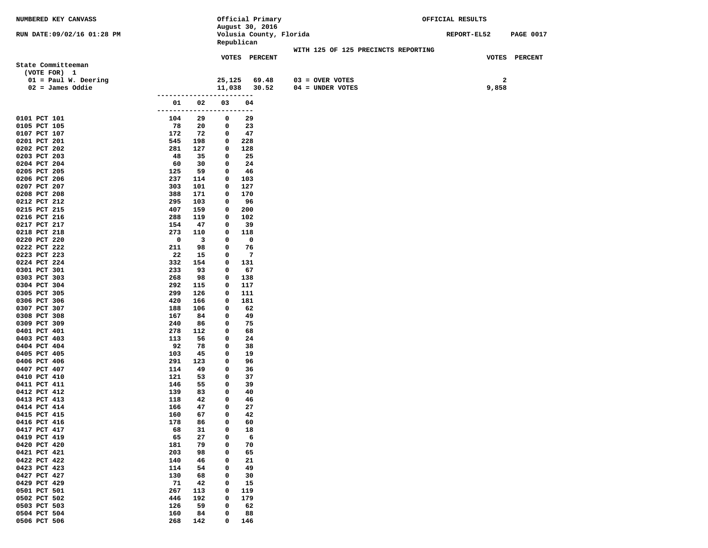| NUMBERED KEY CANVASS         |                          |            |              | Official Primary                           |                                     | OFFICIAL RESULTS |                  |
|------------------------------|--------------------------|------------|--------------|--------------------------------------------|-------------------------------------|------------------|------------------|
| RUN DATE:09/02/16 01:28 PM   |                          |            |              | August 30, 2016<br>Volusia County, Florida |                                     | REPORT-EL52      | <b>PAGE 0017</b> |
|                              |                          |            |              | Republican                                 |                                     |                  |                  |
|                              |                          |            |              |                                            | WITH 125 OF 125 PRECINCTS REPORTING |                  |                  |
|                              |                          |            |              | VOTES PERCENT                              |                                     |                  | VOTES PERCENT    |
| State Committeeman           |                          |            |              |                                            |                                     |                  |                  |
| (VOTE FOR) 1                 |                          |            |              |                                            |                                     |                  |                  |
| $01 = Paul W. Deering$       |                          |            | 25,125       | 69.48                                      | $03 =$ OVER VOTES                   | 2                |                  |
| $02 =$ James Oddie           |                          |            | 11,038       | 30.52                                      | 04 = UNDER VOTES                    | 9,858            |                  |
|                              | ------------------------ |            |              |                                            |                                     |                  |                  |
|                              | 01<br>-------------      | 02         | 03<br>-----  | 04<br>----                                 |                                     |                  |                  |
| 0101 PCT 101                 | 104                      | 29         | 0            | 29                                         |                                     |                  |                  |
| 0105 PCT 105                 | 78                       | 20         | 0            | 23                                         |                                     |                  |                  |
| 0107 PCT 107                 | 172                      | 72         | 0            | 47                                         |                                     |                  |                  |
| 0201 PCT 201                 | 545                      | 198        | 0            | 228                                        |                                     |                  |                  |
| 0202 PCT 202                 | 281                      | 127        | 0            | 128                                        |                                     |                  |                  |
| 0203 PCT 203                 | 48                       | 35         | 0            | 25                                         |                                     |                  |                  |
| 0204 PCT 204                 | 60                       | 30         | 0            | 24                                         |                                     |                  |                  |
| 0205 PCT 205                 | 125                      | 59         | 0            | 46                                         |                                     |                  |                  |
| 0206 PCT 206                 | 237                      | 114        | 0            | 103                                        |                                     |                  |                  |
| 0207 PCT 207                 | 303                      | 101        | 0            | 127                                        |                                     |                  |                  |
| 0208 PCT 208                 | 388                      | 171        | 0            | 170                                        |                                     |                  |                  |
| 0212 PCT 212<br>0215 PCT 215 | 295<br>407               | 103<br>159 | 0<br>0       | 96<br>200                                  |                                     |                  |                  |
| 0216 PCT 216                 | 288                      | 119        | $\mathbf{o}$ | 102                                        |                                     |                  |                  |
| 0217 PCT 217                 | 154                      | 47         | 0            | 39                                         |                                     |                  |                  |
| 0218 PCT 218                 | 273                      | 110        | 0            | 118                                        |                                     |                  |                  |
| 0220 PCT 220                 | 0                        | 3          | $\mathbf{o}$ | 0                                          |                                     |                  |                  |
| 0222 PCT 222                 | 211                      | 98         | 0            | 76                                         |                                     |                  |                  |
| 0223 PCT 223                 | 22                       | 15         | 0            | 7                                          |                                     |                  |                  |
| 0224 PCT 224                 | 332                      | 154        | $\mathbf{o}$ | 131                                        |                                     |                  |                  |
| 0301 PCT 301                 | 233                      | 93         | 0            | 67                                         |                                     |                  |                  |
| 0303 PCT 303                 | 268                      | 98         | $\mathbf{o}$ | 138                                        |                                     |                  |                  |
| 0304 PCT 304                 | 292                      | 115        | $\mathbf{o}$ | 117                                        |                                     |                  |                  |
| 0305 PCT 305                 | 299                      | 126        | 0            | 111                                        |                                     |                  |                  |
| 0306 PCT 306<br>0307 PCT 307 | 420<br>188               | 166<br>106 | 0<br>0       | 181<br>62                                  |                                     |                  |                  |
| 0308 PCT 308                 | 167                      | 84         | 0            | 49                                         |                                     |                  |                  |
| 0309 PCT 309                 | 240                      | 86         | 0            | 75                                         |                                     |                  |                  |
| 0401 PCT 401                 | 278                      | 112        | $\mathbf{o}$ | 68                                         |                                     |                  |                  |
| 0403 PCT 403                 | 113                      | 56         | 0            | 24                                         |                                     |                  |                  |
| 0404 PCT 404                 | 92                       | 78         | 0            | 38                                         |                                     |                  |                  |
| 0405 PCT 405                 | 103                      | 45         | $\mathbf{o}$ | 19                                         |                                     |                  |                  |
| 0406 PCT 406                 | 291                      | 123        | 0            | 96                                         |                                     |                  |                  |
| 0407 PCT 407                 | 114                      | 49         | 0            | 36                                         |                                     |                  |                  |
| 0410 PCT 410<br>0411 PCT 411 | 121<br>146               | 53<br>55   | 0<br>0       | 37<br>39                                   |                                     |                  |                  |
| 0412 PCT 412                 | 139                      | 83         | 0            | 40                                         |                                     |                  |                  |
| 0413 PCT 413                 | 118                      | 42         | 0            | 46                                         |                                     |                  |                  |
| 0414 PCT 414                 | 166                      | 47         | 0            | 27                                         |                                     |                  |                  |
| 0415 PCT 415                 | 160                      | 67         | 0            | 42                                         |                                     |                  |                  |
| 0416 PCT 416                 | 178                      | 86         | 0            | 60                                         |                                     |                  |                  |
| 0417 PCT 417                 | 68                       | 31         | 0            | 18                                         |                                     |                  |                  |
| 0419 PCT 419                 | 65                       | 27         | 0            | 6                                          |                                     |                  |                  |
| 0420 PCT 420                 | 181                      | 79         | 0            | 70                                         |                                     |                  |                  |
| 0421 PCT 421                 | 203                      | 98         | 0            | 65                                         |                                     |                  |                  |
| 0422 PCT 422                 | 140                      | 46         | 0            | 21                                         |                                     |                  |                  |
| 0423 PCT 423<br>0427 PCT 427 | 114<br>130               | 54<br>68   | 0<br>0       | 49                                         |                                     |                  |                  |
| 0429 PCT 429                 | 71                       | 42         | 0            | 30<br>15                                   |                                     |                  |                  |
| 0501 PCT 501                 | 267                      | 113        | 0            | 119                                        |                                     |                  |                  |
| 0502 PCT 502                 | 446                      | 192        | 0            | 179                                        |                                     |                  |                  |
| 0503 PCT 503                 | 126                      | 59         | 0            | 62                                         |                                     |                  |                  |
| 0504 PCT 504                 | 160                      | 84         | 0            | 88                                         |                                     |                  |                  |
| 0506 PCT 506                 | 268                      | 142        | 0            | 146                                        |                                     |                  |                  |
|                              |                          |            |              |                                            |                                     |                  |                  |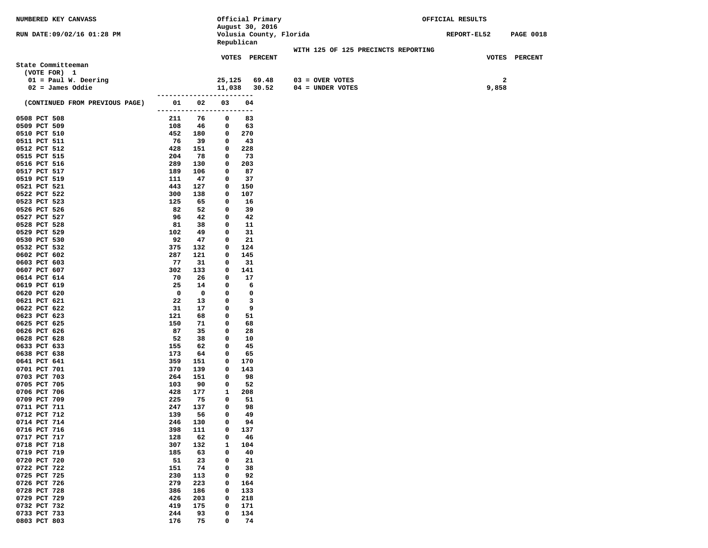| NUMBERED KEY CANVASS           |                          |            |             | Official Primary        |                                     | OFFICIAL RESULTS   |              |                  |
|--------------------------------|--------------------------|------------|-------------|-------------------------|-------------------------------------|--------------------|--------------|------------------|
|                                |                          |            |             | August 30, 2016         |                                     |                    |              |                  |
| RUN DATE:09/02/16 01:28 PM     |                          |            |             | Volusia County, Florida |                                     | <b>REPORT-EL52</b> |              | <b>PAGE 0018</b> |
|                                |                          |            |             | Republican              |                                     |                    |              |                  |
|                                |                          |            |             |                         | WITH 125 OF 125 PRECINCTS REPORTING |                    |              |                  |
| State Committeeman             |                          |            |             | VOTES PERCENT           |                                     |                    |              | VOTES PERCENT    |
| (VOTE FOR) 1                   |                          |            |             |                         |                                     |                    |              |                  |
| $01 = Paul W. Deering$         |                          |            | 25,125      | 69.48                   | $03 = OVER VOTES$                   |                    | $\mathbf{2}$ |                  |
| $02 =$ James Oddie             |                          |            | 11,038      | 30.52                   | $04 =$ UNDER VOTES                  |                    | 9,858        |                  |
|                                | ------------------------ |            |             |                         |                                     |                    |              |                  |
| (CONTINUED FROM PREVIOUS PAGE) | 01                       | 02         | 03          | 04                      |                                     |                    |              |                  |
|                                | --------------------     |            |             | ----                    |                                     |                    |              |                  |
| 0508 PCT 508                   | 211                      | 76         | 0           | 83                      |                                     |                    |              |                  |
| 0509 PCT 509                   | 108                      | 46         | 0           | 63                      |                                     |                    |              |                  |
| 0510 PCT 510                   | 452                      | 180        | 0           | 270                     |                                     |                    |              |                  |
| 0511 PCT 511                   | 76                       | 39         | 0           | 43                      |                                     |                    |              |                  |
| 0512 PCT 512                   | 428                      | 151        | 0           | 228                     |                                     |                    |              |                  |
| 0515 PCT 515                   | 204                      | 78         | 0           | 73                      |                                     |                    |              |                  |
| 0516 PCT 516                   | 289                      | 130        | 0           | 203                     |                                     |                    |              |                  |
| 0517 PCT 517                   | 189                      | 106        | 0           | 87                      |                                     |                    |              |                  |
| 0519 PCT 519                   | 111                      | 47         | 0           | 37                      |                                     |                    |              |                  |
| 0521 PCT 521                   | 443                      | 127        | 0           | 150                     |                                     |                    |              |                  |
| 0522 PCT 522                   | 300                      | 138        | 0           | 107                     |                                     |                    |              |                  |
| 0523 PCT 523                   | 125                      | 65         | 0           | 16                      |                                     |                    |              |                  |
| 0526 PCT 526                   | 82                       | 52         | 0           | 39                      |                                     |                    |              |                  |
| 0527 PCT 527<br>0528 PCT 528   | 96<br>81                 | 42<br>38   | 0<br>0      | 42<br>11                |                                     |                    |              |                  |
| 0529 PCT 529                   | 102                      | 49         | 0           | 31                      |                                     |                    |              |                  |
| 0530 PCT 530                   | 92                       | 47         | 0           | 21                      |                                     |                    |              |                  |
| 0532 PCT 532                   | 375                      | 132        | 0           | 124                     |                                     |                    |              |                  |
| 0602 PCT 602                   | 287                      | 121        | 0           | 145                     |                                     |                    |              |                  |
| 0603 PCT 603                   | 77                       | 31         | 0           | 31                      |                                     |                    |              |                  |
| 0607 PCT 607                   | 302                      | 133        | 0           | 141                     |                                     |                    |              |                  |
| 0614 PCT 614                   | 70                       | 26         | 0           | 17                      |                                     |                    |              |                  |
| 0619 PCT 619                   | 25                       | 14         | 0           | 6                       |                                     |                    |              |                  |
| 0620 PCT 620                   | $\mathbf 0$              | 0          | 0           | $\mathbf 0$             |                                     |                    |              |                  |
| 0621 PCT 621                   | 22                       | 13         | 0           | 3                       |                                     |                    |              |                  |
| 0622 PCT 622                   | 31                       | 17         | 0           | 9                       |                                     |                    |              |                  |
| 0623 PCT 623                   | 121                      | 68         | 0           | 51                      |                                     |                    |              |                  |
| 0625 PCT 625                   | 150                      | 71         | 0           | 68                      |                                     |                    |              |                  |
| 0626 PCT 626                   | 87                       | 35         | 0           | 28                      |                                     |                    |              |                  |
| 0628 PCT 628                   | 52                       | 38         | 0           | 10                      |                                     |                    |              |                  |
| 0633 PCT 633<br>0638 PCT 638   | 155<br>173               | 62<br>64   | 0<br>0      | 45<br>65                |                                     |                    |              |                  |
| 0641 PCT 641                   | 359                      | 151        | 0           | 170                     |                                     |                    |              |                  |
| 0701 PCT 701                   | 370                      | 139        | 0           | 143                     |                                     |                    |              |                  |
| 0703 PCT 703                   | 264                      | 151        | 0           | 98                      |                                     |                    |              |                  |
| 0705 PCT 705                   | 103                      | 90         | 0           | 52                      |                                     |                    |              |                  |
| 0706 PCT 706                   | 428                      | 177        | 1           | 208                     |                                     |                    |              |                  |
| 0709 PCT 709                   | 225                      | 75         | 0           | 51                      |                                     |                    |              |                  |
| 0711 PCT 711                   | 247                      | 137        | 0           | 98                      |                                     |                    |              |                  |
| 0712 PCT 712                   | 139                      | 56         | $\mathbf 0$ | 49                      |                                     |                    |              |                  |
| 0714 PCT 714                   | 246                      | 130        | 0           | 94                      |                                     |                    |              |                  |
| 0716 PCT 716                   | 398                      | 111        | 0           | 137                     |                                     |                    |              |                  |
| 0717 PCT 717                   | 128                      | 62         | 0           | 46                      |                                     |                    |              |                  |
| 0718 PCT 718                   | 307                      | 132        | 1           | 104                     |                                     |                    |              |                  |
| 0719 PCT 719                   | 185                      | 63         | 0           | 40                      |                                     |                    |              |                  |
| 0720 PCT 720                   | 51                       | 23         | 0           | 21                      |                                     |                    |              |                  |
| 0722 PCT 722                   | 151                      | 74         | 0           | 38                      |                                     |                    |              |                  |
| 0725 PCT 725                   | 230                      | 113        | 0           | 92                      |                                     |                    |              |                  |
| 0726 PCT 726                   | 279                      | 223        | 0           | 164                     |                                     |                    |              |                  |
| 0728 PCT 728<br>0729 PCT 729   | 386<br>426               | 186<br>203 | 0<br>0      | 133<br>218              |                                     |                    |              |                  |
| 0732 PCT 732                   | 419                      | 175        | 0           | 171                     |                                     |                    |              |                  |
| 0733 PCT 733                   | 244                      | 93         | 0           | 134                     |                                     |                    |              |                  |
| 0803 PCT 803                   | 176                      | 75         | 0           | 74                      |                                     |                    |              |                  |
|                                |                          |            |             |                         |                                     |                    |              |                  |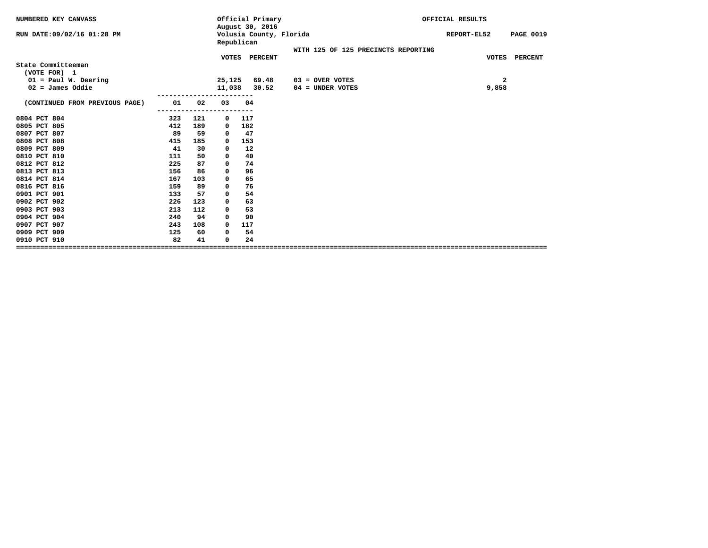| August 30, 2016<br>Volusia County, Florida<br>RUN DATE: 09/02/16 01:28 PM<br><b>PAGE 0019</b><br>REPORT-EL52<br>Republican   |  |
|------------------------------------------------------------------------------------------------------------------------------|--|
|                                                                                                                              |  |
| WITH 125 OF 125 PRECINCTS REPORTING                                                                                          |  |
| VOTES PERCENT<br><b>VOTES</b><br><b>PERCENT</b>                                                                              |  |
| State Committeeman                                                                                                           |  |
| (VOTE FOR) 1<br>$01 = Paul W. Deering$                                                                                       |  |
| 69.48<br>$\mathbf{2}$<br>25,125<br>$03 =$ OVER VOTES<br>11,038<br>30.52<br>$02 = James Oddie$<br>9,858<br>$04 =$ UNDER VOTES |  |
|                                                                                                                              |  |
| (CONTINUED FROM PREVIOUS PAGE)<br>01<br>02<br>03<br>04                                                                       |  |
|                                                                                                                              |  |
| 0804 PCT 804<br>117<br>323<br>121<br>$\mathbf{o}$                                                                            |  |
| 0805 PCT 805<br>412<br>189<br>182<br>0                                                                                       |  |
| 89<br>47<br>0807 PCT 807<br>59<br>0                                                                                          |  |
| 0808 PCT 808<br>415<br>185<br>153<br>0                                                                                       |  |
| 0809 PCT 809<br>41<br>12<br>30<br>0                                                                                          |  |
| 0810 PCT 810<br>50<br>40<br>111<br>0                                                                                         |  |
| 0812 PCT 812<br>225<br>87<br>74<br>0                                                                                         |  |
| 0813 PCT 813<br>86<br>96<br>156<br>0                                                                                         |  |
| 0814 PCT 814<br>167<br>65<br>103<br>0                                                                                        |  |
| 0816 PCT 816<br>76<br>159<br>89<br>0                                                                                         |  |
| 0901 PCT 901<br>57<br>54<br>133<br>0                                                                                         |  |
| 0902 PCT 902<br>226<br>123<br>63<br>0                                                                                        |  |
| 0903 PCT 903<br>112<br>53<br>213<br>$\mathbf 0$                                                                              |  |
| 0904 PCT 904<br>240<br>94<br>90<br>0                                                                                         |  |
| 0907 PCT 907<br>243<br>108<br>117<br>0                                                                                       |  |
| 0909 PCT 909<br>54<br>125<br>60<br>0                                                                                         |  |
| 82<br>41<br>24<br>0910 PCT 910<br>0                                                                                          |  |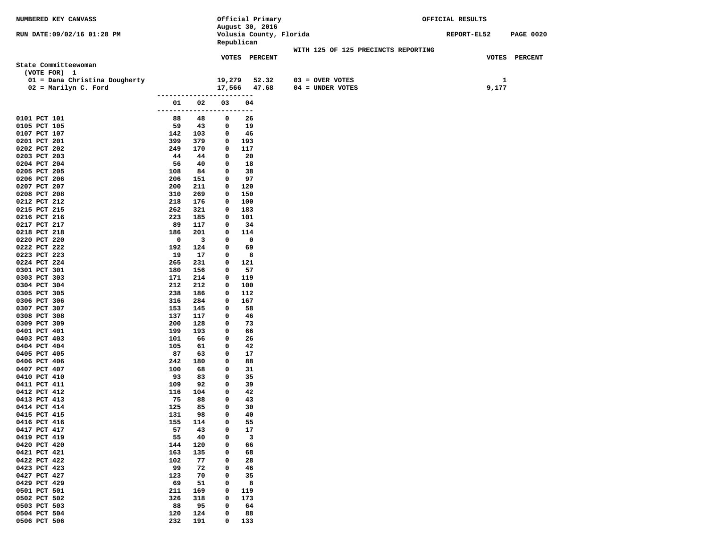| NUMBERED KEY CANVASS                 |                          |                         |                  | Official Primary        |                                     | OFFICIAL RESULTS |                  |
|--------------------------------------|--------------------------|-------------------------|------------------|-------------------------|-------------------------------------|------------------|------------------|
|                                      |                          |                         |                  | August 30, 2016         |                                     |                  |                  |
| RUN DATE: 09/02/16 01:28 PM          |                          |                         |                  | Volusia County, Florida |                                     | REPORT-EL52      | <b>PAGE 0020</b> |
|                                      |                          |                         |                  | Republican              |                                     |                  |                  |
|                                      |                          |                         |                  |                         | WITH 125 OF 125 PRECINCTS REPORTING |                  |                  |
|                                      |                          |                         |                  | VOTES PERCENT           |                                     |                  | VOTES PERCENT    |
| State Committeewoman<br>(VOTE FOR) 1 |                          |                         |                  |                         |                                     |                  |                  |
|                                      |                          |                         |                  |                         |                                     |                  |                  |
| 01 = Dana Christina Dougherty        |                          |                         | 19,279           | 52.32                   | $03 =$ OVER VOTES                   |                  | 1                |
| $02 =$ Marilyn C. Ford               | ------------------------ |                         | 17,566           | 47.68                   | $04 = UNDER VOTES$                  | 9,177            |                  |
|                                      | 01                       | 02                      | 03               | 04                      |                                     |                  |                  |
|                                      | ---------                |                         |                  | $---$                   |                                     |                  |                  |
| 0101 PCT 101                         | 88                       | 48                      | 0                | 26                      |                                     |                  |                  |
| 0105 PCT 105                         | 59                       | 43                      | 0                | 19                      |                                     |                  |                  |
| 0107 PCT 107                         | 142                      | 103                     | 0                | 46                      |                                     |                  |                  |
| 0201 PCT 201                         | 399                      | 379                     | 0                | 193                     |                                     |                  |                  |
| 0202 PCT 202                         | 249                      | 170                     | 0                | 117                     |                                     |                  |                  |
| 0203 PCT 203                         | 44                       | 44                      | 0                | 20                      |                                     |                  |                  |
| 0204 PCT 204                         | 56                       | 40                      | 0                | 18                      |                                     |                  |                  |
| 0205 PCT 205                         | 108                      | 84                      | 0                | 38                      |                                     |                  |                  |
| 0206 PCT 206                         | 206                      | 151                     | 0                | 97                      |                                     |                  |                  |
| 0207 PCT 207                         | 200                      | 211                     | 0                | 120                     |                                     |                  |                  |
| 0208 PCT 208                         | 310                      | 269                     | 0                | 150                     |                                     |                  |                  |
| 0212 PCT 212                         | 218                      | 176                     | 0                | 100                     |                                     |                  |                  |
| 0215 PCT 215                         | 262                      | 321                     | 0                | 183                     |                                     |                  |                  |
| 0216 PCT 216                         | 223                      | 185                     | 0                | 101                     |                                     |                  |                  |
| 0217 PCT 217                         | 89                       | 117                     | 0                | -34                     |                                     |                  |                  |
| 0218 PCT 218                         | 186                      | 201                     | 0                | 114                     |                                     |                  |                  |
| 0220 PCT 220                         | 0                        | $\overline{\mathbf{3}}$ | 0                | 0                       |                                     |                  |                  |
| 0222 PCT 222                         | 192                      | 124                     | 0                | 69                      |                                     |                  |                  |
| 0223 PCT 223<br>0224 PCT 224         | 19<br>265                | 17<br>231               | 0<br>0           | 8<br>121                |                                     |                  |                  |
| 0301 PCT 301                         | 180                      | 156                     | 0                | 57                      |                                     |                  |                  |
| 0303 PCT 303                         | 171                      | 214                     | 0                | 119                     |                                     |                  |                  |
| 0304 PCT 304                         | 212                      | 212                     | 0                | 100                     |                                     |                  |                  |
| 0305 PCT 305                         | 238                      | 186                     | 0                | 112                     |                                     |                  |                  |
| 0306 PCT 306                         | 316                      | 284                     | 0                | 167                     |                                     |                  |                  |
| 0307 PCT 307                         | 153                      | 145                     | 0                | 58                      |                                     |                  |                  |
| 0308 PCT 308                         | 137                      | 117                     | 0                | 46                      |                                     |                  |                  |
| 0309 PCT 309                         | 200                      | 128                     | 0                | 73                      |                                     |                  |                  |
| 0401 PCT 401                         | 199                      | 193                     | 0                | 66                      |                                     |                  |                  |
| 0403 PCT 403                         | 101                      | 66                      | 0                | 26                      |                                     |                  |                  |
| 0404 PCT 404                         | 105                      | 61                      | 0                | 42                      |                                     |                  |                  |
| 0405 PCT 405                         | 87                       | 63                      | 0                | 17                      |                                     |                  |                  |
| 0406 PCT 406                         | 242                      | 180                     | 0                | 88                      |                                     |                  |                  |
| 0407 PCT 407                         | 100                      | 68                      | 0                | 31                      |                                     |                  |                  |
| 0410 PCT 410                         | 93                       | 83                      | 0<br>0           | 35                      |                                     |                  |                  |
| 0411 PCT 411<br>0412 PCT 412         | 109<br>116               | 92<br>104               | $\mathbf 0$      | 39<br>42                |                                     |                  |                  |
| 0413 PCT 413                         | 75                       | 88                      | 0                | 43                      |                                     |                  |                  |
| 0414 PCT 414                         | 125                      | 85                      | 0                | 30                      |                                     |                  |                  |
| 0415 PCT 415                         | 131                      | 98                      | 0                | 40                      |                                     |                  |                  |
| 0416 PCT 416                         | 155                      | 114                     | 0                | 55                      |                                     |                  |                  |
| 0417 PCT 417                         | 57                       | 43                      | 0                | 17                      |                                     |                  |                  |
| 0419 PCT 419                         | 55                       | 40                      | 0                | 3                       |                                     |                  |                  |
| 0420 PCT 420                         | 144                      | 120                     | 0                | 66                      |                                     |                  |                  |
| 0421 PCT 421                         | 163                      | 135                     | 0                | 68                      |                                     |                  |                  |
| 0422 PCT 422                         | 102                      | 77                      | 0                | 28                      |                                     |                  |                  |
| 0423 PCT 423                         | 99                       | 72                      | 0                | 46                      |                                     |                  |                  |
| 0427 PCT 427                         | 123                      | 70                      | $\mathbf 0$      | 35                      |                                     |                  |                  |
| 0429 PCT 429                         | 69                       | 51                      | 0                | 8                       |                                     |                  |                  |
| 0501 PCT 501                         | 211                      | 169                     | 0                | 119                     |                                     |                  |                  |
| 0502 PCT 502                         | 326                      | 318                     | 0                | 173                     |                                     |                  |                  |
| 0503 PCT 503                         | 88                       | 95                      | 0                | 64                      |                                     |                  |                  |
| 0504 PCT 504                         | 120<br>232               | 124<br>191              | 0<br>$\mathbf 0$ | 88                      |                                     |                  |                  |
| 0506 PCT 506                         |                          |                         |                  | 133                     |                                     |                  |                  |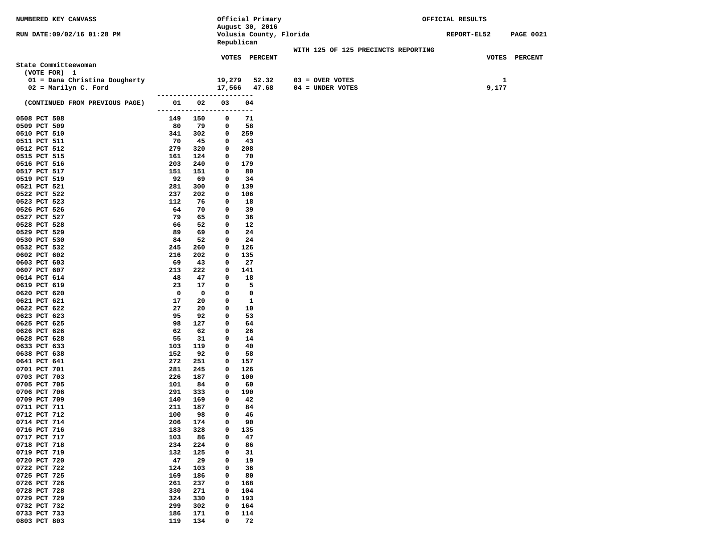| NUMBERED KEY CANVASS                       |                         |                          | Official Primary         |                                     | OFFICIAL RESULTS   |       |                  |
|--------------------------------------------|-------------------------|--------------------------|--------------------------|-------------------------------------|--------------------|-------|------------------|
|                                            |                         |                          | August 30, 2016          |                                     |                    |       |                  |
| RUN DATE: 09/02/16 01:28 PM                |                         |                          | Volusia County, Florida  |                                     | <b>REPORT-EL52</b> |       | <b>PAGE 0021</b> |
|                                            |                         | Republican               |                          |                                     |                    |       |                  |
|                                            |                         |                          | <b>VOTES PERCENT</b>     | WITH 125 OF 125 PRECINCTS REPORTING |                    |       | VOTES PERCENT    |
| State Committeewoman                       |                         |                          |                          |                                     |                    |       |                  |
| (VOTE FOR) 1                               |                         |                          |                          |                                     |                    |       |                  |
| 01 = Dana Christina Dougherty              |                         | 19,279                   | 52.32                    | $03 =$ OVER VOTES                   |                    | 1     |                  |
| $02 =$ Marilyn C. Ford                     |                         |                          | 17,566 47.68             | $04 = UNDER VOTES$                  |                    | 9,177 |                  |
|                                            |                         | ------------------------ |                          |                                     |                    |       |                  |
| (CONTINUED FROM PREVIOUS PAGE)             | 01 02                   | 03                       | 04                       |                                     |                    |       |                  |
|                                            |                         | ------------------------ |                          |                                     |                    |       |                  |
| 0508 PCT 508                               | 149 150                 | 0                        | 71                       |                                     |                    |       |                  |
| 0509 PCT 509<br>80                         | 79                      | 0                        | 58                       |                                     |                    |       |                  |
| 0510 PCT 510<br>341                        | 302                     | $\mathbf{o}$             | 259                      |                                     |                    |       |                  |
| 70<br>0511 PCT 511                         | 45                      | 0                        | 43                       |                                     |                    |       |                  |
| 279<br>0512 PCT 512                        | 320                     | $\mathbf 0$              | 208                      |                                     |                    |       |                  |
| 0515 PCT 515<br>161<br>203                 | 124                     | 0                        | 70                       |                                     |                    |       |                  |
| 0516 PCT 516<br>0517 PCT 517<br>151        | 240<br>151              | 0<br>0                   | 179<br>80                |                                     |                    |       |                  |
| 92<br>0519 PCT 519                         | 69                      | 0                        | 34                       |                                     |                    |       |                  |
| 281<br>0521 PCT 521                        | 300                     | 0                        | 139                      |                                     |                    |       |                  |
| 0522 PCT 522<br>237                        | 202                     | 0                        | 106                      |                                     |                    |       |                  |
| 0523 PCT 523<br>112                        | 76                      | 0                        | 18                       |                                     |                    |       |                  |
| 0526 PCT 526<br>64                         | 70                      | 0                        | 39                       |                                     |                    |       |                  |
| 0527 PCT 527<br>79                         | 65                      | 0                        | 36                       |                                     |                    |       |                  |
| 0528 PCT 528<br>66                         | 52                      | 0                        | 12                       |                                     |                    |       |                  |
| 89<br>0529 PCT 529                         | 69                      | 0                        | 24                       |                                     |                    |       |                  |
| 0530 PCT 530<br>84                         | 52                      | 0                        | 24                       |                                     |                    |       |                  |
| 0532 PCT 532<br>245                        | 260                     | 0                        | 126                      |                                     |                    |       |                  |
| 216<br>0602 PCT 602                        | 202                     | 0                        | 135                      |                                     |                    |       |                  |
| 0603 PCT 603<br>- 69                       | 43                      | 0                        | 27                       |                                     |                    |       |                  |
| 0607 PCT 607<br>213                        | 222                     | 0                        | 141                      |                                     |                    |       |                  |
| 0614 PCT 614<br>48<br>0619 PCT 619<br>-23  | 47<br>17                | 0<br>0                   | 18<br>- 5                |                                     |                    |       |                  |
| 0620 PCT 620<br>$\overline{\phantom{0}}$   | $\overline{\mathbf{0}}$ | 0                        | $\overline{\phantom{0}}$ |                                     |                    |       |                  |
| 0621 PCT 621<br>17                         | 20                      | 0                        | 1                        |                                     |                    |       |                  |
| 0622 PCT 622<br>27                         | 20                      | 0                        | 10                       |                                     |                    |       |                  |
| 0623 PCT 623<br>95                         | 92                      | 0                        | 53                       |                                     |                    |       |                  |
| 0625 PCT 625<br>98                         | 127                     | 0                        | 64                       |                                     |                    |       |                  |
| 0626 PCT 626<br>62                         | 62                      | 0                        | 26                       |                                     |                    |       |                  |
| 0628 PCT 628<br>55                         | 31                      | 0                        | 14                       |                                     |                    |       |                  |
| 0633 PCT 633<br>103                        | 119                     | 0                        | 40                       |                                     |                    |       |                  |
| 0638 PCT 638<br>152                        | 92                      | 0                        | 58                       |                                     |                    |       |                  |
| 272<br>0641 PCT 641                        | 251                     | 0                        | 157                      |                                     |                    |       |                  |
| 0701 PCT 701<br>281                        | 245                     | 0                        | 126                      |                                     |                    |       |                  |
| 0703 PCT 703<br>226<br>0705 PCT 705<br>101 | 187<br>84               | 0<br>0                   | 100<br>60                |                                     |                    |       |                  |
| 291<br>0706 PCT 706                        | 333                     | 0                        | 190                      |                                     |                    |       |                  |
| 0709 PCT 709<br>140                        | 169                     | 0                        | 42                       |                                     |                    |       |                  |
| 211<br>0711 PCT 711                        | 187                     | 0                        | 84                       |                                     |                    |       |                  |
| 100<br>0712 PCT 712                        | 98                      | 0                        | 46                       |                                     |                    |       |                  |
| 0714 PCT 714<br>206                        | 174                     | 0                        | 90                       |                                     |                    |       |                  |
| 0716 PCT 716<br>183                        | 328                     | 0                        | 135                      |                                     |                    |       |                  |
| 0717 PCT 717<br>103                        | 86                      | 0                        | 47                       |                                     |                    |       |                  |
| 0718 PCT 718<br>234                        | 224                     | 0                        | 86                       |                                     |                    |       |                  |
| 0719 PCT 719<br>132                        | 125                     | 0                        | 31                       |                                     |                    |       |                  |
| 0720 PCT 720<br>47                         | 29                      | 0                        | 19                       |                                     |                    |       |                  |
| 0722 PCT 722<br>124                        | 103                     | 0                        | 36                       |                                     |                    |       |                  |
| 0725 PCT 725<br>169                        | 186                     | 0                        | 80                       |                                     |                    |       |                  |
| 0726 PCT 726<br>261                        | 237                     | 0                        | 168                      |                                     |                    |       |                  |
| 0728 PCT 728<br>330<br>0729 PCT 729<br>324 | 271<br>330              | 0<br>0                   | 104<br>193               |                                     |                    |       |                  |
| 0732 PCT 732<br>299                        | 302                     | 0                        | 164                      |                                     |                    |       |                  |
| 0733 PCT 733<br>186                        | 171                     | 0                        | 114                      |                                     |                    |       |                  |
| 0803 PCT 803<br>119                        | 134                     | 0                        | 72                       |                                     |                    |       |                  |
|                                            |                         |                          |                          |                                     |                    |       |                  |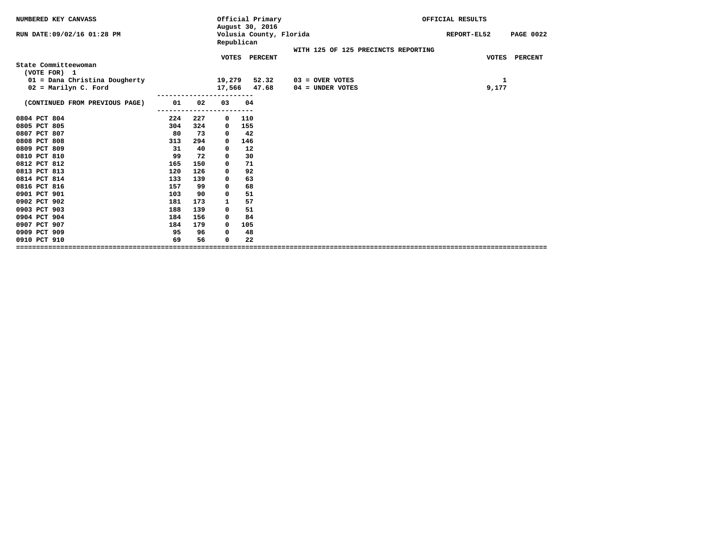| NUMBERED KEY CANVASS                                  |     |     |                  | Official Primary<br>August 30, 2016 |                         |                                         |                                     | OFFICIAL RESULTS |                  |
|-------------------------------------------------------|-----|-----|------------------|-------------------------------------|-------------------------|-----------------------------------------|-------------------------------------|------------------|------------------|
| RUN DATE: 09/02/16 01:28 PM                           |     |     | Republican       |                                     | Volusia County, Florida |                                         |                                     | REPORT-EL52      | <b>PAGE 0022</b> |
|                                                       |     |     |                  | VOTES PERCENT                       |                         |                                         | WITH 125 OF 125 PRECINCTS REPORTING |                  | VOTES PERCENT    |
| State Committeewoman<br>(VOTE FOR) 1                  |     |     |                  |                                     |                         |                                         |                                     |                  |                  |
| 01 = Dana Christina Dougherty<br>02 = Marilyn C. Ford |     |     | 19,279<br>17,566 | 52.32<br>47.68                      |                         | $03 =$ OVER VOTES<br>$04 =$ UNDER VOTES |                                     | 1<br>9,177       |                  |
| (CONTINUED FROM PREVIOUS PAGE)                        | 01  | 02  | ----------<br>03 | 04                                  |                         |                                         |                                     |                  |                  |
| 0804 PCT 804                                          | 224 | 227 | $\mathbf{o}$     | 110                                 |                         |                                         |                                     |                  |                  |
| 0805 PCT 805                                          | 304 | 324 | $\mathbf{o}$     | 155                                 |                         |                                         |                                     |                  |                  |
| 0807 PCT 807                                          | 80  | 73  | 0                | 42                                  |                         |                                         |                                     |                  |                  |
| 0808 PCT 808                                          | 313 | 294 | 0                | 146                                 |                         |                                         |                                     |                  |                  |
| 0809 PCT 809                                          | 31  | 40  | 0                | 12                                  |                         |                                         |                                     |                  |                  |
| 0810 PCT 810                                          | 99  | 72  | 0                | 30                                  |                         |                                         |                                     |                  |                  |
| 0812 PCT 812                                          | 165 | 150 | 0                | 71                                  |                         |                                         |                                     |                  |                  |
| 0813 PCT 813                                          | 120 | 126 | 0                | 92                                  |                         |                                         |                                     |                  |                  |
| 0814 PCT 814                                          | 133 | 139 | 0                | 63                                  |                         |                                         |                                     |                  |                  |
| 0816 PCT 816                                          | 157 | 99  | 0                | 68                                  |                         |                                         |                                     |                  |                  |
| 0901 PCT 901                                          | 103 | 90  | 0                | 51                                  |                         |                                         |                                     |                  |                  |
| 0902 PCT 902                                          | 181 | 173 | 1                | 57                                  |                         |                                         |                                     |                  |                  |
| 0903 PCT 903                                          | 188 | 139 | 0                | 51                                  |                         |                                         |                                     |                  |                  |
| 0904 PCT 904                                          | 184 | 156 | 0                | 84                                  |                         |                                         |                                     |                  |                  |
| 0907 PCT 907                                          | 184 | 179 | $\Omega$         | 105                                 |                         |                                         |                                     |                  |                  |
| 0909 PCT 909                                          | 95  | 96  | 0                | 48                                  |                         |                                         |                                     |                  |                  |
| 0910 PCT 910                                          | 69  | 56  | $\Omega$         | 22                                  |                         |                                         |                                     |                  |                  |
|                                                       |     |     |                  |                                     |                         |                                         |                                     |                  |                  |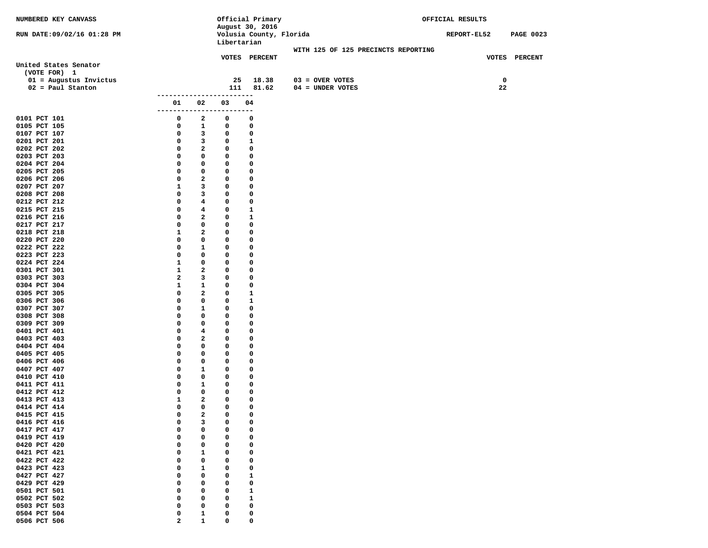| NUMBERED KEY CANVASS         |                         |                         |             | Official Primary        |                                     | OFFICIAL RESULTS |                  |
|------------------------------|-------------------------|-------------------------|-------------|-------------------------|-------------------------------------|------------------|------------------|
|                              |                         |                         |             | August 30, 2016         |                                     |                  |                  |
| RUN DATE:09/02/16 01:28 PM   |                         |                         | Libertarian | Volusia County, Florida |                                     | REPORT-EL52      | <b>PAGE 0023</b> |
|                              |                         |                         |             |                         | WITH 125 OF 125 PRECINCTS REPORTING |                  |                  |
|                              |                         |                         |             | VOTES PERCENT           |                                     |                  | VOTES PERCENT    |
| United States Senator        |                         |                         |             |                         |                                     |                  |                  |
| (VOTE FOR) 1                 |                         |                         |             |                         |                                     |                  |                  |
| 01 = Augustus Invictus       |                         |                         | 25          | 18.38                   | $03 =$ OVER VOTES                   | 0                |                  |
| $02 = Paul Stanton$          |                         |                         | 111         | 81.62                   | 04 = UNDER VOTES                    | 22               |                  |
|                              | -------------------     |                         |             | -----                   |                                     |                  |                  |
|                              | 01                      | 02                      | 03          | 04                      |                                     |                  |                  |
|                              | --------                | ---                     | $- - -$     | $- -$                   |                                     |                  |                  |
| 0101 PCT 101                 | 0                       | 2                       | 0           | 0                       |                                     |                  |                  |
| 0105 PCT 105                 | 0                       | $\mathbf{1}$            | 0           | 0                       |                                     |                  |                  |
| 0107 PCT 107                 | 0                       | 3                       | 0           | 0                       |                                     |                  |                  |
| 0201 PCT 201                 | 0                       | 3                       | 0           | 1                       |                                     |                  |                  |
| 0202 PCT 202                 | 0                       | $\mathbf{2}$            | 0           | $\mathbf 0$             |                                     |                  |                  |
| 0203 PCT 203                 | 0                       | 0                       | 0           | 0                       |                                     |                  |                  |
| 0204 PCT 204                 | 0                       | 0                       | 0           | 0                       |                                     |                  |                  |
| 0205 PCT 205                 | 0                       | 0                       | 0           | 0                       |                                     |                  |                  |
| 0206 PCT 206                 | 0                       | 2                       | 0           | 0                       |                                     |                  |                  |
| 0207 PCT 207                 | 1                       | 3                       | 0           | 0                       |                                     |                  |                  |
| 0208 PCT 208<br>0212 PCT 212 | 0<br>0                  | 3<br>4                  | 0<br>0      | 0<br>0                  |                                     |                  |                  |
| 0215 PCT 215                 | 0                       | $4\phantom{1}$          | 0           | 1                       |                                     |                  |                  |
| 0216 PCT 216                 | 0                       | $\overline{a}$          | 0           | 1                       |                                     |                  |                  |
| 0217 PCT 217                 | 0                       | 0                       | 0           | 0                       |                                     |                  |                  |
| 0218 PCT 218                 | 1                       | $\mathbf{2}$            | 0           | 0                       |                                     |                  |                  |
| 0220 PCT 220                 | 0                       | 0                       | 0           | 0                       |                                     |                  |                  |
| 0222 PCT 222                 | 0                       | $\mathbf{1}$            | 0           | 0                       |                                     |                  |                  |
| 0223 PCT 223                 | $\mathbf 0$             | 0                       | $\mathbf 0$ | 0                       |                                     |                  |                  |
| 0224 PCT 224                 | $\mathbf{1}$            | 0                       | 0           | 0                       |                                     |                  |                  |
| 0301 PCT 301                 | $\mathbf{1}$            | 2                       | 0           | 0                       |                                     |                  |                  |
| 0303 PCT 303                 | $\mathbf{2}$            | 3                       | 0           | 0                       |                                     |                  |                  |
| 0304 PCT 304                 | 1                       | $\mathbf{1}$            | 0           | 0                       |                                     |                  |                  |
| 0305 PCT 305                 | 0                       | 2                       | 0           | 1                       |                                     |                  |                  |
| 0306 PCT 306                 | $\mathbf 0$             | 0                       | 0           | 1                       |                                     |                  |                  |
| 0307 PCT 307                 | 0                       | $\mathbf{1}$            | 0           | 0                       |                                     |                  |                  |
| 0308 PCT 308                 | 0                       | 0                       | 0           | 0                       |                                     |                  |                  |
| 0309 PCT 309                 | 0                       | 0                       | 0<br>0      | 0                       |                                     |                  |                  |
| 0401 PCT 401<br>0403 PCT 403 | 0<br>0                  | 4<br>2                  | 0           | 0<br>0                  |                                     |                  |                  |
| 0404 PCT 404                 | 0                       | 0                       | 0           | 0                       |                                     |                  |                  |
| 0405 PCT 405                 | 0                       | 0                       | 0           | 0                       |                                     |                  |                  |
| 0406 PCT 406                 | 0                       | 0                       | 0           | 0                       |                                     |                  |                  |
| 0407 PCT 407                 | 0                       | 1                       | 0           | 0                       |                                     |                  |                  |
| 0410 PCT 410                 | 0                       | 0                       | 0           | 0                       |                                     |                  |                  |
| 0411 PCT 411                 | 0                       | $\mathbf{1}$            | 0           | 0                       |                                     |                  |                  |
| 0412 PCT 412                 | $\mathbf 0$             | 0                       | 0           | 0                       |                                     |                  |                  |
| 0413 PCT 413                 | 1                       | 2                       | 0           | 0                       |                                     |                  |                  |
| 0414 PCT 414                 | 0                       | $\mathbf 0$             | 0           | 0                       |                                     |                  |                  |
| 0415 PCT 415                 | $\mathbf{0}$            | $\overline{\mathbf{2}}$ | $\mathbf 0$ | $\mathbf 0$             |                                     |                  |                  |
| 0416 PCT 416                 | 0                       | 3                       | 0           | 0                       |                                     |                  |                  |
| 0417 PCT 417                 | 0                       | 0                       | 0           | 0                       |                                     |                  |                  |
| 0419 PCT 419                 | 0                       | 0                       | 0           | 0                       |                                     |                  |                  |
| 0420 PCT 420                 | 0                       | 0                       | 0           | 0                       |                                     |                  |                  |
| 0421 PCT 421                 | 0                       | 1                       | 0           | 0                       |                                     |                  |                  |
| 0422 PCT 422                 | 0                       | 0                       | 0           | 0                       |                                     |                  |                  |
| 0423 PCT 423<br>0427 PCT 427 | 0<br>0                  | 1<br>0                  | 0<br>0      | 0<br>$\mathbf{1}$       |                                     |                  |                  |
| 0429 PCT 429                 | 0                       | 0                       | 0           | 0                       |                                     |                  |                  |
| 0501 PCT 501                 | 0                       | 0                       | 0           | $\mathbf{1}$            |                                     |                  |                  |
| 0502 PCT 502                 | 0                       | 0                       | 0           | ${\bf 1}$               |                                     |                  |                  |
| 0503 PCT 503                 | 0                       | 0                       | 0           | 0                       |                                     |                  |                  |
| 0504 PCT 504                 | 0                       | 1                       | 0           | 0                       |                                     |                  |                  |
| 0506 PCT 506                 | $\overline{\mathbf{2}}$ | $\mathbf{1}$            | 0           | 0                       |                                     |                  |                  |
|                              |                         |                         |             |                         |                                     |                  |                  |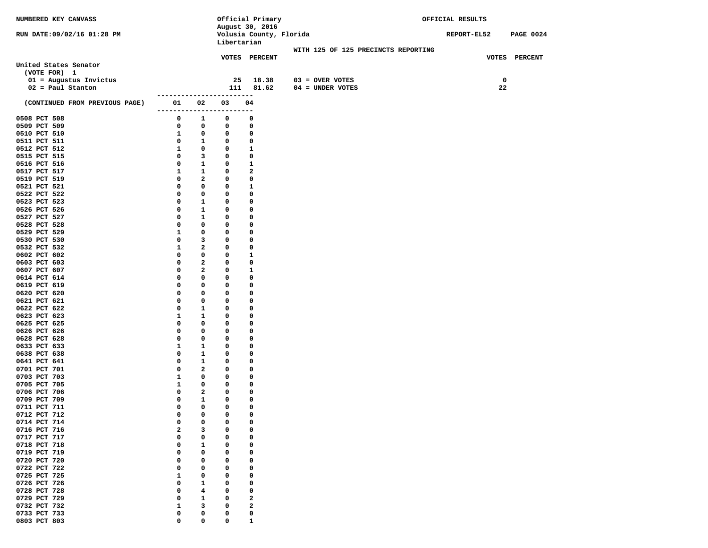| NUMBERED KEY CANVASS           |                     |              |             | Official Primary        |                                     | OFFICIAL RESULTS |                  |
|--------------------------------|---------------------|--------------|-------------|-------------------------|-------------------------------------|------------------|------------------|
|                                |                     |              |             | August 30, 2016         |                                     |                  |                  |
| RUN DATE:09/02/16 01:28 PM     |                     |              |             | Volusia County, Florida |                                     | REPORT-EL52      | <b>PAGE 0024</b> |
|                                |                     |              | Libertarian |                         |                                     |                  |                  |
|                                |                     |              |             |                         | WITH 125 OF 125 PRECINCTS REPORTING |                  |                  |
|                                |                     |              |             | VOTES PERCENT           |                                     |                  | VOTES PERCENT    |
| United States Senator          |                     |              |             |                         |                                     |                  |                  |
| (VOTE FOR) 1                   |                     |              |             |                         |                                     |                  |                  |
| $01$ = Augustus Invictus       |                     |              | 25          | 18.38                   | $03 =$ OVER VOTES                   |                  | $\mathbf 0$      |
| $02 = Paul Stanton$            |                     |              | 111         | 81.62                   | 04 = UNDER VOTES                    |                  | 22               |
|                                | ------------------- |              | -----       |                         |                                     |                  |                  |
| (CONTINUED FROM PREVIOUS PAGE) | 01                  | 02           | 03          | 04                      |                                     |                  |                  |
|                                | --------            | ----         |             | ---                     |                                     |                  |                  |
| 0508 PCT 508                   | 0                   | 1            | 0           | 0                       |                                     |                  |                  |
| 0509 PCT 509                   | 0                   | 0            | 0           | 0                       |                                     |                  |                  |
| 0510 PCT 510                   | 1                   | 0            | 0           | 0                       |                                     |                  |                  |
| 0511 PCT 511                   | 0                   | $\mathbf{1}$ | 0           | 0                       |                                     |                  |                  |
| 0512 PCT 512                   | 1                   | $\mathbf 0$  | 0           | 1                       |                                     |                  |                  |
| 0515 PCT 515                   | 0                   | 3            | 0           | 0                       |                                     |                  |                  |
| 0516 PCT 516                   | 0                   | $\mathbf{1}$ | 0           | $\mathbf{1}$            |                                     |                  |                  |
| 0517 PCT 517                   | 1                   | $\mathbf{1}$ | 0           | $\mathbf{2}$            |                                     |                  |                  |
| 0519 PCT 519                   | 0                   | $\mathbf{2}$ | 0           | 0                       |                                     |                  |                  |
| 0521 PCT 521                   | 0                   | 0            | 0           | 1                       |                                     |                  |                  |
| 0522 PCT 522                   | 0                   | 0            | 0           | 0                       |                                     |                  |                  |
| 0523 PCT 523                   | 0                   | 1            | 0           | 0                       |                                     |                  |                  |
| 0526 PCT 526                   | 0                   | 1            | 0           | 0                       |                                     |                  |                  |
| 0527 PCT 527                   | 0<br>0              | 1<br>0       | 0<br>0      | 0<br>0                  |                                     |                  |                  |
| 0528 PCT 528                   |                     | 0            |             |                         |                                     |                  |                  |
| 0529 PCT 529<br>0530 PCT 530   | 1<br>0              | 3            | 0<br>0      | 0<br>0                  |                                     |                  |                  |
|                                | $\mathbf{1}$        | 2            | 0           | 0                       |                                     |                  |                  |
| 0532 PCT 532<br>0602 PCT 602   | 0                   | 0            | 0           | $\mathbf{1}$            |                                     |                  |                  |
| 0603 PCT 603                   | 0                   | 2            | 0           | 0                       |                                     |                  |                  |
| 0607 PCT 607                   | 0                   | 2            | 0           | 1                       |                                     |                  |                  |
| 0614 PCT 614                   | 0                   | 0            | 0           | 0                       |                                     |                  |                  |
| 0619 PCT 619                   | 0                   | 0            | 0           | 0                       |                                     |                  |                  |
| 0620 PCT 620                   | 0                   | 0            | 0           | 0                       |                                     |                  |                  |
| 0621 PCT 621                   | 0                   | 0            | 0           | 0                       |                                     |                  |                  |
| 0622 PCT 622                   | 0                   | 1            | 0           | 0                       |                                     |                  |                  |
| 0623 PCT 623                   | 1                   | 1            | 0           | 0                       |                                     |                  |                  |
| 0625 PCT 625                   | 0                   | 0            | 0           | 0                       |                                     |                  |                  |
| 0626 PCT 626                   | 0                   | 0            | 0           | 0                       |                                     |                  |                  |
| 0628 PCT 628                   | 0                   | 0            | 0           | 0                       |                                     |                  |                  |
| 0633 PCT 633                   | 1                   | $\mathbf{1}$ | 0           | 0                       |                                     |                  |                  |
| 0638 PCT 638                   | 0                   | 1            | 0           | 0                       |                                     |                  |                  |
| 0641 PCT 641                   | 0                   | 1            | 0           | 0                       |                                     |                  |                  |
| 0701 PCT 701                   | 0                   | $\mathbf{2}$ | 0           | 0                       |                                     |                  |                  |
| 0703 PCT 703                   | 1                   | 0            | 0           | 0                       |                                     |                  |                  |
| 0705 PCT 705                   | 1                   | 0            | 0           | 0                       |                                     |                  |                  |
| 0706 PCT 706                   | 0                   | $\mathbf{2}$ | 0           | 0                       |                                     |                  |                  |
| 0709 PCT 709                   | 0                   | 1            | 0           | 0                       |                                     |                  |                  |
| 0711 PCT 711                   | 0                   | 0            | 0           | 0                       |                                     |                  |                  |
| 0712 PCT 712                   | $\mathbf 0$         | 0            | $\mathbf 0$ | 0                       |                                     |                  |                  |
| 0714 PCT 714                   | 0                   | 0            | 0           | 0                       |                                     |                  |                  |
| 0716 PCT 716                   | 2                   | 3            | 0           | 0                       |                                     |                  |                  |
| 0717 PCT 717                   | 0                   | 0            | 0           | 0                       |                                     |                  |                  |
| 0718 PCT 718                   | 0                   | 1            | 0           | 0                       |                                     |                  |                  |
| 0719 PCT 719                   | 0                   | 0            | 0           | 0                       |                                     |                  |                  |
| 0720 PCT 720                   | 0                   | 0            | 0           | 0                       |                                     |                  |                  |
| 0722 PCT 722                   | 0                   | 0            | 0           | 0                       |                                     |                  |                  |
| 0725 PCT 725                   | 1                   | 0            | 0           | 0                       |                                     |                  |                  |
| 0726 PCT 726                   | 0                   | 1            | 0           | 0                       |                                     |                  |                  |
| 0728 PCT 728                   | 0                   | 4            | 0           | 0                       |                                     |                  |                  |
| 0729 PCT 729                   | 0                   | 1            | 0           | $\mathbf{2}$            |                                     |                  |                  |
| 0732 PCT 732                   | 1                   | 3            | 0           | $\mathbf{2}$            |                                     |                  |                  |
| 0733 PCT 733                   | 0                   | 0            | 0           | 0                       |                                     |                  |                  |
| 0803 PCT 803                   | 0                   | 0            | 0           | $\mathbf{1}$            |                                     |                  |                  |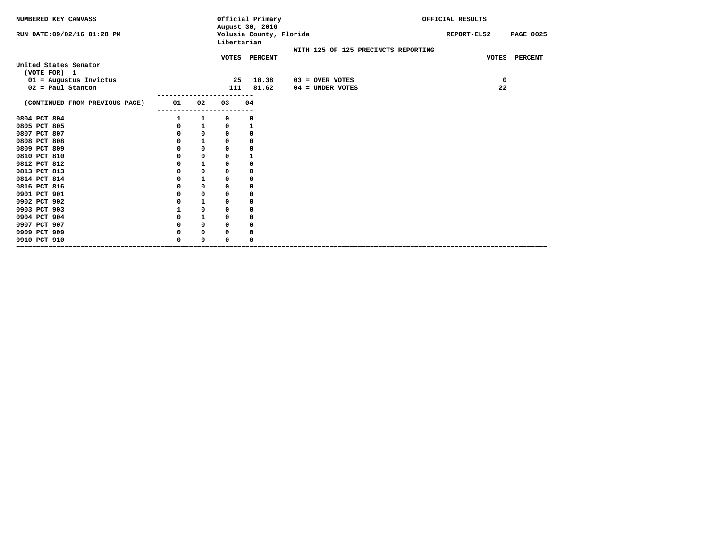| NUMBERED KEY CANVASS                            |          |              |             | Official Primary<br>August 30, 2016 |                                         |  | OFFICIAL RESULTS |                  |
|-------------------------------------------------|----------|--------------|-------------|-------------------------------------|-----------------------------------------|--|------------------|------------------|
| RUN DATE:09/02/16 01:28 PM                      |          |              | Libertarian | Volusia County, Florida             |                                         |  | REPORT-EL52      | <b>PAGE 0025</b> |
|                                                 |          |              |             |                                     | WITH 125 OF 125 PRECINCTS REPORTING     |  |                  |                  |
| United States Senator<br>(VOTE FOR) 1           |          |              |             | VOTES PERCENT                       |                                         |  | <b>VOTES</b>     | PERCENT          |
| $01$ = Augustus Invictus<br>$02 = Paul Stanton$ |          |              | 25<br>111   | 18.38<br>81.62                      | $03 =$ OVER VOTES<br>$04 =$ UNDER VOTES |  | 0<br>22          |                  |
| (CONTINUED FROM PREVIOUS PAGE)                  | 01       | 02           | 03          | 04                                  |                                         |  |                  |                  |
| 0804 PCT 804                                    |          | 1            | 0           | 0                                   |                                         |  |                  |                  |
| 0805 PCT 805                                    | 0        | $\mathbf{1}$ | 0           | 1                                   |                                         |  |                  |                  |
| 0807 PCT 807                                    | 0        | $\mathbf 0$  | $\mathbf 0$ | 0                                   |                                         |  |                  |                  |
| 0808 PCT 808                                    | 0        | $\mathbf{1}$ | 0           | 0                                   |                                         |  |                  |                  |
| 0809 PCT 809                                    | 0        | 0            | $\mathbf 0$ | 0                                   |                                         |  |                  |                  |
| 0810 PCT 810                                    | 0        | $\mathbf 0$  | $\mathbf 0$ | $\mathbf{1}$                        |                                         |  |                  |                  |
| 0812 PCT 812                                    | 0        | $\mathbf{1}$ | $\mathbf 0$ | $\mathbf 0$                         |                                         |  |                  |                  |
| 0813 PCT 813                                    | 0        | $\mathbf 0$  | $\mathbf 0$ | 0                                   |                                         |  |                  |                  |
| 0814 PCT 814                                    |          | $\mathbf{1}$ | 0           | 0                                   |                                         |  |                  |                  |
| 0816 PCT 816                                    | 0        | 0            | 0           | 0                                   |                                         |  |                  |                  |
| 0901 PCT 901                                    | 0        | $\mathbf 0$  | 0           | 0                                   |                                         |  |                  |                  |
| 0902 PCT 902                                    | 0        | ${\bf 1}$    | $\mathbf 0$ | 0                                   |                                         |  |                  |                  |
| 0903 PCT 903                                    | 1        | $\mathbf 0$  | $\Omega$    | 0                                   |                                         |  |                  |                  |
| 0904 PCT 904                                    | 0        | $\mathbf{1}$ | $\mathbf 0$ | 0                                   |                                         |  |                  |                  |
| 0907 PCT 907                                    | 0        | $\mathbf 0$  | $\mathbf 0$ | 0                                   |                                         |  |                  |                  |
| 0909 PCT 909                                    | 0        | 0            | 0           | 0                                   |                                         |  |                  |                  |
| 0910 PCT 910                                    | $\Omega$ | $\Omega$     | $\Omega$    | O                                   |                                         |  |                  |                  |
|                                                 |          |              |             |                                     |                                         |  |                  |                  |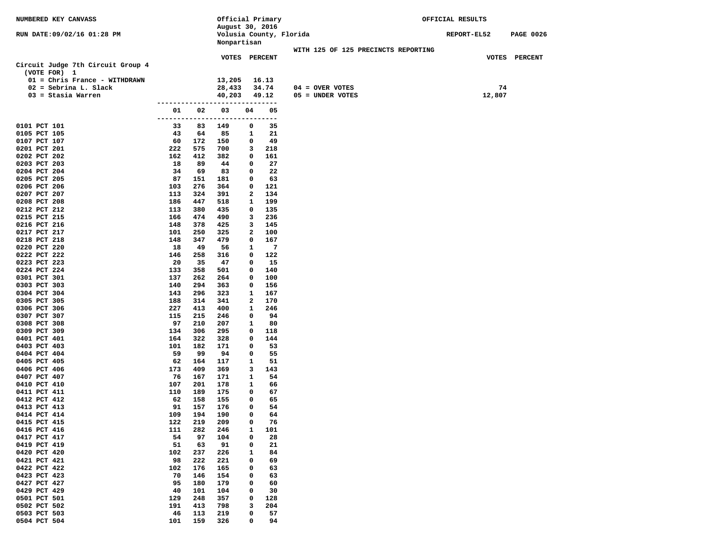| NUMBERED KEY CANVASS                                     |           |            | Official Primary               |        |                |                                     | OFFICIAL RESULTS |        |                  |
|----------------------------------------------------------|-----------|------------|--------------------------------|--------|----------------|-------------------------------------|------------------|--------|------------------|
|                                                          |           |            | August 30, 2016                |        |                |                                     |                  |        |                  |
| RUN DATE:09/02/16 01:28 PM                               |           |            | Volusia County, Florida        |        |                |                                     | REPORT-EL52      |        | <b>PAGE 0026</b> |
|                                                          |           |            | Nonpartisan                    |        |                |                                     |                  |        |                  |
|                                                          |           |            |                                |        |                | WITH 125 OF 125 PRECINCTS REPORTING |                  |        |                  |
|                                                          |           |            | <b>VOTES PERCENT</b>           |        |                |                                     |                  |        | VOTES PERCENT    |
| Circuit Judge 7th Circuit Group 4                        |           |            |                                |        |                |                                     |                  |        |                  |
| (VOTE FOR) 1                                             |           |            |                                |        |                |                                     |                  |        |                  |
| 01 = Chris France - WITHDRAWN<br>$02 =$ Sebrina L. Slack |           |            | 13,205<br>28,433               |        | 16.13<br>34.74 | $04 =$ OVER VOTES                   |                  | 74     |                  |
| $03 =$ Stasia Warren                                     |           |            | 40,203                         |        | 49.12          | 05 = UNDER VOTES                    |                  | 12,807 |                  |
|                                                          |           |            |                                |        |                |                                     |                  |        |                  |
|                                                          | 01        | 02         | 03                             | 04     | 05             |                                     |                  |        |                  |
|                                                          |           |            | ------------------------------ |        |                |                                     |                  |        |                  |
| 0101 PCT 101                                             | 33        | 83         | 149                            | 0      | 35             |                                     |                  |        |                  |
| 0105 PCT 105                                             | 43        | 64         | 85                             | 1      | 21             |                                     |                  |        |                  |
| 0107 PCT 107                                             | 60        | 172        | 150                            | 0      | 49             |                                     |                  |        |                  |
| 0201 PCT 201                                             | 222       | 575        | 700                            | 3      | 218            |                                     |                  |        |                  |
| 0202 PCT 202                                             | 162       | 412        | 382                            | 0      | 161            |                                     |                  |        |                  |
| 0203 PCT 203                                             | 18        | 89         | 44                             | 0      | 27             |                                     |                  |        |                  |
| 0204 PCT 204                                             | 34        | 69         | 83                             | 0      | 22             |                                     |                  |        |                  |
| 0205 PCT 205                                             | 87        | 151        | 181                            | 0      | 63             |                                     |                  |        |                  |
| 0206 PCT 206                                             | 103       | 276        | 364                            | 0      | 121            |                                     |                  |        |                  |
| 0207 PCT 207                                             | 113       | 324        | 391                            | 2      | 134            |                                     |                  |        |                  |
| 0208 PCT 208                                             | 186       | 447        | 518                            | 1      | 199            |                                     |                  |        |                  |
| 0212 PCT 212                                             | 113       | 380        | 435                            | 0      | 135            |                                     |                  |        |                  |
| 0215 PCT 215                                             | 166       | 474        | 490                            | 3      | 236            |                                     |                  |        |                  |
| 0216 PCT 216                                             | 148       | 378        | 425                            | 3      | 145            |                                     |                  |        |                  |
| 0217 PCT 217                                             | 101       | 250        | 325                            | 2      | 100            |                                     |                  |        |                  |
| 0218 PCT 218<br>0220 PCT 220                             | 148<br>18 | 347<br>49  | 479<br>56                      | 0<br>1 | 167<br>7       |                                     |                  |        |                  |
| 0222 PCT 222                                             | 146       | 258        | 316                            | 0      | 122            |                                     |                  |        |                  |
| 0223 PCT 223                                             | 20        | 35         | 47                             | 0      | 15             |                                     |                  |        |                  |
| 0224 PCT 224                                             | 133       | 358        | 501                            | 0      | 140            |                                     |                  |        |                  |
| 0301 PCT 301                                             | 137       | 262        | 264                            | 0      | 100            |                                     |                  |        |                  |
| 0303 PCT 303                                             | 140       | 294        | 363                            | 0      | 156            |                                     |                  |        |                  |
| 0304 PCT 304                                             | 143       | 296        | 323                            | 1      | 167            |                                     |                  |        |                  |
| 0305 PCT 305                                             | 188       | 314        | 341                            | 2      | 170            |                                     |                  |        |                  |
| 0306 PCT 306                                             | 227       | 413        | 400                            | 1      | 246            |                                     |                  |        |                  |
| 0307 PCT 307                                             | 115       | 215        | 246                            | 0      | 94             |                                     |                  |        |                  |
| 0308 PCT 308                                             | 97        | 210        | 207                            | 1      | 80             |                                     |                  |        |                  |
| 0309 PCT 309                                             | 134       | 306        | 295                            | 0      | 118            |                                     |                  |        |                  |
| 0401 PCT 401                                             | 164       | 322        | 328                            | 0      | 144            |                                     |                  |        |                  |
| 0403 PCT 403                                             | 101       | 182        | 171                            | 0      | 53             |                                     |                  |        |                  |
| 0404 PCT 404                                             | 59        | 99         | 94                             | 0      | 55             |                                     |                  |        |                  |
| 0405 PCT 405                                             | 62        | 164        | 117                            | 1      | 51             |                                     |                  |        |                  |
| 0406 PCT 406                                             | 173       | 409        | 369                            | 3      | 143            |                                     |                  |        |                  |
| 0407 PCT 407<br>0410 PCT 410                             | 76<br>107 | 167<br>201 | 171<br>178                     | 1<br>1 | 54<br>66       |                                     |                  |        |                  |
| 0411 PCT 411                                             | 110       | 189        | 175                            | 0      | 67             |                                     |                  |        |                  |
| 0412 PCT 412                                             | 62        | 158        | 155                            | 0      | 65             |                                     |                  |        |                  |
| 0413 PCT 413                                             | 91        | 157        | 176                            | 0      | 54             |                                     |                  |        |                  |
| 0414 PCT 414                                             | 109       | 194        | 190                            | 0      | 64             |                                     |                  |        |                  |
| 0415 PCT 415                                             | 122       | 219        | 209                            | 0      | 76             |                                     |                  |        |                  |
| 0416 PCT 416                                             | 111       | 282        | 246                            | 1      | 101            |                                     |                  |        |                  |
| 0417 PCT 417                                             | 54        | 97         | 104                            | 0      | 28             |                                     |                  |        |                  |
| 0419 PCT 419                                             | 51        | 63         | 91                             | 0      | 21             |                                     |                  |        |                  |
| 0420 PCT 420                                             | 102       | 237        | 226                            | 1      | 84             |                                     |                  |        |                  |
| 0421 PCT 421                                             | 98        | 222        | 221                            | 0      | 69             |                                     |                  |        |                  |
| 0422 PCT 422                                             | 102       | 176        | 165                            | 0      | 63             |                                     |                  |        |                  |
| 0423 PCT 423                                             | 70        | 146        | 154                            | 0      | 63             |                                     |                  |        |                  |
| 0427 PCT 427                                             | 95        | 180        | 179                            | 0      | 60             |                                     |                  |        |                  |
| 0429 PCT 429                                             | 40        | 101        | 104                            | 0      | 30             |                                     |                  |        |                  |
| 0501 PCT 501                                             | 129       | 248        | 357                            | 0      | 128            |                                     |                  |        |                  |
| 0502 PCT 502                                             | 191       | 413        | 798                            | з      | 204            |                                     |                  |        |                  |
| 0503 PCT 503                                             | 46        | 113        | 219                            | 0      | 57             |                                     |                  |        |                  |
| 0504 PCT 504                                             | 101       | 159        | 326                            | 0      | 94             |                                     |                  |        |                  |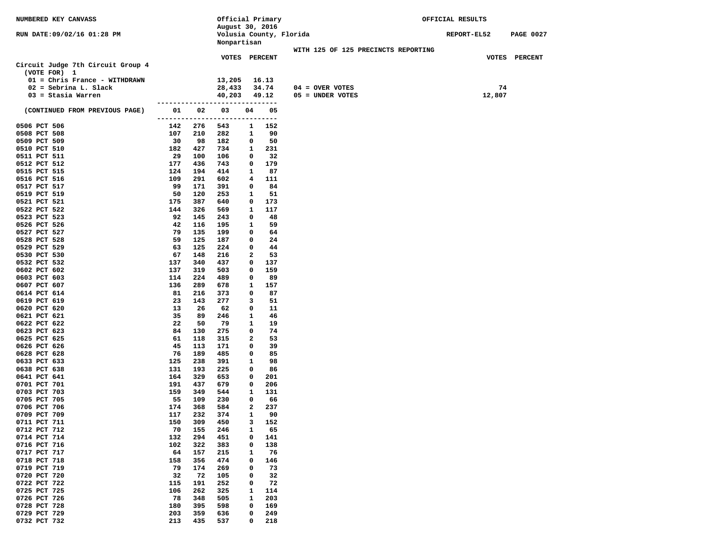| NUMBERED KEY CANVASS              |            |            | Official Primary                 |              |            |                                     | OFFICIAL RESULTS |                  |
|-----------------------------------|------------|------------|----------------------------------|--------------|------------|-------------------------------------|------------------|------------------|
|                                   |            |            | August 30, 2016                  |              |            |                                     |                  |                  |
| RUN DATE:09/02/16 01:28 PM        |            |            | Volusia County, Florida          |              |            |                                     | REPORT-EL52      | <b>PAGE 0027</b> |
|                                   |            |            | Nonpartisan                      |              |            |                                     |                  |                  |
|                                   |            |            | VOTES PERCENT                    |              |            | WITH 125 OF 125 PRECINCTS REPORTING |                  | VOTES PERCENT    |
| Circuit Judge 7th Circuit Group 4 |            |            |                                  |              |            |                                     |                  |                  |
| (VOTE FOR) 1                      |            |            |                                  |              |            |                                     |                  |                  |
| 01 = Chris France - WITHDRAWN     |            |            | 13,205                           |              | 16.13      |                                     |                  |                  |
| $02 =$ Sebrina L. Slack           |            |            | 28,433                           |              | 34.74      | $04 = OVER VOTES$                   |                  | 74               |
| $03 =$ Stasia Warren              |            |            | 40,203                           |              | 49.12      | 05 = UNDER VOTES                    | 12,807           |                  |
|                                   |            |            | -------------------------------- |              |            |                                     |                  |                  |
| (CONTINUED FROM PREVIOUS PAGE)    | 01         | 02         | 03                               | 04           | 05         |                                     |                  |                  |
|                                   |            |            | -------------------------------  |              |            |                                     |                  |                  |
| 0506 PCT 506                      | 142        | 276        | 543                              | $\mathbf{1}$ | 152        |                                     |                  |                  |
| 0508 PCT 508                      | 107        | 210        | 282                              | 1            | 90         |                                     |                  |                  |
| 0509 PCT 509                      | 30         | 98         | 182                              | 0            | 50         |                                     |                  |                  |
| 0510 PCT 510                      | 182        | 427        | 734                              | 1            | 231        |                                     |                  |                  |
| 0511 PCT 511                      | 29<br>177  | 100<br>436 | 106<br>743                       | 0<br>0       | 32         |                                     |                  |                  |
| 0512 PCT 512<br>0515 PCT 515      | 124        | 194        | 414                              | 1            | 179<br>87  |                                     |                  |                  |
| 0516 PCT 516                      | 109        | 291        | 602                              | 4            | 111        |                                     |                  |                  |
| 0517 PCT 517                      | 99         | 171        | 391                              | 0            | 84         |                                     |                  |                  |
| 0519 PCT 519                      | 50         | 120        | 253                              | 1            | 51         |                                     |                  |                  |
| 0521 PCT 521                      | 175        | 387        | 640                              | 0            | 173        |                                     |                  |                  |
| 0522 PCT 522                      | 144        | 326        | 569                              | 1            | 117        |                                     |                  |                  |
| 0523 PCT 523                      | 92         | 145        | 243                              | 0            | 48         |                                     |                  |                  |
| 0526 PCT 526                      | 42         | 116        | 195                              | 1            | 59         |                                     |                  |                  |
| 0527 PCT 527                      | 79         | 135        | 199                              | 0            | 64         |                                     |                  |                  |
| 0528 PCT 528                      | 59         | 125        | 187                              | 0            | 24         |                                     |                  |                  |
| 0529 PCT 529                      | 63         | 125        | 224                              | 0            | 44         |                                     |                  |                  |
| 0530 PCT 530                      | 67         | 148        | 216                              | 2            | 53         |                                     |                  |                  |
| 0532 PCT 532                      | 137        | 340        | 437                              | 0            | 137        |                                     |                  |                  |
| 0602 PCT 602                      | 137        | 319        | 503                              | 0            | 159        |                                     |                  |                  |
| 0603 PCT 603                      | 114<br>136 | 224<br>289 | 489                              | 0<br>1       | 89         |                                     |                  |                  |
| 0607 PCT 607<br>0614 PCT 614      | 81         | 216        | 678<br>373                       | 0            | 157<br>87  |                                     |                  |                  |
| 0619 PCT 619                      | 23         | 143        | 277                              | 3            | 51         |                                     |                  |                  |
| 0620 PCT 620                      | 13         | 26         | 62                               | 0            | 11         |                                     |                  |                  |
| 0621 PCT 621                      | 35         | 89         | 246                              | 1            | 46         |                                     |                  |                  |
| 0622 PCT 622                      | 22         | 50         | 79                               | 1            | 19         |                                     |                  |                  |
| 0623 PCT 623                      | 84         | 130        | 275                              | 0            | 74         |                                     |                  |                  |
| 0625 PCT 625                      | 61         | 118        | 315                              | 2            | 53         |                                     |                  |                  |
| 0626 PCT 626                      | 45         | 113        | 171                              | 0            | 39         |                                     |                  |                  |
| 0628 PCT 628                      | 76         | 189        | 485                              | 0            | 85         |                                     |                  |                  |
| 0633 PCT 633                      | 125        | 238        | 391                              | 1            | 98         |                                     |                  |                  |
| 0638 PCT 638                      | 131        | 193        | 225                              | 0            | 86         |                                     |                  |                  |
| 0641 PCT 641                      | 164        | 329        | 653                              | 0            | 201        |                                     |                  |                  |
| 0701 PCT 701                      | 191        | 437<br>349 | 679                              | 0            | 206        |                                     |                  |                  |
| 0703 PCT 703<br>0705 PCT 705      | 159<br>55  | 109        | 544<br>230                       | 1<br>0       | 131<br>66  |                                     |                  |                  |
| 0706 PCT 706                      | 174        | 368        | 584                              | $\mathbf{2}$ | 237        |                                     |                  |                  |
| 0709 PCT 709                      | 117        | 232        | 374                              | 1            | 90         |                                     |                  |                  |
| 0711 PCT 711                      | 150        | 309        | 450                              | 3            | 152        |                                     |                  |                  |
| 0712 PCT 712                      | 70         | 155        | 246                              | 1            | 65         |                                     |                  |                  |
| 0714 PCT 714                      | 132        | 294        | 451                              | 0            | 141        |                                     |                  |                  |
| 0716 PCT 716                      | 102        | 322        | 383                              | 0            | 138        |                                     |                  |                  |
| 0717 PCT 717                      | 64         | 157        | 215                              | 1            | 76         |                                     |                  |                  |
| 0718 PCT 718                      | 158        | 356        | 474                              | 0            | 146        |                                     |                  |                  |
| 0719 PCT 719                      | 79         | 174        | 269                              | 0            | 73         |                                     |                  |                  |
| 0720 PCT 720                      | 32         | 72         | 105                              | 0            | 32         |                                     |                  |                  |
| 0722 PCT 722                      | 115        | 191        | 252                              | 0            | 72         |                                     |                  |                  |
| 0725 PCT 725                      | 106        | 262        | 325                              | 1            | 114        |                                     |                  |                  |
| 0726 PCT 726                      | 78         | 348        | 505                              | 1            | 203        |                                     |                  |                  |
| 0728 PCT 728<br>0729 PCT 729      | 180<br>203 | 395<br>359 | 598<br>636                       | 0<br>0       | 169<br>249 |                                     |                  |                  |
| 0732 PCT 732                      | 213        | 435        | 537                              | 0            | 218        |                                     |                  |                  |
|                                   |            |            |                                  |              |            |                                     |                  |                  |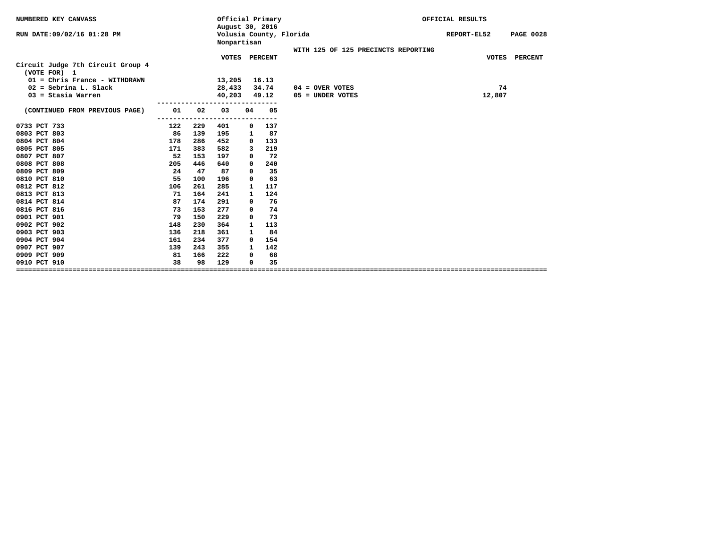| NUMBERED KEY CANVASS                                                                                          |     |     | Official Primary<br>August 30, 2016 |              |                |                                     | OFFICIAL RESULTS                |
|---------------------------------------------------------------------------------------------------------------|-----|-----|-------------------------------------|--------------|----------------|-------------------------------------|---------------------------------|
| RUN DATE:09/02/16 01:28 PM                                                                                    |     |     | Nonpartisan                         |              |                | Volusia County, Florida             | REPORT-EL52<br><b>PAGE 0028</b> |
|                                                                                                               |     |     |                                     |              |                | WITH 125 OF 125 PRECINCTS REPORTING |                                 |
| Circuit Judge 7th Circuit Group 4<br>(VOTE FOR) 1<br>01 = Chris France - WITHDRAWN<br>$02 =$ Sebrina L. Slack |     |     | VOTES PERCENT<br>13,205<br>28,433   |              | 16.13<br>34.74 | $04 =$ OVER VOTES                   | VOTES PERCENT<br>74             |
| $03 =$ Stasia Warren                                                                                          |     |     | 40,203                              |              | 49.12          | 05 = UNDER VOTES                    | 12,807                          |
| (CONTINUED FROM PREVIOUS PAGE)                                                                                | 01  | 02  | ----------------------------<br>03  | 04           | 05             |                                     |                                 |
|                                                                                                               |     |     |                                     |              |                |                                     |                                 |
| 0733 PCT 733                                                                                                  | 122 | 229 | 401                                 | 0            | 137            |                                     |                                 |
| 0803 PCT 803                                                                                                  | 86  | 139 | 195                                 | $\mathbf{1}$ | 87             |                                     |                                 |
| 0804 PCT 804                                                                                                  | 178 | 286 | 452                                 | 0            | 133            |                                     |                                 |
| 0805 PCT 805                                                                                                  | 171 | 383 | 582                                 | 3            | 219            |                                     |                                 |
| 0807 PCT 807                                                                                                  | 52  | 153 | 197                                 | 0            | 72             |                                     |                                 |
| 0808 PCT 808                                                                                                  | 205 | 446 | 640                                 | 0            | 240            |                                     |                                 |
| 0809 PCT 809                                                                                                  | 24  | 47  | 87                                  | 0            | 35             |                                     |                                 |
| 0810 PCT 810                                                                                                  | 55  | 100 | 196                                 | 0            | 63             |                                     |                                 |
| 0812 PCT 812                                                                                                  | 106 | 261 | 285                                 | 1            | 117            |                                     |                                 |
| 0813 PCT 813                                                                                                  | 71  | 164 | 241                                 | $\mathbf{1}$ | 124            |                                     |                                 |
| 0814 PCT 814                                                                                                  | 87  | 174 | 291                                 | 0            | 76             |                                     |                                 |
| 0816 PCT 816                                                                                                  | 73  | 153 | 277                                 | 0            | 74             |                                     |                                 |
| 0901 PCT 901                                                                                                  | 79  | 150 | 229                                 | 0            | 73             |                                     |                                 |
| 0902 PCT 902                                                                                                  | 148 | 230 | 364                                 | 1            | 113            |                                     |                                 |
| 0903 PCT 903                                                                                                  | 136 | 218 | 361                                 | $\mathbf{1}$ | 84             |                                     |                                 |
| 0904 PCT 904                                                                                                  | 161 | 234 | 377                                 | 0            | 154            |                                     |                                 |
| 0907 PCT 907                                                                                                  | 139 | 243 | 355                                 | $\mathbf{1}$ | 142            |                                     |                                 |
| 0909 PCT 909                                                                                                  | 81  | 166 | 222                                 | 0            | 68             |                                     |                                 |
| 0910 PCT 910                                                                                                  | 38  | 98  | 129                                 | 0            | 35             |                                     |                                 |
|                                                                                                               |     |     |                                     |              |                |                                     |                                 |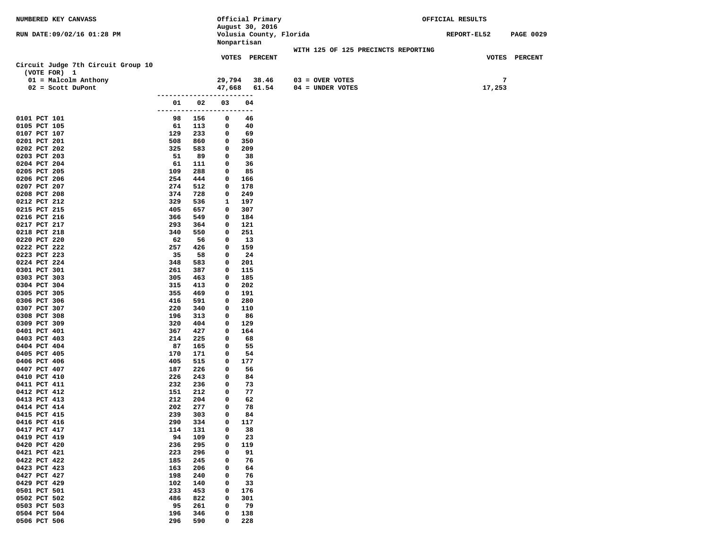| NUMBERED KEY CANVASS                          |            |            |                        | Official Primary        |                                       | OFFICIAL RESULTS |                  |
|-----------------------------------------------|------------|------------|------------------------|-------------------------|---------------------------------------|------------------|------------------|
|                                               |            |            |                        | August 30, 2016         |                                       |                  |                  |
| RUN DATE: 09/02/16 01:28 PM                   |            |            |                        | Volusia County, Florida |                                       | REPORT-EL52      | <b>PAGE 0029</b> |
|                                               |            |            |                        | Nonpartisan             |                                       |                  |                  |
|                                               |            |            |                        |                         | WITH 125 OF 125 PRECINCTS REPORTING   |                  |                  |
|                                               |            |            |                        | <b>VOTES PERCENT</b>    |                                       |                  | VOTES PERCENT    |
| Circuit Judge 7th Circuit Group 10            |            |            |                        |                         |                                       |                  |                  |
| (VOTE FOR) 1                                  |            |            |                        |                         |                                       | 7                |                  |
| 01 = Malcolm Anthony<br>$02 = \text{Scott D}$ |            |            | 29,794                 | 38.46                   | $03 = OVER VOTES$<br>04 = UNDER VOTES |                  |                  |
|                                               |            |            | ---------------------- | 47,668 61.54            |                                       | 17,253           |                  |
|                                               | 01         | 02         | 03                     | 04                      |                                       |                  |                  |
|                                               | --------   | -----      | ------                 | ---                     |                                       |                  |                  |
| 0101 PCT 101                                  | 98         | 156        | 0                      | 46                      |                                       |                  |                  |
| 0105 PCT 105                                  | 61         | 113        | 0                      | 40                      |                                       |                  |                  |
| 0107 PCT 107                                  | 129        | 233        | 0                      | 69                      |                                       |                  |                  |
| 0201 PCT 201                                  | 508        | 860        | 0                      | 350                     |                                       |                  |                  |
| 0202 PCT 202                                  | 325        | 583        | 0                      | 209                     |                                       |                  |                  |
| 0203 PCT 203                                  | 51         | 89         | $\mathbf{o}$           | 38                      |                                       |                  |                  |
| 0204 PCT 204                                  | 61         | 111        | $\mathbf{o}$           | 36                      |                                       |                  |                  |
| 0205 PCT 205                                  | 109        | 288        | 0                      | 85                      |                                       |                  |                  |
| 0206 PCT 206                                  | 254        | 444        | 0                      | 166                     |                                       |                  |                  |
| 0207 PCT 207                                  | 274        | 512        | $\mathbf{o}$           | 178                     |                                       |                  |                  |
| 0208 PCT 208                                  | 374        | 728        | 0                      | 249                     |                                       |                  |                  |
| 0212 PCT 212                                  | 329        | 536        | 1                      | 197                     |                                       |                  |                  |
| 0215 PCT 215                                  | 405        | 657        | $\mathbf{o}$           | 307                     |                                       |                  |                  |
| 0216 PCT 216                                  | 366        | 549        | 0                      | 184                     |                                       |                  |                  |
| 0217 PCT 217                                  | 293        | 364        | $\mathbf{o}$           | 121                     |                                       |                  |                  |
| 0218 PCT 218                                  | 340        | 550        | $\mathbf{o}$           | 251                     |                                       |                  |                  |
| 0220 PCT 220                                  | 62         | 56         | 0                      | 13                      |                                       |                  |                  |
| 0222 PCT 222                                  | 257<br>35  | 426<br>58  | 0<br>$\mathbf{o}$      | 159                     |                                       |                  |                  |
| 0223 PCT 223<br>0224 PCT 224                  | 348        | 583        | 0                      | 24<br>201               |                                       |                  |                  |
| 0301 PCT 301                                  | 261        | 387        | 0                      | 115                     |                                       |                  |                  |
| 0303 PCT 303                                  | 305        | 463        | $\mathbf{o}$           | 185                     |                                       |                  |                  |
| 0304 PCT 304                                  | 315        | 413        | 0                      | 202                     |                                       |                  |                  |
| 0305 PCT 305                                  | 355        | 469        | 0                      | 191                     |                                       |                  |                  |
| 0306 PCT 306                                  | 416        | 591        | $\mathbf{o}$           | 280                     |                                       |                  |                  |
| 0307 PCT 307                                  | 220        | 340        | 0                      | 110                     |                                       |                  |                  |
| 0308 PCT 308                                  | 196        | 313        | 0                      | 86                      |                                       |                  |                  |
| 0309 PCT 309                                  | 320        | 404        | 0                      | 129                     |                                       |                  |                  |
| 0401 PCT 401                                  | 367        | 427        | $\mathbf{o}$           | 164                     |                                       |                  |                  |
| 0403 PCT 403                                  | 214        | 225        | 0                      | 68                      |                                       |                  |                  |
| 0404 PCT 404                                  | 87         | 165        | $\mathbf{o}$           | 55                      |                                       |                  |                  |
| 0405 PCT 405                                  | 170        | 171        | 0                      | 54                      |                                       |                  |                  |
| 0406 PCT 406                                  | 405        | 515        | 0                      | 177                     |                                       |                  |                  |
| 0407 PCT 407                                  | 187        | 226        | 0                      | 56                      |                                       |                  |                  |
| 0410 PCT 410                                  | 226        | 243        | 0                      | 84                      |                                       |                  |                  |
| 0411 PCT 411<br>0412 PCT 412                  | 232<br>151 | 236<br>212 | 0<br>$\mathbf{o}$      | 73<br>77                |                                       |                  |                  |
| 0413 PCT 413                                  | 212        | 204        | 0                      | 62                      |                                       |                  |                  |
| 0414 PCT 414                                  | 202        | 277        | 0                      | 78                      |                                       |                  |                  |
| 0415 PCT 415                                  | 239        | 303        | 0                      | 84                      |                                       |                  |                  |
| 0416 PCT 416                                  | 290        | 334        | 0                      | 117                     |                                       |                  |                  |
| 0417 PCT 417                                  | 114        | 131        | 0                      | 38                      |                                       |                  |                  |
| 0419 PCT 419                                  | 94         | 109        | 0                      | 23                      |                                       |                  |                  |
| 0420 PCT 420                                  | 236        | 295        | 0                      | 119                     |                                       |                  |                  |
| 0421 PCT 421                                  | 223        | 296        | 0                      | 91                      |                                       |                  |                  |
| 0422 PCT 422                                  | 185        | 245        | 0                      | 76                      |                                       |                  |                  |
| 0423 PCT 423                                  | 163        | 206        | 0                      | 64                      |                                       |                  |                  |
| 0427 PCT 427                                  | 198        | 240        | 0                      | 76                      |                                       |                  |                  |
| 0429 PCT 429                                  | 102        | 140        | 0                      | 33                      |                                       |                  |                  |
| 0501 PCT 501                                  | 233        | 453        | 0                      | 176                     |                                       |                  |                  |
| 0502 PCT 502                                  | 486        | 822        | 0                      | 301                     |                                       |                  |                  |
| 0503 PCT 503                                  | 95         | 261        | 0                      | 79                      |                                       |                  |                  |
| 0504 PCT 504                                  | 196        | 346        | 0                      | 138                     |                                       |                  |                  |
| 0506 PCT 506                                  | 296        | 590        | 0                      | 228                     |                                       |                  |                  |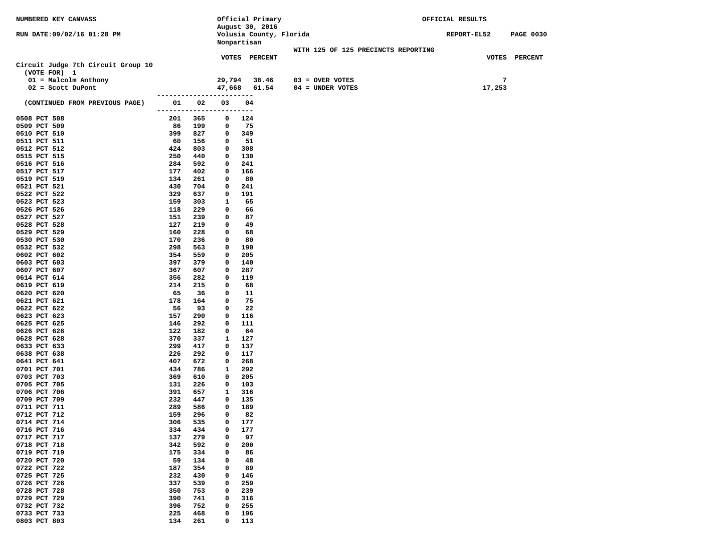| NUMBERED KEY CANVASS               |                            |            |                   | Official Primary        |                                     | OFFICIAL RESULTS |                  |
|------------------------------------|----------------------------|------------|-------------------|-------------------------|-------------------------------------|------------------|------------------|
|                                    |                            |            |                   | August 30, 2016         |                                     |                  |                  |
| RUN DATE:09/02/16 01:28 PM         |                            |            |                   | Volusia County, Florida |                                     | REPORT-EL52      | <b>PAGE 0030</b> |
|                                    |                            |            |                   | Nonpartisan             |                                     |                  |                  |
|                                    |                            |            |                   |                         | WITH 125 OF 125 PRECINCTS REPORTING |                  |                  |
| Circuit Judge 7th Circuit Group 10 |                            |            |                   | <b>VOTES PERCENT</b>    |                                     |                  | VOTES PERCENT    |
| (VOTE FOR) 1                       |                            |            |                   |                         |                                     |                  |                  |
| 01 = Malcolm Anthony               |                            |            | 29,794            | 38.46                   | $03 =$ OVER VOTES                   |                  | 7                |
| $02 = \text{Scott Dupont}$         |                            |            | 47,668            | 61.54                   | $04 = UNDER VOTES$                  | 17,253           |                  |
| (CONTINUED FROM PREVIOUS PAGE)     | 01                         | 02         | 03                | 04                      |                                     |                  |                  |
| 0508 PCT 508                       | -------------------<br>201 | 365        | 0                 | ----<br>124             |                                     |                  |                  |
| 0509 PCT 509                       | 86                         | 199        | 0                 | 75                      |                                     |                  |                  |
| 0510 PCT 510                       | 399                        | 827        | 0                 | 349                     |                                     |                  |                  |
| 0511 PCT 511                       | 60                         | 156        | 0                 | 51                      |                                     |                  |                  |
| 0512 PCT 512                       | 424                        | 803        | 0                 | 308                     |                                     |                  |                  |
| 0515 PCT 515                       | 250                        | 440        | 0                 | 130                     |                                     |                  |                  |
| 0516 PCT 516                       | 284                        | 592        | $\mathbf{o}$      | 241                     |                                     |                  |                  |
| 0517 PCT 517                       | 177                        | 402        | 0                 | 166                     |                                     |                  |                  |
| 0519 PCT 519                       | 134                        | 261        | 0                 | 80                      |                                     |                  |                  |
| 0521 PCT 521                       | 430                        | 704        | 0                 | 241                     |                                     |                  |                  |
| 0522 PCT 522                       | 329                        | 637        | 0                 | 191                     |                                     |                  |                  |
| 0523 PCT 523                       | 159                        | 303        | 1                 | 65                      |                                     |                  |                  |
| 0526 PCT 526<br>0527 PCT 527       | 118<br>151                 | 229<br>239 | 0<br>0            | 66<br>87                |                                     |                  |                  |
| 0528 PCT 528                       | 127                        | 219        | 0                 | 49                      |                                     |                  |                  |
| 0529 PCT 529                       | 160                        | 228        | 0                 | 68                      |                                     |                  |                  |
| 0530 PCT 530                       | 170                        | 236        | $\mathbf{o}$      | 80                      |                                     |                  |                  |
| 0532 PCT 532                       | 298                        | 563        | 0                 | 190                     |                                     |                  |                  |
| 0602 PCT 602                       | 354                        | 559        | $\mathbf{o}$      | 205                     |                                     |                  |                  |
| 0603 PCT 603                       | 397                        | 379        | 0                 | 140                     |                                     |                  |                  |
| 0607 PCT 607                       | 367                        | 607        | 0                 | 287                     |                                     |                  |                  |
| 0614 PCT 614                       | 356                        | 282        | $\mathbf{o}$      | 119                     |                                     |                  |                  |
| 0619 PCT 619                       | 214                        | 215        | 0                 | 68                      |                                     |                  |                  |
| 0620 PCT 620                       | 65                         | 36         | $\mathbf{o}$      | 11                      |                                     |                  |                  |
| 0621 PCT 621                       | 178                        | 164        | 0                 | 75                      |                                     |                  |                  |
| 0622 PCT 622                       | 56                         | 93         | 0                 | 22                      |                                     |                  |                  |
| 0623 PCT 623                       | 157                        | 290        | 0                 | 116                     |                                     |                  |                  |
| 0625 PCT 625                       | 146                        | 292        | 0                 | 111                     |                                     |                  |                  |
| 0626 PCT 626<br>0628 PCT 628       | 122<br>370                 | 182<br>337 | $\mathbf{o}$<br>1 | 64<br>127               |                                     |                  |                  |
| 0633 PCT 633                       | 299                        | 417        | $\mathbf{o}$      | 137                     |                                     |                  |                  |
| 0638 PCT 638                       | 226                        | 292        | 0                 | 117                     |                                     |                  |                  |
| 0641 PCT 641                       | 407                        | 672        | 0                 | 268                     |                                     |                  |                  |
| 0701 PCT 701                       | 434                        | 786        | 1                 | 292                     |                                     |                  |                  |
| 0703 PCT 703                       | 369                        | 610        | 0                 | 205                     |                                     |                  |                  |
| 0705 PCT 705                       | 131                        | 226        | $\mathbf{o}$      | 103                     |                                     |                  |                  |
| 0706 PCT 706                       | 391                        | 657        | 1                 | 316                     |                                     |                  |                  |
| 0709 PCT 709                       | 232                        | 447        | 0                 | 135                     |                                     |                  |                  |
| 0711 PCT 711                       | 289                        | 586        | 0                 | 189                     |                                     |                  |                  |
| 0712 PCT 712                       | 159                        | 296        | 0                 | 82                      |                                     |                  |                  |
| 0714 PCT 714                       | 306                        | 535        | 0                 | 177                     |                                     |                  |                  |
| 0716 PCT 716                       | 334                        | 434        | 0                 | 177                     |                                     |                  |                  |
| 0717 PCT 717                       | 137                        | 279        | 0                 | 97                      |                                     |                  |                  |
| 0718 PCT 718                       | 342                        | 592        | 0                 | 200                     |                                     |                  |                  |
| 0719 PCT 719                       | 175                        | 334        | 0                 | 86                      |                                     |                  |                  |
| 0720 PCT 720                       | 59                         | 134        | 0                 | 48                      |                                     |                  |                  |
| 0722 PCT 722<br>0725 PCT 725       | 187<br>232                 | 354<br>430 | 0<br>0            | 89<br>146               |                                     |                  |                  |
| 0726 PCT 726                       | 337                        | 539        | 0                 | 259                     |                                     |                  |                  |
| 0728 PCT 728                       | 350                        | 753        | 0                 | 239                     |                                     |                  |                  |
| 0729 PCT 729                       | 390                        | 741        | 0                 | 316                     |                                     |                  |                  |
| 0732 PCT 732                       | 396                        | 752        | 0                 | 255                     |                                     |                  |                  |
| 0733 PCT 733                       | 225                        | 468        | 0                 | 196                     |                                     |                  |                  |
| 0803 PCT 803                       | 134                        | 261        | 0                 | 113                     |                                     |                  |                  |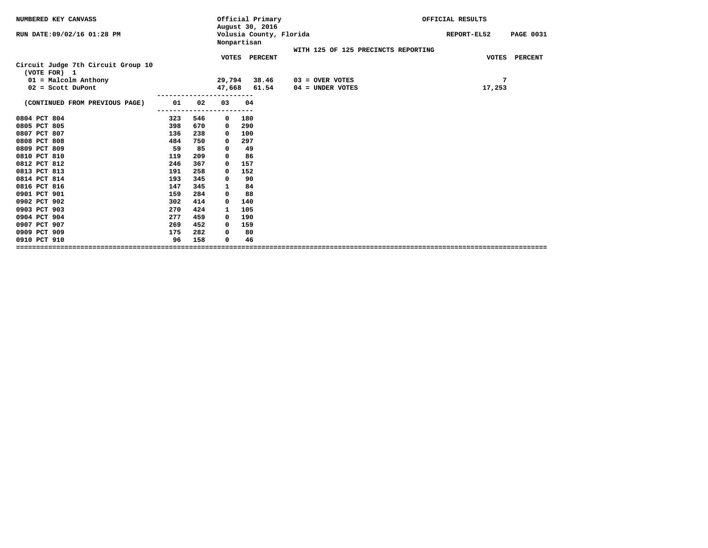| NUMBERED KEY CANVASS               |     |     |              | Official Primary<br>August 30, 2016    |                                     | OFFICIAL RESULTS |                  |
|------------------------------------|-----|-----|--------------|----------------------------------------|-------------------------------------|------------------|------------------|
| RUN DATE: 09/02/16 01:28 PM        |     |     |              | Volusia County, Florida<br>Nonpartisan |                                     | REPORT-EL52      | <b>PAGE 0031</b> |
|                                    |     |     |              |                                        | WITH 125 OF 125 PRECINCTS REPORTING |                  |                  |
| Circuit Judge 7th Circuit Group 10 |     |     |              | VOTES PERCENT                          |                                     | <b>VOTES</b>     | <b>PERCENT</b>   |
| (VOTE FOR) 1                       |     |     |              |                                        |                                     |                  |                  |
| $01 = Maleolm$ Anthony             |     |     | 29,794       | 38.46                                  | $03 =$ OVER VOTES                   | 7                |                  |
| $02 = \text{Scott D}$              |     |     | 47,668       | 61.54                                  | $04 =$ UNDER VOTES                  | 17,253           |                  |
| (CONTINUED FROM PREVIOUS PAGE)     | 01  | 02  | 03           | 04                                     |                                     |                  |                  |
|                                    |     |     |              |                                        |                                     |                  |                  |
| 0804 PCT 804                       | 323 | 546 | 0            | 180                                    |                                     |                  |                  |
| 0805 PCT 805                       | 398 | 670 | $\mathbf{o}$ | 290                                    |                                     |                  |                  |
| 0807 PCT 807                       | 136 | 238 | $\mathbf{o}$ | 100                                    |                                     |                  |                  |
| 0808 PCT 808                       | 484 | 750 | 0            | 297                                    |                                     |                  |                  |
| 0809 PCT 809                       | 59  | 85  | 0            | 49                                     |                                     |                  |                  |
| 0810 PCT 810                       | 119 | 209 | 0            | 86                                     |                                     |                  |                  |
| 0812 PCT 812                       | 246 | 367 | 0            | 157                                    |                                     |                  |                  |
| 0813 PCT 813                       | 191 | 258 | 0            | 152                                    |                                     |                  |                  |
| 0814 PCT 814                       | 193 | 345 | 0            | 90                                     |                                     |                  |                  |
| 0816 PCT 816                       | 147 | 345 | 1            | 84                                     |                                     |                  |                  |
| 0901 PCT 901                       | 159 | 284 | 0            | 88                                     |                                     |                  |                  |
| 0902 PCT 902                       | 302 | 414 | 0            | 140                                    |                                     |                  |                  |
| 0903 PCT 903                       | 270 | 424 | 1            | 105                                    |                                     |                  |                  |
| 0904 PCT 904                       | 277 | 459 | 0            | 190                                    |                                     |                  |                  |
| 0907 PCT 907                       | 269 | 452 | $\Omega$     | 159                                    |                                     |                  |                  |
| 0909 PCT 909                       | 175 | 282 | 0            | 80                                     |                                     |                  |                  |
| 0910 PCT 910                       | 96  | 158 | 0            | 46                                     |                                     |                  |                  |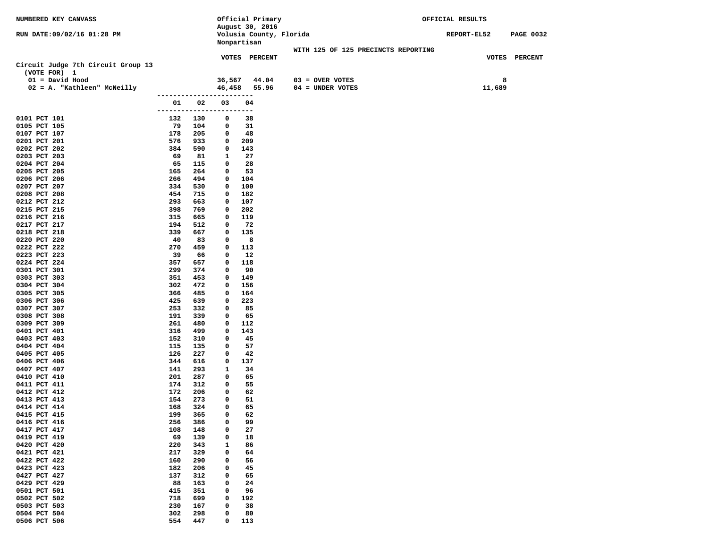| NUMBERED KEY CANVASS               |                           |            |        | Official Primary                       |                                     | OFFICIAL RESULTS |                  |
|------------------------------------|---------------------------|------------|--------|----------------------------------------|-------------------------------------|------------------|------------------|
|                                    |                           |            |        | August 30, 2016                        |                                     |                  |                  |
| RUN DATE:09/02/16 01:28 PM         |                           |            |        | Volusia County, Florida<br>Nonpartisan |                                     | REPORT-EL52      | <b>PAGE 0032</b> |
|                                    |                           |            |        |                                        | WITH 125 OF 125 PRECINCTS REPORTING |                  |                  |
|                                    |                           |            |        | <b>VOTES PERCENT</b>                   |                                     |                  | VOTES PERCENT    |
| Circuit Judge 7th Circuit Group 13 |                           |            |        |                                        |                                     |                  |                  |
| (VOTE FOR) 1                       |                           |            |        |                                        |                                     |                  |                  |
| $01 = David Hood$                  |                           |            | 36,567 | 44.04                                  | $03 =$ OVER VOTES                   |                  | 8                |
| 02 = A. "Kathleen" McNeilly        |                           |            |        | 46,458 55.96                           | 04 = UNDER VOTES                    | 11,689           |                  |
|                                    | ------------------------  |            |        |                                        |                                     |                  |                  |
|                                    | 01                        | 02         | 03     | 04                                     |                                     |                  |                  |
|                                    | ------------------------- |            |        |                                        |                                     |                  |                  |
| 0101 PCT 101<br>0105 PCT 105       | 132<br>79                 | 130<br>104 | 0<br>0 | 38<br>31                               |                                     |                  |                  |
| 0107 PCT 107                       | 178                       | 205        | 0      | 48                                     |                                     |                  |                  |
| 0201 PCT 201                       | 576                       | 933        | 0      | 209                                    |                                     |                  |                  |
| 0202 PCT 202                       | 384                       | 590        | 0      | 143                                    |                                     |                  |                  |
| 0203 PCT 203                       | 69                        | 81         | 1      | 27                                     |                                     |                  |                  |
| 0204 PCT 204                       | 65                        | 115        | 0      | 28                                     |                                     |                  |                  |
| 0205 PCT 205                       | 165                       | 264        | 0      | 53                                     |                                     |                  |                  |
| 0206 PCT 206                       | 266                       | 494        | 0      | 104                                    |                                     |                  |                  |
| 0207 PCT 207                       | 334                       | 530        | 0      | 100                                    |                                     |                  |                  |
| 0208 PCT 208                       | 454                       | 715        | 0      | 182                                    |                                     |                  |                  |
| 0212 PCT 212                       | 293                       | 663        | 0      | 107                                    |                                     |                  |                  |
| 0215 PCT 215                       | 398<br>315                | 769        | 0      | 202<br>119                             |                                     |                  |                  |
| 0216 PCT 216<br>0217 PCT 217       | 194                       | 665<br>512 | 0<br>0 | -72                                    |                                     |                  |                  |
| 0218 PCT 218                       | 339                       | 667        | 0      | 135                                    |                                     |                  |                  |
| 0220 PCT 220                       | 40                        | 83         | 0      | 8                                      |                                     |                  |                  |
| 0222 PCT 222                       | 270                       | 459        | 0      | 113                                    |                                     |                  |                  |
| 0223 PCT 223                       | 39                        | 66         | 0      | 12                                     |                                     |                  |                  |
| 0224 PCT 224                       | 357                       | 657        | 0      | 118                                    |                                     |                  |                  |
| 0301 PCT 301                       | 299                       | 374        | 0      | 90                                     |                                     |                  |                  |
| 0303 PCT 303                       | 351                       | 453        | 0      | 149                                    |                                     |                  |                  |
| 0304 PCT 304                       | 302                       | 472        | 0      | 156                                    |                                     |                  |                  |
| 0305 PCT 305                       | 366                       | 485        | 0      | 164                                    |                                     |                  |                  |
| 0306 PCT 306<br>0307 PCT 307       | 425<br>253                | 639<br>332 | 0<br>0 | 223<br>85                              |                                     |                  |                  |
| 0308 PCT 308                       | 191                       | 339        | 0      | 65                                     |                                     |                  |                  |
| 0309 PCT 309                       | 261                       | 480        | 0      | 112                                    |                                     |                  |                  |
| 0401 PCT 401                       | 316                       | 499        | 0      | 143                                    |                                     |                  |                  |
| 0403 PCT 403                       | 152                       | 310        | 0      | 45                                     |                                     |                  |                  |
| 0404 PCT 404                       | 115                       | 135        | 0      | 57                                     |                                     |                  |                  |
| 0405 PCT 405                       | 126                       | 227        | 0      | 42                                     |                                     |                  |                  |
| 0406 PCT 406                       | 344                       | 616        | 0      | 137                                    |                                     |                  |                  |
| 0407 PCT 407                       | 141                       | 293        | 1      | 34                                     |                                     |                  |                  |
| 0410 PCT 410<br>0411 PCT 411       | 201<br>174                | 287<br>312 | 0<br>0 | 65<br>55                               |                                     |                  |                  |
| 0412 PCT 412                       | 172                       | 206        | 0      | 62                                     |                                     |                  |                  |
| 0413 PCT 413                       | 154                       | 273        | 0      | 51                                     |                                     |                  |                  |
| 0414 PCT 414                       | 168                       | 324        | 0      | 65                                     |                                     |                  |                  |
| 0415 PCT 415                       | 199                       | 365        | 0      | 62                                     |                                     |                  |                  |
| 0416 PCT 416                       | 256                       | 386        | 0      | 99                                     |                                     |                  |                  |
| 0417 PCT 417                       | 108                       | 148        | 0      | 27                                     |                                     |                  |                  |
| 0419 PCT 419                       | 69                        | 139        | 0      | 18                                     |                                     |                  |                  |
| 0420 PCT 420                       | 220                       | 343        | 1      | 86                                     |                                     |                  |                  |
| 0421 PCT 421                       | 217                       | 329        | 0      | 64                                     |                                     |                  |                  |
| 0422 PCT 422<br>0423 PCT 423       | 160<br>182                | 290<br>206 | 0<br>0 | 56<br>45                               |                                     |                  |                  |
| 0427 PCT 427                       | 137                       | 312        | 0      | 65                                     |                                     |                  |                  |
| 0429 PCT 429                       | 88                        | 163        | 0      | 24                                     |                                     |                  |                  |
| 0501 PCT 501                       | 415                       | 351        | 0      | 96                                     |                                     |                  |                  |
| 0502 PCT 502                       | 718                       | 699        | 0      | 192                                    |                                     |                  |                  |
| 0503 PCT 503                       | 230                       | 167        | 0      | 38                                     |                                     |                  |                  |
| 0504 PCT 504                       | 302                       | 298        | 0      | 80                                     |                                     |                  |                  |
| 0506 PCT 506                       | 554                       | 447        | 0      | 113                                    |                                     |                  |                  |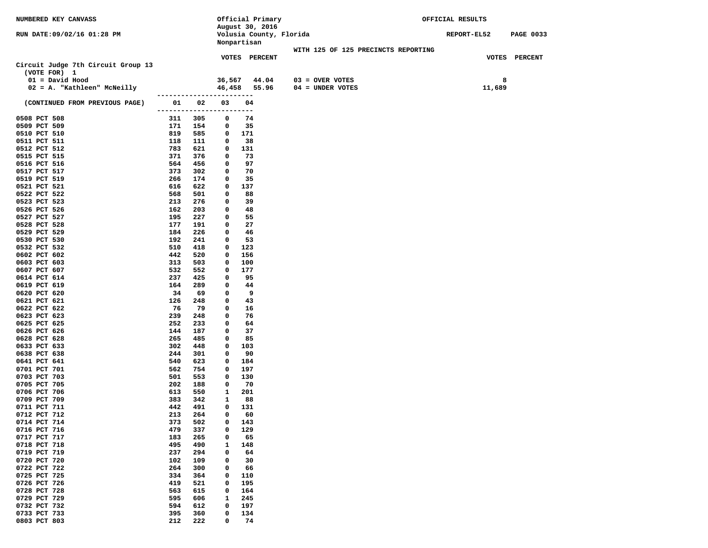| NUMBERED KEY CANVASS               |                          |            |              | Official Primary                       |                                     | OFFICIAL RESULTS |                  |
|------------------------------------|--------------------------|------------|--------------|----------------------------------------|-------------------------------------|------------------|------------------|
|                                    |                          |            |              | August 30, 2016                        |                                     |                  |                  |
| RUN DATE:09/02/16 01:28 PM         |                          |            |              | Volusia County, Florida<br>Nonpartisan |                                     | REPORT-EL52      | <b>PAGE 0033</b> |
|                                    |                          |            |              |                                        | WITH 125 OF 125 PRECINCTS REPORTING |                  |                  |
|                                    |                          |            |              | VOTES PERCENT                          |                                     |                  | VOTES PERCENT    |
| Circuit Judge 7th Circuit Group 13 |                          |            |              |                                        |                                     |                  |                  |
| (VOTE FOR) 1                       |                          |            |              |                                        |                                     |                  |                  |
| $01 = David Hood$                  |                          |            | 36,567       | 44.04                                  | $03 =$ OVER VOTES                   |                  | 8                |
| 02 = A. "Kathleen" McNeilly        |                          |            |              | 46,458 55.96                           | $04 = UNDER VOTES$                  | 11,689           |                  |
|                                    | ------------------------ |            |              |                                        |                                     |                  |                  |
| (CONTINUED FROM PREVIOUS PAGE)     | 01                       | 02         | 03           | 04                                     |                                     |                  |                  |
|                                    | --------------------     |            |              | ----                                   |                                     |                  |                  |
| 0508 PCT 508<br>0509 PCT 509       | 311<br>171               | 305<br>154 | 0<br>0       | 74<br>35                               |                                     |                  |                  |
| 0510 PCT 510                       | 819                      | 585        | 0            | 171                                    |                                     |                  |                  |
| 0511 PCT 511                       | 118                      | 111        | 0            | 38                                     |                                     |                  |                  |
| 0512 PCT 512                       | 783                      | 621        | 0            | 131                                    |                                     |                  |                  |
| 0515 PCT 515                       | 371                      | 376        | 0            | 73                                     |                                     |                  |                  |
| 0516 PCT 516                       | 564                      | 456        | 0            | 97                                     |                                     |                  |                  |
| 0517 PCT 517                       | 373                      | 302        | 0            | 70                                     |                                     |                  |                  |
| 0519 PCT 519                       | 266                      | 174        | 0            | 35                                     |                                     |                  |                  |
| 0521 PCT 521                       | 616                      | 622        | 0            | 137                                    |                                     |                  |                  |
| 0522 PCT 522                       | 568                      | 501        | 0            | 88                                     |                                     |                  |                  |
| 0523 PCT 523                       | 213                      | 276        | 0            | 39                                     |                                     |                  |                  |
| 0526 PCT 526                       | 162                      | 203        | 0            | 48                                     |                                     |                  |                  |
| 0527 PCT 527<br>0528 PCT 528       | 195<br>177               | 227<br>191 | 0<br>0       | 55<br>27                               |                                     |                  |                  |
| 0529 PCT 529                       | 184                      | 226        | 0            | 46                                     |                                     |                  |                  |
| 0530 PCT 530                       | 192                      | 241        | 0            | 53                                     |                                     |                  |                  |
| 0532 PCT 532                       | 510                      | 418        | 0            | 123                                    |                                     |                  |                  |
| 0602 PCT 602                       | 442                      | 520        | 0            | 156                                    |                                     |                  |                  |
| 0603 PCT 603                       | 313                      | 503        | 0            | 100                                    |                                     |                  |                  |
| 0607 PCT 607                       | 532                      | 552        | 0            | 177                                    |                                     |                  |                  |
| 0614 PCT 614                       | 237                      | 425        | 0            | 95                                     |                                     |                  |                  |
| 0619 PCT 619                       | 164                      | 289        | 0            | 44                                     |                                     |                  |                  |
| 0620 PCT 620                       | 34                       | 69         | 0            | 9                                      |                                     |                  |                  |
| 0621 PCT 621                       | 126                      | 248        | 0            | 43                                     |                                     |                  |                  |
| 0622 PCT 622<br>0623 PCT 623       | 76<br>239                | 79<br>248  | 0<br>0       | 16<br>76                               |                                     |                  |                  |
| 0625 PCT 625                       | 252                      | 233        | 0            | 64                                     |                                     |                  |                  |
| 0626 PCT 626                       | 144                      | 187        | 0            | 37                                     |                                     |                  |                  |
| 0628 PCT 628                       | 265                      | 485        | 0            | 85                                     |                                     |                  |                  |
| 0633 PCT 633                       | 302                      | 448        | $\mathbf{o}$ | 103                                    |                                     |                  |                  |
| 0638 PCT 638                       | 244                      | 301        | 0            | 90                                     |                                     |                  |                  |
| 0641 PCT 641                       | 540                      | 623        | 0            | 184                                    |                                     |                  |                  |
| 0701 PCT 701                       | 562                      | 754        | 0            | 197                                    |                                     |                  |                  |
| 0703 PCT 703                       | 501                      | 553        | 0            | 130                                    |                                     |                  |                  |
| 0705 PCT 705                       | 202                      | 188        | 0            | 70                                     |                                     |                  |                  |
| 0706 PCT 706<br>0709 PCT 709       | 613<br>383               | 550<br>342 | 1<br>1       | 201<br>88                              |                                     |                  |                  |
| 0711 PCT 711                       | 442                      | 491        | 0            | 131                                    |                                     |                  |                  |
| 0712 PCT 712                       | 213                      | 264        | 0            | 60                                     |                                     |                  |                  |
| 0714 PCT 714                       | 373                      | 502        | 0            | 143                                    |                                     |                  |                  |
| 0716 PCT 716                       | 479                      | 337        | 0            | 129                                    |                                     |                  |                  |
| 0717 PCT 717                       | 183                      | 265        | 0            | 65                                     |                                     |                  |                  |
| 0718 PCT 718                       | 495                      | 490        | 1            | 148                                    |                                     |                  |                  |
| 0719 PCT 719                       | 237                      | 294        | 0            | 64                                     |                                     |                  |                  |
| 0720 PCT 720                       | 102                      | 109        | 0            | 30                                     |                                     |                  |                  |
| 0722 PCT 722                       | 264                      | 300        | 0            | 66                                     |                                     |                  |                  |
| 0725 PCT 725<br>0726 PCT 726       | 334<br>419               | 364        | 0<br>0       | 110                                    |                                     |                  |                  |
| 0728 PCT 728                       | 563                      | 521<br>615 | 0            | 195<br>164                             |                                     |                  |                  |
| 0729 PCT 729                       | 595                      | 606        | 1            | 245                                    |                                     |                  |                  |
| 0732 PCT 732                       | 594                      | 612        | 0            | 197                                    |                                     |                  |                  |
| 0733 PCT 733                       | 395                      | 360        | 0            | 134                                    |                                     |                  |                  |
| 0803 PCT 803                       | 212                      | 222        | 0            | 74                                     |                                     |                  |                  |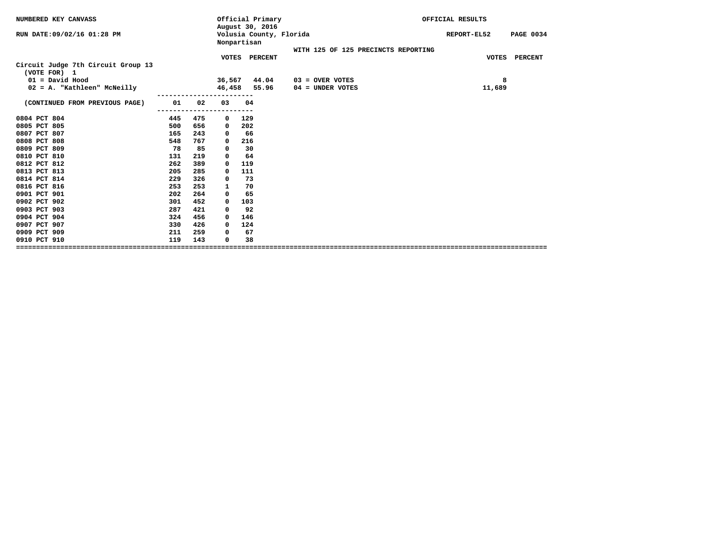| August 30, 2016<br>Volusia County, Florida<br>RUN DATE: 09/02/16 01:28 PM<br><b>PAGE 0034</b><br>REPORT-EL52<br>Nonpartisan<br>WITH 125 OF 125 PRECINCTS REPORTING<br>VOTES PERCENT<br><b>VOTES</b><br><b>PERCENT</b><br>Circuit Judge 7th Circuit Group 13<br>(VOTE FOR) 1 |
|-----------------------------------------------------------------------------------------------------------------------------------------------------------------------------------------------------------------------------------------------------------------------------|
|                                                                                                                                                                                                                                                                             |
|                                                                                                                                                                                                                                                                             |
|                                                                                                                                                                                                                                                                             |
|                                                                                                                                                                                                                                                                             |
| $01 = David Hood$<br>8<br>36,567<br>44.04<br>$03 =$ OVER VOTES                                                                                                                                                                                                              |
| 02 = A. "Kathleen" McNeilly<br>46,458<br>55.96<br>11,689<br>$04 = UNDER VOTES$                                                                                                                                                                                              |
| 01<br>(CONTINUED FROM PREVIOUS PAGE)<br>02<br>03<br>04                                                                                                                                                                                                                      |
|                                                                                                                                                                                                                                                                             |
| 0804 PCT 804<br>475<br>129<br>445<br>0                                                                                                                                                                                                                                      |
| 0805 PCT 805<br>500<br>656<br>202<br>0                                                                                                                                                                                                                                      |
| 0807 PCT 807<br>165<br>243<br>66<br>0                                                                                                                                                                                                                                       |
| 0808 PCT 808<br>548<br>767<br>216<br>0                                                                                                                                                                                                                                      |
| 0809 PCT 809<br>78<br>85<br>30<br>0                                                                                                                                                                                                                                         |
| 0810 PCT 810<br>131<br>219<br>64<br>0                                                                                                                                                                                                                                       |
| 0812 PCT 812<br>262<br>389<br>119<br>0                                                                                                                                                                                                                                      |
| 0813 PCT 813<br>285<br>205<br>111<br>0                                                                                                                                                                                                                                      |
| 0814 PCT 814<br>229<br>326<br>73<br>0                                                                                                                                                                                                                                       |
| 0816 PCT 816<br>253<br>253<br>70<br>1                                                                                                                                                                                                                                       |
| 0901 PCT 901<br>202<br>264<br>65<br>0                                                                                                                                                                                                                                       |
| 0902 PCT 902<br>452<br>301<br>103<br>0                                                                                                                                                                                                                                      |
| 0903 PCT 903<br>421<br>92<br>287<br>0                                                                                                                                                                                                                                       |
| 0904 PCT 904<br>324<br>456<br>146<br>0                                                                                                                                                                                                                                      |
| 0907 PCT 907<br>426<br>124<br>330<br>$\Omega$                                                                                                                                                                                                                               |
| 0909 PCT 909<br>67<br>211<br>259<br>0                                                                                                                                                                                                                                       |
| 119<br>0910 PCT 910<br>143<br>38<br>0                                                                                                                                                                                                                                       |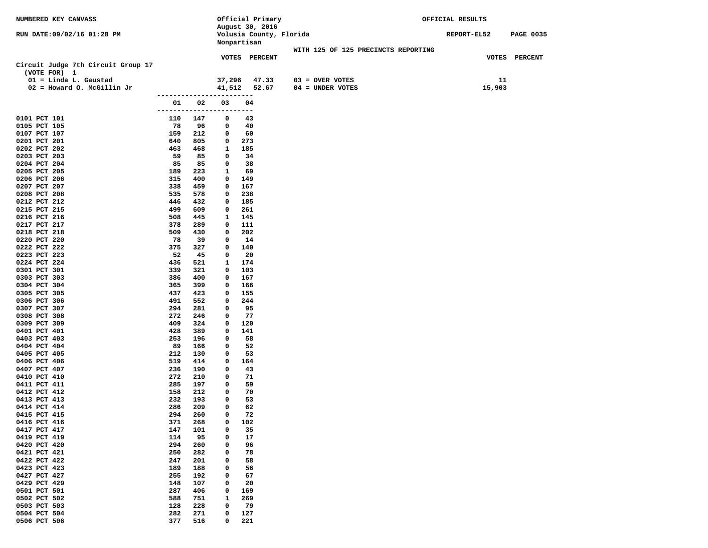| NUMBERED KEY CANVASS               |                          | Official Primary        |                                     | OFFICIAL RESULTS                |  |
|------------------------------------|--------------------------|-------------------------|-------------------------------------|---------------------------------|--|
|                                    |                          | August 30, 2016         |                                     |                                 |  |
| RUN DATE:09/02/16 01:28 PM         |                          | Volusia County, Florida |                                     | REPORT-EL52<br><b>PAGE 0035</b> |  |
|                                    |                          | Nonpartisan             | WITH 125 OF 125 PRECINCTS REPORTING |                                 |  |
|                                    |                          | <b>VOTES PERCENT</b>    |                                     | VOTES PERCENT                   |  |
| Circuit Judge 7th Circuit Group 17 |                          |                         |                                     |                                 |  |
| (VOTE FOR) 1                       |                          |                         |                                     |                                 |  |
| 01 = Linda L. Gaustad              |                          | 37,296<br>47.33         | $03 =$ OVER VOTES                   | 11                              |  |
| $02$ = Howard O. McGillin Jr       |                          |                         | 41,512 52.67 04 = UNDER VOTES       | 15,903                          |  |
|                                    | ------------------------ |                         |                                     |                                 |  |
|                                    | 02<br>01                 | 03<br>04                |                                     |                                 |  |
|                                    | ------------------------ |                         |                                     |                                 |  |
| 0101 PCT 101                       | 110 147                  | 0<br>43                 |                                     |                                 |  |
| 0105 PCT 105                       | 96<br>78                 | 40<br>0                 |                                     |                                 |  |
| 0107 PCT 107<br>0201 PCT 201       | 159<br>212<br>640<br>805 | 0<br>60                 |                                     |                                 |  |
| 0202 PCT 202                       | 463<br>468               | 273<br>0<br>1<br>185    |                                     |                                 |  |
| 0203 PCT 203                       | 59<br>85                 | 34<br>0                 |                                     |                                 |  |
| 0204 PCT 204                       | 85<br>85                 | 0<br>38                 |                                     |                                 |  |
| 0205 PCT 205                       | 189<br>223               | 69<br>1                 |                                     |                                 |  |
| 0206 PCT 206                       | 315<br>400               | 149<br>0                |                                     |                                 |  |
| 0207 PCT 207                       | 338<br>459               | 0<br>167                |                                     |                                 |  |
| 0208 PCT 208                       | 535<br>578               | 238<br>0                |                                     |                                 |  |
| 0212 PCT 212                       | 446<br>432               | 185<br>0                |                                     |                                 |  |
| 0215 PCT 215                       | 499<br>609               | 0<br>261                |                                     |                                 |  |
| 0216 PCT 216                       | 508<br>445               | 145<br>1                |                                     |                                 |  |
| 0217 PCT 217                       | 378<br>289               | 0<br>111                |                                     |                                 |  |
| 0218 PCT 218<br>0220 PCT 220       | 509<br>430<br>-78<br>-39 | 202<br>0<br>14<br>0     |                                     |                                 |  |
| 0222 PCT 222                       | 375<br>327               | 140<br>0                |                                     |                                 |  |
| 0223 PCT 223                       | 52<br>45                 | 0<br>-20                |                                     |                                 |  |
| 0224 PCT 224                       | 436<br>521               | 174<br>1                |                                     |                                 |  |
| 0301 PCT 301                       | 339<br>321               | 103<br>0                |                                     |                                 |  |
| 0303 PCT 303                       | 386<br>400               | 0<br>167                |                                     |                                 |  |
| 0304 PCT 304                       | 365<br>399               | 166<br>0                |                                     |                                 |  |
| 0305 PCT 305                       | 437<br>423               | 155<br>0                |                                     |                                 |  |
| 0306 PCT 306                       | 491<br>552               | 0<br>244                |                                     |                                 |  |
| 0307 PCT 307                       | 294<br>281               | 95<br>0                 |                                     |                                 |  |
| 0308 PCT 308                       | 272<br>246               | 77<br>0                 |                                     |                                 |  |
| 0309 PCT 309<br>0401 PCT 401       | 409<br>324<br>428<br>389 | 120<br>0<br>141<br>0    |                                     |                                 |  |
| 0403 PCT 403                       | 253<br>196               | 58<br>0                 |                                     |                                 |  |
| 0404 PCT 404                       | 89<br>166                | 52<br>0                 |                                     |                                 |  |
| 0405 PCT 405                       | 212<br>130               | 53<br>0                 |                                     |                                 |  |
| 0406 PCT 406                       | 519<br>414               | 164<br>0                |                                     |                                 |  |
| 0407 PCT 407                       | 236<br>190               | 0<br>43                 |                                     |                                 |  |
| 0410 PCT 410                       | 272<br>210               | 71<br>0                 |                                     |                                 |  |
| 0411 PCT 411                       | 285<br>197               | 59<br>0                 |                                     |                                 |  |
| 0412 PCT 412                       | 158<br>212               | 0<br>70                 |                                     |                                 |  |
| 0413 PCT 413                       | 232<br>193               | 53<br>0                 |                                     |                                 |  |
| 0414 PCT 414<br>0415 PCT 415       | 286<br>209<br>294<br>260 | 0<br>62<br>0<br>72      |                                     |                                 |  |
| 0416 PCT 416                       | 268<br>371               | 102<br>0                |                                     |                                 |  |
| 0417 PCT 417                       | 147<br>101               | 0<br>35                 |                                     |                                 |  |
| 0419 PCT 419                       | 114<br>95                | 17<br>0                 |                                     |                                 |  |
| 0420 PCT 420                       | 294<br>260               | 0<br>96                 |                                     |                                 |  |
| 0421 PCT 421                       | 250<br>282               | 78<br>0                 |                                     |                                 |  |
| 0422 PCT 422                       | 247<br>201               | 0<br>58                 |                                     |                                 |  |
| 0423 PCT 423                       | 189<br>188               | 0<br>56                 |                                     |                                 |  |
| 0427 PCT 427                       | 255<br>192               | 67<br>0                 |                                     |                                 |  |
| 0429 PCT 429                       | 148<br>107               | 20<br>0                 |                                     |                                 |  |
| 0501 PCT 501                       | 287<br>406               | 169<br>0                |                                     |                                 |  |
| 0502 PCT 502<br>0503 PCT 503       | 588<br>751<br>128<br>228 | 1<br>269<br>79<br>0     |                                     |                                 |  |
| 0504 PCT 504                       | 282<br>271               | 0<br>127                |                                     |                                 |  |
| 0506 PCT 506                       | 377<br>516               | 0<br>221                |                                     |                                 |  |
|                                    |                          |                         |                                     |                                 |  |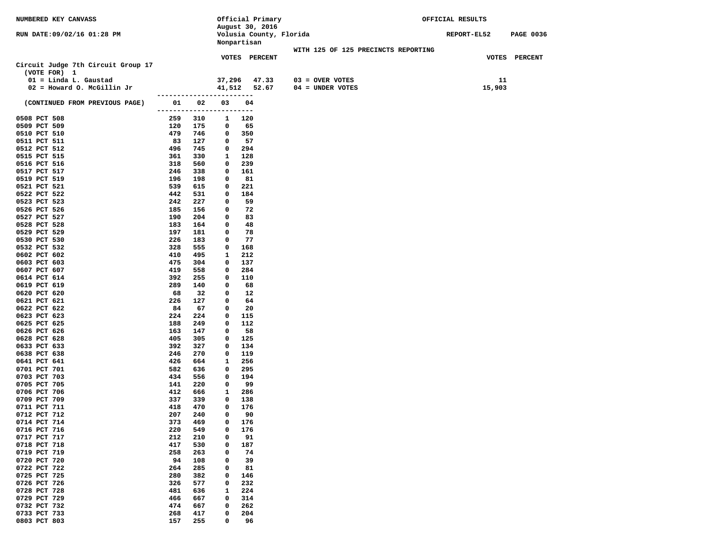| NUMBERED KEY CANVASS               |                          |            |                   | Official Primary        |                                     | OFFICIAL RESULTS |                  |
|------------------------------------|--------------------------|------------|-------------------|-------------------------|-------------------------------------|------------------|------------------|
|                                    |                          |            |                   | August 30, 2016         |                                     |                  |                  |
| RUN DATE:09/02/16 01:28 PM         |                          |            |                   | Volusia County, Florida |                                     | REPORT-EL52      | <b>PAGE 0036</b> |
|                                    |                          |            |                   | Nonpartisan             |                                     |                  |                  |
|                                    |                          |            |                   |                         | WITH 125 OF 125 PRECINCTS REPORTING |                  |                  |
| Circuit Judge 7th Circuit Group 17 |                          |            |                   | <b>VOTES PERCENT</b>    |                                     |                  | VOTES PERCENT    |
| (VOTE FOR) 1                       |                          |            |                   |                         |                                     |                  |                  |
| 01 = Linda L. Gaustad              |                          |            | 37,296            | 47.33                   | $03 =$ OVER VOTES                   | 11               |                  |
| $02$ = Howard O. McGillin Jr       |                          |            |                   | 41,512 52.67            | $04 = UNDER VOTES$                  | 15,903           |                  |
|                                    | ------------------------ |            |                   |                         |                                     |                  |                  |
| (CONTINUED FROM PREVIOUS PAGE)     | 01                       | 02         | 03                | 04                      |                                     |                  |                  |
|                                    | -------------------      |            |                   | ----                    |                                     |                  |                  |
| 0508 PCT 508                       | 259                      | 310        | 1                 | 120                     |                                     |                  |                  |
| 0509 PCT 509                       | 120                      | 175        | 0                 | 65                      |                                     |                  |                  |
| 0510 PCT 510                       | 479                      | 746        | $\mathbf{o}$      | 350                     |                                     |                  |                  |
| 0511 PCT 511                       | 83                       | 127        | 0                 | 57                      |                                     |                  |                  |
| 0512 PCT 512                       | 496                      | 745        | 0                 | 294                     |                                     |                  |                  |
| 0515 PCT 515                       | 361                      | 330        | 1                 | 128                     |                                     |                  |                  |
| 0516 PCT 516                       | 318                      | 560        | 0                 | 239                     |                                     |                  |                  |
| 0517 PCT 517                       | 246                      | 338        | 0                 | 161                     |                                     |                  |                  |
| 0519 PCT 519                       | 196                      | 198        | $\mathbf{o}$      | 81                      |                                     |                  |                  |
| 0521 PCT 521                       | 539                      | 615        | 0                 | 221                     |                                     |                  |                  |
| 0522 PCT 522<br>0523 PCT 523       | 442<br>242               | 531<br>227 | 0<br>$\mathbf{o}$ | 184<br>59               |                                     |                  |                  |
| 0526 PCT 526                       | 185                      | 156        | 0                 | 72                      |                                     |                  |                  |
| 0527 PCT 527                       | 190                      | 204        | 0                 | 83                      |                                     |                  |                  |
| 0528 PCT 528                       | 183                      | 164        | 0                 | 48                      |                                     |                  |                  |
| 0529 PCT 529                       | 197                      | 181        | 0                 | 78                      |                                     |                  |                  |
| 0530 PCT 530                       | 226                      | 183        | 0                 | 77                      |                                     |                  |                  |
| 0532 PCT 532                       | 328                      | 555        | 0                 | 168                     |                                     |                  |                  |
| 0602 PCT 602                       | 410                      | 495        | 1                 | 212                     |                                     |                  |                  |
| 0603 PCT 603                       | 475                      | 304        | 0                 | 137                     |                                     |                  |                  |
| 0607 PCT 607                       | 419                      | 558        | $\mathbf{o}$      | 284                     |                                     |                  |                  |
| 0614 PCT 614                       | 392                      | 255        | 0                 | 110                     |                                     |                  |                  |
| 0619 PCT 619                       | 289                      | 140        | 0                 | 68                      |                                     |                  |                  |
| 0620 PCT 620                       | 68                       | 32         | $\mathbf{o}$      | 12                      |                                     |                  |                  |
| 0621 PCT 621                       | 226                      | 127        | 0                 | 64                      |                                     |                  |                  |
| 0622 PCT 622                       | 84                       | 67         | 0                 | 20                      |                                     |                  |                  |
| 0623 PCT 623                       | 224                      | 224        | 0                 | 115                     |                                     |                  |                  |
| 0625 PCT 625<br>0626 PCT 626       | 188<br>163               | 249<br>147 | 0<br>0            | 112<br>58               |                                     |                  |                  |
| 0628 PCT 628                       | 405                      | 305        | 0                 | 125                     |                                     |                  |                  |
| 0633 PCT 633                       | 392                      | 327        | 0                 | 134                     |                                     |                  |                  |
| 0638 PCT 638                       | 246                      | 270        | 0                 | 119                     |                                     |                  |                  |
| 0641 PCT 641                       | 426                      | 664        | 1                 | 256                     |                                     |                  |                  |
| 0701 PCT 701                       | 582                      | 636        | 0                 | 295                     |                                     |                  |                  |
| 0703 PCT 703                       | 434                      | 556        | $\mathbf{o}$      | 194                     |                                     |                  |                  |
| 0705 PCT 705                       | 141                      | 220        | 0                 | 99                      |                                     |                  |                  |
| 0706 PCT 706                       | 412                      | 666        | 1                 | 286                     |                                     |                  |                  |
| 0709 PCT 709                       | 337                      | 339        | 0                 | 138                     |                                     |                  |                  |
| 0711 PCT 711                       | 418                      | 470        | 0                 | 176                     |                                     |                  |                  |
| 0712 PCT 712                       | 207                      | 240        | 0                 | 90                      |                                     |                  |                  |
| 0714 PCT 714                       | 373                      | 469        | 0                 | 176                     |                                     |                  |                  |
| 0716 PCT 716                       | 220                      | 549        | 0                 | 176                     |                                     |                  |                  |
| 0717 PCT 717                       | 212                      | 210        | 0                 | 91                      |                                     |                  |                  |
| 0718 PCT 718<br>0719 PCT 719       | 417<br>258               | 530<br>263 | 0<br>0            | 187<br>74               |                                     |                  |                  |
| 0720 PCT 720                       | 94                       | 108        | 0                 | 39                      |                                     |                  |                  |
| 0722 PCT 722                       | 264                      | 285        | 0                 | 81                      |                                     |                  |                  |
| 0725 PCT 725                       | 280                      | 382        | 0                 | 146                     |                                     |                  |                  |
| 0726 PCT 726                       | 326                      | 577        | 0                 | 232                     |                                     |                  |                  |
| 0728 PCT 728                       | 481                      | 636        | 1                 | 224                     |                                     |                  |                  |
| 0729 PCT 729                       | 466                      | 667        | 0                 | 314                     |                                     |                  |                  |
| 0732 PCT 732                       | 474                      | 667        | 0                 | 262                     |                                     |                  |                  |
| 0733 PCT 733                       | 268                      | 417        | 0                 | 204                     |                                     |                  |                  |
| 0803 PCT 803                       | 157                      | 255        | 0                 | 96                      |                                     |                  |                  |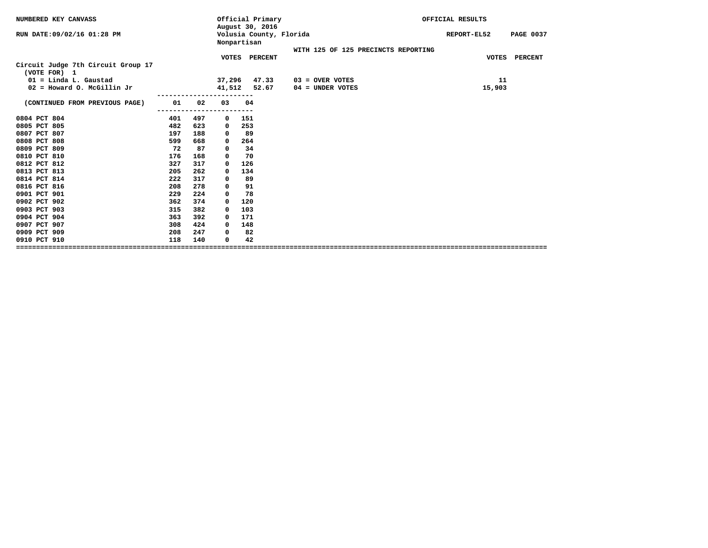|     |                   | Official Primary |                                                                                                       |                         | OFFICIAL RESULTS                    |                  |
|-----|-------------------|------------------|-------------------------------------------------------------------------------------------------------|-------------------------|-------------------------------------|------------------|
|     |                   |                  |                                                                                                       |                         | REPORT-EL52                         | <b>PAGE 0037</b> |
|     |                   |                  |                                                                                                       |                         |                                     |                  |
|     |                   |                  |                                                                                                       |                         |                                     | <b>PERCENT</b>   |
|     |                   |                  |                                                                                                       |                         |                                     |                  |
|     |                   | 47.33            | $03 =$ OVER VOTES                                                                                     |                         | 11                                  |                  |
|     |                   | 52.67            | $04 = UNDER VOTES$                                                                                    |                         | 15,903                              |                  |
| 02  | 03                | 04               |                                                                                                       |                         |                                     |                  |
|     |                   |                  |                                                                                                       |                         |                                     |                  |
|     | 0                 | 151              |                                                                                                       |                         |                                     |                  |
|     | 0                 |                  |                                                                                                       |                         |                                     |                  |
|     | 0                 |                  |                                                                                                       |                         |                                     |                  |
| 668 | 0                 | 264              |                                                                                                       |                         |                                     |                  |
| 87  | 0                 | 34               |                                                                                                       |                         |                                     |                  |
| 168 | 0                 | 70               |                                                                                                       |                         |                                     |                  |
| 317 | 0                 | 126              |                                                                                                       |                         |                                     |                  |
| 262 | 0                 | 134              |                                                                                                       |                         |                                     |                  |
| 317 | 0                 | 89               |                                                                                                       |                         |                                     |                  |
| 278 | 0                 | 91               |                                                                                                       |                         |                                     |                  |
| 224 | 0                 | 78               |                                                                                                       |                         |                                     |                  |
| 374 | 0                 | 120              |                                                                                                       |                         |                                     |                  |
| 382 | 0                 | 103              |                                                                                                       |                         |                                     |                  |
| 392 | 0                 | 171              |                                                                                                       |                         |                                     |                  |
| 424 | $\Omega$          | 148              |                                                                                                       |                         |                                     |                  |
| 247 | 0                 | 82               |                                                                                                       |                         |                                     |                  |
| 140 | 0                 | 42               |                                                                                                       |                         |                                     |                  |
|     | 497<br>623<br>188 |                  | August 30, 2016<br>Nonpartisan<br>VOTES PERCENT<br>37,296<br>41,512<br>253<br>89<br>================= | Volusia County, Florida | WITH 125 OF 125 PRECINCTS REPORTING | <b>VOTES</b>     |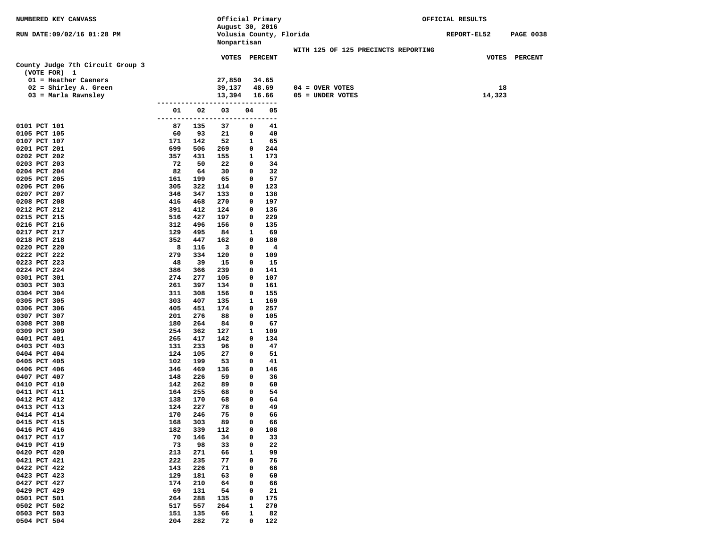| NUMBERED KEY CANVASS             |                      |            | Official Primary        |             |            |                                     | OFFICIAL RESULTS |             |                  |
|----------------------------------|----------------------|------------|-------------------------|-------------|------------|-------------------------------------|------------------|-------------|------------------|
|                                  |                      |            | August 30, 2016         |             |            |                                     |                  |             |                  |
| RUN DATE:09/02/16 01:28 PM       |                      |            | Volusia County, Florida |             |            |                                     |                  | REPORT-EL52 | <b>PAGE 0038</b> |
|                                  |                      |            | Nonpartisan             |             |            |                                     |                  |             |                  |
|                                  |                      |            |                         |             |            | WITH 125 OF 125 PRECINCTS REPORTING |                  |             |                  |
| County Judge 7th Circuit Group 3 |                      |            | <b>VOTES PERCENT</b>    |             |            |                                     |                  |             | VOTES PERCENT    |
| (VOTE FOR) 1                     |                      |            |                         |             |            |                                     |                  |             |                  |
| $01$ = Heather Caeners           |                      |            | 27,850                  |             | 34.65      |                                     |                  |             |                  |
| $02 =$ Shirley A. Green          |                      |            | 39,137                  |             | 48.69      | $04 = OVER VOTES$                   |                  | 18          |                  |
| 03 = Marla Rawnsley              |                      |            | 13,394                  |             | 16.66      | $05 = UNDER VOTES$                  |                  | 14,323      |                  |
|                                  | -------------        |            | ---------------         |             |            |                                     |                  |             |                  |
|                                  | 01                   | 02         | 03                      | 04          | 05         |                                     |                  |             |                  |
|                                  | -------------------- |            |                         |             | ---------- |                                     |                  |             |                  |
| 0101 PCT 101                     | 87                   | 135        | 37                      | 0           | 41         |                                     |                  |             |                  |
| 0105 PCT 105                     | 60                   | 93         | 21                      | 0           | 40         |                                     |                  |             |                  |
| 0107 PCT 107                     | 171                  | 142        | 52                      | 1           | 65         |                                     |                  |             |                  |
| 0201 PCT 201                     | 699                  | 506        | 269                     | 0           | 244        |                                     |                  |             |                  |
| 0202 PCT 202                     | 357                  | 431        | 155                     | 1           | 173        |                                     |                  |             |                  |
| 0203 PCT 203                     | 72                   | 50         | 22                      | 0           | 34         |                                     |                  |             |                  |
| 0204 PCT 204                     | 82                   | 64         | 30                      | 0           | 32         |                                     |                  |             |                  |
| 0205 PCT 205                     | 161                  | 199        | 65                      | 0           | 57         |                                     |                  |             |                  |
| 0206 PCT 206                     | 305                  | 322        | 114                     | 0           | 123        |                                     |                  |             |                  |
| 0207 PCT 207                     | 346                  | 347        | 133                     | 0           | 138        |                                     |                  |             |                  |
| 0208 PCT 208                     | 416                  | 468        | 270                     | 0           | 197        |                                     |                  |             |                  |
| 0212 PCT 212                     | 391<br>516           | 412        | 124                     | 0<br>0      | 136<br>229 |                                     |                  |             |                  |
| 0215 PCT 215<br>0216 PCT 216     | 312                  | 427<br>496 | 197<br>156              | 0           | 135        |                                     |                  |             |                  |
| 0217 PCT 217                     | 129                  | 495        | 84                      | 1           | 69         |                                     |                  |             |                  |
| 0218 PCT 218                     | 352                  | 447        | 162                     | 0           | 180        |                                     |                  |             |                  |
| 0220 PCT 220                     | 8                    | 116        | 3                       | 0           | 4          |                                     |                  |             |                  |
| 0222 PCT 222                     | 279                  | 334        | 120                     | 0           | 109        |                                     |                  |             |                  |
| 0223 PCT 223                     | 48                   | 39         | 15                      | 0           | 15         |                                     |                  |             |                  |
| 0224 PCT 224                     | 386                  | 366        | 239                     | 0           | 141        |                                     |                  |             |                  |
| 0301 PCT 301                     | 274                  | 277        | 105                     | 0           | 107        |                                     |                  |             |                  |
| 0303 PCT 303                     | 261                  | 397        | 134                     | 0           | 161        |                                     |                  |             |                  |
| 0304 PCT 304                     | 311                  | 308        | 156                     | 0           | 155        |                                     |                  |             |                  |
| 0305 PCT 305                     | 303                  | 407        | 135                     | 1           | 169        |                                     |                  |             |                  |
| 0306 PCT 306                     | 405                  | 451        | 174                     | 0           | 257        |                                     |                  |             |                  |
| 0307 PCT 307                     | 201                  | 276        | 88                      | 0           | 105        |                                     |                  |             |                  |
| 0308 PCT 308                     | 180                  | 264        | 84                      | 0           | 67         |                                     |                  |             |                  |
| 0309 PCT 309                     | 254                  | 362        | 127                     | 1           | 109        |                                     |                  |             |                  |
| 0401 PCT 401                     | 265                  | 417        | 142                     | 0           | 134        |                                     |                  |             |                  |
| 0403 PCT 403<br>0404 PCT 404     | 131<br>124           | 233<br>105 | 96                      | 0<br>0      | 47<br>51   |                                     |                  |             |                  |
| 0405 PCT 405                     | 102                  | 199        | 27<br>53                | 0           | 41         |                                     |                  |             |                  |
| 0406 PCT 406                     | 346                  | 469        | 136                     | 0           | 146        |                                     |                  |             |                  |
| 0407 PCT 407                     | 148                  | 226        | 59                      | 0           | 36         |                                     |                  |             |                  |
| 0410 PCT 410                     | 142                  | 262        | 89                      | 0           | 60         |                                     |                  |             |                  |
| 0411 PCT 411                     | 164                  | 255        | 68                      | 0           | 54         |                                     |                  |             |                  |
| 0412 PCT 412                     | 138                  | 170        | 68                      | 0           | 64         |                                     |                  |             |                  |
| 0413 PCT 413                     | 124                  | 227        | 78                      | 0           | 49         |                                     |                  |             |                  |
| 0414 PCT 414                     | 170                  | 246        | 75                      | $\mathbf 0$ | 66         |                                     |                  |             |                  |
| 0415 PCT 415                     | 168                  | 303        | 89                      | 0           | 66         |                                     |                  |             |                  |
| 0416 PCT 416                     | 182                  | 339        | 112                     | 0           | 108        |                                     |                  |             |                  |
| 0417 PCT 417                     | 70                   | 146        | 34                      | 0           | 33         |                                     |                  |             |                  |
| 0419 PCT 419                     | 73                   | 98         | 33                      | 0           | 22         |                                     |                  |             |                  |
| 0420 PCT 420                     | 213                  | 271        | 66                      | 1           | 99         |                                     |                  |             |                  |
| 0421 PCT 421                     | 222                  | 235        | 77                      | 0           | 76         |                                     |                  |             |                  |
| 0422 PCT 422                     | 143                  | 226        | 71                      | 0           | 66         |                                     |                  |             |                  |
| 0423 PCT 423                     | 129                  | 181        | 63                      | 0           | 60         |                                     |                  |             |                  |
| 0427 PCT 427                     | 174                  | 210        | 64                      | 0           | 66         |                                     |                  |             |                  |
| 0429 PCT 429<br>0501 PCT 501     | 69<br>264            | 131<br>288 | 54<br>135               | 0<br>0      | 21<br>175  |                                     |                  |             |                  |
| 0502 PCT 502                     | 517                  | 557        | 264                     | 1           | 270        |                                     |                  |             |                  |
| 0503 PCT 503                     | 151                  | 135        | 66                      | 1           | 82         |                                     |                  |             |                  |
| 0504 PCT 504                     | 204                  | 282        | 72                      | 0           | 122        |                                     |                  |             |                  |
|                                  |                      |            |                         |             |            |                                     |                  |             |                  |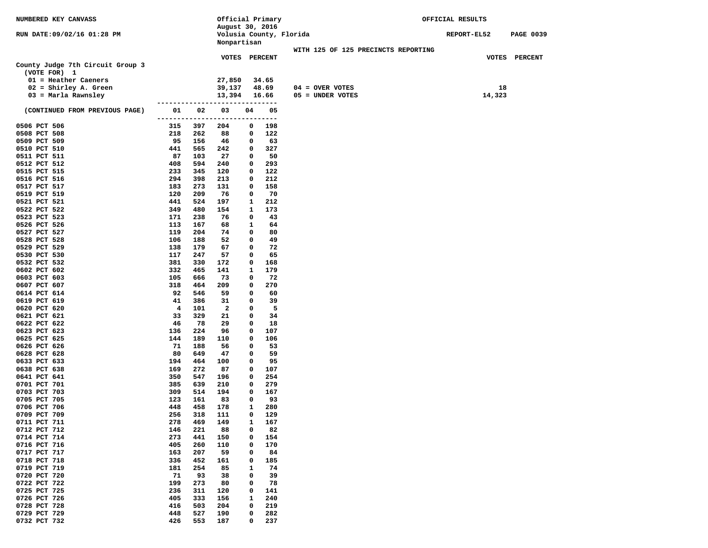| NUMBERED KEY CANVASS             |                      |            | Official Primary                       |        |            |                                     | OFFICIAL RESULTS |                  |  |  |  |
|----------------------------------|----------------------|------------|----------------------------------------|--------|------------|-------------------------------------|------------------|------------------|--|--|--|
|                                  |                      |            | August 30, 2016                        |        |            |                                     |                  |                  |  |  |  |
| RUN DATE: 09/02/16 01:28 PM      |                      |            | Volusia County, Florida<br>Nonpartisan |        |            |                                     | REPORT-EL52      | <b>PAGE 0039</b> |  |  |  |
|                                  |                      |            |                                        |        |            | WITH 125 OF 125 PRECINCTS REPORTING |                  |                  |  |  |  |
|                                  |                      |            | <b>VOTES PERCENT</b>                   |        |            |                                     |                  | VOTES PERCENT    |  |  |  |
| County Judge 7th Circuit Group 3 |                      |            |                                        |        |            |                                     |                  |                  |  |  |  |
| (VOTE FOR) 1                     |                      |            |                                        |        |            |                                     |                  |                  |  |  |  |
| $01$ = Heather Caeners           |                      |            | 27,850                                 |        | 34.65      |                                     |                  |                  |  |  |  |
| $02 =$ Shirley A. Green          |                      |            | 39,137                                 |        | 48.69      | $04 =$ OVER VOTES                   |                  | 18               |  |  |  |
| 03 = Marla Rawnsley              |                      |            | 13,394                                 |        | 16.66      | 05 = UNDER VOTES                    | 14,323           |                  |  |  |  |
|                                  |                      |            |                                        |        |            |                                     |                  |                  |  |  |  |
| (CONTINUED FROM PREVIOUS PAGE)   | 01                   | 02         | 03                                     | 04     | 05         |                                     |                  |                  |  |  |  |
|                                  | -------------------- |            |                                        | -----  | ----       |                                     |                  |                  |  |  |  |
| 0506 PCT 506<br>0508 PCT 508     | 315<br>218           | 397<br>262 | 204<br>88                              | 0<br>0 | 198<br>122 |                                     |                  |                  |  |  |  |
| 0509 PCT 509                     | 95                   | 156        | 46                                     | 0      | 63         |                                     |                  |                  |  |  |  |
| 0510 PCT 510                     | 441                  | 565        | 242                                    | 0      | 327        |                                     |                  |                  |  |  |  |
| 0511 PCT 511                     | 87                   | 103        | 27                                     | 0      | 50         |                                     |                  |                  |  |  |  |
| 0512 PCT 512                     | 408                  | 594        | 240                                    | 0      | 293        |                                     |                  |                  |  |  |  |
| 0515 PCT 515                     | 233                  | 345        | 120                                    | 0      | 122        |                                     |                  |                  |  |  |  |
| 0516 PCT 516                     | 294                  | 398        | 213                                    | 0      | 212        |                                     |                  |                  |  |  |  |
| 0517 PCT 517                     | 183                  | 273        | 131                                    | 0      | 158        |                                     |                  |                  |  |  |  |
| 0519 PCT 519                     | 120                  | 209        | 76                                     | 0      | 70         |                                     |                  |                  |  |  |  |
| 0521 PCT 521                     | 441                  | 524        | 197                                    | 1      | 212        |                                     |                  |                  |  |  |  |
| 0522 PCT 522                     | 349                  | 480        | 154                                    | 1      | 173        |                                     |                  |                  |  |  |  |
| 0523 PCT 523                     | 171                  | 238        | 76                                     | 0      | 43         |                                     |                  |                  |  |  |  |
| 0526 PCT 526                     | 113                  | 167        | 68                                     | 1      | 64         |                                     |                  |                  |  |  |  |
| 0527 PCT 527<br>0528 PCT 528     | 119                  | 204        | 74                                     | 0<br>0 | 80<br>49   |                                     |                  |                  |  |  |  |
| 0529 PCT 529                     | 106<br>138           | 188<br>179 | 52<br>67                               | 0      | 72         |                                     |                  |                  |  |  |  |
| 0530 PCT 530                     | 117                  | 247        | 57                                     | 0      | 65         |                                     |                  |                  |  |  |  |
| 0532 PCT 532                     | 381                  | 330        | 172                                    | 0      | 168        |                                     |                  |                  |  |  |  |
| 0602 PCT 602                     | 332                  | 465        | 141                                    | 1      | 179        |                                     |                  |                  |  |  |  |
| 0603 PCT 603                     | 105                  | 666        | 73                                     | 0      | 72         |                                     |                  |                  |  |  |  |
| 0607 PCT 607                     | 318                  | 464        | 209                                    | 0      | 270        |                                     |                  |                  |  |  |  |
| 0614 PCT 614                     | 92                   | 546        | 59                                     | 0      | 60         |                                     |                  |                  |  |  |  |
| 0619 PCT 619                     | 41                   | 386        | 31                                     | 0      | 39         |                                     |                  |                  |  |  |  |
| 0620 PCT 620                     | $\overline{4}$       | 101        | $\overline{\mathbf{2}}$                | 0      | 5          |                                     |                  |                  |  |  |  |
| 0621 PCT 621                     | 33                   | 329        | 21                                     | 0      | 34         |                                     |                  |                  |  |  |  |
| 0622 PCT 622                     | 46                   | 78         | 29                                     | 0      | 18         |                                     |                  |                  |  |  |  |
| 0623 PCT 623                     | 136                  | 224        | 96                                     | 0      | 107        |                                     |                  |                  |  |  |  |
| 0625 PCT 625                     | 144<br>71            | 189        | 110                                    | 0<br>0 | 106        |                                     |                  |                  |  |  |  |
| 0626 PCT 626<br>0628 PCT 628     | 80                   | 188<br>649 | 56<br>47                               | 0      | 53<br>59   |                                     |                  |                  |  |  |  |
| 0633 PCT 633                     | 194                  | 464        | 100                                    | 0      | 95         |                                     |                  |                  |  |  |  |
| 0638 PCT 638                     | 169                  | 272        | 87                                     | 0      | 107        |                                     |                  |                  |  |  |  |
| 0641 PCT 641                     | 350                  | 547        | 196                                    | 0      | 254        |                                     |                  |                  |  |  |  |
| 0701 PCT 701                     | 385                  | 639        | 210                                    | 0      | 279        |                                     |                  |                  |  |  |  |
| 0703 PCT 703                     | 309                  | 514        | 194                                    | 0      | 167        |                                     |                  |                  |  |  |  |
| 0705 PCT 705                     | 123                  | 161        | 83                                     | 0      | 93         |                                     |                  |                  |  |  |  |
| 0706 PCT 706                     | 448                  | 458        | 178                                    | 1      | 280        |                                     |                  |                  |  |  |  |
| 0709 PCT 709                     | 256                  | 318        | 111                                    | 0      | 129        |                                     |                  |                  |  |  |  |
| 0711 PCT 711                     | 278                  | 469        | 149                                    | 1      | 167        |                                     |                  |                  |  |  |  |
| 0712 PCT 712                     | 146                  | 221        | 88                                     | 0      | 82         |                                     |                  |                  |  |  |  |
| 0714 PCT 714                     | 273                  | 441        | 150                                    | 0      | 154        |                                     |                  |                  |  |  |  |
| 0716 PCT 716<br>0717 PCT 717     | 405                  | 260        | 110                                    | 0      | 170        |                                     |                  |                  |  |  |  |
| 0718 PCT 718                     | 163<br>336           | 207<br>452 | 59<br>161                              | 0<br>0 | 84<br>185  |                                     |                  |                  |  |  |  |
| 0719 PCT 719                     | 181                  | 254        | 85                                     | 1      | 74         |                                     |                  |                  |  |  |  |
| 0720 PCT 720                     | 71                   | 93         | 38                                     | 0      | 39         |                                     |                  |                  |  |  |  |
| 0722 PCT 722                     | 199                  | 273        | 80                                     | 0      | 78         |                                     |                  |                  |  |  |  |
| 0725 PCT 725                     | 236                  | 311        | 120                                    | 0      | 141        |                                     |                  |                  |  |  |  |
| 0726 PCT 726                     | 405                  | 333        | 156                                    | 1      | 240        |                                     |                  |                  |  |  |  |
| 0728 PCT 728                     | 416                  | 503        | 204                                    | 0      | 219        |                                     |                  |                  |  |  |  |
| 0729 PCT 729                     | 448                  | 527        | 190                                    | 0      | 282        |                                     |                  |                  |  |  |  |
| 0732 PCT 732                     | 426                  | 553        | 187                                    | 0      | 237        |                                     |                  |                  |  |  |  |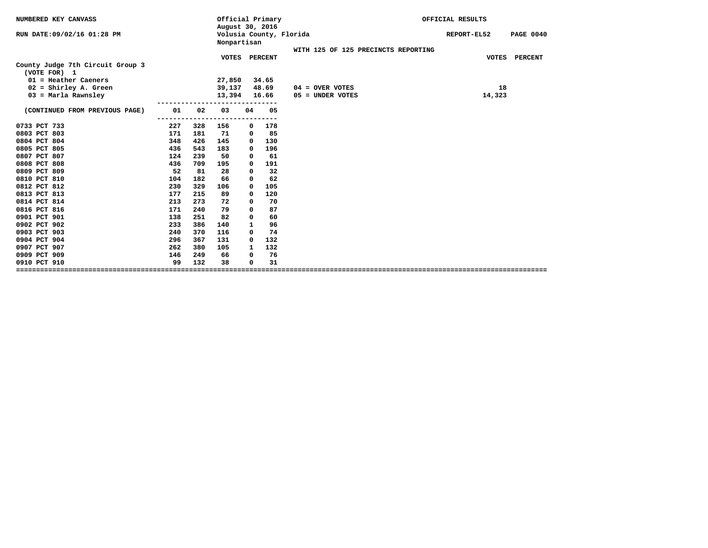| NUMBERED KEY CANVASS                             |     |     | Official Primary<br>August 30, 2016 |              |                         |                                     | OFFICIAL RESULTS |                  |
|--------------------------------------------------|-----|-----|-------------------------------------|--------------|-------------------------|-------------------------------------|------------------|------------------|
| RUN DATE: 09/02/16 01:28 PM                      |     |     | Nonpartisan                         |              | Volusia County, Florida |                                     | REPORT-EL52      | <b>PAGE 0040</b> |
|                                                  |     |     |                                     |              |                         | WITH 125 OF 125 PRECINCTS REPORTING |                  |                  |
| County Judge 7th Circuit Group 3<br>(VOTE FOR) 1 |     |     | <b>VOTES</b>                        |              | <b>PERCENT</b>          |                                     | <b>VOTES</b>     | PERCENT          |
| $01$ = Heather Caeners                           |     |     | 27,850                              |              | 34.65                   |                                     |                  |                  |
| $02 =$ Shirley A. Green                          |     |     | 39,137                              |              | 48.69                   | $04 =$ OVER VOTES                   | 18               |                  |
| $03$ = Marla Rawnsley                            |     |     | 13,394                              |              | 16.66                   | 05 = UNDER VOTES                    | 14,323           |                  |
|                                                  |     |     |                                     |              |                         |                                     |                  |                  |
| (CONTINUED FROM PREVIOUS PAGE)                   | 01  | 02  | 03                                  | 04           | 05<br>$---$             |                                     |                  |                  |
| 0733 PCT 733                                     | 227 | 328 | 156                                 | 0            | 178                     |                                     |                  |                  |
| 0803 PCT 803                                     | 171 | 181 | 71                                  | 0            | 85                      |                                     |                  |                  |
| 0804 PCT 804                                     | 348 | 426 | 145                                 | 0            | 130                     |                                     |                  |                  |
| 0805 PCT 805                                     | 436 | 543 | 183                                 | 0            | 196                     |                                     |                  |                  |
| 0807 PCT 807                                     | 124 | 239 | 50                                  | 0            | 61                      |                                     |                  |                  |
| 0808 PCT 808                                     | 436 | 709 | 195                                 | 0            | 191                     |                                     |                  |                  |
| 0809 PCT 809                                     | 52  | 81  | 28                                  | 0            | 32                      |                                     |                  |                  |
| 0810 PCT 810                                     | 104 | 182 | 66                                  | 0            | 62                      |                                     |                  |                  |
| 0812 PCT 812                                     | 230 | 329 | 106                                 | 0            | 105                     |                                     |                  |                  |
| 0813 PCT 813                                     | 177 | 215 | 89                                  | 0            | 120                     |                                     |                  |                  |
| 0814 PCT 814                                     | 213 | 273 | 72                                  | 0            | 70                      |                                     |                  |                  |
| 0816 PCT 816                                     | 171 | 240 | 79                                  | 0            | 87                      |                                     |                  |                  |
| 0901 PCT 901                                     | 138 | 251 | 82                                  | 0            | 60                      |                                     |                  |                  |
| 0902 PCT 902                                     | 233 | 386 | 140                                 | $\mathbf{1}$ | 96                      |                                     |                  |                  |
| 0903 PCT 903                                     | 240 | 370 | 116                                 | 0            | 74                      |                                     |                  |                  |
| 0904 PCT 904                                     | 296 | 367 | 131                                 | 0            | 132                     |                                     |                  |                  |
| 0907 PCT 907                                     | 262 | 380 | 105                                 | $\mathbf{1}$ | 132                     |                                     |                  |                  |
| 0909 PCT 909                                     | 146 | 249 | 66                                  | 0            | 76                      |                                     |                  |                  |
| 0910 PCT 910                                     | 99  | 132 | 38                                  | 0            | 31                      |                                     |                  |                  |
|                                                  |     |     |                                     |              |                         |                                     |                  |                  |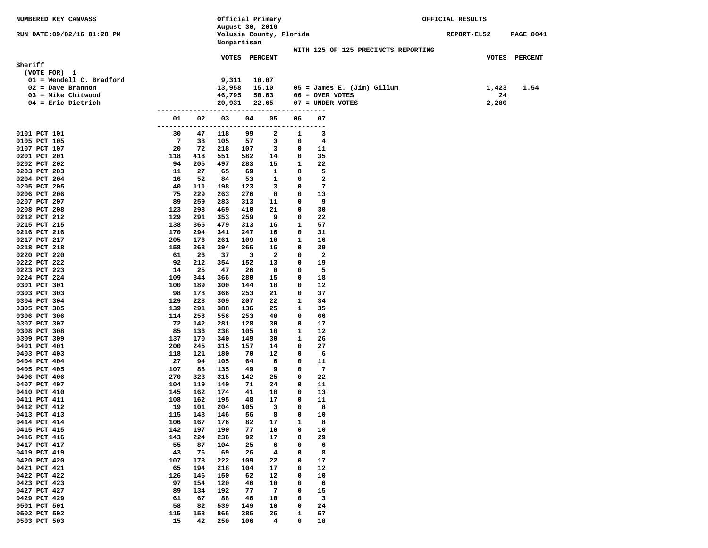| NUMBERED KEY CANVASS         |                      |            |            | Official Primary |                         |        |                              |                                     | OFFICIAL RESULTS   |       |                  |
|------------------------------|----------------------|------------|------------|------------------|-------------------------|--------|------------------------------|-------------------------------------|--------------------|-------|------------------|
| RUN DATE:09/02/16 01:28 PM   |                      |            |            | August 30, 2016  | Volusia County, Florida |        |                              |                                     | <b>REPORT-EL52</b> |       | <b>PAGE 0041</b> |
|                              |                      |            |            | Nonpartisan      |                         |        |                              |                                     |                    |       |                  |
|                              |                      |            |            |                  |                         |        |                              | WITH 125 OF 125 PRECINCTS REPORTING |                    |       |                  |
|                              |                      |            |            | VOTES PERCENT    |                         |        |                              |                                     |                    |       | VOTES PERCENT    |
| Sheriff                      |                      |            |            |                  |                         |        |                              |                                     |                    |       |                  |
| (VOTE FOR) 1                 |                      |            |            |                  |                         |        |                              |                                     |                    |       |                  |
| $01 =$ Wendell C. Bradford   |                      |            | 9,311      |                  | 10.07                   |        |                              |                                     |                    |       |                  |
| $02 = Dave Branch$           |                      |            | 13,958     |                  | 15.10                   |        | $05 =$ James E. (Jim) Gillum |                                     |                    | 1,423 | 1.54             |
| $03 =$ Mike Chitwood         |                      |            | 46,795     |                  | 50.63                   |        | $06 =$ OVER VOTES            |                                     |                    | 24    |                  |
| $04$ = Eric Dietrich         |                      |            | 20,931     |                  | 22.65                   |        | 07 = UNDER VOTES             |                                     |                    | 2,280 |                  |
|                              | --------------<br>01 | 02         | 03         | 04               | 05                      | 06     | ----<br>07                   |                                     |                    |       |                  |
|                              | ----                 |            |            |                  |                         |        | ----                         |                                     |                    |       |                  |
| 0101 PCT 101                 | 30                   | 47         | 118        | 99               | 2                       | 1      | 3                            |                                     |                    |       |                  |
| 0105 PCT 105                 | 7                    | 38         | 105        | 57               | 3                       | 0      | 4                            |                                     |                    |       |                  |
| 0107 PCT 107                 | 20                   | 72         | 218        | 107              | 3                       | 0      | 11                           |                                     |                    |       |                  |
| 0201 PCT 201                 | 118                  | 418        | 551        | 582              | 14                      | 0      | 35                           |                                     |                    |       |                  |
| 0202 PCT 202                 | 94                   | 205        | 497        | 283              | 15                      | 1      | 22                           |                                     |                    |       |                  |
| 0203 PCT 203                 | 11                   | 27         | 65         | 69               | 1                       | 0      | 5                            |                                     |                    |       |                  |
| 0204 PCT 204                 | 16                   | 52         | 84         | 53               | 1                       | 0      | 2                            |                                     |                    |       |                  |
| 0205 PCT 205                 | 40                   | 111        | 198        | 123              | 3                       | 0      | 7                            |                                     |                    |       |                  |
| 0206 PCT 206                 | 75                   | 229        | 263        | 276              | 8                       | 0      | 13                           |                                     |                    |       |                  |
| 0207 PCT 207                 | 89                   | 259        | 283        | 313              | 11                      | 0      | 9                            |                                     |                    |       |                  |
| 0208 PCT 208<br>0212 PCT 212 | 123<br>129           | 298<br>291 | 469<br>353 | 410<br>259       | 21<br>9                 | 0<br>0 | 30<br>22                     |                                     |                    |       |                  |
| 0215 PCT 215                 | 138                  | 365        | 479        | 313              | 16                      | 1      | 57                           |                                     |                    |       |                  |
| 0216 PCT 216                 | 170                  | 294        | 341        | 247              | 16                      | 0      | 31                           |                                     |                    |       |                  |
| 0217 PCT 217                 | 205                  | 176        | 261        | 109              | 10                      | 1      | 16                           |                                     |                    |       |                  |
| 0218 PCT 218                 | 158                  | 268        | 394        | 266              | 16                      | 0      | 39                           |                                     |                    |       |                  |
| 0220 PCT 220                 | 61                   | 26         | 37         | 3                | $\overline{\mathbf{2}}$ | 0      | 2                            |                                     |                    |       |                  |
| 0222 PCT 222                 | 92                   | 212        | 354        | 152              | 13                      | 0      | 19                           |                                     |                    |       |                  |
| 0223 PCT 223                 | 14                   | 25         | 47         | 26               | 0                       | 0      | 5                            |                                     |                    |       |                  |
| 0224 PCT 224                 | 109                  | 344        | 366        | 280              | 15                      | 0      | 18                           |                                     |                    |       |                  |
| 0301 PCT 301                 | 100                  | 189        | 300        | 144              | 18                      | 0      | 12                           |                                     |                    |       |                  |
| 0303 PCT 303                 | 98                   | 178        | 366        | 253              | 21                      | 0      | 37                           |                                     |                    |       |                  |
| 0304 PCT 304                 | 129                  | 228        | 309        | 207              | 22                      | 1<br>1 | 34                           |                                     |                    |       |                  |
| 0305 PCT 305<br>0306 PCT 306 | 139<br>114           | 291<br>258 | 388<br>556 | 136<br>253       | 25<br>40                | 0      | 35<br>66                     |                                     |                    |       |                  |
| 0307 PCT 307                 | 72                   | 142        | 281        | 128              | 30                      | 0      | 17                           |                                     |                    |       |                  |
| 0308 PCT 308                 | 85                   | 136        | 238        | 105              | 18                      | 1      | 12                           |                                     |                    |       |                  |
| 0309 PCT 309                 | 137                  | 170        | 340        | 149              | 30                      | 1      | 26                           |                                     |                    |       |                  |
| 0401 PCT 401                 | 200                  | 245        | 315        | 157              | 14                      | 0      | 27                           |                                     |                    |       |                  |
| 0403 PCT 403                 | 118                  | 121        | 180        | 70               | 12                      | 0      | 6                            |                                     |                    |       |                  |
| 0404 PCT 404                 | 27                   | 94         | 105        | 64               | 6                       | 0      | 11                           |                                     |                    |       |                  |
| 0405 PCT 405                 | 107                  | 88         | 135        | 49               | 9                       | 0      | 7                            |                                     |                    |       |                  |
| 0406 PCT 406                 | 270                  | 323        | 315        | 142              | 25                      | 0      | 22                           |                                     |                    |       |                  |
| 0407 PCT 407                 | 104                  | 119        | 140        | 71               | 24                      | 0      | 11                           |                                     |                    |       |                  |
| 0410 PCT 410<br>0411 PCT 411 | 145<br>108           | 162<br>162 | 174<br>195 | 41<br>48         | 18<br>17                | 0<br>0 | 13<br>11                     |                                     |                    |       |                  |
| 0412 PCT 412                 | 19                   | 101        | 204        | 105              | 3                       | 0      | 8                            |                                     |                    |       |                  |
| 0413 PCT 413                 | 115                  | 143        | 146        | 56               | 8                       | 0      | 10                           |                                     |                    |       |                  |
| 0414 PCT 414                 | 106                  | 167        | 176        | 82               | 17                      | 1      | 8                            |                                     |                    |       |                  |
| 0415 PCT 415                 | 142                  | 197        | 190        | 77               | 10                      | 0      | 10                           |                                     |                    |       |                  |
| 0416 PCT 416                 | 143                  | 224        | 236        | 92               | 17                      | 0      | 29                           |                                     |                    |       |                  |
| 0417 PCT 417                 | 55                   | 87         | 104        | 25               | 6                       | 0      | 6                            |                                     |                    |       |                  |
| 0419 PCT 419                 | 43                   | 76         | 69         | 26               | 4                       | 0      | 8                            |                                     |                    |       |                  |
| 0420 PCT 420                 | 107                  | 173        | 222        | 109              | 22                      | 0      | 17                           |                                     |                    |       |                  |
| 0421 PCT 421                 | 65                   | 194        | 218        | 104              | 17                      | 0      | 12                           |                                     |                    |       |                  |
| 0422 PCT 422                 | 126                  | 146        | 150        | 62               | 12                      | 0      | 10                           |                                     |                    |       |                  |
| 0423 PCT 423<br>0427 PCT 427 | 97<br>89             | 154<br>134 | 120<br>192 | 46<br>77         | 10<br>-7                | 0<br>0 | 6<br>15                      |                                     |                    |       |                  |
| 0429 PCT 429                 | 61                   | 67         | 88         | 46               | 10                      | 0      | 3                            |                                     |                    |       |                  |
| 0501 PCT 501                 | 58                   | 82         | 539        | 149              | 10                      | 0      | 24                           |                                     |                    |       |                  |
| 0502 PCT 502                 | 115                  | 158        | 866        | 386              | 26                      | 1      | 57                           |                                     |                    |       |                  |
| 0503 PCT 503                 | 15                   | 42         | 250        | 106              | 4                       | 0      | 18                           |                                     |                    |       |                  |
|                              |                      |            |            |                  |                         |        |                              |                                     |                    |       |                  |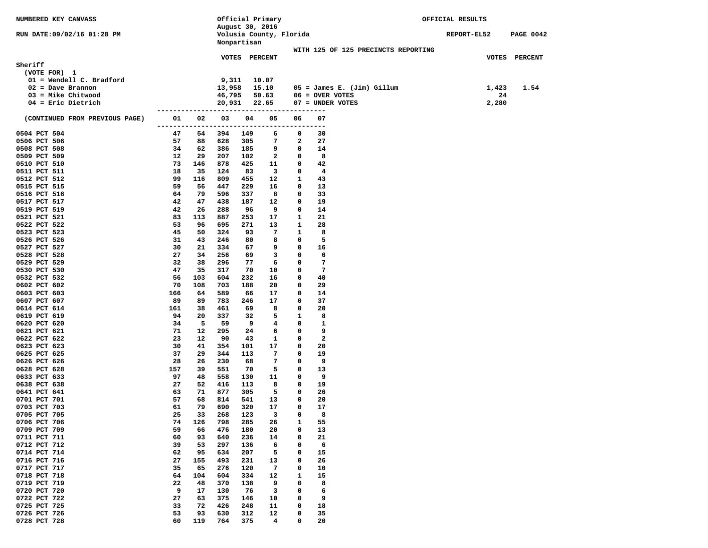| NUMBERED KEY CANVASS                         |          |          |                  | Official Primary                           |                         |              |                                       | OFFICIAL RESULTS |             |                  |
|----------------------------------------------|----------|----------|------------------|--------------------------------------------|-------------------------|--------------|---------------------------------------|------------------|-------------|------------------|
| RUN DATE:09/02/16 01:28 PM                   |          |          |                  | August 30, 2016<br>Volusia County, Florida |                         |              |                                       |                  | REPORT-EL52 | <b>PAGE 0042</b> |
|                                              |          |          |                  | Nonpartisan                                |                         |              | WITH 125 OF 125 PRECINCTS REPORTING   |                  |             |                  |
|                                              |          |          |                  | VOTES PERCENT                              |                         |              |                                       |                  |             | VOTES PERCENT    |
| Sheriff                                      |          |          |                  |                                            |                         |              |                                       |                  |             |                  |
| (VOTE FOR) 1                                 |          |          |                  |                                            |                         |              |                                       |                  |             |                  |
| 01 = Wendell C. Bradford                     |          |          | 9,311            |                                            | 10.07                   |              |                                       |                  |             |                  |
| $02 = Dave Branch$                           |          |          | 13,958           |                                            | 15.10                   |              | $05 =$ James E. (Jim) Gillum          |                  | 1,423       | 1.54             |
| $03 =$ Mike Chitwood<br>$04$ = Eric Dietrich |          |          | 46,795<br>20,931 |                                            | 50.63<br>22.65          |              | $06 =$ OVER VOTES<br>07 = UNDER VOTES |                  | 24<br>2,280 |                  |
|                                              |          |          |                  |                                            |                         |              |                                       |                  |             |                  |
| (CONTINUED FROM PREVIOUS PAGE)               | 01       | 02       | 03               | 04                                         | 05                      | 06           | 07                                    |                  |             |                  |
| 0504 PCT 504                                 | 47       | 54       | 394              | 149                                        | 6                       | 0            | 30                                    |                  |             |                  |
| 0506 PCT 506                                 | 57       | 88       | 628              | 305                                        | 7<br>9                  | 2<br>0       | 27                                    |                  |             |                  |
| 0508 PCT 508<br>0509 PCT 509                 | 34<br>12 | 62<br>29 | 386<br>207       | 185<br>102                                 | $\overline{a}$          | 0            | 14<br>8                               |                  |             |                  |
| 0510 PCT 510                                 | 73       | 146      | 878              | 425                                        | 11                      | 0            | 42                                    |                  |             |                  |
| 0511 PCT 511                                 | 18       | 35       | 124              | 83                                         | $\overline{\mathbf{3}}$ | 0            | 4                                     |                  |             |                  |
| 0512 PCT 512                                 | 99       | 116      | 809              | 455                                        | 12                      | 1            | 43                                    |                  |             |                  |
| 0515 PCT 515                                 | 59       | 56       | 447              | 229                                        | 16                      | 0            | 13                                    |                  |             |                  |
| 0516 PCT 516                                 | 64       | 79       | 596              | 337                                        | 8                       | 0            | 33                                    |                  |             |                  |
| 0517 PCT 517                                 | 42<br>42 | 47<br>26 | 438<br>288       | 187<br>96                                  | 12<br>9                 | 0<br>0       | 19<br>14                              |                  |             |                  |
| 0519 PCT 519<br>0521 PCT 521                 | 83       | 113      | 887              | 253                                        | 17                      | 1            | 21                                    |                  |             |                  |
| 0522 PCT 522                                 | 53       | 96       | 695              | 271                                        | 13                      | 1            | 28                                    |                  |             |                  |
| 0523 PCT 523                                 | 45       | 50       | 324              | 93                                         | 7                       | 1            | 8                                     |                  |             |                  |
| 0526 PCT 526                                 | 31       | 43       | 246              | 80                                         | 8                       | 0            | 5                                     |                  |             |                  |
| 0527 PCT 527                                 | 30       | 21       | 334              | 67                                         | 9                       | 0            | 16                                    |                  |             |                  |
| 0528 PCT 528                                 | 27       | 34       | 256              | 69                                         | 3                       | 0            | 6                                     |                  |             |                  |
| 0529 PCT 529<br>0530 PCT 530                 | 32<br>47 | 38<br>35 | 296<br>317       | 77<br>70                                   | 6<br>10                 | 0<br>0       | 7<br>7                                |                  |             |                  |
| 0532 PCT 532                                 | 56       | 103      | 604              | 232                                        | 16                      | 0            | 40                                    |                  |             |                  |
| 0602 PCT 602                                 | 70       | 108      | 703              | 188                                        | 20                      | 0            | 29                                    |                  |             |                  |
| 0603 PCT 603                                 | 166      | 64       | 589              | 66                                         | 17                      | 0            | 14                                    |                  |             |                  |
| 0607 PCT 607                                 | 89       | 89       | 783              | 246                                        | 17                      | 0            | 37                                    |                  |             |                  |
| 0614 PCT 614                                 | 161      | 38       | 461              | 69                                         | 8                       | 0            | 20                                    |                  |             |                  |
| 0619 PCT 619                                 | 94       | 20       | 337              | 32                                         | 5                       | $\mathbf{1}$ | 8                                     |                  |             |                  |
| 0620 PCT 620<br>0621 PCT 621                 | 34<br>71 | 5<br>12  | 59<br>295        | 9<br>24                                    | 4<br>6                  | 0<br>0       | 1<br>9                                |                  |             |                  |
| 0622 PCT 622                                 | 23       | 12       | 90               | 43                                         | 1                       | 0            | $\mathbf{2}$                          |                  |             |                  |
| 0623 PCT 623                                 | 30       | 41       | 354              | 101                                        | 17                      | 0            | 20                                    |                  |             |                  |
| 0625 PCT 625                                 | 37       | 29       | 344              | 113                                        | 7                       | 0            | 19                                    |                  |             |                  |
| 0626 PCT 626                                 | 28       | 26       | 230              | 68                                         | 7                       | 0            | 9                                     |                  |             |                  |
| 0628 PCT 628                                 | 157      | 39       | 551              | 70                                         | 5                       | 0            | 13                                    |                  |             |                  |
| 0633 PCT 633<br>0638 PCT 638                 | 97<br>27 | 48<br>52 | 558<br>416       | 130<br>113                                 | 11<br>8                 | 0<br>0       | 9<br>19                               |                  |             |                  |
| 0641 PCT 641                                 | 63       | 71       | 877              | 305                                        | 5                       | 0            | 26                                    |                  |             |                  |
| 0701 PCT 701                                 | 57       | 68       | 814              | 541                                        | 13                      | 0            | 20                                    |                  |             |                  |
| 0703 PCT 703                                 | 61       | 79       | 690              | 320                                        | 17                      | 0            | 17                                    |                  |             |                  |
| 0705 PCT 705                                 | 25       | 33       | 268              | 123                                        | 3                       | $\mathbf 0$  | 8                                     |                  |             |                  |
| 0706 PCT 706                                 | 74       | 126      | 798              | 285                                        | 26                      | 1            | 55                                    |                  |             |                  |
| 0709 PCT 709                                 | 59       | 66       | 476              | 180                                        | 20                      | 0            | 13                                    |                  |             |                  |
| 0711 PCT 711<br>0712 PCT 712                 | 60<br>39 | 93<br>53 | 640<br>297       | 236<br>136                                 | 14<br>6                 | 0<br>0       | 21<br>6                               |                  |             |                  |
| 0714 PCT 714                                 | 62       | 95       | 634              | 207                                        | 5                       | 0            | 15                                    |                  |             |                  |
| 0716 PCT 716                                 | 27       | 155      | 493              | 231                                        | 13                      | 0            | 26                                    |                  |             |                  |
| 0717 PCT 717                                 | 35       | 65       | 276              | 120                                        | 7                       | 0            | 10                                    |                  |             |                  |
| 0718 PCT 718                                 | 64       | 104      | 604              | 334                                        | 12                      | 1            | 15                                    |                  |             |                  |
| 0719 PCT 719                                 | 22       | 48       | 370              | 138                                        | 9                       | 0            | 8                                     |                  |             |                  |
| 0720 PCT 720<br>0722 PCT 722                 | 9        | 17       | 130              | 76                                         | 3                       | 0<br>0       | 6                                     |                  |             |                  |
| 0725 PCT 725                                 | 27<br>33 | 63<br>72 | 375<br>426       | 146<br>248                                 | 10<br>11                | 0            | 9<br>18                               |                  |             |                  |
| 0726 PCT 726                                 | 53       | 93       | 630              | 312                                        | 12                      | 0            | 35                                    |                  |             |                  |
| 0728 PCT 728                                 | 60       | 119      | 764              | 375                                        | 4                       | $\mathbf 0$  | 20                                    |                  |             |                  |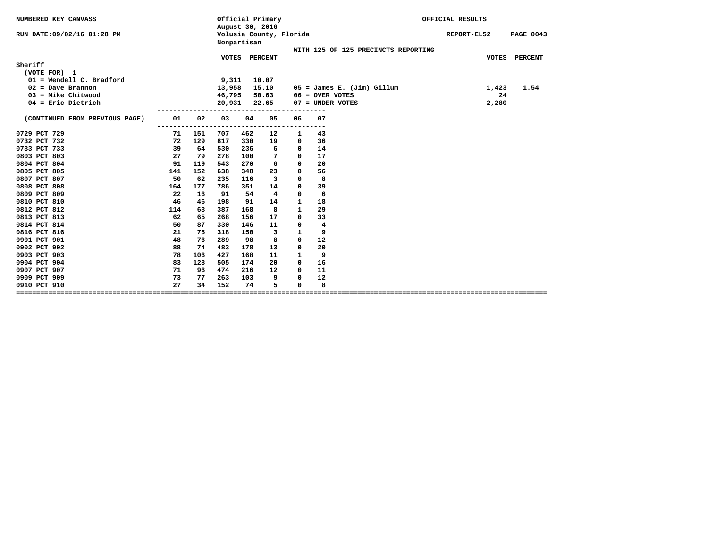| NUMBERED KEY CANVASS                       |     | Official Primary<br>August 30, 2016 |                |    |                         |                                     | OFFICIAL RESULTS |                  |
|--------------------------------------------|-----|-------------------------------------|----------------|----|-------------------------|-------------------------------------|------------------|------------------|
| RUN DATE:09/02/16 01:28 PM                 |     | Nonpartisan                         |                |    | Volusia County, Florida |                                     | REPORT-EL52      | <b>PAGE 0043</b> |
|                                            |     |                                     | VOTES PERCENT  |    |                         | WITH 125 OF 125 PRECINCTS REPORTING |                  | VOTES PERCENT    |
| Sheriff                                    |     |                                     |                |    |                         |                                     |                  |                  |
| (VOTE FOR) 1<br>$01 =$ Wendell C. Bradford |     |                                     |                |    |                         |                                     |                  |                  |
| $02 = Dave Branch$                         |     | 9,311<br>13,958                     | 10.07<br>15.10 |    |                         | $05 =$ James E. (Jim) Gillum        | 1,423            | 1.54             |
| $03$ = Mike Chitwood                       |     | 46,795                              | 50.63          |    |                         | $06 =$ OVER VOTES                   | 24               |                  |
| $04$ = Eric Dietrich                       |     | 20,931                              | 22.65          |    |                         | 07 = UNDER VOTES                    | 2,280            |                  |
|                                            |     |                                     |                |    |                         |                                     |                  |                  |
| 01<br>(CONTINUED FROM PREVIOUS PAGE)       | 02  | 03                                  | 04             | 05 | 06                      | 07                                  |                  |                  |
| 0729 PCT 729<br>71                         | 151 | 707                                 | 462            | 12 | 1                       | 43                                  |                  |                  |
| 0732 PCT 732<br>72                         | 129 | 817                                 | 330            | 19 | 0                       | 36                                  |                  |                  |
| 0733 PCT 733<br>39                         | 64  | 530                                 | 236            | 6  | 0                       | 14                                  |                  |                  |
| 0803 PCT 803<br>27                         | 79  | 278                                 | 100            | 7  | $\mathbf 0$             | 17                                  |                  |                  |
| 0804 PCT 804<br>91                         | 119 | 543                                 | 270            | 6  | $\mathbf{0}$            | 20                                  |                  |                  |
| 0805 PCT 805<br>141                        | 152 | 638                                 | 348            | 23 | $\mathbf 0$             | 56                                  |                  |                  |
| 0807 PCT 807<br>50                         | 62  | 235                                 | 116            | 3  | 0                       | 8                                   |                  |                  |
| 0808 PCT 808<br>164                        | 177 | 786                                 | 351            | 14 | $\mathbf 0$             | 39                                  |                  |                  |
| 0809 PCT 809<br>22                         | 16  | 91                                  | 54             | 4  | $\mathbf 0$             | 6                                   |                  |                  |
| 0810 PCT 810<br>46                         | 46  | 198                                 | 91             | 14 | $\mathbf{1}$            | 18                                  |                  |                  |
| 0812 PCT 812<br>114                        | 63  | 387                                 | 168            | 8  | $\mathbf{1}$            | 29                                  |                  |                  |
| 62<br>0813 PCT 813                         | 65  | 268                                 | 156            | 17 | 0                       | 33                                  |                  |                  |
| 50<br>0814 PCT 814                         | 87  | 330                                 | 146            | 11 | 0                       | 4                                   |                  |                  |
| 0816 PCT 816<br>21                         | 75  | 318                                 | 150            | 3  | 1                       | 9                                   |                  |                  |
| 48<br>0901 PCT 901                         | 76  | 289                                 | 98             | 8  | $\mathbf{0}$            | 12                                  |                  |                  |
| 88<br>0902 PCT 902                         | 74  | 483                                 | 178            | 13 | $\mathbf{0}$            | 20                                  |                  |                  |
| 0903 PCT 903<br>78                         | 106 | 427                                 | 168            | 11 | $\mathbf{1}$            | 9                                   |                  |                  |
| 83<br>0904 PCT 904                         | 128 | 505                                 | 174            | 20 | $^{\circ}$              | 16                                  |                  |                  |
| 0907 PCT 907<br>71                         | 96  | 474                                 | 216            | 12 | $^{\circ}$              | 11                                  |                  |                  |
| 0909 PCT 909<br>73                         | 77  | 263                                 | 103            | 9  | 0                       | 12                                  |                  |                  |
| 27<br>0910 PCT 910                         | 34  | 152                                 | 74             | 5  | 0                       | 8                                   |                  |                  |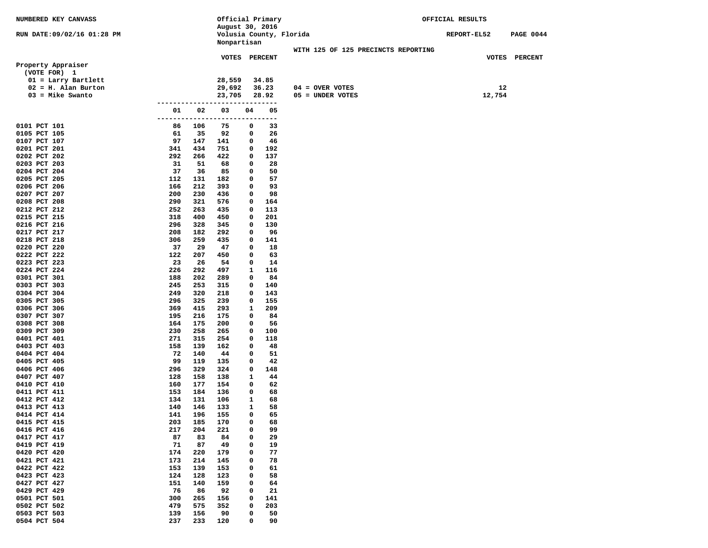| <b>NUMBERED KEY CANVASS</b>  |               |            | Official Primary        |             |            |                                     | OFFICIAL RESULTS |        |                  |  |  |
|------------------------------|---------------|------------|-------------------------|-------------|------------|-------------------------------------|------------------|--------|------------------|--|--|
|                              |               |            | August 30, 2016         |             |            |                                     |                  |        |                  |  |  |
| RUN DATE:09/02/16 01:28 PM   |               |            | Volusia County, Florida |             |            |                                     | REPORT-EL52      |        | <b>PAGE 0044</b> |  |  |
|                              |               |            | Nonpartisan             |             |            |                                     |                  |        |                  |  |  |
|                              |               |            |                         |             |            | WITH 125 OF 125 PRECINCTS REPORTING |                  |        |                  |  |  |
| Property Appraiser           |               |            | VOTES PERCENT           |             |            |                                     |                  |        | VOTES PERCENT    |  |  |
| (VOTE FOR) 1                 |               |            |                         |             |            |                                     |                  |        |                  |  |  |
| $01$ = Larry Bartlett        |               |            | 28,559                  |             | 34.85      |                                     |                  |        |                  |  |  |
| $02 = H.$ Alan Burton        |               |            | 29,692                  |             | 36.23      | $04 =$ OVER VOTES                   |                  | 12     |                  |  |  |
| $03$ = Mike Swanto           |               |            | 23,705                  |             | 28.92      | 05 = UNDER VOTES                    |                  | 12,754 |                  |  |  |
|                              | ---------     |            | -----                   |             | ---------- |                                     |                  |        |                  |  |  |
|                              | 01            | 02         | 03                      | 04          | 05         |                                     |                  |        |                  |  |  |
|                              | ------------- |            | ------                  |             | ---------- |                                     |                  |        |                  |  |  |
| 0101 PCT 101                 | 86            | 106        | 75                      | 0           | 33         |                                     |                  |        |                  |  |  |
| 0105 PCT 105                 | 61            | 35         | 92                      | 0           | 26         |                                     |                  |        |                  |  |  |
| 0107 PCT 107                 | 97            | 147        | 141                     | 0           | 46         |                                     |                  |        |                  |  |  |
| 0201 PCT 201                 | 341           | 434        | 751                     | 0           | 192        |                                     |                  |        |                  |  |  |
| 0202 PCT 202                 | 292           | 266        | 422                     | 0           | 137        |                                     |                  |        |                  |  |  |
| 0203 PCT 203                 | 31            | 51         | 68                      | 0           | 28         |                                     |                  |        |                  |  |  |
| 0204 PCT 204                 | 37            | 36         | 85                      | 0           | 50         |                                     |                  |        |                  |  |  |
| 0205 PCT 205                 | 112           | 131        | 182                     | 0           | 57         |                                     |                  |        |                  |  |  |
| 0206 PCT 206                 | 166           | 212        | 393                     | 0           | 93         |                                     |                  |        |                  |  |  |
| 0207 PCT 207                 | 200           | 230        | 436                     | 0           | 98         |                                     |                  |        |                  |  |  |
| 0208 PCT 208                 | 290           | 321        | 576                     | 0           | 164        |                                     |                  |        |                  |  |  |
| 0212 PCT 212                 | 252           | 263        | 435                     | 0           | 113        |                                     |                  |        |                  |  |  |
| 0215 PCT 215<br>0216 PCT 216 | 318<br>296    | 400<br>328 | 450<br>345              | 0<br>0      | 201<br>130 |                                     |                  |        |                  |  |  |
| 0217 PCT 217                 | 208           | 182        | 292                     | 0           | 96         |                                     |                  |        |                  |  |  |
| 0218 PCT 218                 | 306           | 259        | 435                     | 0           | 141        |                                     |                  |        |                  |  |  |
| 0220 PCT 220                 | 37            | 29         | 47                      | 0           | 18         |                                     |                  |        |                  |  |  |
| 0222 PCT 222                 | 122           | 207        | 450                     | 0           | 63         |                                     |                  |        |                  |  |  |
| 0223 PCT 223                 | 23            | 26         | 54                      | 0           | 14         |                                     |                  |        |                  |  |  |
| 0224 PCT 224                 | 226           | 292        | 497                     | 1           | 116        |                                     |                  |        |                  |  |  |
| 0301 PCT 301                 | 188           | 202        | 289                     | 0           | 84         |                                     |                  |        |                  |  |  |
| 0303 PCT 303                 | 245           | 253        | 315                     | 0           | 140        |                                     |                  |        |                  |  |  |
| 0304 PCT 304                 | 249           | 320        | 218                     | 0           | 143        |                                     |                  |        |                  |  |  |
| 0305 PCT 305                 | 296           | 325        | 239                     | 0           | 155        |                                     |                  |        |                  |  |  |
| 0306 PCT 306                 | 369           | 415        | 293                     | 1           | 209        |                                     |                  |        |                  |  |  |
| 0307 PCT 307                 | 195           | 216        | 175                     | 0           | 84         |                                     |                  |        |                  |  |  |
| 0308 PCT 308                 | 164           | 175        | 200                     | 0           | 56         |                                     |                  |        |                  |  |  |
| 0309 PCT 309                 | 230           | 258        | 265                     | 0           | 100        |                                     |                  |        |                  |  |  |
| 0401 PCT 401                 | 271           | 315        | 254                     | 0           | 118        |                                     |                  |        |                  |  |  |
| 0403 PCT 403<br>0404 PCT 404 | 158<br>72     | 139<br>140 | 162<br>44               | 0<br>0      | 48<br>51   |                                     |                  |        |                  |  |  |
| 0405 PCT 405                 | 99            | 119        | 135                     | 0           | 42         |                                     |                  |        |                  |  |  |
| 0406 PCT 406                 | 296           | 329        | 324                     | 0           | 148        |                                     |                  |        |                  |  |  |
| 0407 PCT 407                 | 128           | 158        | 138                     | 1           | 44         |                                     |                  |        |                  |  |  |
| 0410 PCT 410                 | 160           | 177        | 154                     | 0           | 62         |                                     |                  |        |                  |  |  |
| 0411 PCT 411                 | 153           | 184        | 136                     | 0           | 68         |                                     |                  |        |                  |  |  |
| 0412 PCT 412                 | 134           | 131        | 106                     | 1           | 68         |                                     |                  |        |                  |  |  |
| 0413 PCT 413                 | 140           | 146        | 133                     | 1           | 58         |                                     |                  |        |                  |  |  |
| 0414 PCT 414                 | 141           | 196        | 155                     | $\mathbf 0$ | 65         |                                     |                  |        |                  |  |  |
| 0415 PCT 415                 | 203           | 185        | 170                     | 0           | 68         |                                     |                  |        |                  |  |  |
| 0416 PCT 416                 | 217           | 204        | 221                     | 0           | 99         |                                     |                  |        |                  |  |  |
| 0417 PCT 417                 | 87            | 83         | 84                      | 0           | 29         |                                     |                  |        |                  |  |  |
| 0419 PCT 419                 | 71            | 87         | 49                      | 0           | 19         |                                     |                  |        |                  |  |  |
| 0420 PCT 420                 | 174           | 220        | 179                     | 0           | 77         |                                     |                  |        |                  |  |  |
| 0421 PCT 421                 | 173           | 214        | 145                     | 0           | 78         |                                     |                  |        |                  |  |  |
| 0422 PCT 422                 | 153           | 139        | 153                     | 0           | 61         |                                     |                  |        |                  |  |  |
| 0423 PCT 423                 | 124           | 128        | 123                     | 0           | 58         |                                     |                  |        |                  |  |  |
| 0427 PCT 427<br>0429 PCT 429 | 151<br>76     | 140<br>86  | 159<br>92               | 0<br>0      | 64<br>21   |                                     |                  |        |                  |  |  |
| 0501 PCT 501                 | 300           | 265        | 156                     | 0           | 141        |                                     |                  |        |                  |  |  |
| 0502 PCT 502                 | 479           | 575        | 352                     | 0           | 203        |                                     |                  |        |                  |  |  |
| 0503 PCT 503                 | 139           | 156        | 90                      | 0           | 50         |                                     |                  |        |                  |  |  |
| 0504 PCT 504                 | 237           | 233        | 120                     | $\mathbf 0$ | 90         |                                     |                  |        |                  |  |  |
|                              |               |            |                         |             |            |                                     |                  |        |                  |  |  |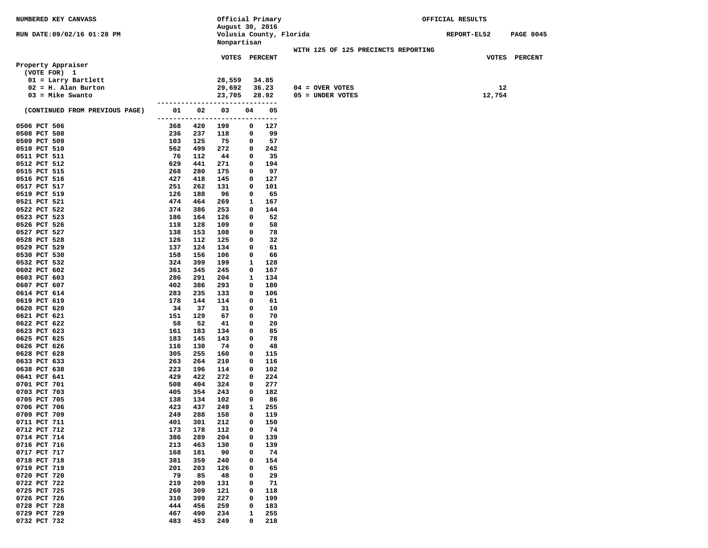| NUMBERED KEY CANVASS                         |            |            | Official Primary               |             |           |                                     | OFFICIAL RESULTS |        |                  |
|----------------------------------------------|------------|------------|--------------------------------|-------------|-----------|-------------------------------------|------------------|--------|------------------|
|                                              |            |            | August 30, 2016                |             |           |                                     |                  |        |                  |
| RUN DATE: 09/02/16 01:28 PM                  |            |            | Volusia County, Florida        |             |           |                                     | REPORT-EL52      |        | <b>PAGE 0045</b> |
|                                              |            |            | Nonpartisan                    |             |           |                                     |                  |        |                  |
|                                              |            |            |                                |             |           | WITH 125 OF 125 PRECINCTS REPORTING |                  |        |                  |
|                                              |            |            | VOTES PERCENT                  |             |           |                                     |                  |        | VOTES PERCENT    |
| Property Appraiser                           |            |            |                                |             |           |                                     |                  |        |                  |
| (VOTE FOR) 1                                 |            |            | 28,559                         |             | 34.85     |                                     |                  |        |                  |
| 01 = Larry Bartlett<br>$02 = H.$ Alan Burton |            |            | 29,692                         |             | 36.23     | $04 =$ OVER VOTES                   |                  | 12     |                  |
| $03 =$ Mike Swanto                           |            |            | 23,705                         |             | 28.92     | 05 = UNDER VOTES                    |                  | 12,754 |                  |
|                                              |            |            |                                |             |           |                                     |                  |        |                  |
| (CONTINUED FROM PREVIOUS PAGE)               | 01         | 02         | 03                             | 04          | 05        |                                     |                  |        |                  |
|                                              |            |            | ------------------------------ |             |           |                                     |                  |        |                  |
| 0506 PCT 506                                 | 368        | 420        | 199                            | $\mathbf 0$ | 127       |                                     |                  |        |                  |
| 0508 PCT 508                                 | 236        | 237        | 118                            | 0           | 99        |                                     |                  |        |                  |
| 0509 PCT 509                                 | 103        | 125        | 75                             | 0           | 57        |                                     |                  |        |                  |
| 0510 PCT 510                                 | 562        | 499        | 272                            | 0           | 242       |                                     |                  |        |                  |
| 0511 PCT 511                                 | 76         | 112        | 44                             | 0           | 35        |                                     |                  |        |                  |
| 0512 PCT 512                                 | 629        | 441        | 271                            | 0           | 194       |                                     |                  |        |                  |
| 0515 PCT 515                                 | 268        | 280        | 175                            | 0           | 97        |                                     |                  |        |                  |
| 0516 PCT 516                                 | 427        | 418        | 145                            | 0           | 127       |                                     |                  |        |                  |
| 0517 PCT 517                                 | 251        | 262        | 131                            | 0           | 101       |                                     |                  |        |                  |
| 0519 PCT 519                                 | 126        | 188        | 96                             | 0           | 65        |                                     |                  |        |                  |
| 0521 PCT 521                                 | 474<br>374 | 464<br>386 | 269                            | 1<br>0      | 167       |                                     |                  |        |                  |
| 0522 PCT 522<br>0523 PCT 523                 | 186        | 164        | 253                            | 0           | 144<br>52 |                                     |                  |        |                  |
| 0526 PCT 526                                 | 118        | 128        | 126<br>109                     | 0           | 58        |                                     |                  |        |                  |
| 0527 PCT 527                                 | 138        | 153        | 108                            | 0           | 78        |                                     |                  |        |                  |
| 0528 PCT 528                                 | 126        | 112        | 125                            | 0           | 32        |                                     |                  |        |                  |
| 0529 PCT 529                                 | 137        | 124        | 134                            | 0           | 61        |                                     |                  |        |                  |
| 0530 PCT 530                                 | 158        | 156        | 106                            | 0           | 66        |                                     |                  |        |                  |
| 0532 PCT 532                                 | 324        | 399        | 199                            | 1           | 128       |                                     |                  |        |                  |
| 0602 PCT 602                                 | 361        | 345        | 245                            | 0           | 167       |                                     |                  |        |                  |
| 0603 PCT 603                                 | 286        | 291        | 204                            | 1           | 134       |                                     |                  |        |                  |
| 0607 PCT 607                                 | 402        | 386        | 293                            | 0           | 180       |                                     |                  |        |                  |
| 0614 PCT 614                                 | 283        | 235        | 133                            | 0           | 106       |                                     |                  |        |                  |
| 0619 PCT 619                                 | 178        | 144        | 114                            | 0           | 61        |                                     |                  |        |                  |
| 0620 PCT 620                                 | 34         | 37         | 31                             | 0           | 10        |                                     |                  |        |                  |
| 0621 PCT 621                                 | 151        | 129        | 67                             | 0           | 70        |                                     |                  |        |                  |
| 0622 PCT 622                                 | 58<br>161  | 52<br>183  | 41                             | 0<br>0      | 20<br>85  |                                     |                  |        |                  |
| 0623 PCT 623<br>0625 PCT 625                 | 183        | 145        | 134<br>143                     | 0           | 78        |                                     |                  |        |                  |
| 0626 PCT 626                                 | 116        | 130        | 74                             | 0           | 48        |                                     |                  |        |                  |
| 0628 PCT 628                                 | 305        | 255        | 160                            | 0           | 115       |                                     |                  |        |                  |
| 0633 PCT 633                                 | 263        | 264        | 210                            | 0           | 116       |                                     |                  |        |                  |
| 0638 PCT 638                                 | 223        | 196        | 114                            | 0           | 102       |                                     |                  |        |                  |
| 0641 PCT 641                                 | 429        | 422        | 272                            | 0           | 224       |                                     |                  |        |                  |
| 0701 PCT 701                                 | 508        | 404        | 324                            | 0           | 277       |                                     |                  |        |                  |
| 0703 PCT 703                                 | 405        | 354        | 243                            | 0           | 182       |                                     |                  |        |                  |
| 0705 PCT 705                                 | 138        | 134        | 102                            | 0           | 86        |                                     |                  |        |                  |
| 0706 PCT 706                                 | 423        | 437        | 249                            | 1           | 255       |                                     |                  |        |                  |
| 0709 PCT 709                                 | 249        | 288        | 158                            | 0           | 119       |                                     |                  |        |                  |
| 0711 PCT 711                                 | 401        | 301        | 212                            | 0           | 150       |                                     |                  |        |                  |
| 0712 PCT 712                                 | 173        | 178        | 112                            | 0           | 74        |                                     |                  |        |                  |
| 0714 PCT 714                                 | 386        | 289        | 204                            | 0           | 139       |                                     |                  |        |                  |
| 0716 PCT 716                                 | 213        | 463        | 130                            | 0           | 139       |                                     |                  |        |                  |
| 0717 PCT 717                                 | 168        | 181        | 90                             | 0           | 74        |                                     |                  |        |                  |
| 0718 PCT 718<br>0719 PCT 719                 | 381<br>201 | 359<br>203 | 240<br>126                     | 0<br>0      | 154<br>65 |                                     |                  |        |                  |
| 0720 PCT 720                                 | 79         | 85         | 48                             | 0           | 29        |                                     |                  |        |                  |
| 0722 PCT 722                                 | 219        | 209        | 131                            | 0           | 71        |                                     |                  |        |                  |
| 0725 PCT 725                                 | 260        | 309        | 121                            | 0           | 118       |                                     |                  |        |                  |
| 0726 PCT 726                                 | 310        | 399        | 227                            | 0           | 199       |                                     |                  |        |                  |
| 0728 PCT 728                                 | 444        | 456        | 259                            | 0           | 183       |                                     |                  |        |                  |
| 0729 PCT 729                                 | 467        | 490        | 234                            | 1           | 255       |                                     |                  |        |                  |
| 0732 PCT 732                                 | 483        | 453        | 249                            | 0           | 218       |                                     |                  |        |                  |
|                                              |            |            |                                |             |           |                                     |                  |        |                  |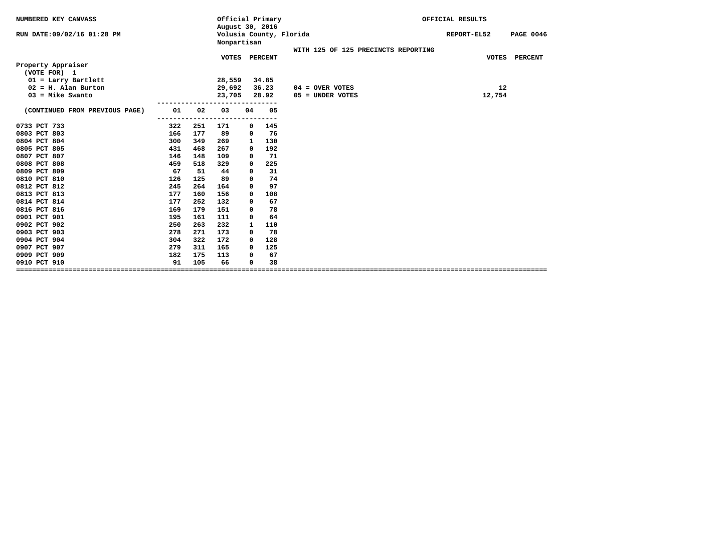| NUMBERED KEY CANVASS           |     |     | Official Primary<br>August 30, 2016 |    |                         |                                     | OFFICIAL RESULTS                |
|--------------------------------|-----|-----|-------------------------------------|----|-------------------------|-------------------------------------|---------------------------------|
| RUN DATE: 09/02/16 01:28 PM    |     |     | Nonpartisan                         |    | Volusia County, Florida |                                     | REPORT-EL52<br><b>PAGE 0046</b> |
|                                |     |     |                                     |    |                         | WITH 125 OF 125 PRECINCTS REPORTING |                                 |
| Property Appraiser             |     |     | <b>VOTES</b>                        |    | <b>PERCENT</b>          |                                     | VOTES<br><b>PERCENT</b>         |
| (VOTE FOR) 1                   |     |     |                                     |    |                         |                                     |                                 |
| $01 = Larry Bartlett$          |     |     | 28,559                              |    | 34.85                   |                                     |                                 |
| $02 = H$ . Alan Burton         |     |     | 29,692                              |    | 36.23                   | $04 =$ OVER VOTES                   | 12                              |
| $03 =$ Mike Swanto             |     |     | 23,705                              |    | 28.92                   | 05 = UNDER VOTES                    | 12,754                          |
| (CONTINUED FROM PREVIOUS PAGE) | 01  | 02  | 03                                  | 04 | 05                      |                                     |                                 |
|                                |     |     | -----                               |    | ----                    |                                     |                                 |
| 0733 PCT 733                   | 322 | 251 | 171                                 | 0  | 145                     |                                     |                                 |
| 0803 PCT 803                   | 166 | 177 | 89                                  | 0  | 76                      |                                     |                                 |
| 0804 PCT 804                   | 300 | 349 | 269                                 | 1  | 130                     |                                     |                                 |
| 0805 PCT 805                   | 431 | 468 | 267                                 | 0  | 192                     |                                     |                                 |
| 0807 PCT 807                   | 146 | 148 | 109                                 | 0  | 71                      |                                     |                                 |
| 0808 PCT 808                   | 459 | 518 | 329                                 | 0  | 225                     |                                     |                                 |
| 0809 PCT 809                   | 67  | 51  | 44                                  | 0  | 31                      |                                     |                                 |
| 0810 PCT 810                   | 126 | 125 | 89                                  | 0  | 74                      |                                     |                                 |
| 0812 PCT 812                   | 245 | 264 | 164                                 | 0  | 97                      |                                     |                                 |
| 0813 PCT 813                   | 177 | 160 | 156                                 | 0  | 108                     |                                     |                                 |
| 0814 PCT 814                   | 177 | 252 | 132                                 | 0  | 67                      |                                     |                                 |
| 0816 PCT 816                   | 169 | 179 | 151                                 | 0  | 78                      |                                     |                                 |
| 0901 PCT 901                   | 195 | 161 | 111                                 | 0  | 64                      |                                     |                                 |
| 0902 PCT 902                   | 250 | 263 | 232                                 | 1  | 110                     |                                     |                                 |
| 0903 PCT 903                   | 278 | 271 | 173                                 | 0  | 78                      |                                     |                                 |
| 0904 PCT 904                   | 304 | 322 | 172                                 | 0  | 128                     |                                     |                                 |
| 0907 PCT 907                   | 279 | 311 | 165                                 | 0  | 125                     |                                     |                                 |
| 0909 PCT 909                   | 182 | 175 | 113                                 | 0  | 67                      |                                     |                                 |
| 0910 PCT 910                   | 91  | 105 | 66                                  | 0  | 38                      |                                     |                                 |
|                                |     |     |                                     |    |                         |                                     |                                 |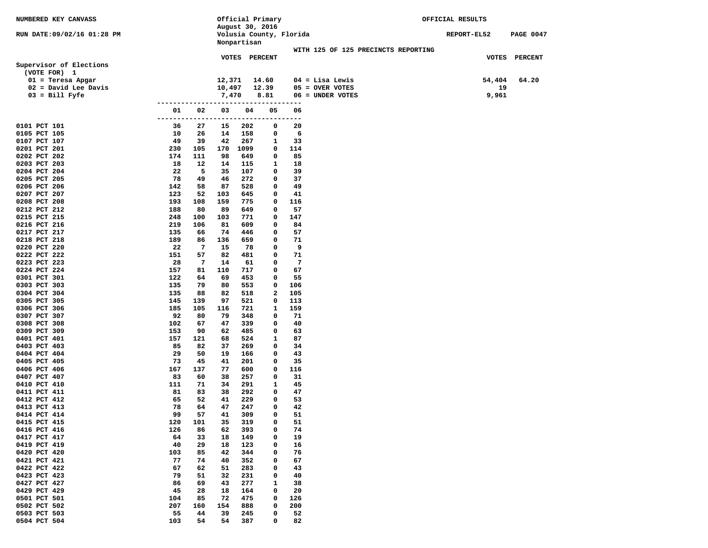| NUMBERED KEY CANVASS                          |                             |                      | Official Primary                           |                                      | OFFICIAL RESULTS |                  |
|-----------------------------------------------|-----------------------------|----------------------|--------------------------------------------|--------------------------------------|------------------|------------------|
| RUN DATE:09/02/16 01:28 PM                    |                             |                      | August 30, 2016<br>Volusia County, Florida |                                      | REPORT-EL52      | <b>PAGE 0047</b> |
|                                               |                             | Nonpartisan          |                                            | WITH 125 OF 125 PRECINCTS REPORTING  |                  |                  |
|                                               |                             |                      | VOTES PERCENT                              |                                      | VOTES PERCENT    |                  |
| Supervisor of Elections                       |                             |                      |                                            |                                      |                  |                  |
| (VOTE FOR) 1                                  |                             |                      |                                            |                                      |                  |                  |
| $01$ = Teresa Apgar<br>$02$ = David Lee Davis |                             | 12,371<br>10,497     | 14.60<br>12.39                             | $04 =$ Lisa Lewis<br>05 = OVER VOTES | 54,404<br>19     | 64.20            |
| $03 = \text{Bill Fyfe}$                       |                             | 7,470                | 8.81                                       | 06 = UNDER VOTES                     | 9,961            |                  |
|                                               | --------                    |                      | -------                                    | $---$                                |                  |                  |
|                                               | 01<br>02<br>-------<br>---- | 03<br>-------------- | 05<br>04                                   | 06<br>---------                      |                  |                  |
| 0101 PCT 101                                  | 36<br>27                    | 15                   | 202<br>0                                   | 20                                   |                  |                  |
| 0105 PCT 105                                  | 10<br>26                    | 14                   | 158<br>0                                   | 6                                    |                  |                  |
| 0107 PCT 107<br>0201 PCT 201                  | 49<br>39<br>230<br>105      | 42<br>170            | 267<br>1<br>1099<br>0                      | 33<br>114                            |                  |                  |
| 0202 PCT 202                                  | 174<br>111                  | 98                   | 0<br>649                                   | 85                                   |                  |                  |
| 0203 PCT 203                                  | 18<br>12                    | 14                   | 115<br>1                                   | 18                                   |                  |                  |
| 0204 PCT 204                                  | 5<br>22                     | 35                   | 107<br>0                                   | 39                                   |                  |                  |
| 0205 PCT 205                                  | 78<br>49                    | 46                   | 272<br>0                                   | 37                                   |                  |                  |
| 0206 PCT 206<br>0207 PCT 207                  | 142<br>58<br>123<br>52      | 87<br>103            | 528<br>0<br>645<br>0                       | 49<br>41                             |                  |                  |
| 0208 PCT 208                                  | 193<br>108                  | 159                  | 775<br>0                                   | 116                                  |                  |                  |
| 0212 PCT 212                                  | 188<br>80                   | 89                   | 649<br>0                                   | 57                                   |                  |                  |
| 0215 PCT 215                                  | 248<br>100                  | 103                  | 771<br>0                                   | 147                                  |                  |                  |
| 0216 PCT 216                                  | 219<br>106                  | 81                   | 609<br>0                                   | 84                                   |                  |                  |
| 0217 PCT 217                                  | 135<br>66<br>189            | 74                   | 446<br>0                                   | 57                                   |                  |                  |
| 0218 PCT 218<br>0220 PCT 220                  | 86<br>$\overline{7}$<br>22  | 136<br>15            | 659<br>0<br>78<br>0                        | 71<br>9                              |                  |                  |
| 0222 PCT 222                                  | 151<br>57                   | 82                   | 481<br>0                                   | 71                                   |                  |                  |
| 0223 PCT 223                                  | 28<br>7                     | 14                   | 61<br>0                                    | 7                                    |                  |                  |
| 0224 PCT 224                                  | 157<br>81                   | 110                  | 717<br>0                                   | 67                                   |                  |                  |
| 0301 PCT 301                                  | 122<br>64                   | 69                   | 453<br>0                                   | 55                                   |                  |                  |
| 0303 PCT 303<br>0304 PCT 304                  | 135<br>79<br>135<br>88      | 80<br>82             | 553<br>0<br>2<br>518                       | 106<br>105                           |                  |                  |
| 0305 PCT 305                                  | 145<br>139                  | 97                   | 521<br>0                                   | 113                                  |                  |                  |
| 0306 PCT 306                                  | 185<br>105                  | 116                  | 721<br>1                                   | 159                                  |                  |                  |
| 0307 PCT 307                                  | 92<br>80                    | 79                   | 348<br>0                                   | 71                                   |                  |                  |
| 0308 PCT 308                                  | 102<br>67                   | 47                   | 339<br>0                                   | 40                                   |                  |                  |
| 0309 PCT 309<br>0401 PCT 401                  | 153<br>90<br>157<br>121     | 62<br>68             | 485<br>0<br>524<br>1                       | 63<br>87                             |                  |                  |
| 0403 PCT 403                                  | 85<br>82                    | 37                   | 269<br>0                                   | 34                                   |                  |                  |
| 0404 PCT 404                                  | 29<br>50                    | 19                   | 0<br>166                                   | 43                                   |                  |                  |
| 0405 PCT 405                                  | 73<br>45                    | 41                   | 201<br>0                                   | 35                                   |                  |                  |
| 0406 PCT 406                                  | 167<br>137                  | 77                   | 600<br>0                                   | 116                                  |                  |                  |
| 0407 PCT 407<br>0410 PCT 410                  | 83<br>60<br>111<br>71       | 38<br>34             | 257<br>0<br>291<br>1                       | 31<br>45                             |                  |                  |
| 0411 PCT 411                                  | 81<br>83                    | 38                   | 292<br>0                                   | 47                                   |                  |                  |
| 0412 PCT 412                                  | 65<br>52                    | 41                   | 229<br>0                                   | 53                                   |                  |                  |
| 0413 PCT 413                                  | 64<br>78                    | 47                   | 0<br>247                                   | 42                                   |                  |                  |
| 0414 PCT 414                                  | 99<br>57                    | 41                   | 309<br>0                                   | 51                                   |                  |                  |
| 0415 PCT 415                                  | 120<br>101                  | 35                   | 319<br>0                                   | 51                                   |                  |                  |
| 0416 PCT 416<br>0417 PCT 417                  | 126<br>86<br>64<br>33       | 62<br>18             | 393<br>0<br>149<br>0                       | 74<br>19                             |                  |                  |
| 0419 PCT 419                                  | 40<br>29                    | 18                   | 123<br>0                                   | 16                                   |                  |                  |
| 0420 PCT 420                                  | 103<br>85                   | 42                   | 344<br>0                                   | 76                                   |                  |                  |
| 0421 PCT 421                                  | 77<br>74                    | 40                   | 352<br>0                                   | 67                                   |                  |                  |
| 0422 PCT 422                                  | 67<br>62                    | 51                   | 283<br>0                                   | 43                                   |                  |                  |
| 0423 PCT 423<br>0427 PCT 427                  | 79<br>51<br>86<br>69        | 32<br>43             | 231<br>0<br>277<br>$\mathbf{1}$            | 40<br>38                             |                  |                  |
| 0429 PCT 429                                  | 45<br>28                    | 18                   | 164<br>0                                   | 20                                   |                  |                  |
| 0501 PCT 501                                  | 104<br>85                   | 72                   | 475<br>$\mathbf 0$                         | 126                                  |                  |                  |
| 0502 PCT 502                                  | 207<br>160                  | 154                  | 888<br>0                                   | 200                                  |                  |                  |
| 0503 PCT 503                                  | 55<br>44                    | 39                   | 245<br>0                                   | 52                                   |                  |                  |
| 0504 PCT 504                                  | 103<br>54                   | 54                   | 387<br>0                                   | 82                                   |                  |                  |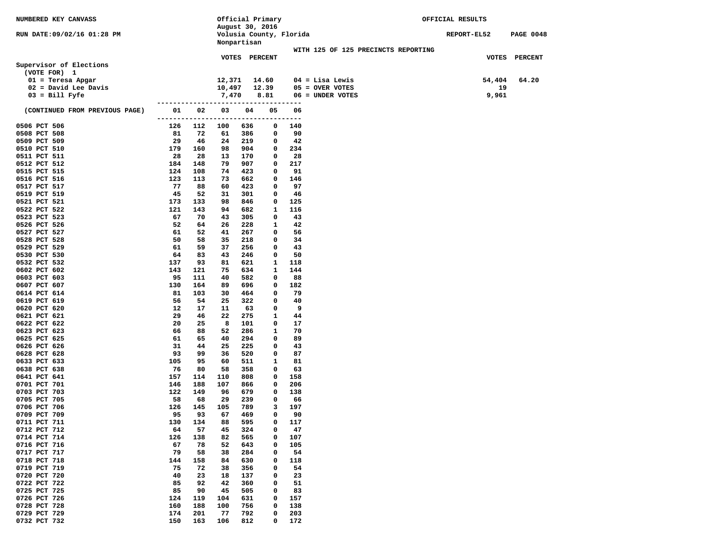| <b>NUMBERED KEY CANVASS</b>    |                     |            |                 |               | Official Primary |                         |                                     | OFFICIAL RESULTS |                  |
|--------------------------------|---------------------|------------|-----------------|---------------|------------------|-------------------------|-------------------------------------|------------------|------------------|
|                                |                     |            | August 30, 2016 |               |                  |                         |                                     |                  |                  |
| RUN DATE:09/02/16 01:28 PM     |                     |            |                 |               |                  | Volusia County, Florida |                                     | REPORT-EL52      | <b>PAGE 0048</b> |
|                                |                     |            | Nonpartisan     |               |                  |                         | WITH 125 OF 125 PRECINCTS REPORTING |                  |                  |
|                                |                     |            |                 | VOTES PERCENT |                  |                         |                                     | VOTES            | PERCENT          |
| Supervisor of Elections        |                     |            |                 |               |                  |                         |                                     |                  |                  |
| (VOTE FOR) 1                   |                     |            |                 |               |                  |                         |                                     |                  |                  |
| $01 = Teresa Apgar$            |                     |            | 12,371          |               | 14.60            |                         | $04 =$ Lisa Lewis                   | 54,404           | 64.20            |
| $02$ = David Lee Davis         |                     |            | 10,497          |               | 12.39            |                         | $05 =$ OVER VOTES                   | 19               |                  |
| $03 = \text{Bill Fyfe}$        |                     |            | 7,470           |               | 8.81             |                         | 06 = UNDER VOTES                    | 9,961            |                  |
|                                |                     |            |                 |               |                  | ---------               |                                     |                  |                  |
| (CONTINUED FROM PREVIOUS PAGE) | 01                  | 02         | 03              | 04            | 05               | 06                      |                                     |                  |                  |
|                                | ------------------- |            |                 | ------        |                  | ---------               |                                     |                  |                  |
| 0506 PCT 506<br>0508 PCT 508   | 126<br>81           | 112<br>72  | 100<br>61       | 636<br>386    | 0<br>0           | 140<br>90               |                                     |                  |                  |
| 0509 PCT 509                   | 29                  | 46         | 24              | 219           | 0                | 42                      |                                     |                  |                  |
| 0510 PCT 510                   | 179                 | 160        | 98              | 904           | 0                | 234                     |                                     |                  |                  |
| 0511 PCT 511                   | 28                  | 28         | 13              | 170           | 0                | 28                      |                                     |                  |                  |
| 0512 PCT 512                   | 184                 | 148        | 79              | 907           | 0                | 217                     |                                     |                  |                  |
| 0515 PCT 515                   | 124                 | 108        | 74              | 423           | 0                | 91                      |                                     |                  |                  |
| 0516 PCT 516                   | 123                 | 113        | 73              | 662           | 0                | 146                     |                                     |                  |                  |
| 0517 PCT 517                   | 77                  | 88         | 60              | 423           | 0                | 97                      |                                     |                  |                  |
| 0519 PCT 519                   | 45                  | 52         | 31              | 301           | 0                | 46                      |                                     |                  |                  |
| 0521 PCT 521                   | 173                 | 133        | 98              | 846           | 0                | 125                     |                                     |                  |                  |
| 0522 PCT 522                   | 121                 | 143        | 94              | 682           | 1                | 116                     |                                     |                  |                  |
| 0523 PCT 523                   | 67                  | 70         | 43              | 305           | 0                | 43                      |                                     |                  |                  |
| 0526 PCT 526                   | 52<br>61            | 64<br>52   | 26              | 228           | 1                | 42<br>56                |                                     |                  |                  |
| 0527 PCT 527<br>0528 PCT 528   | 50                  | 58         | 41<br>35        | 267<br>218    | 0<br>0           | 34                      |                                     |                  |                  |
| 0529 PCT 529                   | 61                  | 59         | 37              | 256           | 0                | 43                      |                                     |                  |                  |
| 0530 PCT 530                   | 64                  | 83         | 43              | 246           | 0                | 50                      |                                     |                  |                  |
| 0532 PCT 532                   | 137                 | 93         | 81              | 621           | 1                | 118                     |                                     |                  |                  |
| 0602 PCT 602                   | 143                 | 121        | 75              | 634           | 1                | 144                     |                                     |                  |                  |
| 0603 PCT 603                   | 95                  | 111        | 40              | 582           | 0                | 88                      |                                     |                  |                  |
| 0607 PCT 607                   | 130                 | 164        | 89              | 696           | 0                | 182                     |                                     |                  |                  |
| 0614 PCT 614                   | 81                  | 103        | 30              | 464           | 0                | 79                      |                                     |                  |                  |
| 0619 PCT 619                   | 56                  | 54         | 25              | 322           | 0                | 40                      |                                     |                  |                  |
| 0620 PCT 620                   | 12                  | 17         | 11              | 63            | 0                | 9                       |                                     |                  |                  |
| 0621 PCT 621<br>0622 PCT 622   | 29<br>20            | 46<br>25   | 22<br>8         | 275           | 1                | 44                      |                                     |                  |                  |
| 0623 PCT 623                   | 66                  | 88         | 52              | 101<br>286    | 0<br>1           | 17<br>70                |                                     |                  |                  |
| 0625 PCT 625                   | 61                  | 65         | 40              | 294           | 0                | 89                      |                                     |                  |                  |
| 0626 PCT 626                   | 31                  | 44         | 25              | 225           | 0                | 43                      |                                     |                  |                  |
| 0628 PCT 628                   | 93                  | 99         | 36              | 520           | 0                | 87                      |                                     |                  |                  |
| 0633 PCT 633                   | 105                 | 95         | 60              | 511           | 1                | 81                      |                                     |                  |                  |
| 0638 PCT 638                   | 76                  | 80         | 58              | 358           | 0                | 63                      |                                     |                  |                  |
| 0641 PCT 641                   | 157                 | 114        | 110             | 808           | 0                | 158                     |                                     |                  |                  |
| 0701 PCT 701                   | 146                 | 188        | 107             | 866           | 0                | 206                     |                                     |                  |                  |
| 0703 PCT 703                   | 122                 | 149        | 96              | 679           | 0                | 138                     |                                     |                  |                  |
| 0705 PCT 705                   | 58                  | 68         | 29              | 239           | 0                | 66                      |                                     |                  |                  |
| 0706 PCT 706<br>0709 PCT 709   | 126<br>95           | 145<br>93  | 105<br>67       | 789<br>469    | з<br>0           | 197<br>90               |                                     |                  |                  |
| 0711 PCT 711                   | 130                 | 134        | 88              | 595           | 0                | 117                     |                                     |                  |                  |
| 0712 PCT 712                   | 64                  | 57         | 45              | 324           | 0                | 47                      |                                     |                  |                  |
| 0714 PCT 714                   | 126                 | 138        | 82              | 565           | 0                | 107                     |                                     |                  |                  |
| 0716 PCT 716                   | 67                  | 78         | 52              | 643           | 0                | 105                     |                                     |                  |                  |
| 0717 PCT 717                   | 79                  | 58         | 38              | 284           | 0                | 54                      |                                     |                  |                  |
| 0718 PCT 718                   | 144                 | 158        | 84              | 630           | 0                | 118                     |                                     |                  |                  |
| 0719 PCT 719                   | 75                  | 72         | 38              | 356           | 0                | 54                      |                                     |                  |                  |
| 0720 PCT 720                   | 40                  | 23         | 18              | 137           | 0                | 23                      |                                     |                  |                  |
| 0722 PCT 722                   | 85                  | 92         | 42              | 360           | 0                | 51                      |                                     |                  |                  |
| 0725 PCT 725                   | 85                  | 90         | 45              | 505           | 0                | 83                      |                                     |                  |                  |
| 0726 PCT 726<br>0728 PCT 728   | 124<br>160          | 119<br>188 | 104<br>100      | 631<br>756    | 0                | 157<br>138              |                                     |                  |                  |
| 0729 PCT 729                   | 174                 | 201        | 77              | 792           | 0<br>0           | 203                     |                                     |                  |                  |
| 0732 PCT 732                   | 150                 | 163        | 106             | 812           | 0                | 172                     |                                     |                  |                  |
|                                |                     |            |                 |               |                  |                         |                                     |                  |                  |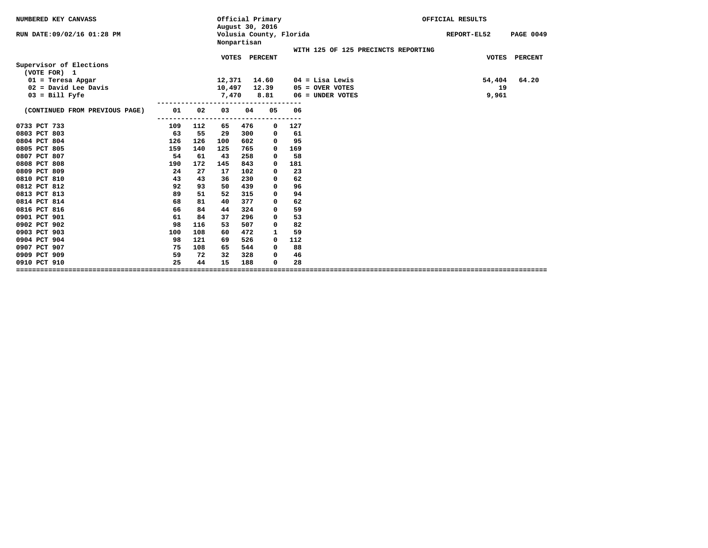| NUMBERED KEY CANVASS           |     |     | August 30, 2016 | Official Primary |                         |            | OFFICIAL RESULTS                    |              |                  |  |
|--------------------------------|-----|-----|-----------------|------------------|-------------------------|------------|-------------------------------------|--------------|------------------|--|
| RUN DATE: 09/02/16 01:28 PM    |     |     |                 | Nonpartisan      | Volusia County, Florida |            |                                     | REPORT-EL52  | <b>PAGE 0049</b> |  |
|                                |     |     |                 |                  |                         |            | WITH 125 OF 125 PRECINCTS REPORTING |              |                  |  |
| Supervisor of Elections        |     |     | <b>VOTES</b>    |                  | <b>PERCENT</b>          |            |                                     | <b>VOTES</b> | <b>PERCENT</b>   |  |
| (VOTE FOR) 1                   |     |     |                 |                  |                         |            |                                     |              |                  |  |
| $01$ = Teresa Apgar            |     |     | 12,371          |                  | 14.60                   |            | $04$ = Lisa Lewis                   | 54,404       | 64.20            |  |
| $02$ = David Lee Davis         |     |     | 10,497          |                  | 12.39                   |            | $05 =$ OVER VOTES                   | 19           |                  |  |
| $03 = Bill Fyfe$               |     |     | 7,470           |                  | 8.81                    |            | $06 =$ UNDER VOTES                  | 9,961        |                  |  |
| (CONTINUED FROM PREVIOUS PAGE) | 01  | 02  | 03              | 04               | 05                      | 06         |                                     |              |                  |  |
| 0733 PCT 733                   | 109 | 112 | 65              | 476              | -----------<br>0        | ---<br>127 |                                     |              |                  |  |
| 0803 PCT 803                   | 63  | 55  | 29              | 300              | 0                       | 61         |                                     |              |                  |  |
| 0804 PCT 804                   | 126 | 126 | 100             | 602              | 0                       | 95         |                                     |              |                  |  |
| 0805 PCT 805                   | 159 | 140 | 125             | 765              | 0                       | 169        |                                     |              |                  |  |
| 0807 PCT 807                   | 54  | 61  | 43              | 258              | 0                       | 58         |                                     |              |                  |  |
| 0808 PCT 808                   | 190 | 172 | 145             | 843              | 0                       | 181        |                                     |              |                  |  |
| 0809 PCT 809                   | 24  | 27  | 17              | 102              | 0                       | 23         |                                     |              |                  |  |
| 0810 PCT 810                   | 43  | 43  | 36              | 230              | 0                       | 62         |                                     |              |                  |  |
| 0812 PCT 812                   | 92  | 93  | 50              | 439              | 0                       | 96         |                                     |              |                  |  |
| 0813 PCT 813                   | 89  | 51  | 52              | 315              | 0                       | 94         |                                     |              |                  |  |
| 0814 PCT 814                   | 68  | 81  | 40              | 377              | 0                       | 62         |                                     |              |                  |  |
| 0816 PCT 816                   | 66  | 84  | 44              | 324              | 0                       | 59         |                                     |              |                  |  |
| 0901 PCT 901                   | 61  | 84  | 37              | 296              | 0                       | 53         |                                     |              |                  |  |
| 0902 PCT 902                   | 98  | 116 | 53              | 507              | 0                       | 82         |                                     |              |                  |  |
| 0903 PCT 903                   | 100 | 108 | 60              | 472              | 1                       | 59         |                                     |              |                  |  |
| 0904 PCT 904                   | 98  | 121 | 69              | 526              | 0                       | 112        |                                     |              |                  |  |
| 0907 PCT 907                   | 75  | 108 | 65              | 544              | 0                       | 88         |                                     |              |                  |  |
| 0909 PCT 909                   | 59  | 72  | 32              | 328              | 0                       | 46         |                                     |              |                  |  |
| 0910 PCT 910                   | 25  | 44  | 15              | 188              | 0                       | 28         |                                     |              |                  |  |
|                                |     |     |                 |                  |                         |            |                                     |              |                  |  |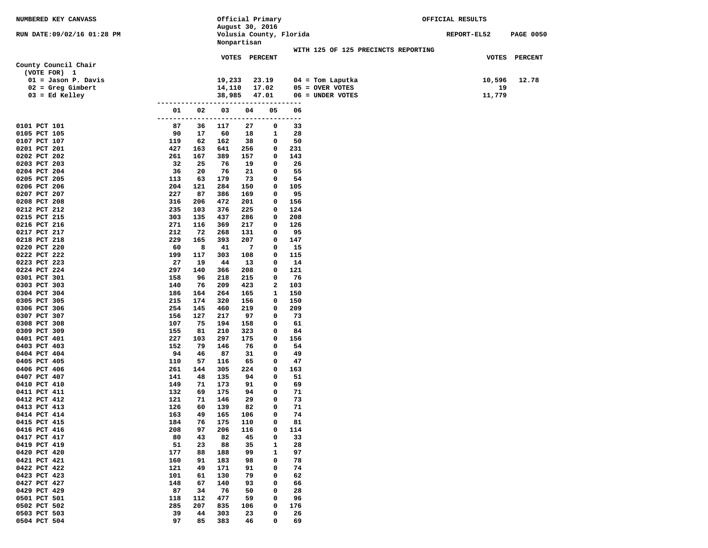| NUMBERED KEY CANVASS                    |            |            | Official Primary |            |                |                         |                                       | OFFICIAL RESULTS |    |                  |
|-----------------------------------------|------------|------------|------------------|------------|----------------|-------------------------|---------------------------------------|------------------|----|------------------|
| RUN DATE:09/02/16 01:28 PM              |            |            | August 30, 2016  |            |                | Volusia County, Florida |                                       | REPORT-EL52      |    | <b>PAGE 0050</b> |
|                                         |            |            | Nonpartisan      |            |                |                         |                                       |                  |    |                  |
|                                         |            |            |                  |            |                |                         | WITH 125 OF 125 PRECINCTS REPORTING   |                  |    |                  |
|                                         |            |            | VOTES PERCENT    |            |                |                         |                                       |                  |    | VOTES PERCENT    |
| County Council Chair                    |            |            |                  |            |                |                         |                                       |                  |    |                  |
| (VOTE FOR) 1                            |            |            |                  |            |                |                         |                                       |                  |    |                  |
| $01 =$ Jason P. Davis                   |            |            | 19,233           |            | 23.19          |                         | $04 =$ Tom Laputka                    | 10,596           |    | 12.78            |
| $02 =$ Greg Gimbert<br>$03 = Ed$ Kelley |            |            | 14,110<br>38,985 |            | 17.02<br>47.01 |                         | $05 =$ OVER VOTES<br>06 = UNDER VOTES | 11,779           | 19 |                  |
|                                         | ------     |            |                  |            |                | $---$                   |                                       |                  |    |                  |
|                                         | 01         | 02         | 03               | 04         | 05             | 06                      |                                       |                  |    |                  |
|                                         | ---------  | ----       | --------------   |            |                | ---------               |                                       |                  |    |                  |
| 0101 PCT 101                            | 87         | 36         | 117              | 27         | 0              | 33                      |                                       |                  |    |                  |
| 0105 PCT 105                            | 90         | 17         | 60               | 18         | 1              | 28                      |                                       |                  |    |                  |
| 0107 PCT 107                            | 119<br>427 | 62         | 162              | 38         | 0<br>0         | 50                      |                                       |                  |    |                  |
| 0201 PCT 201<br>0202 PCT 202            | 261        | 163<br>167 | 641<br>389       | 256<br>157 | 0              | 231<br>143              |                                       |                  |    |                  |
| 0203 PCT 203                            | 32         | 25         | 76               | 19         | 0              | 26                      |                                       |                  |    |                  |
| 0204 PCT 204                            | 36         | 20         | 76               | 21         | 0              | 55                      |                                       |                  |    |                  |
| 0205 PCT 205                            | 113        | 63         | 179              | 73         | 0              | 54                      |                                       |                  |    |                  |
| 0206 PCT 206                            | 204        | 121        | 284              | 150        | 0              | 105                     |                                       |                  |    |                  |
| 0207 PCT 207                            | 227        | 87         | 386              | 169        | 0              | 95                      |                                       |                  |    |                  |
| 0208 PCT 208<br>0212 PCT 212            | 316<br>235 | 206<br>103 | 472<br>376       | 201<br>225 | 0<br>0         | 156<br>124              |                                       |                  |    |                  |
| 0215 PCT 215                            | 303        | 135        | 437              | 286        | 0              | 208                     |                                       |                  |    |                  |
| 0216 PCT 216                            | 271        | 116        | 369              | 217        | 0              | 126                     |                                       |                  |    |                  |
| 0217 PCT 217                            | 212        | 72         | 268              | 131        | 0              | 95                      |                                       |                  |    |                  |
| 0218 PCT 218                            | 229        | 165        | 393              | 207        | 0              | 147                     |                                       |                  |    |                  |
| 0220 PCT 220                            | 60         | 8          | 41               | 7          | 0              | 15                      |                                       |                  |    |                  |
| 0222 PCT 222                            | 199        | 117        | 303              | 108        | 0              | 115                     |                                       |                  |    |                  |
| 0223 PCT 223<br>0224 PCT 224            | 27<br>297  | 19<br>140  | 44<br>366        | 13<br>208  | 0<br>0         | 14<br>121               |                                       |                  |    |                  |
| 0301 PCT 301                            | 158        | 96         | 218              | 215        | 0              | 76                      |                                       |                  |    |                  |
| 0303 PCT 303                            | 140        | 76         | 209              | 423        | 2              | 103                     |                                       |                  |    |                  |
| 0304 PCT 304                            | 186        | 164        | 264              | 165        | 1              | 150                     |                                       |                  |    |                  |
| 0305 PCT 305                            | 215        | 174        | 320              | 156        | 0              | 150                     |                                       |                  |    |                  |
| 0306 PCT 306                            | 254        | 145        | 460              | 219        | 0              | 209                     |                                       |                  |    |                  |
| 0307 PCT 307                            | 156        | 127        | 217              | 97         | 0              | 73                      |                                       |                  |    |                  |
| 0308 PCT 308<br>0309 PCT 309            | 107<br>155 | 75<br>81   | 194<br>210       | 158<br>323 | 0<br>0         | 61<br>84                |                                       |                  |    |                  |
| 0401 PCT 401                            | 227        | 103        | 297              | 175        | 0              | 156                     |                                       |                  |    |                  |
| 0403 PCT 403                            | 152        | 79         | 146              | 76         | 0              | 54                      |                                       |                  |    |                  |
| 0404 PCT 404                            | 94         | 46         | 87               | 31         | 0              | 49                      |                                       |                  |    |                  |
| 0405 PCT 405                            | 110        | 57         | 116              | 65         | 0              | 47                      |                                       |                  |    |                  |
| 0406 PCT 406                            | 261        | 144        | 305              | 224        | 0              | 163                     |                                       |                  |    |                  |
| 0407 PCT 407                            | 141        | 48         | 135              | 94         | 0              | 51                      |                                       |                  |    |                  |
| 0410 PCT 410<br>0411 PCT 411            | 149<br>132 | 71<br>69   | 173<br>175       | 91<br>94   | 0<br>0         | 69<br>71                |                                       |                  |    |                  |
| 0412 PCT 412                            | 121        | 71         | 146              | 29         | 0              | 73                      |                                       |                  |    |                  |
| 0413 PCT 413                            | 126        | 60         | 139              | 82         | 0              | 71                      |                                       |                  |    |                  |
| 0414 PCT 414                            | 163        | 49         | 165              | 106        | 0              | 74                      |                                       |                  |    |                  |
| 0415 PCT 415                            | 184        | 76         | 175              | 110        | 0              | 81                      |                                       |                  |    |                  |
| 0416 PCT 416                            | 208        | 97         | 206              | 116        | 0              | 114                     |                                       |                  |    |                  |
| 0417 PCT 417<br>0419 PCT 419            | 80         | 43         | 82               | 45         | 0              | 33                      |                                       |                  |    |                  |
| 0420 PCT 420                            | 51<br>177  | 23<br>88   | 88<br>188        | 35<br>99   | 1<br>1         | 28<br>97                |                                       |                  |    |                  |
| 0421 PCT 421                            | 160        | 91         | 183              | 98         | 0              | 78                      |                                       |                  |    |                  |
| 0422 PCT 422                            | 121        | 49         | 171              | 91         | 0              | 74                      |                                       |                  |    |                  |
| 0423 PCT 423                            | 101        | 61         | 130              | 79         | 0              | 62                      |                                       |                  |    |                  |
| 0427 PCT 427                            | 148        | 67         | 140              | 93         | 0              | 66                      |                                       |                  |    |                  |
| 0429 PCT 429                            | 87         | 34         | 76               | 50         | 0              | 28                      |                                       |                  |    |                  |
| 0501 PCT 501                            | 118        | 112        | 477              | 59         | 0              | 96                      |                                       |                  |    |                  |
| 0502 PCT 502<br>0503 PCT 503            | 285<br>39  | 207<br>44  | 835<br>303       | 106<br>23  | 0<br>0         | 176<br>26               |                                       |                  |    |                  |
| 0504 PCT 504                            | 97         | 85         | 383              | 46         | 0              | 69                      |                                       |                  |    |                  |
|                                         |            |            |                  |            |                |                         |                                       |                  |    |                  |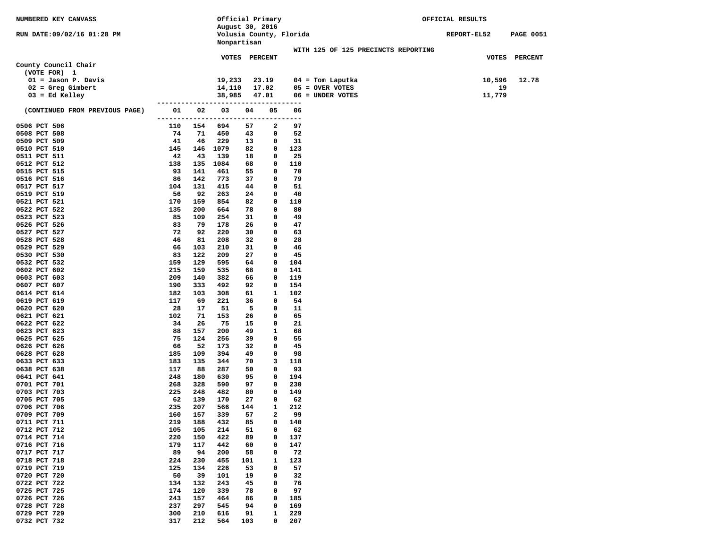| NUMBERED KEY CANVASS           |            |            |                                             |           | Official Primary |                         |                                     | OFFICIAL RESULTS |                  |
|--------------------------------|------------|------------|---------------------------------------------|-----------|------------------|-------------------------|-------------------------------------|------------------|------------------|
| RUN DATE:09/02/16 01:28 PM     |            |            | August 30, 2016                             |           |                  |                         |                                     |                  |                  |
|                                |            |            | Nonpartisan                                 |           |                  | Volusia County, Florida |                                     | REPORT-EL52      | <b>PAGE 0051</b> |
|                                |            |            |                                             |           |                  |                         | WITH 125 OF 125 PRECINCTS REPORTING |                  |                  |
|                                |            |            |                                             |           | VOTES PERCENT    |                         |                                     |                  | VOTES PERCENT    |
| County Council Chair           |            |            |                                             |           |                  |                         |                                     |                  |                  |
| (VOTE FOR) 1                   |            |            |                                             |           |                  |                         |                                     |                  |                  |
| $01 =$ Jason P. Davis          |            |            | 19,233                                      |           | 23.19            |                         | $04 =$ Tom Laputka                  | 10,596           | 12.78            |
| $02 =$ Greg Gimbert            |            |            | 14,110                                      |           | 17.02            |                         | $05 =$ OVER VOTES                   | 19               |                  |
| $03 = Ed$ Kelley               |            |            | 38,985                                      |           | 47.01            |                         | 06 = UNDER VOTES                    | 11,779           |                  |
| (CONTINUED FROM PREVIOUS PAGE) | 01         | 02         | -------------------------------------<br>03 | 04        | 05               | 06                      |                                     |                  |                  |
|                                |            |            | -------------------------------------       |           |                  |                         |                                     |                  |                  |
| 0506 PCT 506                   | 110        | 154        | 694                                         | 57        | 2                | 97                      |                                     |                  |                  |
| 0508 PCT 508                   | 74         | 71         | 450                                         | 43        | 0                | 52                      |                                     |                  |                  |
| 0509 PCT 509                   | 41         | 46         | 229                                         | 13        | 0                | 31                      |                                     |                  |                  |
| 0510 PCT 510                   | 145        | 146        | 1079                                        | 82        | 0                | 123                     |                                     |                  |                  |
| 0511 PCT 511                   | 42         | 43         | 139                                         | 18        | 0                | 25                      |                                     |                  |                  |
| 0512 PCT 512                   | 138        | 135        | 1084                                        | 68        | 0                | 110                     |                                     |                  |                  |
| 0515 PCT 515                   | 93         | 141        | 461                                         | 55        | 0                | 70                      |                                     |                  |                  |
| 0516 PCT 516                   | 86         | 142        | 773                                         | 37        | 0                | 79                      |                                     |                  |                  |
| 0517 PCT 517<br>0519 PCT 519   | 104<br>56  | 131<br>92  | 415<br>263                                  | 44<br>24  | 0<br>0           | 51<br>40                |                                     |                  |                  |
| 0521 PCT 521                   | 170        | 159        | 854                                         | 82        | 0                | 110                     |                                     |                  |                  |
| 0522 PCT 522                   | 135        | 200        | 664                                         | 78        | 0                | 80                      |                                     |                  |                  |
| 0523 PCT 523                   | 85         | 109        | 254                                         | 31        | 0                | 49                      |                                     |                  |                  |
| 0526 PCT 526                   | 83         | 79         | 178                                         | 26        | 0                | 47                      |                                     |                  |                  |
| 0527 PCT 527                   | 72         | 92         | 220                                         | 30        | 0                | 63                      |                                     |                  |                  |
| 0528 PCT 528                   | 46         | 81         | 208                                         | 32        | 0                | 28                      |                                     |                  |                  |
| 0529 PCT 529                   | 66         | 103        | 210                                         | 31        | 0                | 46                      |                                     |                  |                  |
| 0530 PCT 530                   | 83         | 122        | 209                                         | 27        | 0                | 45                      |                                     |                  |                  |
| 0532 PCT 532                   | 159        | 129        | 595                                         | 64        | 0                | 104                     |                                     |                  |                  |
| 0602 PCT 602                   | 215        | 159        | 535                                         | 68        | 0                | 141                     |                                     |                  |                  |
| 0603 PCT 603                   | 209        | 140        | 382                                         | 66        | 0                | 119                     |                                     |                  |                  |
| 0607 PCT 607                   | 190        | 333        | 492                                         | 92        | 0                | 154                     |                                     |                  |                  |
| 0614 PCT 614                   | 182        | 103        | 308                                         | 61        | 1                | 102                     |                                     |                  |                  |
| 0619 PCT 619<br>0620 PCT 620   | 117<br>28  | 69<br>17   | 221<br>51                                   | 36<br>5   | 0<br>0           | 54<br>11                |                                     |                  |                  |
| 0621 PCT 621                   | 102        | 71         | 153                                         | 26        | 0                | 65                      |                                     |                  |                  |
| 0622 PCT 622                   | 34         | 26         | 75                                          | 15        | 0                | 21                      |                                     |                  |                  |
| 0623 PCT 623                   | 88         | 157        | 200                                         | 49        | 1                | 68                      |                                     |                  |                  |
| 0625 PCT 625                   | 75         | 124        | 256                                         | 39        | 0                | 55                      |                                     |                  |                  |
| 0626 PCT 626                   | 66         | 52         | 173                                         | 32        | 0                | 45                      |                                     |                  |                  |
| 0628 PCT 628                   | 185        | 109        | 394                                         | 49        | 0                | 98                      |                                     |                  |                  |
| 0633 PCT 633                   | 183        | 135        | 344                                         | 70        | 3                | 118                     |                                     |                  |                  |
| 0638 PCT 638                   | 117        | 88         | 287                                         | 50        | 0                | 93                      |                                     |                  |                  |
| 0641 PCT 641                   | 248        | 180        | 630                                         | 95        | 0                | 194                     |                                     |                  |                  |
| 0701 PCT 701                   | 268        | 328        | 590                                         | 97        | 0                | 230                     |                                     |                  |                  |
| 0703 PCT 703                   | 225        | 248        | 482                                         | 80        | 0                | 149                     |                                     |                  |                  |
| 0705 PCT 705<br>0706 PCT 706   | 62<br>235  | 139<br>207 | 170<br>566                                  | 27<br>144 | 0<br>1           | 62<br>212               |                                     |                  |                  |
| 0709 PCT 709                   | 160        | 157        | 339                                         | 57        | $\mathbf{2}$     | 99                      |                                     |                  |                  |
| 0711 PCT 711                   | 219        | 188        | 432                                         | 85        | 0                | 140                     |                                     |                  |                  |
| 0712 PCT 712                   | 105        | 105        | 214                                         | 51        | 0                | 62                      |                                     |                  |                  |
| 0714 PCT 714                   | 220        | 150        | 422                                         | 89        | 0                | 137                     |                                     |                  |                  |
| 0716 PCT 716                   | 179        | 117        | 442                                         | 60        | 0                | 147                     |                                     |                  |                  |
| 0717 PCT 717                   | 89         | 94         | 200                                         | 58        | 0                | 72                      |                                     |                  |                  |
| 0718 PCT 718                   | 224        | 230        | 455                                         | 101       | 1                | 123                     |                                     |                  |                  |
| 0719 PCT 719                   | 125        | 134        | 226                                         | 53        | 0                | 57                      |                                     |                  |                  |
| 0720 PCT 720                   | 50         | 39         | 101                                         | 19        | 0                | 32                      |                                     |                  |                  |
| 0722 PCT 722                   | 134        | 132        | 243                                         | 45        | 0                | 76                      |                                     |                  |                  |
| 0725 PCT 725                   | 174        | 120        | 339                                         | 78        | 0                | 97                      |                                     |                  |                  |
| 0726 PCT 726                   | 243        | 157        | 464                                         | 86        | 0                | 185                     |                                     |                  |                  |
| 0728 PCT 728<br>0729 PCT 729   | 237        | 297        | 545                                         | 94        | 0                | 169                     |                                     |                  |                  |
| 0732 PCT 732                   | 300<br>317 | 210<br>212 | 616<br>564                                  | 91<br>103 | 1<br>0           | 229<br>207              |                                     |                  |                  |
|                                |            |            |                                             |           |                  |                         |                                     |                  |                  |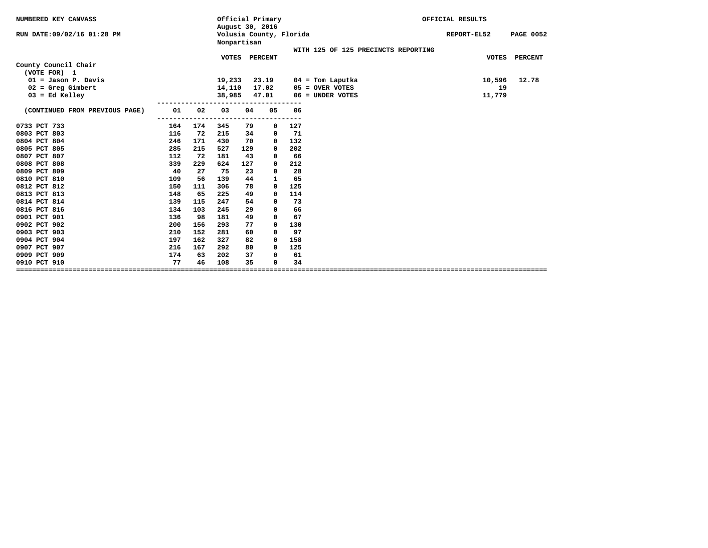| NUMBERED KEY CANVASS                 |     | August 30, 2016 | Official Primary |             |                         | OFFICIAL RESULTS |                                     |              |                  |
|--------------------------------------|-----|-----------------|------------------|-------------|-------------------------|------------------|-------------------------------------|--------------|------------------|
| RUN DATE: 09/02/16 01:28 PM          |     |                 |                  | Nonpartisan | Volusia County, Florida |                  |                                     | REPORT-EL52  | <b>PAGE 0052</b> |
|                                      |     |                 |                  |             |                         |                  | WITH 125 OF 125 PRECINCTS REPORTING |              |                  |
| County Council Chair<br>(VOTE FOR) 1 |     |                 | <b>VOTES</b>     |             | <b>PERCENT</b>          |                  |                                     | <b>VOTES</b> | <b>PERCENT</b>   |
| $01 =$ Jason P. Davis                |     |                 | 19,233           |             | 23.19                   |                  | $04 =$ Tom Laputka                  | 10,596       | 12.78            |
| $02 =$ Greg Gimbert                  |     |                 | 14,110           |             | 17.02                   |                  | $05 =$ OVER VOTES                   | 19           |                  |
| $03 = Ed$ Kelley                     |     |                 | 38,985           |             | 47.01                   |                  | $06 =$ UNDER VOTES                  | 11,779       |                  |
|                                      |     |                 |                  |             |                         |                  |                                     |              |                  |
| (CONTINUED FROM PREVIOUS PAGE)       | 01  | 02              | 03               | 04          | 05                      | 06<br>---        |                                     |              |                  |
| 0733 PCT 733                         | 164 | 174             | 345              | 79          | 0                       | 127              |                                     |              |                  |
| 0803 PCT 803                         | 116 | 72              | 215              | 34          | 0                       | 71               |                                     |              |                  |
| 0804 PCT 804                         | 246 | 171             | 430              | 70          | 0                       | 132              |                                     |              |                  |
| 0805 PCT 805                         | 285 | 215             | 527              | 129         | 0                       | 202              |                                     |              |                  |
| 0807 PCT 807                         | 112 | 72              | 181              | 43          | 0                       | 66               |                                     |              |                  |
| 0808 PCT 808                         | 339 | 229             | 624              | 127         | 0                       | 212              |                                     |              |                  |
| 0809 PCT 809                         | 40  | 27              | 75               | 23          | 0                       | 28               |                                     |              |                  |
| 0810 PCT 810                         | 109 | 56              | 139              | 44          | $\mathbf{1}$            | 65               |                                     |              |                  |
| 0812 PCT 812                         | 150 | 111             | 306              | 78          | 0                       | 125              |                                     |              |                  |
| 0813 PCT 813                         | 148 | 65              | 225              | 49          | 0                       | 114              |                                     |              |                  |
| 0814 PCT 814                         | 139 | 115             | 247              | 54          | 0                       | 73               |                                     |              |                  |
| 0816 PCT 816                         | 134 | 103             | 245              | 29          | 0                       | 66               |                                     |              |                  |
| 0901 PCT 901                         | 136 | 98              | 181              | 49          | $\mathbf 0$             | 67               |                                     |              |                  |
| 0902 PCT 902                         | 200 | 156             | 293              | 77          | 0                       | 130              |                                     |              |                  |
| 0903 PCT 903                         | 210 | 152             | 281              | 60          | $^{\circ}$              | 97               |                                     |              |                  |
| 0904 PCT 904                         | 197 | 162             | 327              | 82          | 0                       | 158              |                                     |              |                  |
| 0907 PCT 907                         | 216 | 167             | 292              | 80          | 0                       | 125              |                                     |              |                  |
| 0909 PCT 909                         | 174 | 63              | 202              | 37          | 0                       | 61               |                                     |              |                  |
| 0910 PCT 910                         | 77  | 46              | 108              | 35          | $\mathbf 0$             | 34               |                                     |              |                  |
|                                      |     |                 |                  |             |                         |                  |                                     |              |                  |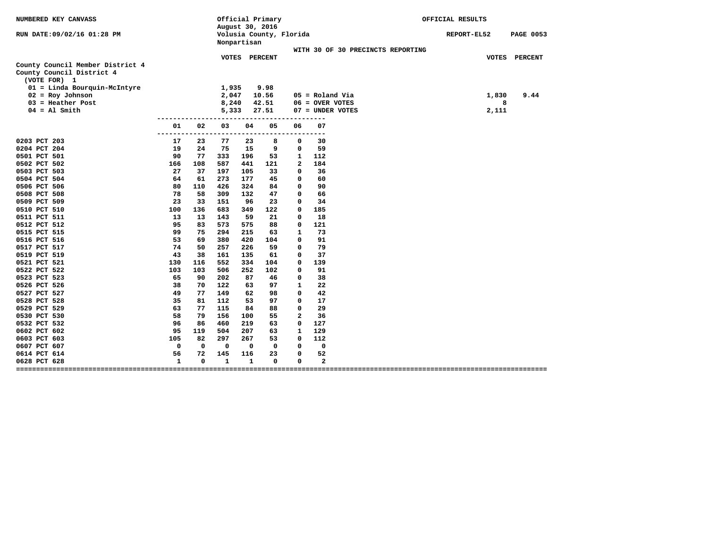| NUMBERED KEY CANVASS                                                          |              |             |              |              | Official Primary<br>August 30, 2016 |    |                                        | OFFICIAL RESULTS |       |                  |
|-------------------------------------------------------------------------------|--------------|-------------|--------------|--------------|-------------------------------------|----|----------------------------------------|------------------|-------|------------------|
| RUN DATE:09/02/16 01:28 PM                                                    |              |             | Nonpartisan  |              | Volusia County, Florida             |    |                                        | REPORT-EL52      |       | <b>PAGE 0053</b> |
|                                                                               |              |             |              |              |                                     |    | WITH 30 OF 30 PRECINCTS REPORTING      |                  |       |                  |
|                                                                               |              |             | VOTES        |              | <b>PERCENT</b>                      |    |                                        |                  |       | VOTES PERCENT    |
| County Council Member District 4<br>County Council District 4<br>(VOTE FOR) 1 |              |             | 1,935        |              | 9.98                                |    |                                        |                  |       |                  |
| 01 = Linda Bourquin-McIntyre                                                  |              |             | 2,047        |              |                                     |    |                                        |                  |       |                  |
| $02 = Roy Johnson$<br>$03$ = Heather Post                                     |              |             |              |              | 10.56                               |    | $05 =$ Roland Via<br>$06 =$ OVER VOTES |                  | 1,830 | 9.44             |
| $04 = A1$ Smith                                                               |              |             | 8,240        |              | 42.51                               |    | 07 = UNDER VOTES                       |                  | 8     |                  |
|                                                                               |              |             | 5,333        |              | 27.51                               |    |                                        |                  | 2,111 |                  |
|                                                                               | 01           | 02          | 03           | 04           | 05                                  | 06 | 07<br>$ -$                             |                  |       |                  |
| 0203 PCT 203                                                                  | 17           | 23          | 77           | 23           | 8                                   | 0  | 30                                     |                  |       |                  |
| 0204 PCT 204                                                                  | 19           | 24          | 75           | 15           | 9                                   | 0  | 59                                     |                  |       |                  |
| 0501 PCT 501                                                                  | 90           | 77          | 333          | 196          | 53                                  | 1  | 112                                    |                  |       |                  |
| 0502 PCT 502                                                                  | 166          | 108         | 587          | 441          | 121                                 | 2  | 184                                    |                  |       |                  |
| 0503 PCT 503                                                                  | 27           | 37          | 197          | 105          | 33                                  | 0  | 36                                     |                  |       |                  |
| 0504 PCT 504                                                                  | 64           | 61          | 273          | 177          | 45                                  | 0  | 60                                     |                  |       |                  |
| 0506 PCT 506                                                                  | 80           | 110         | 426          | 324          | 84                                  | 0  | 90                                     |                  |       |                  |
| 0508 PCT 508                                                                  | 78           | 58          | 309          | 132          | 47                                  | 0  | 66                                     |                  |       |                  |
| 0509 PCT 509                                                                  | 23           | 33          | 151          | 96           | 23                                  | 0  | 34                                     |                  |       |                  |
| 0510 PCT 510                                                                  | 100          | 136         | 683          | 349          | 122                                 | 0  | 185                                    |                  |       |                  |
| 0511 PCT 511                                                                  | 13           | 13          | 143          | 59           | 21                                  | 0  | 18                                     |                  |       |                  |
| 0512 PCT 512                                                                  | 95           | 83          | 573          | 575          | 88                                  | 0  | 121                                    |                  |       |                  |
| 0515 PCT 515                                                                  | 99           | 75          | 294          | 215          | 63                                  | 1  | 73                                     |                  |       |                  |
| 0516 PCT 516                                                                  | 53           | 69          | 380          | 420          | 104                                 | 0  | 91                                     |                  |       |                  |
| 0517 PCT 517                                                                  | 74           | 50          | 257          | 226          | 59                                  | 0  | 79                                     |                  |       |                  |
| 0519 PCT 519                                                                  | 43           | 38          | 161          | 135          | 61                                  | 0  | 37                                     |                  |       |                  |
| 0521 PCT 521                                                                  | 130          | 116         | 552          | 334          | 104                                 | 0  | 139                                    |                  |       |                  |
| 0522 PCT 522                                                                  | 103          | 103         | 506          | 252          | 102                                 | 0  | 91                                     |                  |       |                  |
| 0523 PCT 523                                                                  | 65           | 90          | 202          | 87           | 46                                  | 0  | 38                                     |                  |       |                  |
| 0526 PCT 526                                                                  | 38           | 70          | 122          | 63           | 97                                  | 1  | 22                                     |                  |       |                  |
| 0527 PCT 527                                                                  | 49           | 77          | 149          | 62           | 98                                  | 0  | 42                                     |                  |       |                  |
| 0528 PCT 528                                                                  | 35           | 81          | 112          | 53           | 97                                  | 0  | 17                                     |                  |       |                  |
| 0529 PCT 529                                                                  | 63           | 77          | 115          | 84           | 88                                  | 0  | 29                                     |                  |       |                  |
| 0530 PCT 530                                                                  | 58           | 79          | 156          | 100          | 55                                  | 2  | 36                                     |                  |       |                  |
| 0532 PCT 532                                                                  | 96           | 86          | 460          | 219          | 63                                  | 0  | 127                                    |                  |       |                  |
| 0602 PCT 602                                                                  | 95           | 119         | 504          | 207          | 63                                  | 1  | 129                                    |                  |       |                  |
| 0603 PCT 603                                                                  | 105          | 82          | 297          | 267          | 53                                  | 0  | 112                                    |                  |       |                  |
| 0607 PCT 607                                                                  | 0            | $\mathbf 0$ | 0            | 0            | 0                                   | 0  | 0                                      |                  |       |                  |
| 0614 PCT 614                                                                  | 56           | 72          | 145          | 116          | 23                                  | 0  | 52                                     |                  |       |                  |
| 0628 PCT 628                                                                  | $\mathbf{1}$ | $\Omega$    | $\mathbf{1}$ | $\mathbf{1}$ | $\mathbf 0$                         | 0  | $\mathbf{2}$                           |                  |       |                  |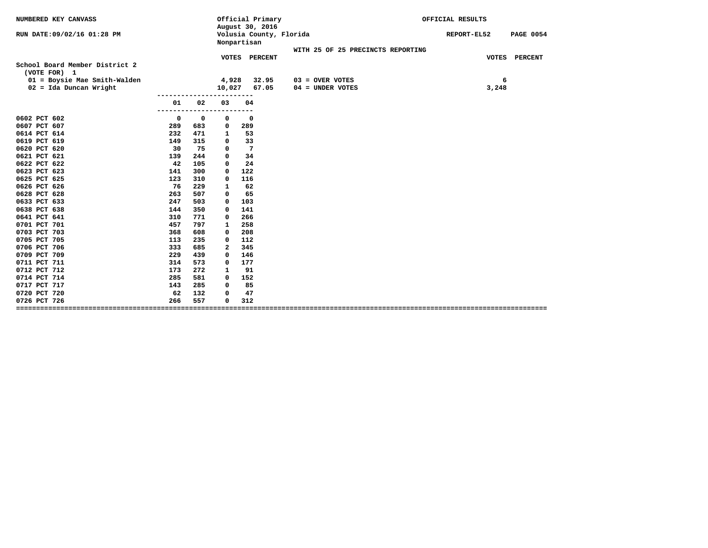| NUMBERED KEY CANVASS                                     |     |                  |                   | August 30, 2016 | Official Primary        |  | OFFICIAL RESULTS                        |                                   |             |                  |
|----------------------------------------------------------|-----|------------------|-------------------|-----------------|-------------------------|--|-----------------------------------------|-----------------------------------|-------------|------------------|
| RUN DATE:09/02/16 01:28 PM                               |     |                  |                   | Nonpartisan     | Volusia County, Florida |  |                                         |                                   | REPORT-EL52 | <b>PAGE 0054</b> |
|                                                          |     |                  |                   |                 |                         |  |                                         | WITH 25 OF 25 PRECINCTS REPORTING |             |                  |
| School Board Member District 2<br>(VOTE FOR) 1           |     |                  |                   | VOTES PERCENT   |                         |  |                                         |                                   |             | VOTES PERCENT    |
| 01 = Boysie Mae Smith-Walden<br>$02 = Ida$ Duncan Wright |     |                  | 4,928<br>10,027   |                 | 32.95<br>67.05          |  | $03 =$ OVER VOTES<br>$04 = UNDER VOTES$ |                                   | 6<br>3,248  |                  |
|                                                          | 01  | 02<br>---------- | 03<br>----------- | 04              |                         |  |                                         |                                   |             |                  |
| 0602 PCT 602                                             | 0   | $\mathbf 0$      | 0                 | $\mathbf 0$     |                         |  |                                         |                                   |             |                  |
| 0607 PCT 607                                             | 289 | 683              | 0                 | 289             |                         |  |                                         |                                   |             |                  |
| 0614 PCT 614                                             | 232 | 471              | 1                 | 53              |                         |  |                                         |                                   |             |                  |
| 0619 PCT 619                                             | 149 | 315              | 0                 | 33              |                         |  |                                         |                                   |             |                  |
| 0620 PCT 620                                             | 30  | 75               | $\mathbf 0$       | $7\phantom{.0}$ |                         |  |                                         |                                   |             |                  |
| 0621 PCT 621                                             | 139 | 244              | 0                 | 34              |                         |  |                                         |                                   |             |                  |
| 0622 PCT 622                                             | 42  | 105              | $\mathbf 0$       | 24              |                         |  |                                         |                                   |             |                  |
| 0623 PCT 623                                             | 141 | 300              | 0                 | 122             |                         |  |                                         |                                   |             |                  |
| 0625 PCT 625                                             | 123 | 310              | 0                 | 116             |                         |  |                                         |                                   |             |                  |
| 0626 PCT 626                                             | 76  | 229              | 1                 | 62              |                         |  |                                         |                                   |             |                  |
| 0628 PCT 628                                             | 263 | 507              | 0                 | 65              |                         |  |                                         |                                   |             |                  |
| 0633 PCT 633                                             | 247 | 503              | 0                 | 103             |                         |  |                                         |                                   |             |                  |
| 0638 PCT 638                                             | 144 | 350              | $\mathbf 0$       | 141             |                         |  |                                         |                                   |             |                  |
| 0641 PCT 641                                             | 310 | 771              | 0                 | 266             |                         |  |                                         |                                   |             |                  |
| 0701 PCT 701                                             | 457 | 797              | 1                 | 258             |                         |  |                                         |                                   |             |                  |
| 0703 PCT 703                                             | 368 | 608              | $\mathbf 0$       | 208             |                         |  |                                         |                                   |             |                  |
| 0705 PCT 705                                             | 113 | 235              | 0                 | 112             |                         |  |                                         |                                   |             |                  |
| 0706 PCT 706                                             | 333 | 685              | 2                 | 345             |                         |  |                                         |                                   |             |                  |
| 0709 PCT 709                                             | 229 | 439              | 0                 | 146             |                         |  |                                         |                                   |             |                  |
| 0711 PCT 711                                             | 314 | 573              | 0                 | 177             |                         |  |                                         |                                   |             |                  |
| 0712 PCT 712                                             | 173 | 272              | 1                 | 91              |                         |  |                                         |                                   |             |                  |
| 0714 PCT 714                                             | 285 | 581              | 0                 | 152             |                         |  |                                         |                                   |             |                  |
| 0717 PCT 717                                             | 143 | 285              | $\mathbf 0$       | 85              |                         |  |                                         |                                   |             |                  |
| 0720 PCT 720                                             | 62  | 132              | $\mathbf 0$       | 47              |                         |  |                                         |                                   |             |                  |
| 0726 PCT 726                                             | 266 | 557              | 0                 | 312             |                         |  |                                         |                                   |             |                  |
|                                                          |     |                  |                   |                 |                         |  |                                         |                                   |             |                  |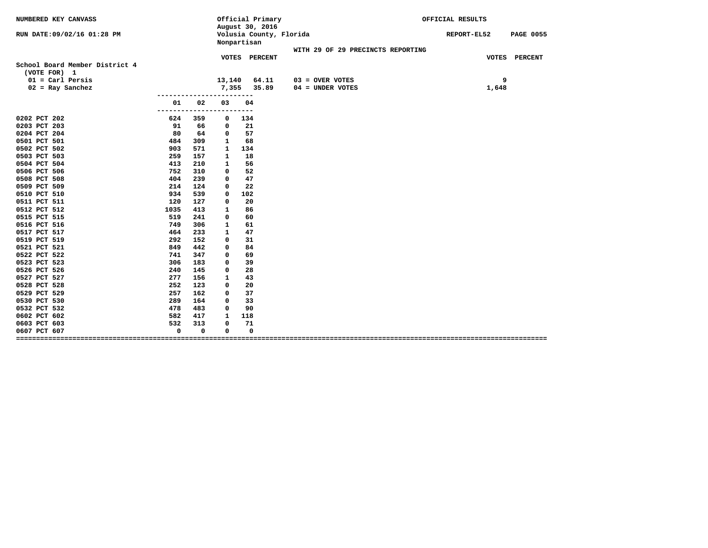| NUMBERED KEY CANVASS           |             |             | Official Primary<br>August 30, 2016    |                                   | OFFICIAL RESULTS                |  |  |  |  |
|--------------------------------|-------------|-------------|----------------------------------------|-----------------------------------|---------------------------------|--|--|--|--|
| RUN DATE:09/02/16 01:28 PM     |             |             | Volusia County, Florida<br>Nonpartisan |                                   | <b>PAGE 0055</b><br>REPORT-EL52 |  |  |  |  |
|                                |             |             |                                        | WITH 29 OF 29 PRECINCTS REPORTING |                                 |  |  |  |  |
|                                |             |             | VOTES PERCENT                          |                                   | VOTES PERCENT                   |  |  |  |  |
| School Board Member District 4 |             |             |                                        |                                   |                                 |  |  |  |  |
| (VOTE FOR) 1                   |             |             |                                        |                                   |                                 |  |  |  |  |
| $01 = \text{Carl Persis}$      |             | 13,140      | 64.11                                  | $03 =$ OVER VOTES                 | 9                               |  |  |  |  |
| $02 = Ray$ Sanchez             |             | 7,355       | 35.89                                  | $04 = UNDER VOTES$                | 1,648                           |  |  |  |  |
| 01                             | 02          | 03          | 04                                     |                                   |                                 |  |  |  |  |
| -------------                  |             | ------      | $---$                                  |                                   |                                 |  |  |  |  |
| 0202 PCT 202<br>624            | 359         | 0           | 134                                    |                                   |                                 |  |  |  |  |
| 0203 PCT 203<br>91             | 66          | 0           | 21                                     |                                   |                                 |  |  |  |  |
| 0204 PCT 204<br>80             | 64          | 0           | 57                                     |                                   |                                 |  |  |  |  |
| 0501 PCT 501<br>484            | 309         | 1           | 68                                     |                                   |                                 |  |  |  |  |
| 0502 PCT 502<br>903            | 571         | 1           | 134                                    |                                   |                                 |  |  |  |  |
| 0503 PCT 503<br>259            | 157         | 1           | 18                                     |                                   |                                 |  |  |  |  |
| 0504 PCT 504<br>413            | 210         | 1           | 56                                     |                                   |                                 |  |  |  |  |
| 0506 PCT 506<br>752            | 310         | 0           | 52                                     |                                   |                                 |  |  |  |  |
| 0508 PCT 508<br>404            | 239         | 0           | 47                                     |                                   |                                 |  |  |  |  |
| 0509 PCT 509<br>214            | 124         | 0           | 22                                     |                                   |                                 |  |  |  |  |
| 934<br>0510 PCT 510            | 539         | $\Omega$    | 102                                    |                                   |                                 |  |  |  |  |
| 0511 PCT 511<br>120            | 127         | 0           | 20                                     |                                   |                                 |  |  |  |  |
| 0512 PCT 512<br>1035           | 413         | 1           | 86                                     |                                   |                                 |  |  |  |  |
| 0515 PCT 515<br>519            | 241         | 0           | 60                                     |                                   |                                 |  |  |  |  |
| 0516 PCT 516<br>749            | 306         | 1           | 61                                     |                                   |                                 |  |  |  |  |
| 464<br>0517 PCT 517            | 233         | 1           | 47                                     |                                   |                                 |  |  |  |  |
| 0519 PCT 519<br>292            | 152         | 0           | 31                                     |                                   |                                 |  |  |  |  |
| 0521 PCT 521<br>849            | 442         | 0           | 84                                     |                                   |                                 |  |  |  |  |
| 0522 PCT 522<br>741            | 347         | 0           | 69                                     |                                   |                                 |  |  |  |  |
| 0523 PCT 523<br>306            | 183         | 0           | 39                                     |                                   |                                 |  |  |  |  |
| 0526 PCT 526<br>240            | 145         | 0           | 28                                     |                                   |                                 |  |  |  |  |
| 0527 PCT 527<br>277            | 156         | 1           | 43                                     |                                   |                                 |  |  |  |  |
| 252<br>0528 PCT 528            | 123         | 0           | 20                                     |                                   |                                 |  |  |  |  |
| 0529 PCT 529<br>257            | 162         | 0           | 37                                     |                                   |                                 |  |  |  |  |
| 0530 PCT 530<br>289            | 164         | 0           | 33                                     |                                   |                                 |  |  |  |  |
| 0532 PCT 532<br>478            | 483         | 0           | 90                                     |                                   |                                 |  |  |  |  |
| 0602 PCT 602<br>582            | 417         | 1           | 118                                    |                                   |                                 |  |  |  |  |
| 532<br>0603 PCT 603            | 313         | $\mathbf 0$ | 71                                     |                                   |                                 |  |  |  |  |
| $\mathbf 0$<br>0607 PCT 607    | $\mathbf 0$ | 0           | 0                                      |                                   |                                 |  |  |  |  |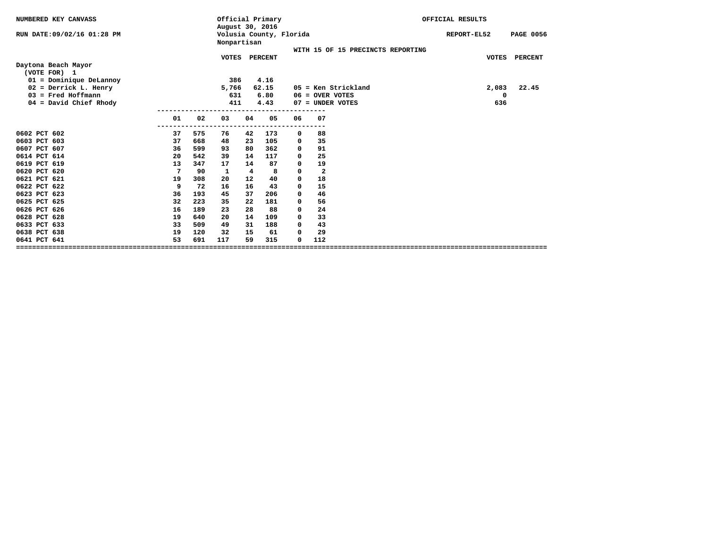| NUMBERED KEY CANVASS          |           |     | August 30, 2016 |    | Official Primary        |             |                         |                                   | OFFICIAL RESULTS |                  |
|-------------------------------|-----------|-----|-----------------|----|-------------------------|-------------|-------------------------|-----------------------------------|------------------|------------------|
| RUN DATE:09/02/16 01:28 PM    |           |     | Nonpartisan     |    | Volusia County, Florida |             |                         |                                   | REPORT-EL52      | <b>PAGE 0056</b> |
|                               |           |     |                 |    |                         |             |                         | WITH 15 OF 15 PRECINCTS REPORTING |                  |                  |
|                               |           |     | <b>VOTES</b>    |    | <b>PERCENT</b>          |             |                         |                                   | <b>VOTES</b>     | <b>PERCENT</b>   |
| Daytona Beach Mayor           |           |     |                 |    |                         |             |                         |                                   |                  |                  |
| (VOTE FOR) 1                  |           |     |                 |    |                         |             |                         |                                   |                  |                  |
| $01 =$ Dominique DeLannoy     |           |     | 386             |    | 4.16                    |             |                         |                                   |                  |                  |
| $02$ = Derrick L. Henry       |           |     | 5,766           |    | 62.15                   |             |                         | $05$ = Ken Strickland             | 2,083            | 22.45            |
| $03$ = Fred Hoffmann          |           |     | 631             |    | 6.80                    |             | $06 =$ OVER VOTES       |                                   | 0                |                  |
| $04 = David Chief Rhody$      |           |     | 411             |    | 4.43                    |             | $07 =$ UNDER VOTES      |                                   | 636              |                  |
|                               |           |     |                 |    |                         |             |                         |                                   |                  |                  |
|                               | 01<br>--- | 02  | 03              | 04 | 05                      | 06          | 07                      |                                   |                  |                  |
| 0602 PCT 602                  | 37        | 575 | 76              | 42 | 173                     | 0           | 88                      |                                   |                  |                  |
| 0603 PCT 603                  | 37        | 668 | 48              | 23 | 105                     | 0           | 35                      |                                   |                  |                  |
| 0607 PCT 607                  | 36        | 599 | 93              | 80 | 362                     | 0           | 91                      |                                   |                  |                  |
| 0614 PCT 614                  | 20        | 542 | 39              | 14 | 117                     | 0           | 25                      |                                   |                  |                  |
| 0619 PCT 619                  | 13        | 347 | 17              | 14 | 87                      | 0           | 19                      |                                   |                  |                  |
| 0620 PCT 620                  | 7         | 90  | 1               | 4  | 8                       | 0           | $\overline{\mathbf{2}}$ |                                   |                  |                  |
| 0621 PCT 621                  | 19        | 308 | 20              | 12 | 40                      | 0           | 18                      |                                   |                  |                  |
| 0622 PCT 622                  | 9         | 72  | 16              | 16 | 43                      | 0           | 15                      |                                   |                  |                  |
| 0623 PCT 623                  | 36        | 193 | 45              | 37 | 206                     | 0           | 46                      |                                   |                  |                  |
| 0625 PCT 625                  | 32        | 223 | 35              | 22 | 181                     | 0           | 56                      |                                   |                  |                  |
| 0626 PCT 626                  | 16        | 189 | 23              | 28 | 88                      | 0           | 24                      |                                   |                  |                  |
| 0628 PCT 628                  | 19        | 640 | 20              | 14 | 109                     | $\mathbf 0$ | 33                      |                                   |                  |                  |
| 0633 PCT 633                  | 33        | 509 | 49              | 31 | 188                     | 0           | 43                      |                                   |                  |                  |
| 0638 PCT 638                  | 19        | 120 | 32              | 15 | 61                      | $\mathbf 0$ | 29                      |                                   |                  |                  |
| 0641 PCT 641                  | 53        | 691 | 117             | 59 | 315                     | $\Omega$    | 112                     |                                   |                  |                  |
| ============================= |           |     |                 |    |                         |             |                         |                                   |                  |                  |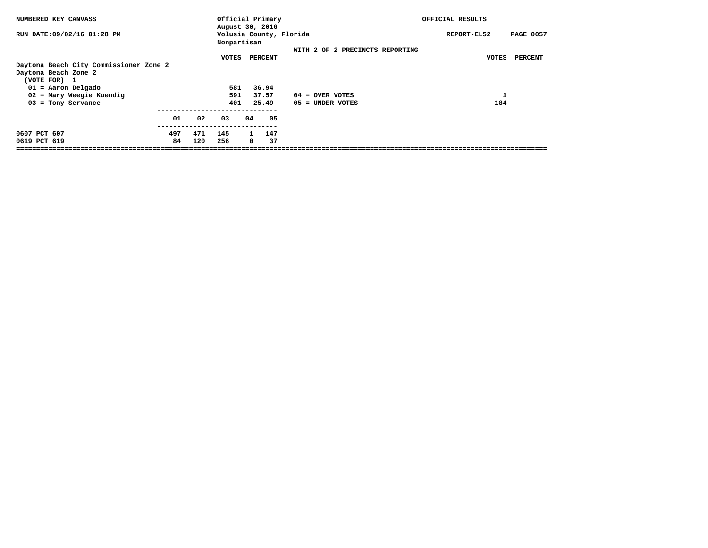| NUMBERED KEY CANVASS                   |     |     | Official Primary<br>August 30, 2016    |              |     |                                 | OFFICIAL RESULTS                |         |  |
|----------------------------------------|-----|-----|----------------------------------------|--------------|-----|---------------------------------|---------------------------------|---------|--|
| RUN DATE: 09/02/16 01:28 PM            |     |     | Volusia County, Florida<br>Nonpartisan |              |     |                                 | <b>PAGE 0057</b><br>REPORT-EL52 |         |  |
|                                        |     |     |                                        |              |     | WITH 2 OF 2 PRECINCTS REPORTING |                                 |         |  |
|                                        |     |     | VOTES                                  | PERCENT      |     |                                 | VOTES                           | PERCENT |  |
| Daytona Beach City Commissioner Zone 2 |     |     |                                        |              |     |                                 |                                 |         |  |
| Daytona Beach Zone 2                   |     |     |                                        |              |     |                                 |                                 |         |  |
| (VOTE FOR) 1                           |     |     |                                        |              |     |                                 |                                 |         |  |
| $01 =$ Aaron Delgado                   |     |     | 581                                    | 36.94        |     |                                 |                                 |         |  |
| 02 = Mary Weegie Kuendig               |     |     | 591                                    | 37.57        |     | $04 =$ OVER VOTES               |                                 |         |  |
| $03$ = Tony Servance                   |     |     | 401                                    | 25.49        |     | 05 = UNDER VOTES                | 184                             |         |  |
|                                        |     |     |                                        |              |     |                                 |                                 |         |  |
|                                        | 01  | 02  | 03                                     | 04           | 05  |                                 |                                 |         |  |
|                                        |     |     |                                        |              |     |                                 |                                 |         |  |
| 0607 PCT 607                           | 497 | 471 | 145                                    | $\mathbf{1}$ | 147 |                                 |                                 |         |  |
| 0619 PCT 619                           | 84  | 120 | 256                                    | 0            | 37  |                                 |                                 |         |  |
|                                        |     |     |                                        |              |     |                                 |                                 |         |  |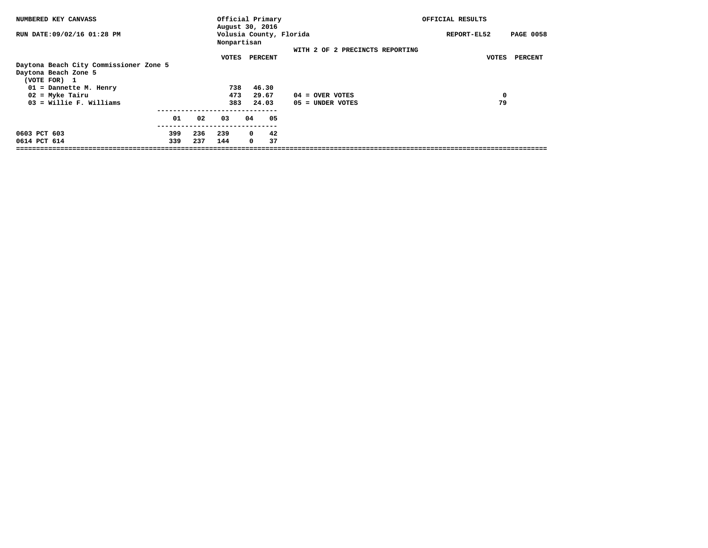| NUMBERED KEY CANVASS                   |     |     | Official Primary<br>August 30, 2016 |            |                         |                   |                                 | OFFICIAL RESULTS |                                 |                |  |
|----------------------------------------|-----|-----|-------------------------------------|------------|-------------------------|-------------------|---------------------------------|------------------|---------------------------------|----------------|--|
| RUN DATE: 09/02/16 01:28 PM            |     |     | Nonpartisan                         |            | Volusia County, Florida |                   |                                 |                  | <b>PAGE 0058</b><br>REPORT-EL52 |                |  |
|                                        |     |     |                                     |            |                         |                   | WITH 2 OF 2 PRECINCTS REPORTING |                  |                                 |                |  |
|                                        |     |     | VOTES                               | PERCENT    |                         |                   |                                 |                  | VOTES                           | <b>PERCENT</b> |  |
| Daytona Beach City Commissioner Zone 5 |     |     |                                     |            |                         |                   |                                 |                  |                                 |                |  |
| Daytona Beach Zone 5                   |     |     |                                     |            |                         |                   |                                 |                  |                                 |                |  |
| (VOTE FOR) 1                           |     |     |                                     |            |                         |                   |                                 |                  |                                 |                |  |
| 01 = Dannette M. Henry                 |     |     | 738                                 | 46.30      |                         |                   |                                 |                  |                                 |                |  |
| $02$ = Myke Tairu                      |     |     | 473                                 | 29.67      |                         | $04 =$ OVER VOTES |                                 |                  | 0                               |                |  |
| $03 =$ Willie F. Williams              |     |     | 383                                 | 24.03      |                         | 05 = UNDER VOTES  |                                 |                  | 79                              |                |  |
|                                        | 01  | 02  | 03                                  | 04         | 05                      |                   |                                 |                  |                                 |                |  |
|                                        |     |     |                                     |            |                         |                   |                                 |                  |                                 |                |  |
| 0603 PCT 603                           | 399 | 236 | 239                                 | $^{\circ}$ | 42                      |                   |                                 |                  |                                 |                |  |
| 0614 PCT 614                           | 339 | 237 | 144                                 | 0          | 37                      |                   |                                 |                  |                                 |                |  |
|                                        |     |     |                                     |            |                         |                   |                                 |                  |                                 |                |  |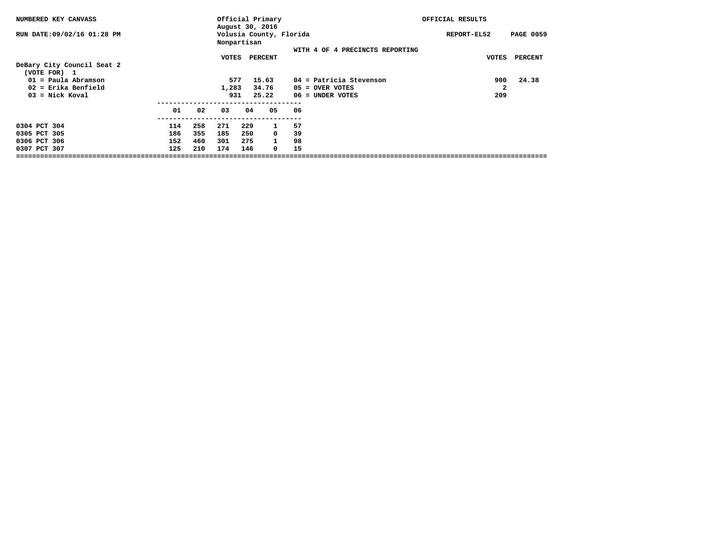| NUMBERED KEY CANVASS                       |     |     |             |     | Official Primary<br>August 30, 2016 |                                 | OFFICIAL RESULTS |                  |  |
|--------------------------------------------|-----|-----|-------------|-----|-------------------------------------|---------------------------------|------------------|------------------|--|
| RUN DATE:09/02/16 01:28 PM                 |     |     | Nonpartisan |     | Volusia County, Florida             |                                 | REPORT-EL52      | <b>PAGE 0059</b> |  |
|                                            |     |     | VOTES       |     | PERCENT                             | WITH 4 OF 4 PRECINCTS REPORTING | VOTES            | PERCENT          |  |
| DeBary City Council Seat 2<br>(VOTE FOR) 1 |     |     |             |     |                                     |                                 |                  |                  |  |
| $01 =$ Paula Abramson                      |     |     | 577         |     | 15.63                               | 04 = Patricia Stevenson         | 900              | 24.38            |  |
| $02$ = Erika Benfield                      |     |     | 1,283       |     | 34.76                               | 05 = OVER VOTES                 | 2                |                  |  |
| $03 =$ Nick Koval                          |     |     | 931         |     | 25.22                               | $06 =$ UNDER VOTES              | 209              |                  |  |
|                                            | 01  | 02  | 03          | 04  | 05                                  | 06                              |                  |                  |  |
| 0304 PCT 304                               | 114 | 258 | 271         | 229 | $\mathbf{1}$                        | 57                              |                  |                  |  |
| 0305 PCT 305                               | 186 | 355 | 185         | 250 | 0                                   | 39                              |                  |                  |  |
| 0306 PCT 306                               | 152 | 460 | 301         | 275 | $\mathbf{1}$                        | 98                              |                  |                  |  |
| 0307 PCT 307                               | 125 | 210 | 174         | 146 | 0                                   | 15                              |                  |                  |  |
|                                            |     |     |             |     |                                     |                                 |                  |                  |  |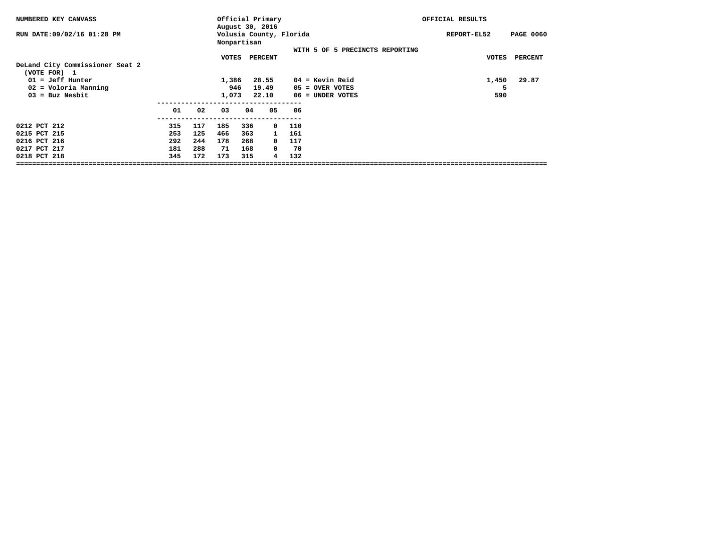| NUMBERED KEY CANVASS                            |     |     |             |                         | Official Primary<br>August 30, 2016 |     |                                 | OFFICIAL RESULTS |              |                  |
|-------------------------------------------------|-----|-----|-------------|-------------------------|-------------------------------------|-----|---------------------------------|------------------|--------------|------------------|
| RUN DATE: 09/02/16 01:28 PM                     |     |     | Nonpartisan |                         | Volusia County, Florida             |     |                                 | REPORT-EL52      |              | <b>PAGE 0060</b> |
|                                                 |     |     |             | <b>VOTES</b><br>PERCENT |                                     |     | WITH 5 OF 5 PRECINCTS REPORTING |                  | <b>VOTES</b> | <b>PERCENT</b>   |
| DeLand City Commissioner Seat 2<br>(VOTE FOR) 1 |     |     |             |                         |                                     |     |                                 |                  |              |                  |
| $01 = Jeff$ Hunter                              |     |     | 1,386       |                         | 28.55                               |     | $04 =$ Kevin Reid               |                  | 1,450        | 29.87            |
| 02 = Voloria Manning                            |     |     | 946         |                         | 19.49                               |     | $05 =$ OVER VOTES               |                  |              |                  |
| $03 = Buz$ Nesbit                               |     |     | 1,073       |                         | 22.10                               |     | $06 =$ UNDER VOTES              |                  | 590          |                  |
|                                                 | 01  | 02  | 03          | 04                      | 05                                  | 06  |                                 |                  |              |                  |
| 0212 PCT 212                                    | 315 | 117 | 185         | 336                     | 0                                   | 110 |                                 |                  |              |                  |
| 0215 PCT 215                                    | 253 | 125 | 466         | 363                     | 1                                   | 161 |                                 |                  |              |                  |
| 0216 PCT 216                                    | 292 | 244 | 178         | 268                     | 0                                   | 117 |                                 |                  |              |                  |
| 0217 PCT 217                                    | 181 | 288 | 71          | 168                     | 0                                   | 70  |                                 |                  |              |                  |
| 0218 PCT 218                                    | 345 | 172 | 173         | 315                     | 4                                   | 132 |                                 |                  |              |                  |
|                                                 |     |     |             |                         |                                     |     |                                 |                  |              |                  |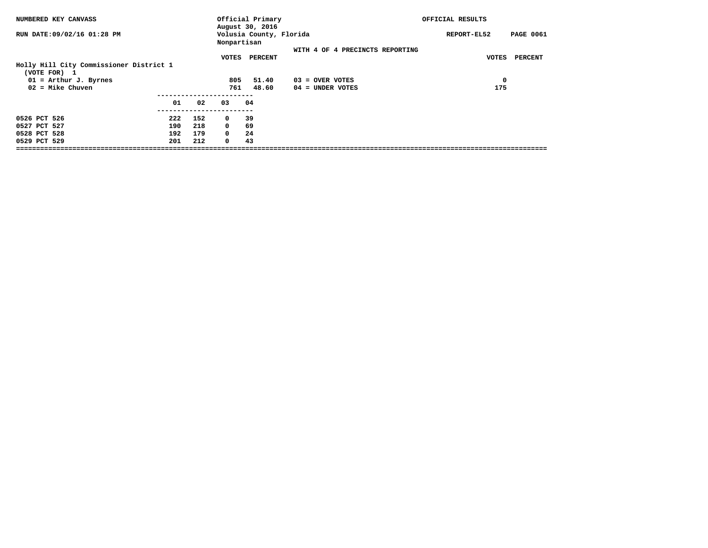| NUMBERED KEY CANVASS                                    |     |     |             | Official Primary<br>August 30, 2016 |                                 | OFFICIAL RESULTS                |
|---------------------------------------------------------|-----|-----|-------------|-------------------------------------|---------------------------------|---------------------------------|
| RUN DATE:09/02/16 01:28 PM                              |     |     | Nonpartisan | Volusia County, Florida             |                                 | <b>PAGE 0061</b><br>REPORT-EL52 |
|                                                         |     |     | VOTES       | PERCENT                             | WITH 4 OF 4 PRECINCTS REPORTING | <b>PERCENT</b><br>VOTES         |
| Holly Hill City Commissioner District 1<br>(VOTE FOR) 1 |     |     |             |                                     |                                 |                                 |
| $01$ = Arthur J. Byrnes                                 |     |     | 805         | 51.40                               | $03 =$ OVER VOTES               | $\mathbf 0$                     |
| $02 =$ Mike Chuven                                      |     |     | 761         | 48.60                               | $04 =$ UNDER VOTES              | 175                             |
|                                                         | 01  | 02  | 03          | 04                                  |                                 |                                 |
| 0526 PCT 526                                            | 222 | 152 | $\mathbf 0$ | -39                                 |                                 |                                 |
| 0527 PCT 527                                            | 190 | 218 | $^{\circ}$  | 69                                  |                                 |                                 |
| 0528 PCT 528                                            | 192 | 179 | $^{\circ}$  | 24                                  |                                 |                                 |
| 0529 PCT 529                                            | 201 | 212 | $\mathbf 0$ | 43                                  |                                 |                                 |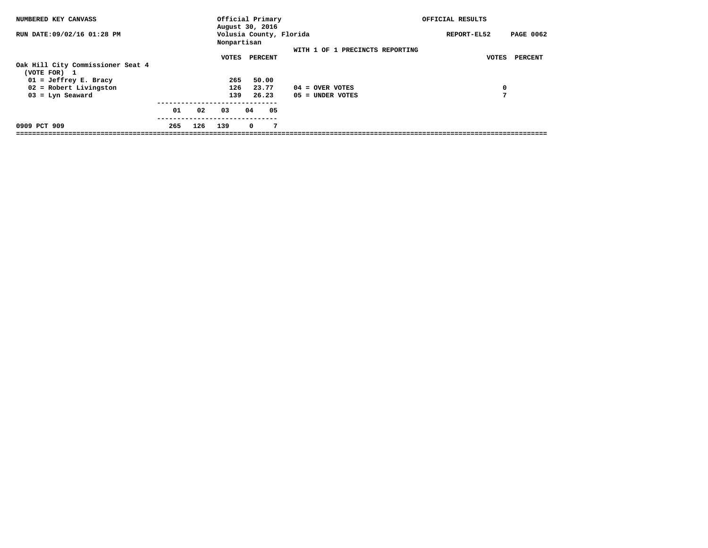| NUMBERED KEY CANVASS                              |     |     | Official Primary<br>August 30, 2016 |            |         |                                 | OFFICIAL RESULTS |                  |
|---------------------------------------------------|-----|-----|-------------------------------------|------------|---------|---------------------------------|------------------|------------------|
| RUN DATE:09/02/16 01:28 PM                        |     |     | Nonpartisan                         |            |         | Volusia County, Florida         | REPORT-EL52      | <b>PAGE 0062</b> |
|                                                   |     |     |                                     |            |         | WITH 1 OF 1 PRECINCTS REPORTING |                  |                  |
|                                                   |     |     | VOTES                               |            | PERCENT |                                 | <b>VOTES</b>     | PERCENT          |
| Oak Hill City Commissioner Seat 4<br>(VOTE FOR) 1 |     |     |                                     |            |         |                                 |                  |                  |
| $01 = Jeffrey E. Bracy$                           |     |     | 265                                 |            | 50.00   |                                 |                  |                  |
| $02$ = Robert Livingston                          |     |     | 126                                 |            | 23.77   | $04 =$ OVER VOTES               | 0                |                  |
| $03 = Lyn$ Seaward                                |     |     | 139                                 |            | 26.23   | $05 =$ UNDER VOTES              | 7                |                  |
|                                                   | 01  | 02  | 03                                  | 04         | 05      |                                 |                  |                  |
| 0909 PCT 909                                      | 265 | 126 | 139                                 | $^{\circ}$ | 7       |                                 |                  |                  |
|                                                   |     |     |                                     |            |         |                                 |                  |                  |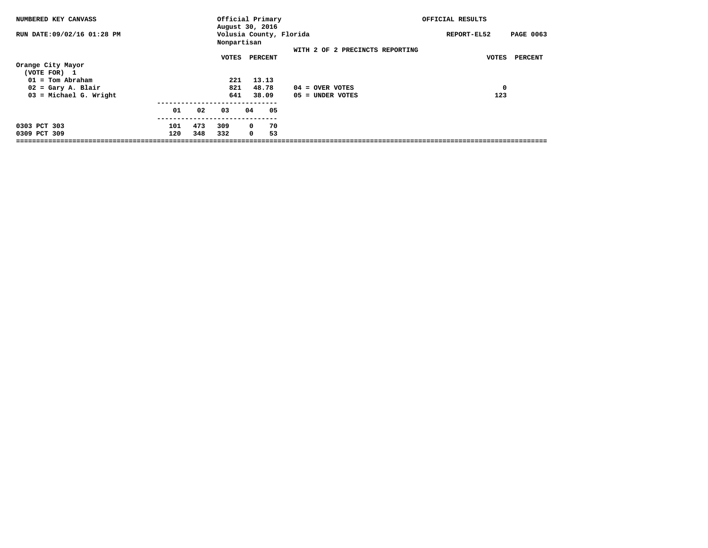| NUMBERED KEY CANVASS              |     |     |             |    | Official Primary<br>August 30, 2016 |                                 | OFFICIAL RESULTS |                  |
|-----------------------------------|-----|-----|-------------|----|-------------------------------------|---------------------------------|------------------|------------------|
| RUN DATE:09/02/16 01:28 PM        |     |     | Nonpartisan |    | Volusia County, Florida             |                                 | REPORT-EL52      | <b>PAGE 0063</b> |
|                                   |     |     |             |    |                                     | WITH 2 OF 2 PRECINCTS REPORTING |                  |                  |
|                                   |     |     | VOTES       |    | PERCENT                             |                                 | VOTES            | PERCENT          |
| Orange City Mayor<br>(VOTE FOR) 1 |     |     |             |    |                                     |                                 |                  |                  |
| $01 = Tom Abraham$                |     |     | 221         |    | 13.13                               |                                 |                  |                  |
| $02 = Gary A. Blair$              |     |     | 821         |    | 48.78                               | $04 =$ OVER VOTES               | 0                |                  |
| $03$ = Michael G. Wright          |     |     | 641         |    | 38.09                               | 05 = UNDER VOTES                | 123              |                  |
|                                   | 01  | 02  | 03          | 04 | 05                                  |                                 |                  |                  |
| 0303 PCT 303                      | 101 | 473 | 309         |    | 70<br>0                             |                                 |                  |                  |
| 0309 PCT 309                      | 120 | 348 | 332         |    | 53<br>$^{\circ}$                    |                                 |                  |                  |
|                                   |     |     |             |    |                                     |                                 |                  |                  |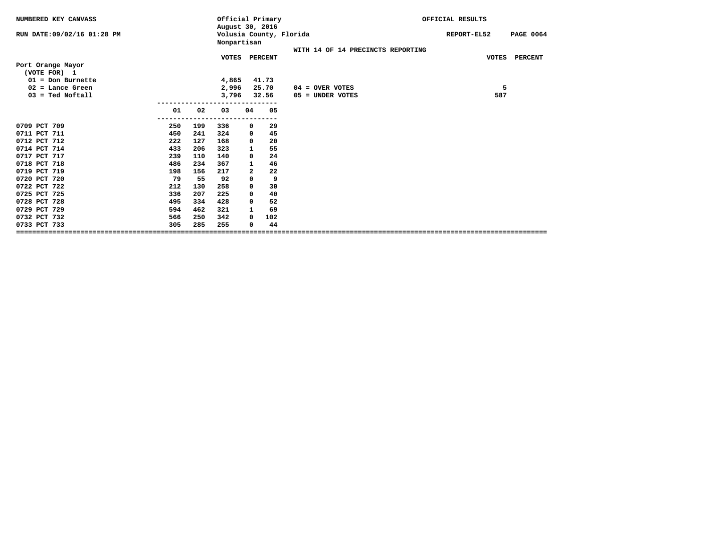| NUMBERED KEY CANVASS        |     |     | Official Primary<br>August 30, 2016 |              |               |                                   | OFFICIAL RESULTS |     |                  |
|-----------------------------|-----|-----|-------------------------------------|--------------|---------------|-----------------------------------|------------------|-----|------------------|
| RUN DATE: 09/02/16 01:28 PM |     |     | Nonpartisan                         |              |               | Volusia County, Florida           | REPORT-EL52      |     | <b>PAGE 0064</b> |
|                             |     |     |                                     |              |               | WITH 14 OF 14 PRECINCTS REPORTING |                  |     |                  |
|                             |     |     |                                     |              | VOTES PERCENT |                                   |                  |     | VOTES PERCENT    |
| Port Orange Mayor           |     |     |                                     |              |               |                                   |                  |     |                  |
| (VOTE FOR) 1                |     |     |                                     |              |               |                                   |                  |     |                  |
| $01 = Don Burnette$         |     |     | 4,865                               |              | 41.73         |                                   |                  |     |                  |
| $02$ = Lance Green          |     |     | 2,996                               |              | 25.70         | $04 =$ OVER VOTES                 |                  | 5   |                  |
| $03 =$ Ted Noftall          |     |     | 3,796                               |              | 32.56         | 05 = UNDER VOTES                  |                  | 587 |                  |
|                             |     |     |                                     |              |               |                                   |                  |     |                  |
|                             | 01  | 02  | 03                                  | 04           | 05            |                                   |                  |     |                  |
|                             |     |     |                                     |              |               |                                   |                  |     |                  |
| 0709 PCT 709                | 250 | 199 | 336                                 | 0            | 29            |                                   |                  |     |                  |
| 0711 PCT 711                | 450 | 241 | 324                                 | 0            | 45            |                                   |                  |     |                  |
| 0712 PCT 712                | 222 | 127 | 168                                 | $\mathbf{o}$ | 20            |                                   |                  |     |                  |
| 0714 PCT 714                | 433 | 206 | 323                                 | 1            | 55            |                                   |                  |     |                  |
| 0717 PCT 717                | 239 | 110 | 140                                 | 0            | 24            |                                   |                  |     |                  |
| 0718 PCT 718                | 486 | 234 | 367                                 | 1            | 46            |                                   |                  |     |                  |
| 0719 PCT 719                | 198 | 156 | 217                                 | $\mathbf{2}$ | 22            |                                   |                  |     |                  |
| 0720 PCT 720                | 79  | 55  | 92                                  | $\mathbf 0$  | 9             |                                   |                  |     |                  |
| 0722 PCT 722                | 212 | 130 | 258                                 | 0            | 30            |                                   |                  |     |                  |
| 0725 PCT 725                | 336 | 207 | 225                                 | 0            | 40            |                                   |                  |     |                  |
| 0728 PCT 728                | 495 | 334 | 428                                 | 0            | 52            |                                   |                  |     |                  |
| 0729 PCT 729                | 594 | 462 | 321                                 | 1            | 69            |                                   |                  |     |                  |
| 0732 PCT 732                | 566 | 250 | 342                                 | 0            | 102           |                                   |                  |     |                  |
| 0733 PCT 733                | 305 | 285 | 255                                 | 0            | 44            |                                   |                  |     |                  |
| -------------               |     |     |                                     |              |               |                                   |                  |     |                  |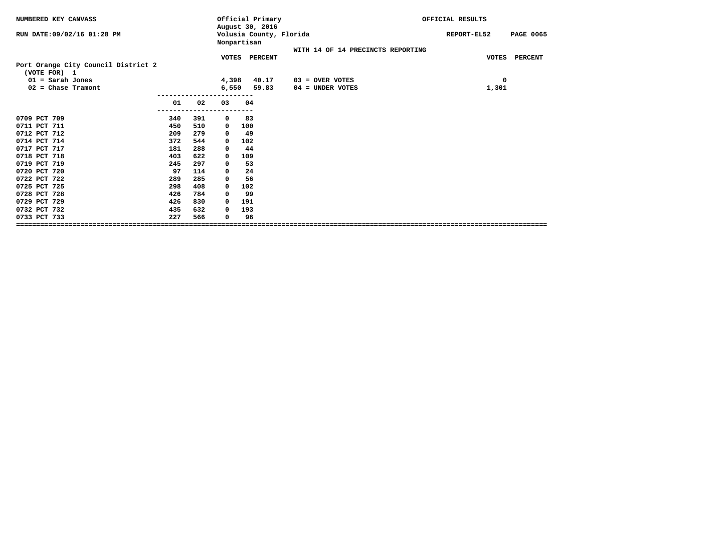| NUMBERED KEY CANVASS                                |     |     |       | Official Primary<br>August 30, 2016    |                                   | OFFICIAL RESULTS |                  |  |
|-----------------------------------------------------|-----|-----|-------|----------------------------------------|-----------------------------------|------------------|------------------|--|
| RUN DATE: 09/02/16 01:28 PM                         |     |     |       | Volusia County, Florida<br>Nonpartisan |                                   | REPORT-EL52      | <b>PAGE 0065</b> |  |
|                                                     |     |     |       |                                        | WITH 14 OF 14 PRECINCTS REPORTING |                  |                  |  |
|                                                     |     |     |       | VOTES PERCENT                          |                                   |                  | VOTES PERCENT    |  |
| Port Orange City Council District 2<br>(VOTE FOR) 1 |     |     |       |                                        |                                   |                  |                  |  |
| $01 =$ Sarah Jones                                  |     |     | 4,398 | 40.17                                  | $03 =$ OVER VOTES                 | 0                |                  |  |
| $02$ = Chase Tramont                                |     |     | 6,550 | 59.83                                  | 04 = UNDER VOTES                  | 1,301            |                  |  |
|                                                     |     |     |       |                                        |                                   |                  |                  |  |
|                                                     | 01  | 02  | 03    | 04                                     |                                   |                  |                  |  |
| 0709 PCT 709                                        |     | 391 |       | 83                                     |                                   |                  |                  |  |
|                                                     | 340 |     | 0     |                                        |                                   |                  |                  |  |
| 0711 PCT 711<br>0712 PCT 712                        | 450 | 510 | 0     | 100                                    |                                   |                  |                  |  |
|                                                     | 209 | 279 | 0     | 49                                     |                                   |                  |                  |  |
| 0714 PCT 714                                        | 372 | 544 | 0     | 102                                    |                                   |                  |                  |  |
| 0717 PCT 717                                        | 181 | 288 | 0     | 44                                     |                                   |                  |                  |  |
| 0718 PCT 718                                        | 403 | 622 | 0     | 109                                    |                                   |                  |                  |  |
| 0719 PCT 719                                        | 245 | 297 | 0     | 53                                     |                                   |                  |                  |  |
| 0720 PCT 720                                        | 97  | 114 | 0     | 24                                     |                                   |                  |                  |  |
| 0722 PCT 722                                        | 289 | 285 | 0     | 56                                     |                                   |                  |                  |  |
| 0725 PCT 725                                        | 298 | 408 | 0     | 102                                    |                                   |                  |                  |  |
| 0728 PCT 728                                        | 426 | 784 | 0     | 99                                     |                                   |                  |                  |  |
| 0729 PCT 729                                        | 426 | 830 | 0     | 191                                    |                                   |                  |                  |  |
| 0732 PCT 732                                        | 435 | 632 | 0     | 193                                    |                                   |                  |                  |  |
| 0733 PCT 733                                        | 227 | 566 | 0     | 96                                     |                                   |                  |                  |  |
|                                                     |     |     |       |                                        |                                   |                  |                  |  |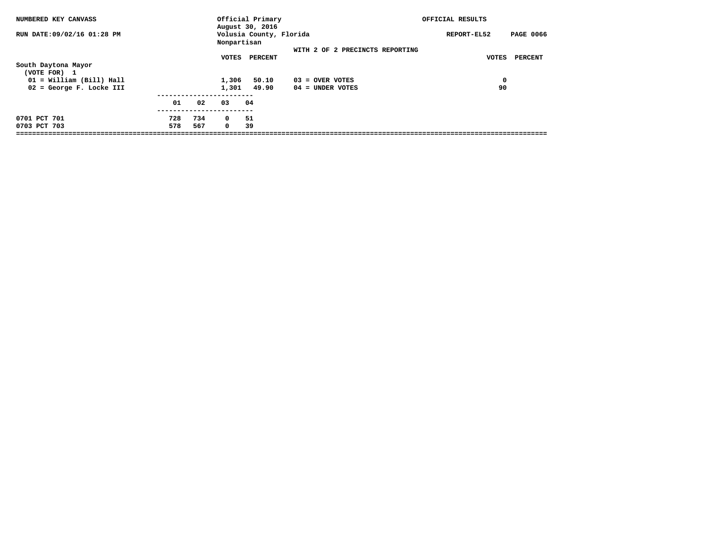| NUMBERED KEY CANVASS       |     |     |             | Official Primary<br>August 30, 2016 |                                 | OFFICIAL RESULTS |                  |
|----------------------------|-----|-----|-------------|-------------------------------------|---------------------------------|------------------|------------------|
| RUN DATE:09/02/16 01:28 PM |     |     | Nonpartisan | Volusia County, Florida             |                                 | REPORT-EL52      | <b>PAGE 0066</b> |
|                            |     |     |             |                                     | WITH 2 OF 2 PRECINCTS REPORTING |                  |                  |
|                            |     |     | VOTES       | PERCENT                             |                                 | VOTES            | <b>PERCENT</b>   |
| South Daytona Mayor        |     |     |             |                                     |                                 |                  |                  |
| (VOTE FOR) 1               |     |     |             |                                     |                                 |                  |                  |
| 01 = William (Bill) Hall   |     |     | 1,306       | 50.10                               | $03 =$ OVER VOTES               | $\mathbf 0$      |                  |
| 02 = George F. Locke III   |     |     | 1,301       | 49.90                               | $04 =$ UNDER VOTES              | 90               |                  |
|                            |     |     |             |                                     |                                 |                  |                  |
|                            | 01  | 02  | 03          | 04                                  |                                 |                  |                  |
| 0701 PCT 701               | 728 | 734 | $^{\circ}$  | 51                                  |                                 |                  |                  |
| 0703 PCT 703               | 578 | 567 | $^{\circ}$  | 39                                  |                                 |                  |                  |
|                            |     |     |             |                                     |                                 |                  |                  |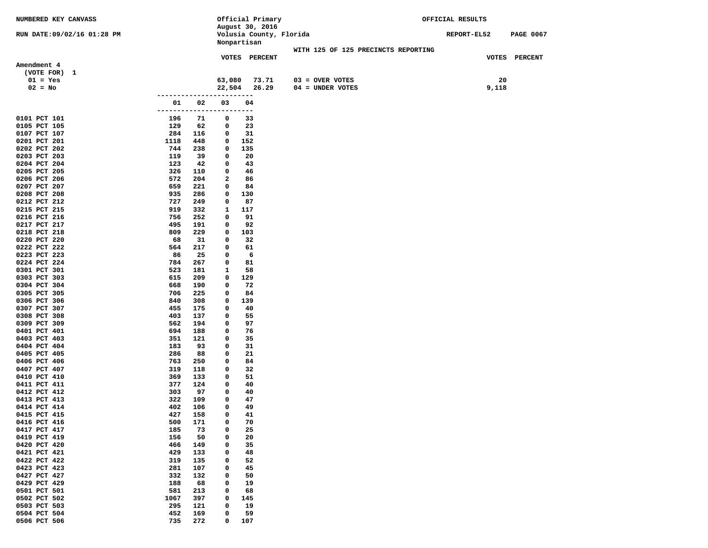| NUMBERED KEY CANVASS         |            |            |                  | Official Primary        |                                     | OFFICIAL RESULTS |       |                  |
|------------------------------|------------|------------|------------------|-------------------------|-------------------------------------|------------------|-------|------------------|
|                              |            |            |                  | August 30, 2016         |                                     |                  |       |                  |
| RUN DATE:09/02/16 01:28 PM   |            |            |                  | Volusia County, Florida |                                     | REPORT-EL52      |       | <b>PAGE 0067</b> |
|                              |            |            |                  | Nonpartisan             |                                     |                  |       |                  |
|                              |            |            |                  |                         | WITH 125 OF 125 PRECINCTS REPORTING |                  |       |                  |
| Amendment 4                  |            |            |                  | VOTES PERCENT           |                                     |                  |       | VOTES PERCENT    |
| (VOTE FOR) 1                 |            |            |                  |                         |                                     |                  |       |                  |
| $01 = Yes$                   |            |            | 63,080           | 73.71                   | $03 = OVER VOTES$                   |                  | 20    |                  |
| $02 = No$                    |            |            | 22,504           | 26.29                   | 04 = UNDER VOTES                    |                  | 9,118 |                  |
|                              |            | ---------- |                  | -----                   |                                     |                  |       |                  |
|                              | 01         | 02         | 03               | 04                      |                                     |                  |       |                  |
|                              | -------    |            |                  | ---                     |                                     |                  |       |                  |
| 0101 PCT 101                 | 196        | 71         | 0                | 33                      |                                     |                  |       |                  |
| 0105 PCT 105                 | 129        | 62         | 0                | 23                      |                                     |                  |       |                  |
| 0107 PCT 107                 | 284        | 116        | 0                | 31                      |                                     |                  |       |                  |
| 0201 PCT 201                 | 1118       | 448        | 0                | 152                     |                                     |                  |       |                  |
| 0202 PCT 202                 | 744        | 238        | 0                | 135                     |                                     |                  |       |                  |
| 0203 PCT 203                 | 119        | 39         | 0                | 20                      |                                     |                  |       |                  |
| 0204 PCT 204                 | 123        | 42         | 0                | 43                      |                                     |                  |       |                  |
| 0205 PCT 205                 | 326        | 110        | 0                | 46                      |                                     |                  |       |                  |
| 0206 PCT 206                 | 572        | 204        | 2                | 86                      |                                     |                  |       |                  |
| 0207 PCT 207                 | 659        | 221        | 0                | 84                      |                                     |                  |       |                  |
| 0208 PCT 208                 | 935        | 286        | 0                | 130                     |                                     |                  |       |                  |
| 0212 PCT 212                 | 727        | 249        | 0                | 87                      |                                     |                  |       |                  |
| 0215 PCT 215                 | 919        | 332        | 1                | 117                     |                                     |                  |       |                  |
| 0216 PCT 216<br>0217 PCT 217 | 756<br>495 | 252<br>191 | 0<br>0           | 91<br>92                |                                     |                  |       |                  |
| 0218 PCT 218                 | 809        | 229        | 0                | 103                     |                                     |                  |       |                  |
| 0220 PCT 220                 | 68         | 31         | 0                | 32                      |                                     |                  |       |                  |
| 0222 PCT 222                 | 564        | 217        | 0                | 61                      |                                     |                  |       |                  |
| 0223 PCT 223                 | 86         | 25         | 0                | 6                       |                                     |                  |       |                  |
| 0224 PCT 224                 | 784        | 267        | 0                | 81                      |                                     |                  |       |                  |
| 0301 PCT 301                 | 523        | 181        | 1                | 58                      |                                     |                  |       |                  |
| 0303 PCT 303                 | 615        | 209        | 0                | 129                     |                                     |                  |       |                  |
| 0304 PCT 304                 | 668        | 190        | 0                | 72                      |                                     |                  |       |                  |
| 0305 PCT 305                 | 706        | 225        | 0                | 84                      |                                     |                  |       |                  |
| 0306 PCT 306                 | 840        | 308        | 0                | 139                     |                                     |                  |       |                  |
| 0307 PCT 307                 | 455        | 175        | 0                | 40                      |                                     |                  |       |                  |
| 0308 PCT 308                 | 403        | 137        | 0                | 55                      |                                     |                  |       |                  |
| 0309 PCT 309                 | 562        | 194        | 0                | 97                      |                                     |                  |       |                  |
| 0401 PCT 401                 | 694        | 188        | 0                | 76                      |                                     |                  |       |                  |
| 0403 PCT 403                 | 351        | 121        | 0                | 35                      |                                     |                  |       |                  |
| 0404 PCT 404<br>0405 PCT 405 | 183<br>286 | 93<br>88   | 0<br>0           | 31<br>21                |                                     |                  |       |                  |
| 0406 PCT 406                 | 763        | 250        | 0                | 84                      |                                     |                  |       |                  |
| 0407 PCT 407                 | 319        | 118        | 0                | 32                      |                                     |                  |       |                  |
| 0410 PCT 410                 | 369        | 133        | 0                | 51                      |                                     |                  |       |                  |
| 0411 PCT 411                 | 377        | 124        | 0                | 40                      |                                     |                  |       |                  |
| 0412 PCT 412                 | 303        | 97         | 0                | 40                      |                                     |                  |       |                  |
| 0413 PCT 413                 | 322        | 109        | 0                | 47                      |                                     |                  |       |                  |
| 0414 PCT 414                 | 402        | 106        | 0                | 49                      |                                     |                  |       |                  |
| 0415 PCT 415                 | 427        | 158        | 0                | 41                      |                                     |                  |       |                  |
| 0416 PCT 416                 | 500        | 171        | 0                | 70                      |                                     |                  |       |                  |
| 0417 PCT 417                 | 185        | 73         | 0                | 25                      |                                     |                  |       |                  |
| 0419 PCT 419                 | 156        | 50         | 0                | 20                      |                                     |                  |       |                  |
| 0420 PCT 420                 | 466        | 149        | 0                | 35                      |                                     |                  |       |                  |
| 0421 PCT 421                 | 429        | 133        | 0                | 48                      |                                     |                  |       |                  |
| 0422 PCT 422                 | 319        | 135        | 0                | 52                      |                                     |                  |       |                  |
| 0423 PCT 423                 | 281        | 107        | 0<br>$\mathbf 0$ | 45                      |                                     |                  |       |                  |
| 0427 PCT 427<br>0429 PCT 429 | 332<br>188 | 132<br>68  | 0                | 50<br>19                |                                     |                  |       |                  |
| 0501 PCT 501                 | 581        | 213        | 0                | 68                      |                                     |                  |       |                  |
| 0502 PCT 502                 | 1067       | 397        | 0                | 145                     |                                     |                  |       |                  |
| 0503 PCT 503                 | 295        | 121        | 0                | 19                      |                                     |                  |       |                  |
| 0504 PCT 504                 | 452        | 169        | 0                | 59                      |                                     |                  |       |                  |
| 0506 PCT 506                 | 735        | 272        | 0                | 107                     |                                     |                  |       |                  |
|                              |            |            |                  |                         |                                     |                  |       |                  |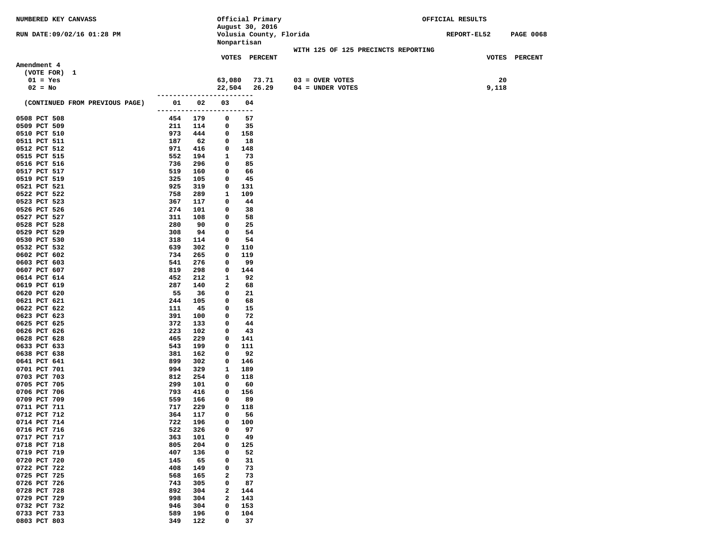| NUMBERED KEY CANVASS           |                       |            |             |            | Official Primary        |                    |                                     | OFFICIAL RESULTS |       |                  |
|--------------------------------|-----------------------|------------|-------------|------------|-------------------------|--------------------|-------------------------------------|------------------|-------|------------------|
|                                |                       |            |             |            | August 30, 2016         |                    |                                     |                  |       |                  |
| RUN DATE:09/02/16 01:28 PM     |                       |            |             |            | Volusia County, Florida |                    |                                     | REPORT-EL52      |       | <b>PAGE 0068</b> |
|                                |                       |            | Nonpartisan |            |                         |                    |                                     |                  |       |                  |
|                                |                       |            |             |            | VOTES PERCENT           |                    | WITH 125 OF 125 PRECINCTS REPORTING |                  |       | VOTES PERCENT    |
| Amendment 4                    |                       |            |             |            |                         |                    |                                     |                  |       |                  |
| (VOTE FOR) 1                   |                       |            |             |            |                         |                    |                                     |                  |       |                  |
| $01 = Yes$                     |                       |            | 63,080      |            | 73.71                   | $03 =$ OVER VOTES  |                                     |                  | 20    |                  |
| $02 = No$                      |                       |            | 22,504      |            | 26.29                   | $04 = UNDER VOTES$ |                                     |                  | 9,118 |                  |
|                                | . _ _ _ _ _ _ _ _ _ _ |            |             | $---$      |                         |                    |                                     |                  |       |                  |
| (CONTINUED FROM PREVIOUS PAGE) | 01                    | 02         | 03          | 04         |                         |                    |                                     |                  |       |                  |
|                                | -------               | -----      | ----        | ---        |                         |                    |                                     |                  |       |                  |
| 0508 PCT 508                   | 454                   | 179        | 0           | 57         |                         |                    |                                     |                  |       |                  |
| 0509 PCT 509                   | 211                   | 114        | 0           | 35         |                         |                    |                                     |                  |       |                  |
| 0510 PCT 510                   | 973                   | 444        | 0           | 158        |                         |                    |                                     |                  |       |                  |
| 0511 PCT 511                   | 187                   | 62         | 0           | 18         |                         |                    |                                     |                  |       |                  |
| 0512 PCT 512                   | 971                   | 416        | 0           | 148        |                         |                    |                                     |                  |       |                  |
| 0515 PCT 515                   | 552                   | 194        | 1           | 73         |                         |                    |                                     |                  |       |                  |
| 0516 PCT 516                   | 736                   | 296        | 0           | 85         |                         |                    |                                     |                  |       |                  |
| 0517 PCT 517                   | 519                   | 160        | 0           | 66         |                         |                    |                                     |                  |       |                  |
| 0519 PCT 519                   | 325<br>925            | 105        | 0           | 45         |                         |                    |                                     |                  |       |                  |
| 0521 PCT 521<br>0522 PCT 522   | 758                   | 319<br>289 | 0<br>1      | 131<br>109 |                         |                    |                                     |                  |       |                  |
| 0523 PCT 523                   | 367                   | 117        | 0           | 44         |                         |                    |                                     |                  |       |                  |
| 0526 PCT 526                   | 274                   | 101        | 0           | 38         |                         |                    |                                     |                  |       |                  |
| 0527 PCT 527                   | 311                   | 108        | 0           | 58         |                         |                    |                                     |                  |       |                  |
| 0528 PCT 528                   | 280                   | 90         | 0           | 25         |                         |                    |                                     |                  |       |                  |
| 0529 PCT 529                   | 308                   | 94         | 0           | 54         |                         |                    |                                     |                  |       |                  |
| 0530 PCT 530                   | 318                   | 114        | 0           | 54         |                         |                    |                                     |                  |       |                  |
| 0532 PCT 532                   | 639                   | 302        | 0           | 110        |                         |                    |                                     |                  |       |                  |
| 0602 PCT 602                   | 734                   | 265        | 0           | 119        |                         |                    |                                     |                  |       |                  |
| 0603 PCT 603                   | 541                   | 276        | 0           | 99         |                         |                    |                                     |                  |       |                  |
| 0607 PCT 607                   | 819                   | 298        | 0           | 144        |                         |                    |                                     |                  |       |                  |
| 0614 PCT 614                   | 452                   | 212        | 1           | 92         |                         |                    |                                     |                  |       |                  |
| 0619 PCT 619                   | 287                   | 140        | 2           | 68         |                         |                    |                                     |                  |       |                  |
| 0620 PCT 620                   | 55                    | 36         | 0           | 21         |                         |                    |                                     |                  |       |                  |
| 0621 PCT 621                   | 244                   | 105        | 0           | 68         |                         |                    |                                     |                  |       |                  |
| 0622 PCT 622                   | 111                   | 45         | 0           | 15         |                         |                    |                                     |                  |       |                  |
| 0623 PCT 623                   | 391                   | 100        | 0           | 72         |                         |                    |                                     |                  |       |                  |
| 0625 PCT 625<br>0626 PCT 626   | 372<br>223            | 133<br>102 | 0<br>0      | 44<br>43   |                         |                    |                                     |                  |       |                  |
| 0628 PCT 628                   | 465                   | 229        | 0           | 141        |                         |                    |                                     |                  |       |                  |
| 0633 PCT 633                   | 543                   | 199        | 0           | 111        |                         |                    |                                     |                  |       |                  |
| 0638 PCT 638                   | 381                   | 162        | 0           | 92         |                         |                    |                                     |                  |       |                  |
| 0641 PCT 641                   | 899                   | 302        | 0           | 146        |                         |                    |                                     |                  |       |                  |
| 0701 PCT 701                   | 994                   | 329        | 1           | 189        |                         |                    |                                     |                  |       |                  |
| 0703 PCT 703                   | 812                   | 254        | 0           | 118        |                         |                    |                                     |                  |       |                  |
| 0705 PCT 705                   | 299                   | 101        | 0           | 60         |                         |                    |                                     |                  |       |                  |
| 0706 PCT 706                   | 793                   | 416        | 0           | 156        |                         |                    |                                     |                  |       |                  |
| 0709 PCT 709                   | 559                   | 166        | 0           | 89         |                         |                    |                                     |                  |       |                  |
| 0711 PCT 711                   | 717                   | 229        | 0           | 118        |                         |                    |                                     |                  |       |                  |
| 0712 PCT 712                   | 364                   | 117        | 0           | 56         |                         |                    |                                     |                  |       |                  |
| 0714 PCT 714                   | 722                   | 196        | 0           | 100        |                         |                    |                                     |                  |       |                  |
| 0716 PCT 716                   | 522                   | 326        | 0           | 97         |                         |                    |                                     |                  |       |                  |
| 0717 PCT 717                   | 363                   | 101        | 0           | 49         |                         |                    |                                     |                  |       |                  |
| 0718 PCT 718                   | 805                   | 204        | 0           | 125        |                         |                    |                                     |                  |       |                  |
| 0719 PCT 719                   | 407                   | 136        | 0           | 52         |                         |                    |                                     |                  |       |                  |
| 0720 PCT 720                   | 145                   | 65         | 0           | 31         |                         |                    |                                     |                  |       |                  |
| 0722 PCT 722                   | 408                   | 149        | 0           | 73         |                         |                    |                                     |                  |       |                  |
| 0725 PCT 725<br>0726 PCT 726   | 568<br>743            | 165        | 2<br>0      | 73<br>87   |                         |                    |                                     |                  |       |                  |
| 0728 PCT 728                   | 892                   | 305<br>304 | 2           | 144        |                         |                    |                                     |                  |       |                  |
| 0729 PCT 729                   | 998                   | 304        | 2           | 143        |                         |                    |                                     |                  |       |                  |
| 0732 PCT 732                   | 946                   | 304        | 0           | 153        |                         |                    |                                     |                  |       |                  |
| 0733 PCT 733                   | 589                   | 196        | 0           | 104        |                         |                    |                                     |                  |       |                  |
| 0803 PCT 803                   | 349                   | 122        | 0           | 37         |                         |                    |                                     |                  |       |                  |
|                                |                       |            |             |            |                         |                    |                                     |                  |       |                  |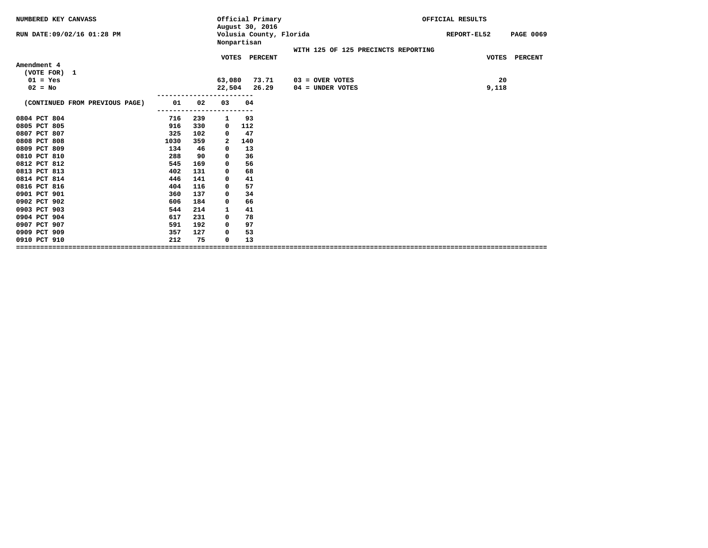| NUMBERED KEY CANVASS           |      |     |        | Official Primary<br>August 30, 2016    |                                     | OFFICIAL RESULTS |                         |
|--------------------------------|------|-----|--------|----------------------------------------|-------------------------------------|------------------|-------------------------|
| RUN DATE:09/02/16 01:28 PM     |      |     |        | Volusia County, Florida<br>Nonpartisan |                                     | REPORT-EL52      | <b>PAGE 0069</b>        |
|                                |      |     |        | VOTES PERCENT                          | WITH 125 OF 125 PRECINCTS REPORTING |                  | <b>VOTES</b><br>PERCENT |
| Amendment 4                    |      |     |        |                                        |                                     |                  |                         |
| (VOTE FOR) 1                   |      |     |        |                                        |                                     |                  |                         |
| $01 = Yes$                     |      |     | 63,080 | 73.71                                  | $03 =$ OVER VOTES                   |                  | 20                      |
| $02 = No$                      |      |     | 22,504 | 26.29                                  | $04 =$ UNDER VOTES                  |                  | 9,118                   |
|                                |      |     |        |                                        |                                     |                  |                         |
| (CONTINUED FROM PREVIOUS PAGE) | 01   | 02  | 03     | 04                                     |                                     |                  |                         |
| 0804 PCT 804                   | 716  | 239 | 1      | 93                                     |                                     |                  |                         |
| 0805 PCT 805                   | 916  | 330 | 0      | 112                                    |                                     |                  |                         |
| 0807 PCT 807                   | 325  | 102 | 0      | 47                                     |                                     |                  |                         |
| 0808 PCT 808                   | 1030 | 359 | 2      | 140                                    |                                     |                  |                         |
| 0809 PCT 809                   | 134  | 46  | 0      | 13                                     |                                     |                  |                         |
| 0810 PCT 810                   | 288  | 90  | 0      | 36                                     |                                     |                  |                         |
| 0812 PCT 812                   | 545  | 169 | 0      | 56                                     |                                     |                  |                         |
| 0813 PCT 813                   | 402  | 131 | 0      | 68                                     |                                     |                  |                         |
| 0814 PCT 814                   | 446  | 141 | 0      | 41                                     |                                     |                  |                         |
| 0816 PCT 816                   | 404  | 116 | 0      | 57                                     |                                     |                  |                         |
| 0901 PCT 901                   | 360  | 137 | 0      | 34                                     |                                     |                  |                         |
| 0902 PCT 902                   | 606  | 184 | 0      | 66                                     |                                     |                  |                         |
| 0903 PCT 903                   | 544  | 214 | 1      | 41                                     |                                     |                  |                         |
| 0904 PCT 904                   | 617  | 231 | 0      | 78                                     |                                     |                  |                         |
| 0907 PCT 907                   | 591  | 192 | 0      | 97                                     |                                     |                  |                         |
| 0909 PCT 909                   | 357  | 127 | 0      | 53                                     |                                     |                  |                         |
| 0910 PCT 910                   | 212  | 75  | 0      | 13                                     |                                     |                  |                         |
|                                |      |     |        |                                        |                                     |                  |                         |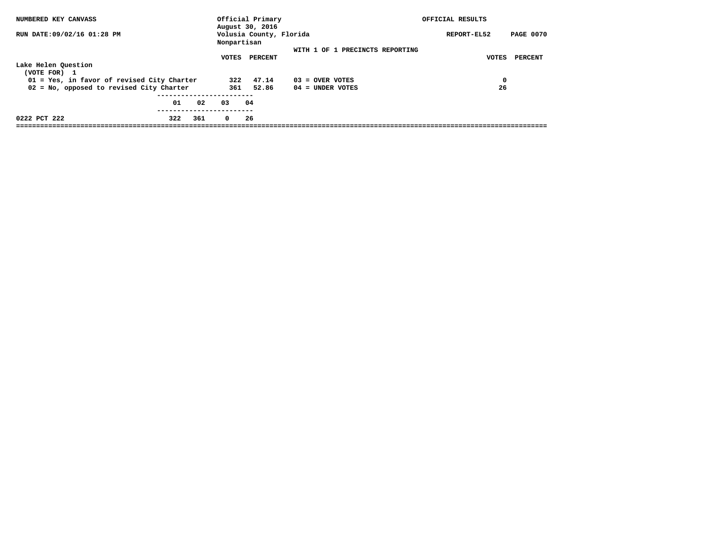| NUMBERED KEY CANVASS                       |     |     |             | Official Primary<br>August 30, 2016 |                                 | OFFICIAL RESULTS                |
|--------------------------------------------|-----|-----|-------------|-------------------------------------|---------------------------------|---------------------------------|
| RUN DATE:09/02/16 01:28 PM                 |     |     | Nonpartisan | Volusia County, Florida             |                                 | REPORT-EL52<br><b>PAGE 0070</b> |
|                                            |     |     |             |                                     | WITH 1 OF 1 PRECINCTS REPORTING |                                 |
|                                            |     |     | VOTES       | PERCENT                             |                                 | PERCENT<br><b>VOTES</b>         |
| Lake Helen Question                        |     |     |             |                                     |                                 |                                 |
| (VOTE FOR) 1                               |     |     |             |                                     |                                 |                                 |
| 01 = Yes, in favor of revised City Charter |     |     | 322         | 47.14                               | $03 =$ OVER VOTES               | 0                               |
| 02 = No, opposed to revised City Charter   |     |     |             | 361 52.86                           | 04 = UNDER VOTES                | 26                              |
|                                            |     |     |             |                                     |                                 |                                 |
|                                            | 01  | 02  | 03          | 04                                  |                                 |                                 |
|                                            |     |     |             |                                     |                                 |                                 |
| 0222 PCT 222                               | 322 | 361 | $^{\circ}$  | 26                                  |                                 |                                 |
|                                            |     |     |             |                                     |                                 |                                 |